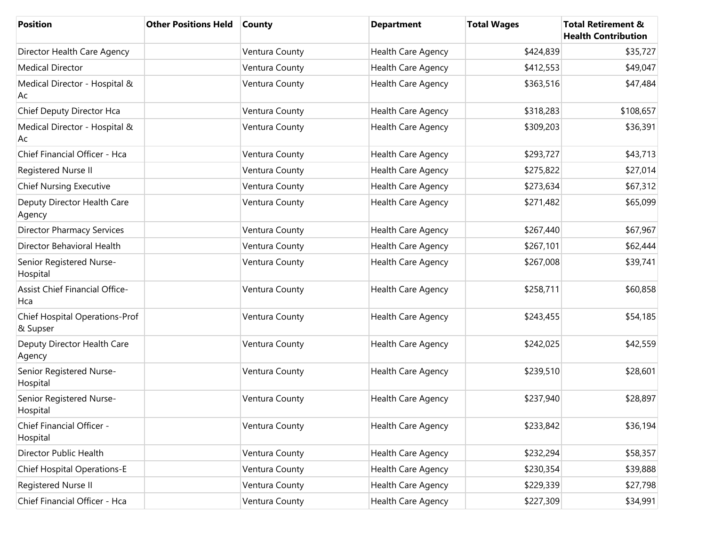| <b>Position</b>                                   | <b>Other Positions Held</b> | <b>County</b>  | <b>Department</b>         | <b>Total Wages</b> | <b>Total Retirement &amp;</b><br><b>Health Contribution</b> |
|---------------------------------------------------|-----------------------------|----------------|---------------------------|--------------------|-------------------------------------------------------------|
| Director Health Care Agency                       |                             | Ventura County | <b>Health Care Agency</b> | \$424,839          | \$35,727                                                    |
| Medical Director                                  |                             | Ventura County | Health Care Agency        | \$412,553          | \$49,047                                                    |
| Medical Director - Hospital &<br>Ac               |                             | Ventura County | Health Care Agency        | \$363,516          | \$47,484                                                    |
| Chief Deputy Director Hca                         |                             | Ventura County | Health Care Agency        | \$318,283          | \$108,657                                                   |
| Medical Director - Hospital &<br>Ac               |                             | Ventura County | Health Care Agency        | \$309,203          | \$36,391                                                    |
| Chief Financial Officer - Hca                     |                             | Ventura County | Health Care Agency        | \$293,727          | \$43,713                                                    |
| Registered Nurse II                               |                             | Ventura County | Health Care Agency        | \$275,822          | \$27,014                                                    |
| <b>Chief Nursing Executive</b>                    |                             | Ventura County | Health Care Agency        | \$273,634          | \$67,312                                                    |
| Deputy Director Health Care<br>Agency             |                             | Ventura County | Health Care Agency        | \$271,482          | \$65,099                                                    |
| <b>Director Pharmacy Services</b>                 |                             | Ventura County | <b>Health Care Agency</b> | \$267,440          | \$67,967                                                    |
| Director Behavioral Health                        |                             | Ventura County | <b>Health Care Agency</b> | \$267,101          | \$62,444                                                    |
| Senior Registered Nurse-<br>Hospital              |                             | Ventura County | Health Care Agency        | \$267,008          | \$39,741                                                    |
| Assist Chief Financial Office-<br>Hca             |                             | Ventura County | <b>Health Care Agency</b> | \$258,711          | \$60,858                                                    |
| <b>Chief Hospital Operations-Prof</b><br>& Supser |                             | Ventura County | Health Care Agency        | \$243,455          | \$54,185                                                    |
| Deputy Director Health Care<br>Agency             |                             | Ventura County | <b>Health Care Agency</b> | \$242,025          | \$42,559                                                    |
| Senior Registered Nurse-<br>Hospital              |                             | Ventura County | Health Care Agency        | \$239,510          | \$28,601                                                    |
| Senior Registered Nurse-<br>Hospital              |                             | Ventura County | <b>Health Care Agency</b> | \$237,940          | \$28,897                                                    |
| Chief Financial Officer -<br>Hospital             |                             | Ventura County | Health Care Agency        | \$233,842          | \$36,194                                                    |
| Director Public Health                            |                             | Ventura County | Health Care Agency        | \$232,294          | \$58,357                                                    |
| <b>Chief Hospital Operations-E</b>                |                             | Ventura County | Health Care Agency        | \$230,354          | \$39,888                                                    |
| Registered Nurse II                               |                             | Ventura County | Health Care Agency        | \$229,339          | \$27,798                                                    |
| Chief Financial Officer - Hca                     |                             | Ventura County | Health Care Agency        | \$227,309          | \$34,991                                                    |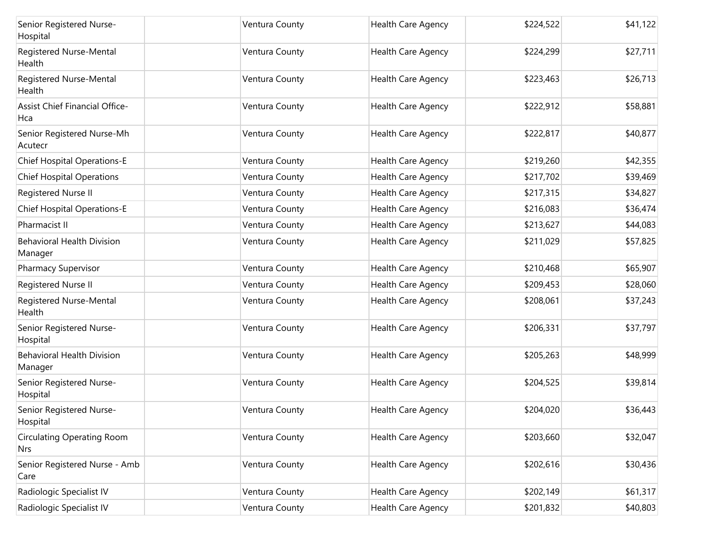| Senior Registered Nurse-<br>Hospital            | Ventura County | Health Care Agency        | \$224,522 | \$41,122 |
|-------------------------------------------------|----------------|---------------------------|-----------|----------|
| Registered Nurse-Mental<br>Health               | Ventura County | Health Care Agency        | \$224,299 | \$27,711 |
| Registered Nurse-Mental<br>Health               | Ventura County | <b>Health Care Agency</b> | \$223,463 | \$26,713 |
| <b>Assist Chief Financial Office-</b><br>Hca    | Ventura County | <b>Health Care Agency</b> | \$222,912 | \$58,881 |
| Senior Registered Nurse-Mh<br>Acutecr           | Ventura County | Health Care Agency        | \$222,817 | \$40,877 |
| <b>Chief Hospital Operations-E</b>              | Ventura County | <b>Health Care Agency</b> | \$219,260 | \$42,355 |
| <b>Chief Hospital Operations</b>                | Ventura County | Health Care Agency        | \$217,702 | \$39,469 |
| Registered Nurse II                             | Ventura County | Health Care Agency        | \$217,315 | \$34,827 |
| <b>Chief Hospital Operations-E</b>              | Ventura County | Health Care Agency        | \$216,083 | \$36,474 |
| Pharmacist II                                   | Ventura County | Health Care Agency        | \$213,627 | \$44,083 |
| <b>Behavioral Health Division</b><br>Manager    | Ventura County | Health Care Agency        | \$211,029 | \$57,825 |
| Pharmacy Supervisor                             | Ventura County | <b>Health Care Agency</b> | \$210,468 | \$65,907 |
| Registered Nurse II                             | Ventura County | Health Care Agency        | \$209,453 | \$28,060 |
| Registered Nurse-Mental<br>Health               | Ventura County | Health Care Agency        | \$208,061 | \$37,243 |
| Senior Registered Nurse-<br>Hospital            | Ventura County | Health Care Agency        | \$206,331 | \$37,797 |
| <b>Behavioral Health Division</b><br>Manager    | Ventura County | <b>Health Care Agency</b> | \$205,263 | \$48,999 |
| Senior Registered Nurse-<br>Hospital            | Ventura County | <b>Health Care Agency</b> | \$204,525 | \$39,814 |
| Senior Registered Nurse-<br>Hospital            | Ventura County | <b>Health Care Agency</b> | \$204,020 | \$36,443 |
| <b>Circulating Operating Room</b><br><b>Nrs</b> | Ventura County | Health Care Agency        | \$203,660 | \$32,047 |
| Senior Registered Nurse - Amb<br>Care           | Ventura County | Health Care Agency        | \$202,616 | \$30,436 |
| Radiologic Specialist IV                        | Ventura County | Health Care Agency        | \$202,149 | \$61,317 |
| Radiologic Specialist IV                        | Ventura County | Health Care Agency        | \$201,832 | \$40,803 |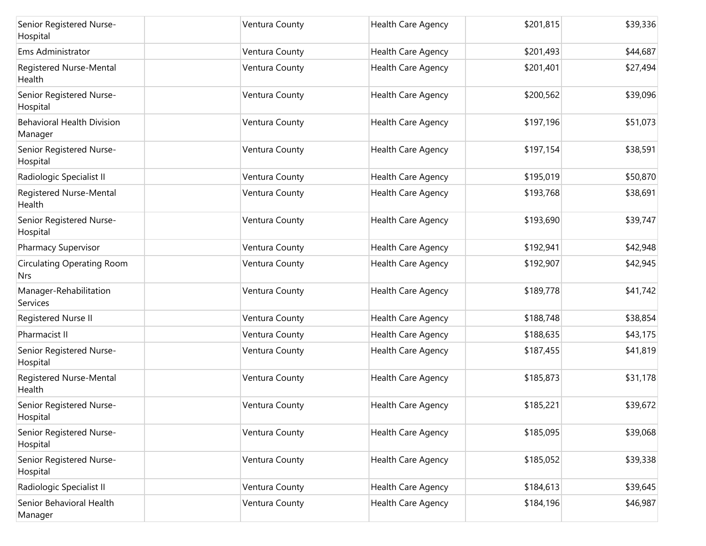| Senior Registered Nurse-<br>Hospital            | Ventura County | Health Care Agency        | \$201,815 | \$39,336 |
|-------------------------------------------------|----------------|---------------------------|-----------|----------|
| Ems Administrator                               | Ventura County | Health Care Agency        | \$201,493 | \$44,687 |
| Registered Nurse-Mental<br>Health               | Ventura County | <b>Health Care Agency</b> | \$201,401 | \$27,494 |
| Senior Registered Nurse-<br>Hospital            | Ventura County | <b>Health Care Agency</b> | \$200,562 | \$39,096 |
| <b>Behavioral Health Division</b><br>Manager    | Ventura County | <b>Health Care Agency</b> | \$197,196 | \$51,073 |
| Senior Registered Nurse-<br>Hospital            | Ventura County | Health Care Agency        | \$197,154 | \$38,591 |
| Radiologic Specialist II                        | Ventura County | Health Care Agency        | \$195,019 | \$50,870 |
| Registered Nurse-Mental<br>Health               | Ventura County | Health Care Agency        | \$193,768 | \$38,691 |
| Senior Registered Nurse-<br>Hospital            | Ventura County | Health Care Agency        | \$193,690 | \$39,747 |
| Pharmacy Supervisor                             | Ventura County | Health Care Agency        | \$192,941 | \$42,948 |
| <b>Circulating Operating Room</b><br><b>Nrs</b> | Ventura County | <b>Health Care Agency</b> | \$192,907 | \$42,945 |
| Manager-Rehabilitation<br>Services              | Ventura County | <b>Health Care Agency</b> | \$189,778 | \$41,742 |
| Registered Nurse II                             | Ventura County | Health Care Agency        | \$188,748 | \$38,854 |
| Pharmacist II                                   | Ventura County | Health Care Agency        | \$188,635 | \$43,175 |
| Senior Registered Nurse-<br>Hospital            | Ventura County | Health Care Agency        | \$187,455 | \$41,819 |
| Registered Nurse-Mental<br>Health               | Ventura County | Health Care Agency        | \$185,873 | \$31,178 |
| Senior Registered Nurse-<br>Hospital            | Ventura County | Health Care Agency        | \$185,221 | \$39,672 |
| Senior Registered Nurse-<br>Hospital            | Ventura County | Health Care Agency        | \$185,095 | \$39,068 |
| Senior Registered Nurse-<br>Hospital            | Ventura County | Health Care Agency        | \$185,052 | \$39,338 |
| Radiologic Specialist II                        | Ventura County | Health Care Agency        | \$184,613 | \$39,645 |
| Senior Behavioral Health<br>Manager             | Ventura County | Health Care Agency        | \$184,196 | \$46,987 |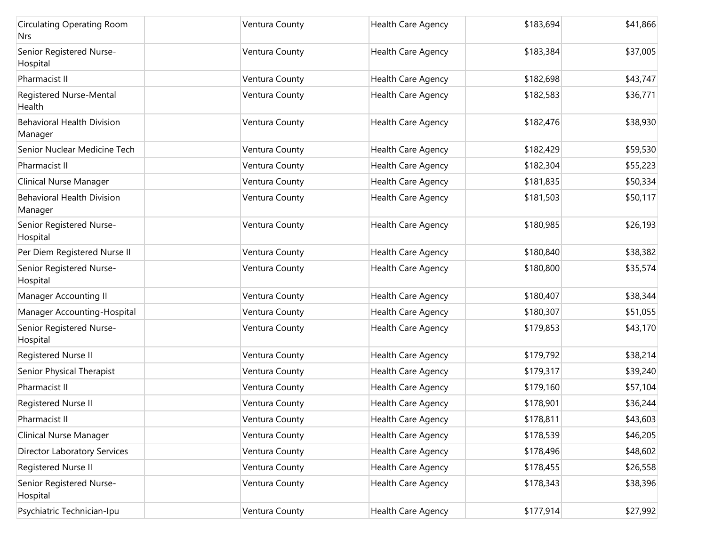| <b>Circulating Operating Room</b><br>Nrs     | Ventura County | <b>Health Care Agency</b> | \$183,694 | \$41,866 |
|----------------------------------------------|----------------|---------------------------|-----------|----------|
| Senior Registered Nurse-<br>Hospital         | Ventura County | Health Care Agency        | \$183,384 | \$37,005 |
| Pharmacist II                                | Ventura County | Health Care Agency        | \$182,698 | \$43,747 |
| Registered Nurse-Mental<br>Health            | Ventura County | Health Care Agency        | \$182,583 | \$36,771 |
| <b>Behavioral Health Division</b><br>Manager | Ventura County | Health Care Agency        | \$182,476 | \$38,930 |
| Senior Nuclear Medicine Tech                 | Ventura County | Health Care Agency        | \$182,429 | \$59,530 |
| Pharmacist II                                | Ventura County | Health Care Agency        | \$182,304 | \$55,223 |
| Clinical Nurse Manager                       | Ventura County | Health Care Agency        | \$181,835 | \$50,334 |
| <b>Behavioral Health Division</b><br>Manager | Ventura County | Health Care Agency        | \$181,503 | \$50,117 |
| Senior Registered Nurse-<br>Hospital         | Ventura County | Health Care Agency        | \$180,985 | \$26,193 |
| Per Diem Registered Nurse II                 | Ventura County | Health Care Agency        | \$180,840 | \$38,382 |
| Senior Registered Nurse-<br>Hospital         | Ventura County | Health Care Agency        | \$180,800 | \$35,574 |
| Manager Accounting II                        | Ventura County | <b>Health Care Agency</b> | \$180,407 | \$38,344 |
| Manager Accounting-Hospital                  | Ventura County | Health Care Agency        | \$180,307 | \$51,055 |
| Senior Registered Nurse-<br>Hospital         | Ventura County | <b>Health Care Agency</b> | \$179,853 | \$43,170 |
| Registered Nurse II                          | Ventura County | Health Care Agency        | \$179,792 | \$38,214 |
| Senior Physical Therapist                    | Ventura County | Health Care Agency        | \$179,317 | \$39,240 |
| Pharmacist II                                | Ventura County | Health Care Agency        | \$179,160 | \$57,104 |
| Registered Nurse II                          | Ventura County | Health Care Agency        | \$178,901 | \$36,244 |
| Pharmacist II                                | Ventura County | <b>Health Care Agency</b> | \$178,811 | \$43,603 |
| Clinical Nurse Manager                       | Ventura County | Health Care Agency        | \$178,539 | \$46,205 |
| <b>Director Laboratory Services</b>          | Ventura County | Health Care Agency        | \$178,496 | \$48,602 |
| Registered Nurse II                          | Ventura County | Health Care Agency        | \$178,455 | \$26,558 |
| Senior Registered Nurse-<br>Hospital         | Ventura County | Health Care Agency        | \$178,343 | \$38,396 |
| Psychiatric Technician-Ipu                   | Ventura County | <b>Health Care Agency</b> | \$177,914 | \$27,992 |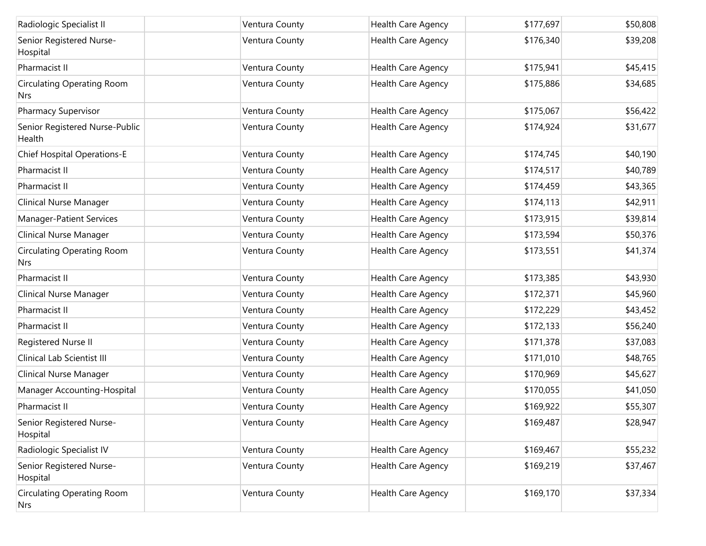| Radiologic Specialist II                        | Ventura County | Health Care Agency | \$177,697 | \$50,808 |
|-------------------------------------------------|----------------|--------------------|-----------|----------|
| Senior Registered Nurse-<br>Hospital            | Ventura County | Health Care Agency | \$176,340 | \$39,208 |
| Pharmacist II                                   | Ventura County | Health Care Agency | \$175,941 | \$45,415 |
| <b>Circulating Operating Room</b><br>Nrs        | Ventura County | Health Care Agency | \$175,886 | \$34,685 |
| <b>Pharmacy Supervisor</b>                      | Ventura County | Health Care Agency | \$175,067 | \$56,422 |
| Senior Registered Nurse-Public<br>Health        | Ventura County | Health Care Agency | \$174,924 | \$31,677 |
| <b>Chief Hospital Operations-E</b>              | Ventura County | Health Care Agency | \$174,745 | \$40,190 |
| Pharmacist II                                   | Ventura County | Health Care Agency | \$174,517 | \$40,789 |
| Pharmacist II                                   | Ventura County | Health Care Agency | \$174,459 | \$43,365 |
| Clinical Nurse Manager                          | Ventura County | Health Care Agency | \$174,113 | \$42,911 |
| <b>Manager-Patient Services</b>                 | Ventura County | Health Care Agency | \$173,915 | \$39,814 |
| Clinical Nurse Manager                          | Ventura County | Health Care Agency | \$173,594 | \$50,376 |
| <b>Circulating Operating Room</b><br>Nrs        | Ventura County | Health Care Agency | \$173,551 | \$41,374 |
| Pharmacist II                                   | Ventura County | Health Care Agency | \$173,385 | \$43,930 |
| <b>Clinical Nurse Manager</b>                   | Ventura County | Health Care Agency | \$172,371 | \$45,960 |
| Pharmacist II                                   | Ventura County | Health Care Agency | \$172,229 | \$43,452 |
| Pharmacist II                                   | Ventura County | Health Care Agency | \$172,133 | \$56,240 |
| Registered Nurse II                             | Ventura County | Health Care Agency | \$171,378 | \$37,083 |
| Clinical Lab Scientist III                      | Ventura County | Health Care Agency | \$171,010 | \$48,765 |
| <b>Clinical Nurse Manager</b>                   | Ventura County | Health Care Agency | \$170,969 | \$45,627 |
| Manager Accounting-Hospital                     | Ventura County | Health Care Agency | \$170,055 | \$41,050 |
| Pharmacist II                                   | Ventura County | Health Care Agency | \$169,922 | \$55,307 |
| Senior Registered Nurse-<br>Hospital            | Ventura County | Health Care Agency | \$169,487 | \$28,947 |
| Radiologic Specialist IV                        | Ventura County | Health Care Agency | \$169,467 | \$55,232 |
| Senior Registered Nurse-<br>Hospital            | Ventura County | Health Care Agency | \$169,219 | \$37,467 |
| <b>Circulating Operating Room</b><br><b>Nrs</b> | Ventura County | Health Care Agency | \$169,170 | \$37,334 |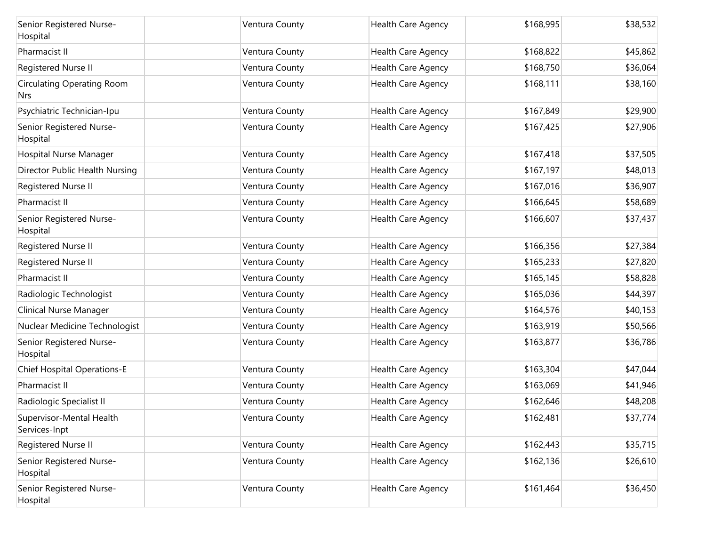| Senior Registered Nurse-<br>Hospital            | Ventura County | <b>Health Care Agency</b> | \$168,995 | \$38,532 |
|-------------------------------------------------|----------------|---------------------------|-----------|----------|
| Pharmacist II                                   | Ventura County | Health Care Agency        | \$168,822 | \$45,862 |
| Registered Nurse II                             | Ventura County | Health Care Agency        | \$168,750 | \$36,064 |
| <b>Circulating Operating Room</b><br><b>Nrs</b> | Ventura County | Health Care Agency        | \$168,111 | \$38,160 |
| Psychiatric Technician-Ipu                      | Ventura County | Health Care Agency        | \$167,849 | \$29,900 |
| Senior Registered Nurse-<br>Hospital            | Ventura County | Health Care Agency        | \$167,425 | \$27,906 |
| Hospital Nurse Manager                          | Ventura County | Health Care Agency        | \$167,418 | \$37,505 |
| Director Public Health Nursing                  | Ventura County | Health Care Agency        | \$167,197 | \$48,013 |
| Registered Nurse II                             | Ventura County | Health Care Agency        | \$167,016 | \$36,907 |
| Pharmacist II                                   | Ventura County | Health Care Agency        | \$166,645 | \$58,689 |
| Senior Registered Nurse-<br>Hospital            | Ventura County | Health Care Agency        | \$166,607 | \$37,437 |
| Registered Nurse II                             | Ventura County | Health Care Agency        | \$166,356 | \$27,384 |
| Registered Nurse II                             | Ventura County | Health Care Agency        | \$165,233 | \$27,820 |
| Pharmacist II                                   | Ventura County | Health Care Agency        | \$165,145 | \$58,828 |
| Radiologic Technologist                         | Ventura County | Health Care Agency        | \$165,036 | \$44,397 |
| Clinical Nurse Manager                          | Ventura County | Health Care Agency        | \$164,576 | \$40,153 |
| Nuclear Medicine Technologist                   | Ventura County | Health Care Agency        | \$163,919 | \$50,566 |
| Senior Registered Nurse-<br>Hospital            | Ventura County | Health Care Agency        | \$163,877 | \$36,786 |
| <b>Chief Hospital Operations-E</b>              | Ventura County | Health Care Agency        | \$163,304 | \$47,044 |
| Pharmacist II                                   | Ventura County | Health Care Agency        | \$163,069 | \$41,946 |
| Radiologic Specialist II                        | Ventura County | Health Care Agency        | \$162,646 | \$48,208 |
| Supervisor-Mental Health<br>Services-Inpt       | Ventura County | Health Care Agency        | \$162,481 | \$37,774 |
| Registered Nurse II                             | Ventura County | Health Care Agency        | \$162,443 | \$35,715 |
| Senior Registered Nurse-<br>Hospital            | Ventura County | Health Care Agency        | \$162,136 | \$26,610 |
| Senior Registered Nurse-<br>Hospital            | Ventura County | Health Care Agency        | \$161,464 | \$36,450 |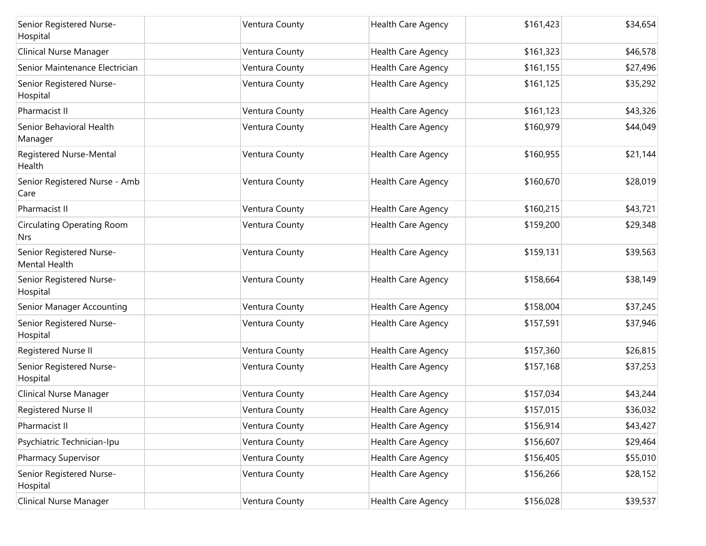| Senior Registered Nurse-<br>Hospital      | Ventura County | Health Care Agency        | \$161,423 | \$34,654 |
|-------------------------------------------|----------------|---------------------------|-----------|----------|
| Clinical Nurse Manager                    | Ventura County | <b>Health Care Agency</b> | \$161,323 | \$46,578 |
| Senior Maintenance Electrician            | Ventura County | Health Care Agency        | \$161,155 | \$27,496 |
| Senior Registered Nurse-<br>Hospital      | Ventura County | Health Care Agency        | \$161,125 | \$35,292 |
| Pharmacist II                             | Ventura County | Health Care Agency        | \$161,123 | \$43,326 |
| Senior Behavioral Health<br>Manager       | Ventura County | Health Care Agency        | \$160,979 | \$44,049 |
| Registered Nurse-Mental<br>Health         | Ventura County | Health Care Agency        | \$160,955 | \$21,144 |
| Senior Registered Nurse - Amb<br>Care     | Ventura County | Health Care Agency        | \$160,670 | \$28,019 |
| Pharmacist II                             | Ventura County | Health Care Agency        | \$160,215 | \$43,721 |
| <b>Circulating Operating Room</b><br>Nrs  | Ventura County | <b>Health Care Agency</b> | \$159,200 | \$29,348 |
| Senior Registered Nurse-<br>Mental Health | Ventura County | Health Care Agency        | \$159,131 | \$39,563 |
| Senior Registered Nurse-<br>Hospital      | Ventura County | Health Care Agency        | \$158,664 | \$38,149 |
| Senior Manager Accounting                 | Ventura County | <b>Health Care Agency</b> | \$158,004 | \$37,245 |
| Senior Registered Nurse-<br>Hospital      | Ventura County | Health Care Agency        | \$157,591 | \$37,946 |
| Registered Nurse II                       | Ventura County | <b>Health Care Agency</b> | \$157,360 | \$26,815 |
| Senior Registered Nurse-<br>Hospital      | Ventura County | Health Care Agency        | \$157,168 | \$37,253 |
| Clinical Nurse Manager                    | Ventura County | Health Care Agency        | \$157,034 | \$43,244 |
| Registered Nurse II                       | Ventura County | Health Care Agency        | \$157,015 | \$36,032 |
| Pharmacist II                             | Ventura County | Health Care Agency        | \$156,914 | \$43,427 |
| Psychiatric Technician-Ipu                | Ventura County | Health Care Agency        | \$156,607 | \$29,464 |
| Pharmacy Supervisor                       | Ventura County | Health Care Agency        | \$156,405 | \$55,010 |
| Senior Registered Nurse-<br>Hospital      | Ventura County | Health Care Agency        | \$156,266 | \$28,152 |
| <b>Clinical Nurse Manager</b>             | Ventura County | Health Care Agency        | \$156,028 | \$39,537 |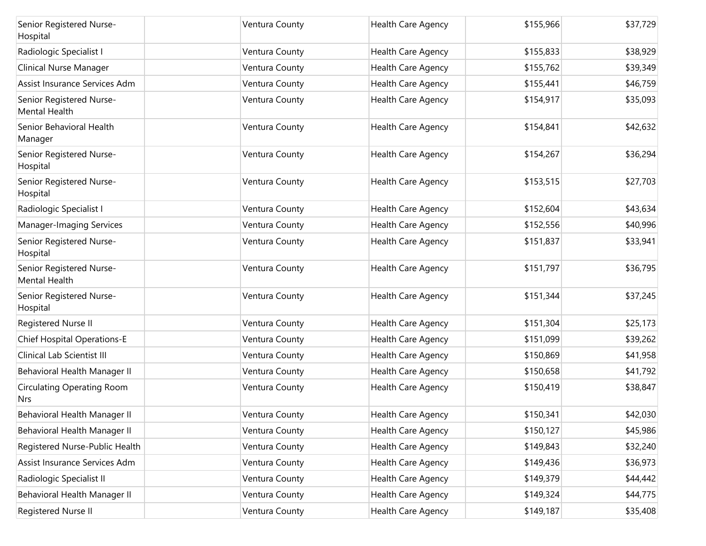| Senior Registered Nurse-<br>Hospital            | Ventura County | <b>Health Care Agency</b> | \$155,966 | \$37,729 |
|-------------------------------------------------|----------------|---------------------------|-----------|----------|
| Radiologic Specialist I                         | Ventura County | Health Care Agency        | \$155,833 | \$38,929 |
| Clinical Nurse Manager                          | Ventura County | Health Care Agency        | \$155,762 | \$39,349 |
| Assist Insurance Services Adm                   | Ventura County | Health Care Agency        | \$155,441 | \$46,759 |
| Senior Registered Nurse-<br>Mental Health       | Ventura County | Health Care Agency        | \$154,917 | \$35,093 |
| Senior Behavioral Health<br>Manager             | Ventura County | Health Care Agency        | \$154,841 | \$42,632 |
| Senior Registered Nurse-<br>Hospital            | Ventura County | Health Care Agency        | \$154,267 | \$36,294 |
| Senior Registered Nurse-<br>Hospital            | Ventura County | Health Care Agency        | \$153,515 | \$27,703 |
| Radiologic Specialist I                         | Ventura County | Health Care Agency        | \$152,604 | \$43,634 |
| Manager-Imaging Services                        | Ventura County | Health Care Agency        | \$152,556 | \$40,996 |
| Senior Registered Nurse-<br>Hospital            | Ventura County | Health Care Agency        | \$151,837 | \$33,941 |
| Senior Registered Nurse-<br>Mental Health       | Ventura County | Health Care Agency        | \$151,797 | \$36,795 |
| Senior Registered Nurse-<br>Hospital            | Ventura County | Health Care Agency        | \$151,344 | \$37,245 |
| Registered Nurse II                             | Ventura County | Health Care Agency        | \$151,304 | \$25,173 |
| <b>Chief Hospital Operations-E</b>              | Ventura County | Health Care Agency        | \$151,099 | \$39,262 |
| Clinical Lab Scientist III                      | Ventura County | Health Care Agency        | \$150,869 | \$41,958 |
| Behavioral Health Manager II                    | Ventura County | Health Care Agency        | \$150,658 | \$41,792 |
| <b>Circulating Operating Room</b><br><b>Nrs</b> | Ventura County | Health Care Agency        | \$150,419 | \$38,847 |
| Behavioral Health Manager II                    | Ventura County | Health Care Agency        | \$150,341 | \$42,030 |
| Behavioral Health Manager II                    | Ventura County | Health Care Agency        | \$150,127 | \$45,986 |
| Registered Nurse-Public Health                  | Ventura County | Health Care Agency        | \$149,843 | \$32,240 |
| Assist Insurance Services Adm                   | Ventura County | Health Care Agency        | \$149,436 | \$36,973 |
| Radiologic Specialist II                        | Ventura County | Health Care Agency        | \$149,379 | \$44,442 |
| Behavioral Health Manager II                    | Ventura County | Health Care Agency        | \$149,324 | \$44,775 |
| Registered Nurse II                             | Ventura County | Health Care Agency        | \$149,187 | \$35,408 |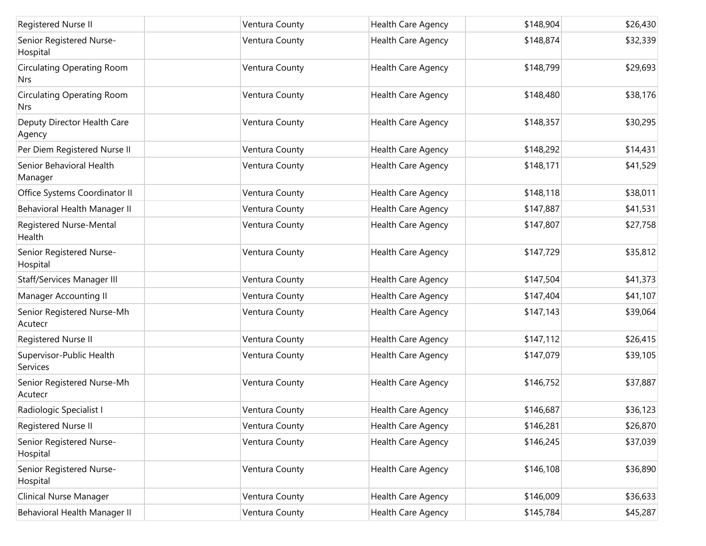| Registered Nurse II                             | Ventura County | Health Care Agency        | \$148,904 | \$26,430 |
|-------------------------------------------------|----------------|---------------------------|-----------|----------|
| Senior Registered Nurse-<br>Hospital            | Ventura County | Health Care Agency        | \$148,874 | \$32,339 |
| <b>Circulating Operating Room</b><br>Nrs.       | Ventura County | Health Care Agency        | \$148,799 | \$29,693 |
| <b>Circulating Operating Room</b><br><b>Nrs</b> | Ventura County | Health Care Agency        | \$148,480 | \$38,176 |
| Deputy Director Health Care<br>Agency           | Ventura County | Health Care Agency        | \$148,357 | \$30,295 |
| Per Diem Registered Nurse II                    | Ventura County | Health Care Agency        | \$148,292 | \$14,431 |
| Senior Behavioral Health<br>Manager             | Ventura County | Health Care Agency        | \$148,171 | \$41,529 |
| Office Systems Coordinator II                   | Ventura County | Health Care Agency        | \$148,118 | \$38,011 |
| Behavioral Health Manager II                    | Ventura County | Health Care Agency        | \$147,887 | \$41,531 |
| Registered Nurse-Mental<br>Health               | Ventura County | Health Care Agency        | \$147,807 | \$27,758 |
| Senior Registered Nurse-<br>Hospital            | Ventura County | Health Care Agency        | \$147,729 | \$35,812 |
| Staff/Services Manager III                      | Ventura County | Health Care Agency        | \$147,504 | \$41,373 |
| Manager Accounting II                           | Ventura County | Health Care Agency        | \$147,404 | \$41,107 |
| Senior Registered Nurse-Mh<br>Acutecr           | Ventura County | Health Care Agency        | \$147,143 | \$39,064 |
| Registered Nurse II                             | Ventura County | Health Care Agency        | \$147,112 | \$26,415 |
| Supervisor-Public Health<br><b>Services</b>     | Ventura County | Health Care Agency        | \$147,079 | \$39,105 |
| Senior Registered Nurse-Mh<br>Acutecr           | Ventura County | Health Care Agency        | \$146,752 | \$37,887 |
| Radiologic Specialist I                         | Ventura County | Health Care Agency        | \$146,687 | \$36,123 |
| Registered Nurse II                             | Ventura County | Health Care Agency        | \$146,281 | \$26,870 |
| Senior Registered Nurse-<br>Hospital            | Ventura County | Health Care Agency        | \$146,245 | \$37,039 |
| Senior Registered Nurse-<br>Hospital            | Ventura County | Health Care Agency        | \$146,108 | \$36,890 |
| Clinical Nurse Manager                          | Ventura County | <b>Health Care Agency</b> | \$146,009 | \$36,633 |
| Behavioral Health Manager II                    | Ventura County | Health Care Agency        | \$145,784 | \$45,287 |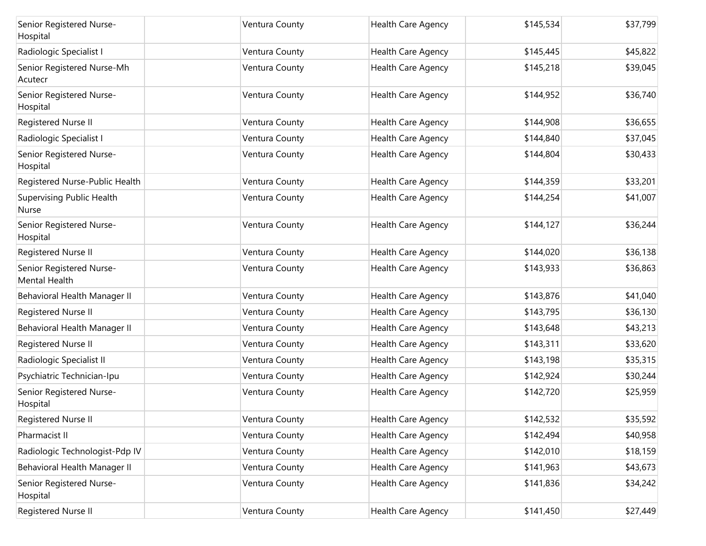| Senior Registered Nurse-<br>Hospital      | Ventura County | Health Care Agency        | \$145,534 | \$37,799 |
|-------------------------------------------|----------------|---------------------------|-----------|----------|
| Radiologic Specialist I                   | Ventura County | Health Care Agency        | \$145,445 | \$45,822 |
| Senior Registered Nurse-Mh<br>Acutecr     | Ventura County | Health Care Agency        | \$145,218 | \$39,045 |
| Senior Registered Nurse-<br>Hospital      | Ventura County | Health Care Agency        | \$144,952 | \$36,740 |
| Registered Nurse II                       | Ventura County | Health Care Agency        | \$144,908 | \$36,655 |
| Radiologic Specialist I                   | Ventura County | Health Care Agency        | \$144,840 | \$37,045 |
| Senior Registered Nurse-<br>Hospital      | Ventura County | Health Care Agency        | \$144,804 | \$30,433 |
| Registered Nurse-Public Health            | Ventura County | Health Care Agency        | \$144,359 | \$33,201 |
| Supervising Public Health<br>Nurse        | Ventura County | Health Care Agency        | \$144,254 | \$41,007 |
| Senior Registered Nurse-<br>Hospital      | Ventura County | Health Care Agency        | \$144,127 | \$36,244 |
| Registered Nurse II                       | Ventura County | Health Care Agency        | \$144,020 | \$36,138 |
| Senior Registered Nurse-<br>Mental Health | Ventura County | Health Care Agency        | \$143,933 | \$36,863 |
| Behavioral Health Manager II              | Ventura County | <b>Health Care Agency</b> | \$143,876 | \$41,040 |
| Registered Nurse II                       | Ventura County | Health Care Agency        | \$143,795 | \$36,130 |
| Behavioral Health Manager II              | Ventura County | Health Care Agency        | \$143,648 | \$43,213 |
| Registered Nurse II                       | Ventura County | Health Care Agency        | \$143,311 | \$33,620 |
| Radiologic Specialist II                  | Ventura County | Health Care Agency        | \$143,198 | \$35,315 |
| Psychiatric Technician-Ipu                | Ventura County | Health Care Agency        | \$142,924 | \$30,244 |
| Senior Registered Nurse-<br>Hospital      | Ventura County | Health Care Agency        | \$142,720 | \$25,959 |
| Registered Nurse II                       | Ventura County | Health Care Agency        | \$142,532 | \$35,592 |
| Pharmacist II                             | Ventura County | <b>Health Care Agency</b> | \$142,494 | \$40,958 |
| Radiologic Technologist-Pdp IV            | Ventura County | Health Care Agency        | \$142,010 | \$18,159 |
| Behavioral Health Manager II              | Ventura County | Health Care Agency        | \$141,963 | \$43,673 |
| Senior Registered Nurse-<br>Hospital      | Ventura County | Health Care Agency        | \$141,836 | \$34,242 |
| Registered Nurse II                       | Ventura County | Health Care Agency        | \$141,450 | \$27,449 |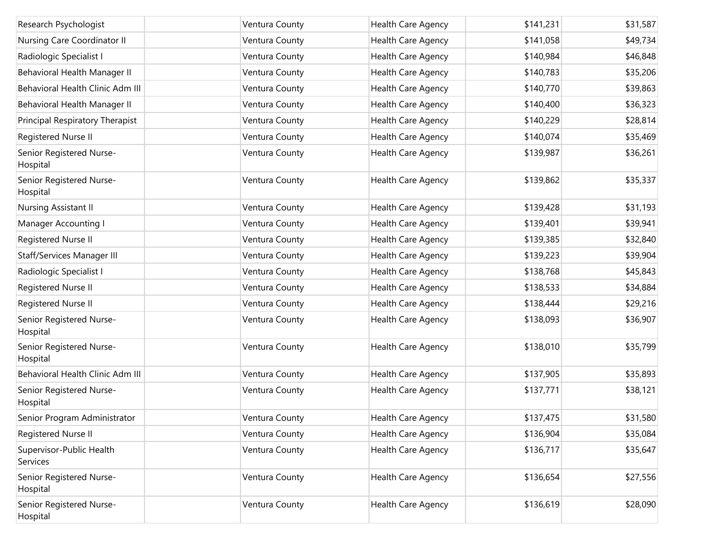| Research Psychologist                | Ventura County | Health Care Agency        | \$141,231 | \$31,587 |
|--------------------------------------|----------------|---------------------------|-----------|----------|
| Nursing Care Coordinator II          | Ventura County | Health Care Agency        | \$141,058 | \$49,734 |
| Radiologic Specialist I              | Ventura County | Health Care Agency        | \$140,984 | \$46,848 |
| Behavioral Health Manager II         | Ventura County | Health Care Agency        | \$140,783 | \$35,206 |
| Behavioral Health Clinic Adm III     | Ventura County | Health Care Agency        | \$140,770 | \$39,863 |
| Behavioral Health Manager II         | Ventura County | Health Care Agency        | \$140,400 | \$36,323 |
| Principal Respiratory Therapist      | Ventura County | Health Care Agency        | \$140,229 | \$28,814 |
| Registered Nurse II                  | Ventura County | Health Care Agency        | \$140,074 | \$35,469 |
| Senior Registered Nurse-<br>Hospital | Ventura County | Health Care Agency        | \$139,987 | \$36,261 |
| Senior Registered Nurse-<br>Hospital | Ventura County | Health Care Agency        | \$139,862 | \$35,337 |
| Nursing Assistant II                 | Ventura County | Health Care Agency        | \$139,428 | \$31,193 |
| Manager Accounting I                 | Ventura County | Health Care Agency        | \$139,401 | \$39,941 |
| Registered Nurse II                  | Ventura County | Health Care Agency        | \$139,385 | \$32,840 |
| Staff/Services Manager III           | Ventura County | Health Care Agency        | \$139,223 | \$39,904 |
| Radiologic Specialist I              | Ventura County | Health Care Agency        | \$138,768 | \$45,843 |
| Registered Nurse II                  | Ventura County | Health Care Agency        | \$138,533 | \$34,884 |
| Registered Nurse II                  | Ventura County | Health Care Agency        | \$138,444 | \$29,216 |
| Senior Registered Nurse-<br>Hospital | Ventura County | Health Care Agency        | \$138,093 | \$36,907 |
| Senior Registered Nurse-<br>Hospital | Ventura County | Health Care Agency        | \$138,010 | \$35,799 |
| Behavioral Health Clinic Adm III     | Ventura County | Health Care Agency        | \$137,905 | \$35,893 |
| Senior Registered Nurse-<br>Hospital | Ventura County | Health Care Agency        | \$137,771 | \$38,121 |
| Senior Program Administrator         | Ventura County | Health Care Agency        | \$137,475 | \$31,580 |
| Registered Nurse II                  | Ventura County | Health Care Agency        | \$136,904 | \$35,084 |
| Supervisor-Public Health<br>Services | Ventura County | <b>Health Care Agency</b> | \$136,717 | \$35,647 |
| Senior Registered Nurse-<br>Hospital | Ventura County | Health Care Agency        | \$136,654 | \$27,556 |
| Senior Registered Nurse-<br>Hospital | Ventura County | Health Care Agency        | \$136,619 | \$28,090 |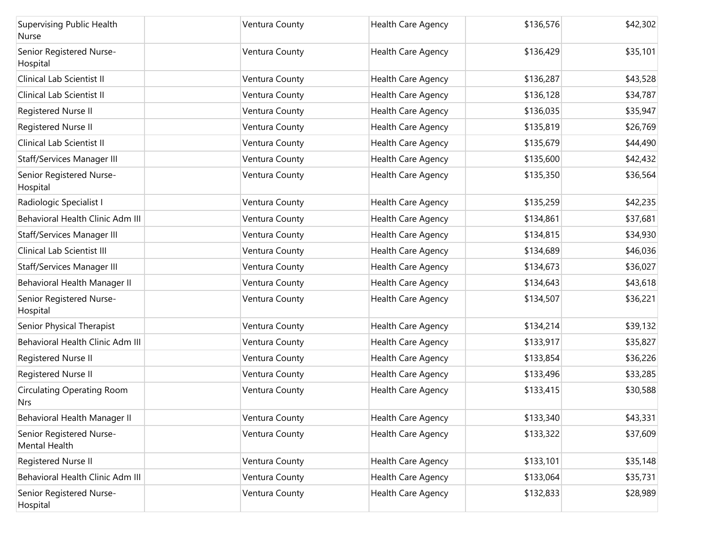| <b>Supervising Public Health</b><br>Nurse       | Ventura County | Health Care Agency        | \$136,576 | \$42,302 |
|-------------------------------------------------|----------------|---------------------------|-----------|----------|
| Senior Registered Nurse-<br>Hospital            | Ventura County | Health Care Agency        | \$136,429 | \$35,101 |
| Clinical Lab Scientist II                       | Ventura County | Health Care Agency        | \$136,287 | \$43,528 |
| Clinical Lab Scientist II                       | Ventura County | Health Care Agency        | \$136,128 | \$34,787 |
| Registered Nurse II                             | Ventura County | Health Care Agency        | \$136,035 | \$35,947 |
| Registered Nurse II                             | Ventura County | Health Care Agency        | \$135,819 | \$26,769 |
| Clinical Lab Scientist II                       | Ventura County | Health Care Agency        | \$135,679 | \$44,490 |
| Staff/Services Manager III                      | Ventura County | Health Care Agency        | \$135,600 | \$42,432 |
| Senior Registered Nurse-<br>Hospital            | Ventura County | Health Care Agency        | \$135,350 | \$36,564 |
| Radiologic Specialist I                         | Ventura County | Health Care Agency        | \$135,259 | \$42,235 |
| Behavioral Health Clinic Adm III                | Ventura County | Health Care Agency        | \$134,861 | \$37,681 |
| Staff/Services Manager III                      | Ventura County | Health Care Agency        | \$134,815 | \$34,930 |
| Clinical Lab Scientist III                      | Ventura County | Health Care Agency        | \$134,689 | \$46,036 |
| Staff/Services Manager III                      | Ventura County | Health Care Agency        | \$134,673 | \$36,027 |
| Behavioral Health Manager II                    | Ventura County | Health Care Agency        | \$134,643 | \$43,618 |
| Senior Registered Nurse-<br>Hospital            | Ventura County | Health Care Agency        | \$134,507 | \$36,221 |
| Senior Physical Therapist                       | Ventura County | Health Care Agency        | \$134,214 | \$39,132 |
| Behavioral Health Clinic Adm III                | Ventura County | Health Care Agency        | \$133,917 | \$35,827 |
| Registered Nurse II                             | Ventura County | Health Care Agency        | \$133,854 | \$36,226 |
| Registered Nurse II                             | Ventura County | Health Care Agency        | \$133,496 | \$33,285 |
| <b>Circulating Operating Room</b><br><b>Nrs</b> | Ventura County | <b>Health Care Agency</b> | \$133,415 | \$30,588 |
| Behavioral Health Manager II                    | Ventura County | Health Care Agency        | \$133,340 | \$43,331 |
| Senior Registered Nurse-<br>Mental Health       | Ventura County | Health Care Agency        | \$133,322 | \$37,609 |
| Registered Nurse II                             | Ventura County | Health Care Agency        | \$133,101 | \$35,148 |
| Behavioral Health Clinic Adm III                | Ventura County | Health Care Agency        | \$133,064 | \$35,731 |
| Senior Registered Nurse-<br>Hospital            | Ventura County | Health Care Agency        | \$132,833 | \$28,989 |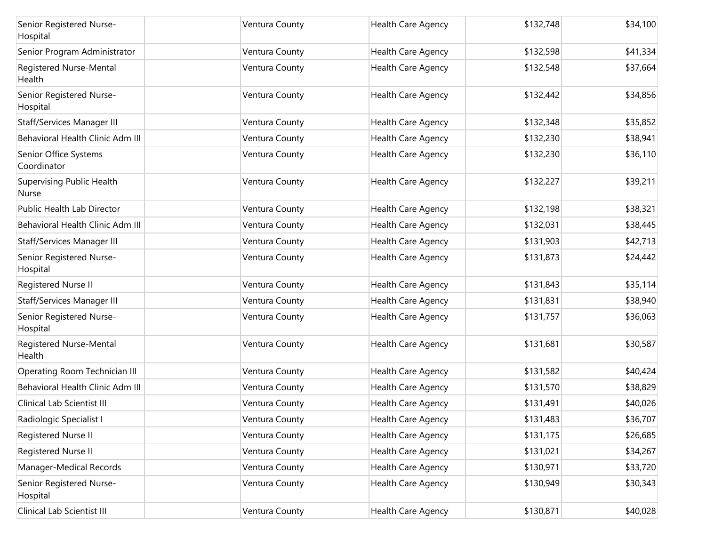| Senior Registered Nurse-<br>Hospital             | Ventura County | <b>Health Care Agency</b> | \$132,748 | \$34,100 |
|--------------------------------------------------|----------------|---------------------------|-----------|----------|
| Senior Program Administrator                     | Ventura County | Health Care Agency        | \$132,598 | \$41,334 |
| Registered Nurse-Mental<br>Health                | Ventura County | Health Care Agency        | \$132,548 | \$37,664 |
| Senior Registered Nurse-<br>Hospital             | Ventura County | Health Care Agency        | \$132,442 | \$34,856 |
| Staff/Services Manager III                       | Ventura County | Health Care Agency        | \$132,348 | \$35,852 |
| Behavioral Health Clinic Adm III                 | Ventura County | Health Care Agency        | \$132,230 | \$38,941 |
| Senior Office Systems<br>Coordinator             | Ventura County | Health Care Agency        | \$132,230 | \$36,110 |
| <b>Supervising Public Health</b><br><b>Nurse</b> | Ventura County | <b>Health Care Agency</b> | \$132,227 | \$39,211 |
| Public Health Lab Director                       | Ventura County | <b>Health Care Agency</b> | \$132,198 | \$38,321 |
| Behavioral Health Clinic Adm III                 | Ventura County | <b>Health Care Agency</b> | \$132,031 | \$38,445 |
| Staff/Services Manager III                       | Ventura County | Health Care Agency        | \$131,903 | \$42,713 |
| Senior Registered Nurse-<br>Hospital             | Ventura County | Health Care Agency        | \$131,873 | \$24,442 |
| Registered Nurse II                              | Ventura County | Health Care Agency        | \$131,843 | \$35,114 |
| Staff/Services Manager III                       | Ventura County | Health Care Agency        | \$131,831 | \$38,940 |
| Senior Registered Nurse-<br>Hospital             | Ventura County | Health Care Agency        | \$131,757 | \$36,063 |
| Registered Nurse-Mental<br>Health                | Ventura County | Health Care Agency        | \$131,681 | \$30,587 |
| Operating Room Technician III                    | Ventura County | <b>Health Care Agency</b> | \$131,582 | \$40,424 |
| Behavioral Health Clinic Adm III                 | Ventura County | Health Care Agency        | \$131,570 | \$38,829 |
| Clinical Lab Scientist III                       | Ventura County | Health Care Agency        | \$131,491 | \$40,026 |
| Radiologic Specialist I                          | Ventura County | Health Care Agency        | \$131,483 | \$36,707 |
| Registered Nurse II                              | Ventura County | Health Care Agency        | \$131,175 | \$26,685 |
| Registered Nurse II                              | Ventura County | Health Care Agency        | \$131,021 | \$34,267 |
| Manager-Medical Records                          | Ventura County | Health Care Agency        | \$130,971 | \$33,720 |
| Senior Registered Nurse-<br>Hospital             | Ventura County | Health Care Agency        | \$130,949 | \$30,343 |
| Clinical Lab Scientist III                       | Ventura County | Health Care Agency        | \$130,871 | \$40,028 |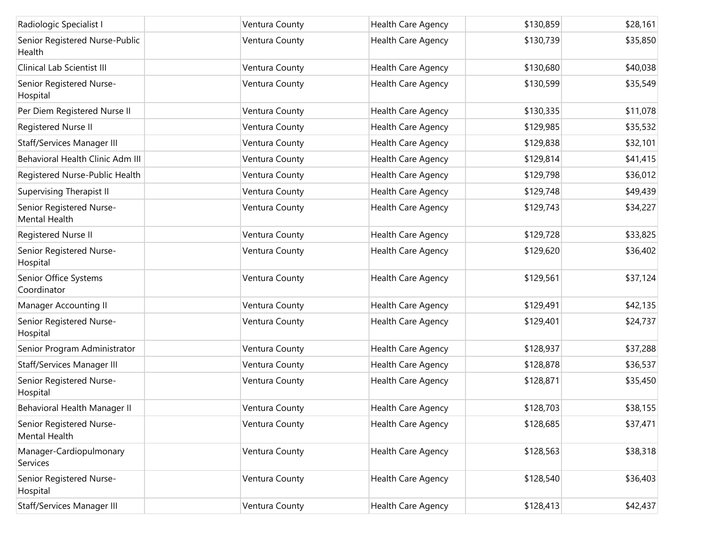| Radiologic Specialist I                   | Ventura County | <b>Health Care Agency</b> | \$130,859 | \$28,161 |
|-------------------------------------------|----------------|---------------------------|-----------|----------|
| Senior Registered Nurse-Public<br>Health  | Ventura County | Health Care Agency        | \$130,739 | \$35,850 |
| Clinical Lab Scientist III                | Ventura County | Health Care Agency        | \$130,680 | \$40,038 |
| Senior Registered Nurse-<br>Hospital      | Ventura County | Health Care Agency        | \$130,599 | \$35,549 |
| Per Diem Registered Nurse II              | Ventura County | Health Care Agency        | \$130,335 | \$11,078 |
| Registered Nurse II                       | Ventura County | Health Care Agency        | \$129,985 | \$35,532 |
| Staff/Services Manager III                | Ventura County | Health Care Agency        | \$129,838 | \$32,101 |
| Behavioral Health Clinic Adm III          | Ventura County | Health Care Agency        | \$129,814 | \$41,415 |
| Registered Nurse-Public Health            | Ventura County | Health Care Agency        | \$129,798 | \$36,012 |
| Supervising Therapist II                  | Ventura County | Health Care Agency        | \$129,748 | \$49,439 |
| Senior Registered Nurse-<br>Mental Health | Ventura County | Health Care Agency        | \$129,743 | \$34,227 |
| Registered Nurse II                       | Ventura County | Health Care Agency        | \$129,728 | \$33,825 |
| Senior Registered Nurse-<br>Hospital      | Ventura County | Health Care Agency        | \$129,620 | \$36,402 |
| Senior Office Systems<br>Coordinator      | Ventura County | Health Care Agency        | \$129,561 | \$37,124 |
| Manager Accounting II                     | Ventura County | Health Care Agency        | \$129,491 | \$42,135 |
| Senior Registered Nurse-<br>Hospital      | Ventura County | Health Care Agency        | \$129,401 | \$24,737 |
| Senior Program Administrator              | Ventura County | Health Care Agency        | \$128,937 | \$37,288 |
| Staff/Services Manager III                | Ventura County | Health Care Agency        | \$128,878 | \$36,537 |
| Senior Registered Nurse-<br>Hospital      | Ventura County | Health Care Agency        | \$128,871 | \$35,450 |
| Behavioral Health Manager II              | Ventura County | Health Care Agency        | \$128,703 | \$38,155 |
| Senior Registered Nurse-<br>Mental Health | Ventura County | Health Care Agency        | \$128,685 | \$37,471 |
| Manager-Cardiopulmonary<br>Services       | Ventura County | Health Care Agency        | \$128,563 | \$38,318 |
| Senior Registered Nurse-<br>Hospital      | Ventura County | Health Care Agency        | \$128,540 | \$36,403 |
| Staff/Services Manager III                | Ventura County | Health Care Agency        | \$128,413 | \$42,437 |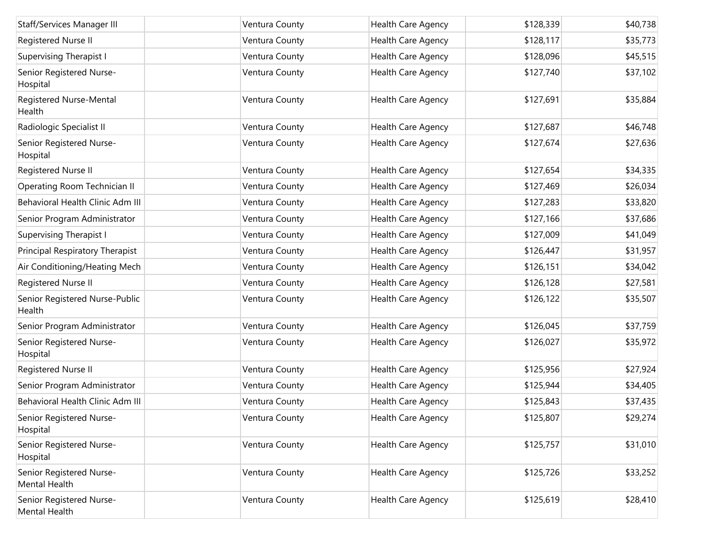| Staff/Services Manager III                | Ventura County | <b>Health Care Agency</b> | \$128,339 | \$40,738 |
|-------------------------------------------|----------------|---------------------------|-----------|----------|
| Registered Nurse II                       | Ventura County | Health Care Agency        | \$128,117 | \$35,773 |
| <b>Supervising Therapist I</b>            | Ventura County | <b>Health Care Agency</b> | \$128,096 | \$45,515 |
| Senior Registered Nurse-<br>Hospital      | Ventura County | Health Care Agency        | \$127,740 | \$37,102 |
| Registered Nurse-Mental<br>Health         | Ventura County | Health Care Agency        | \$127,691 | \$35,884 |
| Radiologic Specialist II                  | Ventura County | Health Care Agency        | \$127,687 | \$46,748 |
| Senior Registered Nurse-<br>Hospital      | Ventura County | Health Care Agency        | \$127,674 | \$27,636 |
| Registered Nurse II                       | Ventura County | <b>Health Care Agency</b> | \$127,654 | \$34,335 |
| Operating Room Technician II              | Ventura County | Health Care Agency        | \$127,469 | \$26,034 |
| Behavioral Health Clinic Adm III          | Ventura County | Health Care Agency        | \$127,283 | \$33,820 |
| Senior Program Administrator              | Ventura County | Health Care Agency        | \$127,166 | \$37,686 |
| <b>Supervising Therapist I</b>            | Ventura County | Health Care Agency        | \$127,009 | \$41,049 |
| Principal Respiratory Therapist           | Ventura County | Health Care Agency        | \$126,447 | \$31,957 |
| Air Conditioning/Heating Mech             | Ventura County | Health Care Agency        | \$126,151 | \$34,042 |
| Registered Nurse II                       | Ventura County | Health Care Agency        | \$126,128 | \$27,581 |
| Senior Registered Nurse-Public<br>Health  | Ventura County | Health Care Agency        | \$126,122 | \$35,507 |
| Senior Program Administrator              | Ventura County | Health Care Agency        | \$126,045 | \$37,759 |
| Senior Registered Nurse-<br>Hospital      | Ventura County | Health Care Agency        | \$126,027 | \$35,972 |
| Registered Nurse II                       | Ventura County | Health Care Agency        | \$125,956 | \$27,924 |
| Senior Program Administrator              | Ventura County | Health Care Agency        | \$125,944 | \$34,405 |
| Behavioral Health Clinic Adm III          | Ventura County | Health Care Agency        | \$125,843 | \$37,435 |
| Senior Registered Nurse-<br>Hospital      | Ventura County | Health Care Agency        | \$125,807 | \$29,274 |
| Senior Registered Nurse-<br>Hospital      | Ventura County | Health Care Agency        | \$125,757 | \$31,010 |
| Senior Registered Nurse-<br>Mental Health | Ventura County | Health Care Agency        | \$125,726 | \$33,252 |
| Senior Registered Nurse-<br>Mental Health | Ventura County | Health Care Agency        | \$125,619 | \$28,410 |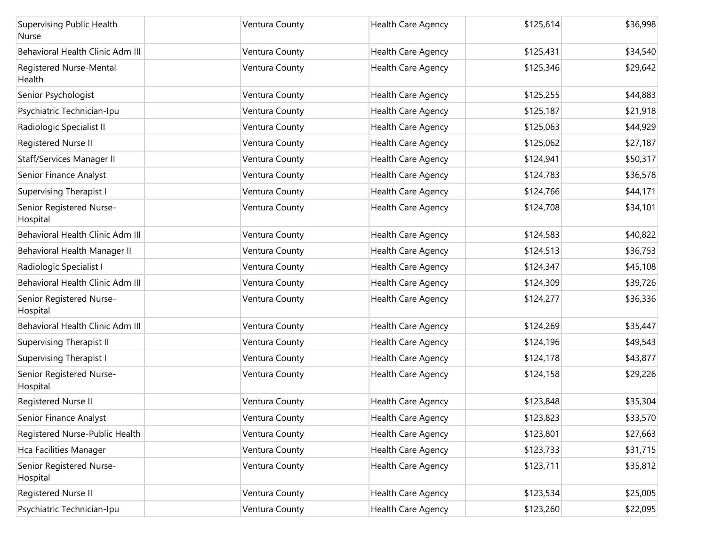| Supervising Public Health<br>Nurse   | Ventura County | <b>Health Care Agency</b> | \$125,614 | \$36,998 |
|--------------------------------------|----------------|---------------------------|-----------|----------|
| Behavioral Health Clinic Adm III     | Ventura County | Health Care Agency        | \$125,431 | \$34,540 |
| Registered Nurse-Mental<br>Health    | Ventura County | <b>Health Care Agency</b> | \$125,346 | \$29,642 |
| Senior Psychologist                  | Ventura County | Health Care Agency        | \$125,255 | \$44,883 |
| Psychiatric Technician-Ipu           | Ventura County | <b>Health Care Agency</b> | \$125,187 | \$21,918 |
| Radiologic Specialist II             | Ventura County | Health Care Agency        | \$125,063 | \$44,929 |
| Registered Nurse II                  | Ventura County | <b>Health Care Agency</b> | \$125,062 | \$27,187 |
| Staff/Services Manager II            | Ventura County | Health Care Agency        | \$124,941 | \$50,317 |
| Senior Finance Analyst               | Ventura County | Health Care Agency        | \$124,783 | \$36,578 |
| <b>Supervising Therapist I</b>       | Ventura County | Health Care Agency        | \$124,766 | \$44,171 |
| Senior Registered Nurse-<br>Hospital | Ventura County | Health Care Agency        | \$124,708 | \$34,101 |
| Behavioral Health Clinic Adm III     | Ventura County | <b>Health Care Agency</b> | \$124,583 | \$40,822 |
| Behavioral Health Manager II         | Ventura County | Health Care Agency        | \$124,513 | \$36,753 |
| Radiologic Specialist I              | Ventura County | Health Care Agency        | \$124,347 | \$45,108 |
| Behavioral Health Clinic Adm III     | Ventura County | Health Care Agency        | \$124,309 | \$39,726 |
| Senior Registered Nurse-<br>Hospital | Ventura County | Health Care Agency        | \$124,277 | \$36,336 |
| Behavioral Health Clinic Adm III     | Ventura County | Health Care Agency        | \$124,269 | \$35,447 |
| <b>Supervising Therapist II</b>      | Ventura County | Health Care Agency        | \$124,196 | \$49,543 |
| <b>Supervising Therapist I</b>       | Ventura County | Health Care Agency        | \$124,178 | \$43,877 |
| Senior Registered Nurse-<br>Hospital | Ventura County | Health Care Agency        | \$124,158 | \$29,226 |
| Registered Nurse II                  | Ventura County | Health Care Agency        | \$123,848 | \$35,304 |
| Senior Finance Analyst               | Ventura County | Health Care Agency        | \$123,823 | \$33,570 |
| Registered Nurse-Public Health       | Ventura County | Health Care Agency        | \$123,801 | \$27,663 |
| Hca Facilities Manager               | Ventura County | Health Care Agency        | \$123,733 | \$31,715 |
| Senior Registered Nurse-<br>Hospital | Ventura County | Health Care Agency        | \$123,711 | \$35,812 |
| Registered Nurse II                  | Ventura County | <b>Health Care Agency</b> | \$123,534 | \$25,005 |
| Psychiatric Technician-Ipu           | Ventura County | Health Care Agency        | \$123,260 | \$22,095 |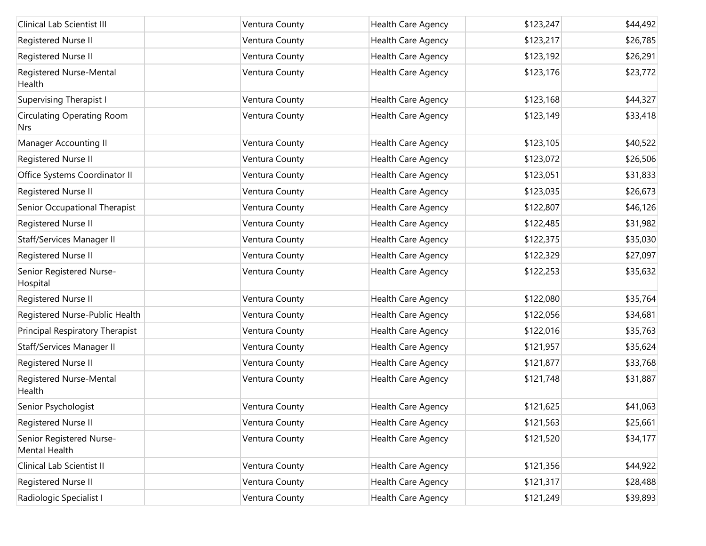| Clinical Lab Scientist III                      | Ventura County | Health Care Agency | \$123,247 | \$44,492 |
|-------------------------------------------------|----------------|--------------------|-----------|----------|
| Registered Nurse II                             | Ventura County | Health Care Agency | \$123,217 | \$26,785 |
| Registered Nurse II                             | Ventura County | Health Care Agency | \$123,192 | \$26,291 |
| Registered Nurse-Mental<br>Health               | Ventura County | Health Care Agency | \$123,176 | \$23,772 |
| <b>Supervising Therapist I</b>                  | Ventura County | Health Care Agency | \$123,168 | \$44,327 |
| <b>Circulating Operating Room</b><br><b>Nrs</b> | Ventura County | Health Care Agency | \$123,149 | \$33,418 |
| Manager Accounting II                           | Ventura County | Health Care Agency | \$123,105 | \$40,522 |
| Registered Nurse II                             | Ventura County | Health Care Agency | \$123,072 | \$26,506 |
| Office Systems Coordinator II                   | Ventura County | Health Care Agency | \$123,051 | \$31,833 |
| Registered Nurse II                             | Ventura County | Health Care Agency | \$123,035 | \$26,673 |
| Senior Occupational Therapist                   | Ventura County | Health Care Agency | \$122,807 | \$46,126 |
| Registered Nurse II                             | Ventura County | Health Care Agency | \$122,485 | \$31,982 |
| Staff/Services Manager II                       | Ventura County | Health Care Agency | \$122,375 | \$35,030 |
| Registered Nurse II                             | Ventura County | Health Care Agency | \$122,329 | \$27,097 |
| Senior Registered Nurse-<br>Hospital            | Ventura County | Health Care Agency | \$122,253 | \$35,632 |
| Registered Nurse II                             | Ventura County | Health Care Agency | \$122,080 | \$35,764 |
| Registered Nurse-Public Health                  | Ventura County | Health Care Agency | \$122,056 | \$34,681 |
| Principal Respiratory Therapist                 | Ventura County | Health Care Agency | \$122,016 | \$35,763 |
| Staff/Services Manager II                       | Ventura County | Health Care Agency | \$121,957 | \$35,624 |
| Registered Nurse II                             | Ventura County | Health Care Agency | \$121,877 | \$33,768 |
| Registered Nurse-Mental<br>Health               | Ventura County | Health Care Agency | \$121,748 | \$31,887 |
| Senior Psychologist                             | Ventura County | Health Care Agency | \$121,625 | \$41,063 |
| Registered Nurse II                             | Ventura County | Health Care Agency | \$121,563 | \$25,661 |
| Senior Registered Nurse-<br>Mental Health       | Ventura County | Health Care Agency | \$121,520 | \$34,177 |
| Clinical Lab Scientist II                       | Ventura County | Health Care Agency | \$121,356 | \$44,922 |
| Registered Nurse II                             | Ventura County | Health Care Agency | \$121,317 | \$28,488 |
| Radiologic Specialist I                         | Ventura County | Health Care Agency | \$121,249 | \$39,893 |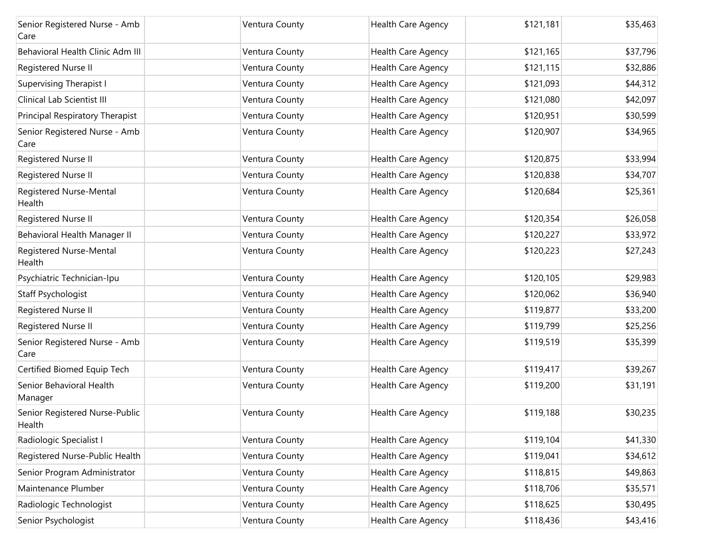| Senior Registered Nurse - Amb<br>Care    | Ventura County | Health Care Agency        | \$121,181 | \$35,463 |
|------------------------------------------|----------------|---------------------------|-----------|----------|
| Behavioral Health Clinic Adm III         | Ventura County | <b>Health Care Agency</b> | \$121,165 | \$37,796 |
| Registered Nurse II                      | Ventura County | Health Care Agency        | \$121,115 | \$32,886 |
| <b>Supervising Therapist I</b>           | Ventura County | Health Care Agency        | \$121,093 | \$44,312 |
| Clinical Lab Scientist III               | Ventura County | Health Care Agency        | \$121,080 | \$42,097 |
| Principal Respiratory Therapist          | Ventura County | Health Care Agency        | \$120,951 | \$30,599 |
| Senior Registered Nurse - Amb<br>Care    | Ventura County | Health Care Agency        | \$120,907 | \$34,965 |
| Registered Nurse II                      | Ventura County | Health Care Agency        | \$120,875 | \$33,994 |
| Registered Nurse II                      | Ventura County | Health Care Agency        | \$120,838 | \$34,707 |
| Registered Nurse-Mental<br>Health        | Ventura County | Health Care Agency        | \$120,684 | \$25,361 |
| Registered Nurse II                      | Ventura County | Health Care Agency        | \$120,354 | \$26,058 |
| Behavioral Health Manager II             | Ventura County | Health Care Agency        | \$120,227 | \$33,972 |
| Registered Nurse-Mental<br>Health        | Ventura County | Health Care Agency        | \$120,223 | \$27,243 |
| Psychiatric Technician-Ipu               | Ventura County | <b>Health Care Agency</b> | \$120,105 | \$29,983 |
| Staff Psychologist                       | Ventura County | Health Care Agency        | \$120,062 | \$36,940 |
| Registered Nurse II                      | Ventura County | Health Care Agency        | \$119,877 | \$33,200 |
| Registered Nurse II                      | Ventura County | <b>Health Care Agency</b> | \$119,799 | \$25,256 |
| Senior Registered Nurse - Amb<br>Care    | Ventura County | Health Care Agency        | \$119,519 | \$35,399 |
| Certified Biomed Equip Tech              | Ventura County | <b>Health Care Agency</b> | \$119,417 | \$39,267 |
| Senior Behavioral Health<br>Manager      | Ventura County | Health Care Agency        | \$119,200 | \$31,191 |
| Senior Registered Nurse-Public<br>Health | Ventura County | Health Care Agency        | \$119,188 | \$30,235 |
| Radiologic Specialist I                  | Ventura County | Health Care Agency        | \$119,104 | \$41,330 |
| Registered Nurse-Public Health           | Ventura County | Health Care Agency        | \$119,041 | \$34,612 |
| Senior Program Administrator             | Ventura County | Health Care Agency        | \$118,815 | \$49,863 |
| Maintenance Plumber                      | Ventura County | Health Care Agency        | \$118,706 | \$35,571 |
| Radiologic Technologist                  | Ventura County | Health Care Agency        | \$118,625 | \$30,495 |
| Senior Psychologist                      | Ventura County | Health Care Agency        | \$118,436 | \$43,416 |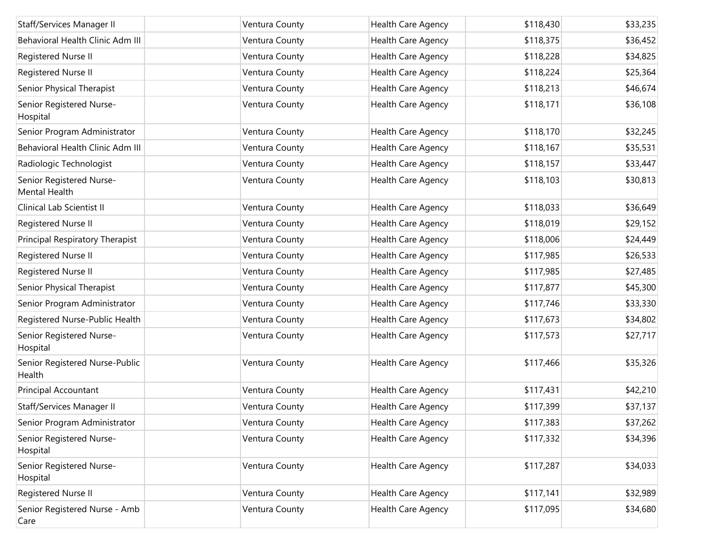| Staff/Services Manager II                 | Ventura County | <b>Health Care Agency</b> | \$118,430 | \$33,235 |
|-------------------------------------------|----------------|---------------------------|-----------|----------|
| Behavioral Health Clinic Adm III          | Ventura County | Health Care Agency        | \$118,375 | \$36,452 |
| Registered Nurse II                       | Ventura County | Health Care Agency        | \$118,228 | \$34,825 |
| Registered Nurse II                       | Ventura County | Health Care Agency        | \$118,224 | \$25,364 |
| Senior Physical Therapist                 | Ventura County | Health Care Agency        | \$118,213 | \$46,674 |
| Senior Registered Nurse-<br>Hospital      | Ventura County | Health Care Agency        | \$118,171 | \$36,108 |
| Senior Program Administrator              | Ventura County | Health Care Agency        | \$118,170 | \$32,245 |
| Behavioral Health Clinic Adm III          | Ventura County | Health Care Agency        | \$118,167 | \$35,531 |
| Radiologic Technologist                   | Ventura County | Health Care Agency        | \$118,157 | \$33,447 |
| Senior Registered Nurse-<br>Mental Health | Ventura County | Health Care Agency        | \$118,103 | \$30,813 |
| Clinical Lab Scientist II                 | Ventura County | Health Care Agency        | \$118,033 | \$36,649 |
| Registered Nurse II                       | Ventura County | Health Care Agency        | \$118,019 | \$29,152 |
| Principal Respiratory Therapist           | Ventura County | Health Care Agency        | \$118,006 | \$24,449 |
| Registered Nurse II                       | Ventura County | Health Care Agency        | \$117,985 | \$26,533 |
| Registered Nurse II                       | Ventura County | Health Care Agency        | \$117,985 | \$27,485 |
| Senior Physical Therapist                 | Ventura County | Health Care Agency        | \$117,877 | \$45,300 |
| Senior Program Administrator              | Ventura County | Health Care Agency        | \$117,746 | \$33,330 |
| Registered Nurse-Public Health            | Ventura County | Health Care Agency        | \$117,673 | \$34,802 |
| Senior Registered Nurse-<br>Hospital      | Ventura County | Health Care Agency        | \$117,573 | \$27,717 |
| Senior Registered Nurse-Public<br>Health  | Ventura County | Health Care Agency        | \$117,466 | \$35,326 |
| Principal Accountant                      | Ventura County | Health Care Agency        | \$117,431 | \$42,210 |
| <b>Staff/Services Manager II</b>          | Ventura County | Health Care Agency        | \$117,399 | \$37,137 |
| Senior Program Administrator              | Ventura County | Health Care Agency        | \$117,383 | \$37,262 |
| Senior Registered Nurse-<br>Hospital      | Ventura County | Health Care Agency        | \$117,332 | \$34,396 |
| Senior Registered Nurse-<br>Hospital      | Ventura County | Health Care Agency        | \$117,287 | \$34,033 |
| Registered Nurse II                       | Ventura County | Health Care Agency        | \$117,141 | \$32,989 |
| Senior Registered Nurse - Amb<br>Care     | Ventura County | Health Care Agency        | \$117,095 | \$34,680 |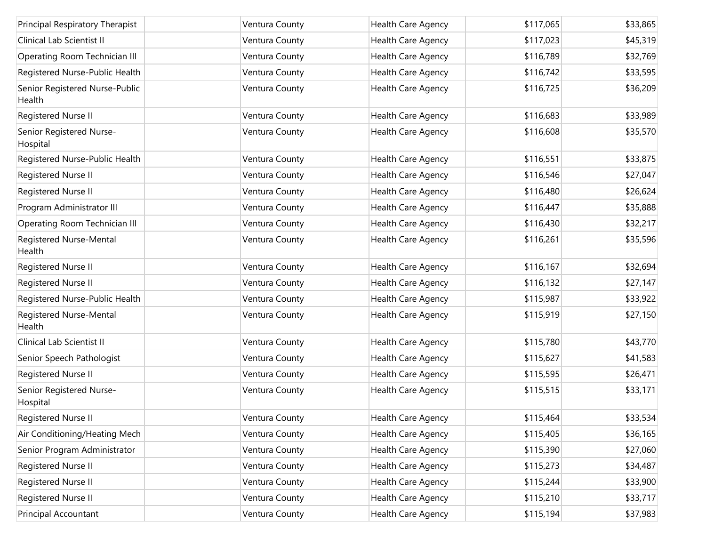| Principal Respiratory Therapist          | Ventura County | Health Care Agency | \$117,065 | \$33,865 |
|------------------------------------------|----------------|--------------------|-----------|----------|
| Clinical Lab Scientist II                | Ventura County | Health Care Agency | \$117,023 | \$45,319 |
| Operating Room Technician III            | Ventura County | Health Care Agency | \$116,789 | \$32,769 |
| Registered Nurse-Public Health           | Ventura County | Health Care Agency | \$116,742 | \$33,595 |
| Senior Registered Nurse-Public<br>Health | Ventura County | Health Care Agency | \$116,725 | \$36,209 |
| Registered Nurse II                      | Ventura County | Health Care Agency | \$116,683 | \$33,989 |
| Senior Registered Nurse-<br>Hospital     | Ventura County | Health Care Agency | \$116,608 | \$35,570 |
| Registered Nurse-Public Health           | Ventura County | Health Care Agency | \$116,551 | \$33,875 |
| Registered Nurse II                      | Ventura County | Health Care Agency | \$116,546 | \$27,047 |
| Registered Nurse II                      | Ventura County | Health Care Agency | \$116,480 | \$26,624 |
| Program Administrator III                | Ventura County | Health Care Agency | \$116,447 | \$35,888 |
| Operating Room Technician III            | Ventura County | Health Care Agency | \$116,430 | \$32,217 |
| Registered Nurse-Mental<br>Health        | Ventura County | Health Care Agency | \$116,261 | \$35,596 |
| Registered Nurse II                      | Ventura County | Health Care Agency | \$116,167 | \$32,694 |
| Registered Nurse II                      | Ventura County | Health Care Agency | \$116,132 | \$27,147 |
| Registered Nurse-Public Health           | Ventura County | Health Care Agency | \$115,987 | \$33,922 |
| Registered Nurse-Mental<br>Health        | Ventura County | Health Care Agency | \$115,919 | \$27,150 |
| Clinical Lab Scientist II                | Ventura County | Health Care Agency | \$115,780 | \$43,770 |
| Senior Speech Pathologist                | Ventura County | Health Care Agency | \$115,627 | \$41,583 |
| Registered Nurse II                      | Ventura County | Health Care Agency | \$115,595 | \$26,471 |
| Senior Registered Nurse-<br>Hospital     | Ventura County | Health Care Agency | \$115,515 | \$33,171 |
| Registered Nurse II                      | Ventura County | Health Care Agency | \$115,464 | \$33,534 |
| Air Conditioning/Heating Mech            | Ventura County | Health Care Agency | \$115,405 | \$36,165 |
| Senior Program Administrator             | Ventura County | Health Care Agency | \$115,390 | \$27,060 |
| Registered Nurse II                      | Ventura County | Health Care Agency | \$115,273 | \$34,487 |
| Registered Nurse II                      | Ventura County | Health Care Agency | \$115,244 | \$33,900 |
| Registered Nurse II                      | Ventura County | Health Care Agency | \$115,210 | \$33,717 |
| Principal Accountant                     | Ventura County | Health Care Agency | \$115,194 | \$37,983 |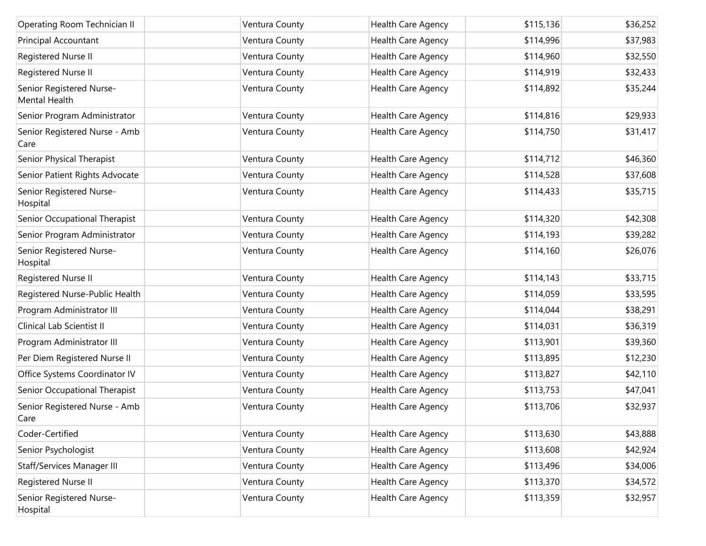| Operating Room Technician II              | Ventura County | Health Care Agency | \$115,136 | \$36,252 |
|-------------------------------------------|----------------|--------------------|-----------|----------|
| Principal Accountant                      | Ventura County | Health Care Agency | \$114,996 | \$37,983 |
| Registered Nurse II                       | Ventura County | Health Care Agency | \$114,960 | \$32,550 |
| Registered Nurse II                       | Ventura County | Health Care Agency | \$114,919 | \$32,433 |
| Senior Registered Nurse-<br>Mental Health | Ventura County | Health Care Agency | \$114,892 | \$35,244 |
| Senior Program Administrator              | Ventura County | Health Care Agency | \$114,816 | \$29,933 |
| Senior Registered Nurse - Amb<br>Care     | Ventura County | Health Care Agency | \$114,750 | \$31,417 |
| Senior Physical Therapist                 | Ventura County | Health Care Agency | \$114,712 | \$46,360 |
| Senior Patient Rights Advocate            | Ventura County | Health Care Agency | \$114,528 | \$37,608 |
| Senior Registered Nurse-<br>Hospital      | Ventura County | Health Care Agency | \$114,433 | \$35,715 |
| Senior Occupational Therapist             | Ventura County | Health Care Agency | \$114,320 | \$42,308 |
| Senior Program Administrator              | Ventura County | Health Care Agency | \$114,193 | \$39,282 |
| Senior Registered Nurse-<br>Hospital      | Ventura County | Health Care Agency | \$114,160 | \$26,076 |
| Registered Nurse II                       | Ventura County | Health Care Agency | \$114,143 | \$33,715 |
| Registered Nurse-Public Health            | Ventura County | Health Care Agency | \$114,059 | \$33,595 |
| Program Administrator III                 | Ventura County | Health Care Agency | \$114,044 | \$38,291 |
| Clinical Lab Scientist II                 | Ventura County | Health Care Agency | \$114,031 | \$36,319 |
| Program Administrator III                 | Ventura County | Health Care Agency | \$113,901 | \$39,360 |
| Per Diem Registered Nurse II              | Ventura County | Health Care Agency | \$113,895 | \$12,230 |
| Office Systems Coordinator IV             | Ventura County | Health Care Agency | \$113,827 | \$42,110 |
| Senior Occupational Therapist             | Ventura County | Health Care Agency | \$113,753 | \$47,041 |
| Senior Registered Nurse - Amb<br>Care     | Ventura County | Health Care Agency | \$113,706 | \$32,937 |
| Coder-Certified                           | Ventura County | Health Care Agency | \$113,630 | \$43,888 |
| Senior Psychologist                       | Ventura County | Health Care Agency | \$113,608 | \$42,924 |
| Staff/Services Manager III                | Ventura County | Health Care Agency | \$113,496 | \$34,006 |
| Registered Nurse II                       | Ventura County | Health Care Agency | \$113,370 | \$34,572 |
| Senior Registered Nurse-<br>Hospital      | Ventura County | Health Care Agency | \$113,359 | \$32,957 |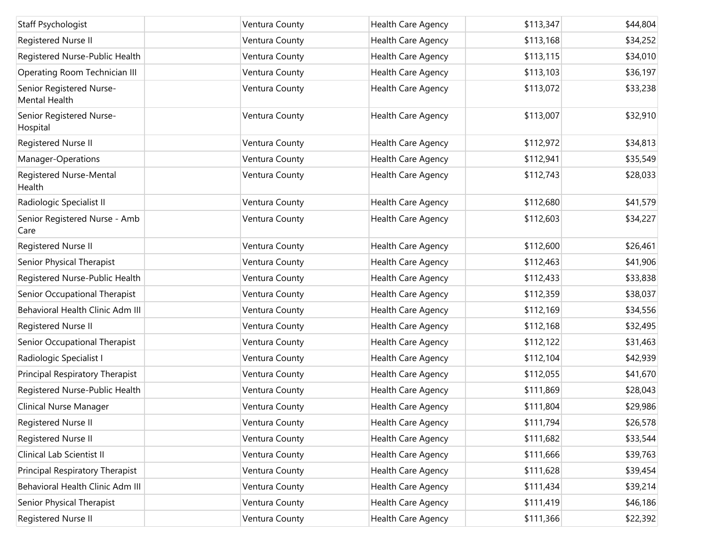| Staff Psychologist                        | Ventura County | Health Care Agency        | \$113,347 | \$44,804 |
|-------------------------------------------|----------------|---------------------------|-----------|----------|
| Registered Nurse II                       | Ventura County | Health Care Agency        | \$113,168 | \$34,252 |
| Registered Nurse-Public Health            | Ventura County | Health Care Agency        | \$113,115 | \$34,010 |
| Operating Room Technician III             | Ventura County | Health Care Agency        | \$113,103 | \$36,197 |
| Senior Registered Nurse-<br>Mental Health | Ventura County | Health Care Agency        | \$113,072 | \$33,238 |
| Senior Registered Nurse-<br>Hospital      | Ventura County | Health Care Agency        | \$113,007 | \$32,910 |
| Registered Nurse II                       | Ventura County | Health Care Agency        | \$112,972 | \$34,813 |
| Manager-Operations                        | Ventura County | Health Care Agency        | \$112,941 | \$35,549 |
| Registered Nurse-Mental<br>Health         | Ventura County | Health Care Agency        | \$112,743 | \$28,033 |
| Radiologic Specialist II                  | Ventura County | Health Care Agency        | \$112,680 | \$41,579 |
| Senior Registered Nurse - Amb<br>Care     | Ventura County | Health Care Agency        | \$112,603 | \$34,227 |
| Registered Nurse II                       | Ventura County | Health Care Agency        | \$112,600 | \$26,461 |
| Senior Physical Therapist                 | Ventura County | Health Care Agency        | \$112,463 | \$41,906 |
| Registered Nurse-Public Health            | Ventura County | Health Care Agency        | \$112,433 | \$33,838 |
| Senior Occupational Therapist             | Ventura County | Health Care Agency        | \$112,359 | \$38,037 |
| Behavioral Health Clinic Adm III          | Ventura County | Health Care Agency        | \$112,169 | \$34,556 |
| Registered Nurse II                       | Ventura County | Health Care Agency        | \$112,168 | \$32,495 |
| Senior Occupational Therapist             | Ventura County | Health Care Agency        | \$112,122 | \$31,463 |
| Radiologic Specialist I                   | Ventura County | Health Care Agency        | \$112,104 | \$42,939 |
| Principal Respiratory Therapist           | Ventura County | Health Care Agency        | \$112,055 | \$41,670 |
| Registered Nurse-Public Health            | Ventura County | Health Care Agency        | \$111,869 | \$28,043 |
| Clinical Nurse Manager                    | Ventura County | Health Care Agency        | \$111,804 | \$29,986 |
| Registered Nurse II                       | Ventura County | <b>Health Care Agency</b> | \$111,794 | \$26,578 |
| Registered Nurse II                       | Ventura County | Health Care Agency        | \$111,682 | \$33,544 |
| Clinical Lab Scientist II                 | Ventura County | Health Care Agency        | \$111,666 | \$39,763 |
| Principal Respiratory Therapist           | Ventura County | Health Care Agency        | \$111,628 | \$39,454 |
| Behavioral Health Clinic Adm III          | Ventura County | Health Care Agency        | \$111,434 | \$39,214 |
| Senior Physical Therapist                 | Ventura County | Health Care Agency        | \$111,419 | \$46,186 |
| Registered Nurse II                       | Ventura County | Health Care Agency        | \$111,366 | \$22,392 |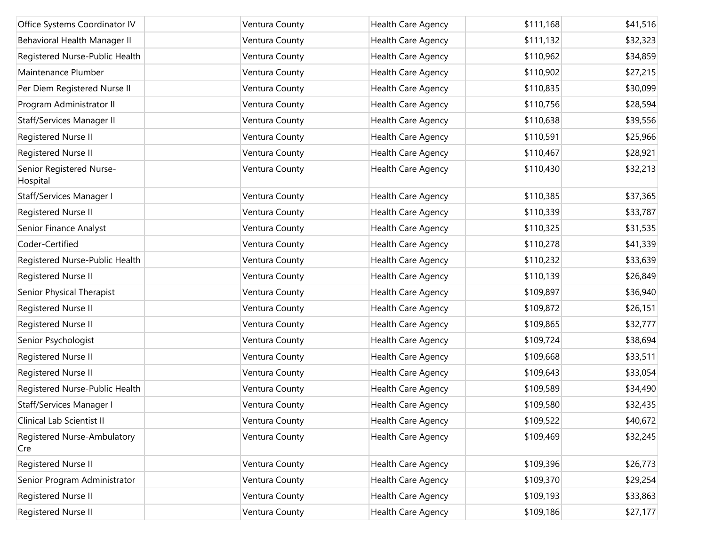| Office Systems Coordinator IV        | Ventura County | Health Care Agency | \$111,168 | \$41,516 |
|--------------------------------------|----------------|--------------------|-----------|----------|
| Behavioral Health Manager II         | Ventura County | Health Care Agency | \$111,132 | \$32,323 |
| Registered Nurse-Public Health       | Ventura County | Health Care Agency | \$110,962 | \$34,859 |
| Maintenance Plumber                  | Ventura County | Health Care Agency | \$110,902 | \$27,215 |
| Per Diem Registered Nurse II         | Ventura County | Health Care Agency | \$110,835 | \$30,099 |
| Program Administrator II             | Ventura County | Health Care Agency | \$110,756 | \$28,594 |
| Staff/Services Manager II            | Ventura County | Health Care Agency | \$110,638 | \$39,556 |
| Registered Nurse II                  | Ventura County | Health Care Agency | \$110,591 | \$25,966 |
| Registered Nurse II                  | Ventura County | Health Care Agency | \$110,467 | \$28,921 |
| Senior Registered Nurse-<br>Hospital | Ventura County | Health Care Agency | \$110,430 | \$32,213 |
| Staff/Services Manager I             | Ventura County | Health Care Agency | \$110,385 | \$37,365 |
| Registered Nurse II                  | Ventura County | Health Care Agency | \$110,339 | \$33,787 |
| Senior Finance Analyst               | Ventura County | Health Care Agency | \$110,325 | \$31,535 |
| Coder-Certified                      | Ventura County | Health Care Agency | \$110,278 | \$41,339 |
| Registered Nurse-Public Health       | Ventura County | Health Care Agency | \$110,232 | \$33,639 |
| Registered Nurse II                  | Ventura County | Health Care Agency | \$110,139 | \$26,849 |
| Senior Physical Therapist            | Ventura County | Health Care Agency | \$109,897 | \$36,940 |
| Registered Nurse II                  | Ventura County | Health Care Agency | \$109,872 | \$26,151 |
| Registered Nurse II                  | Ventura County | Health Care Agency | \$109,865 | \$32,777 |
| Senior Psychologist                  | Ventura County | Health Care Agency | \$109,724 | \$38,694 |
| Registered Nurse II                  | Ventura County | Health Care Agency | \$109,668 | \$33,511 |
| Registered Nurse II                  | Ventura County | Health Care Agency | \$109,643 | \$33,054 |
| Registered Nurse-Public Health       | Ventura County | Health Care Agency | \$109,589 | \$34,490 |
| Staff/Services Manager I             | Ventura County | Health Care Agency | \$109,580 | \$32,435 |
| Clinical Lab Scientist II            | Ventura County | Health Care Agency | \$109,522 | \$40,672 |
| Registered Nurse-Ambulatory<br>Cre   | Ventura County | Health Care Agency | \$109,469 | \$32,245 |
| Registered Nurse II                  | Ventura County | Health Care Agency | \$109,396 | \$26,773 |
| Senior Program Administrator         | Ventura County | Health Care Agency | \$109,370 | \$29,254 |
| Registered Nurse II                  | Ventura County | Health Care Agency | \$109,193 | \$33,863 |
| Registered Nurse II                  | Ventura County | Health Care Agency | \$109,186 | \$27,177 |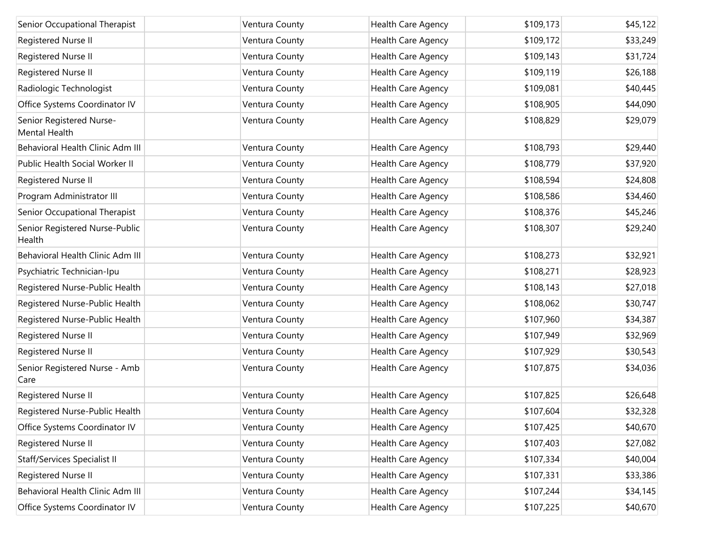| Senior Occupational Therapist             | Ventura County | Health Care Agency        | \$109,173 | \$45,122 |
|-------------------------------------------|----------------|---------------------------|-----------|----------|
| Registered Nurse II                       | Ventura County | Health Care Agency        | \$109,172 | \$33,249 |
| Registered Nurse II                       | Ventura County | Health Care Agency        | \$109,143 | \$31,724 |
| Registered Nurse II                       | Ventura County | Health Care Agency        | \$109,119 | \$26,188 |
| Radiologic Technologist                   | Ventura County | Health Care Agency        | \$109,081 | \$40,445 |
| Office Systems Coordinator IV             | Ventura County | Health Care Agency        | \$108,905 | \$44,090 |
| Senior Registered Nurse-<br>Mental Health | Ventura County | Health Care Agency        | \$108,829 | \$29,079 |
| Behavioral Health Clinic Adm III          | Ventura County | <b>Health Care Agency</b> | \$108,793 | \$29,440 |
| Public Health Social Worker II            | Ventura County | Health Care Agency        | \$108,779 | \$37,920 |
| Registered Nurse II                       | Ventura County | Health Care Agency        | \$108,594 | \$24,808 |
| Program Administrator III                 | Ventura County | Health Care Agency        | \$108,586 | \$34,460 |
| Senior Occupational Therapist             | Ventura County | Health Care Agency        | \$108,376 | \$45,246 |
| Senior Registered Nurse-Public<br>Health  | Ventura County | Health Care Agency        | \$108,307 | \$29,240 |
| Behavioral Health Clinic Adm III          | Ventura County | Health Care Agency        | \$108,273 | \$32,921 |
| Psychiatric Technician-Ipu                | Ventura County | Health Care Agency        | \$108,271 | \$28,923 |
| Registered Nurse-Public Health            | Ventura County | Health Care Agency        | \$108,143 | \$27,018 |
| Registered Nurse-Public Health            | Ventura County | Health Care Agency        | \$108,062 | \$30,747 |
| Registered Nurse-Public Health            | Ventura County | Health Care Agency        | \$107,960 | \$34,387 |
| Registered Nurse II                       | Ventura County | Health Care Agency        | \$107,949 | \$32,969 |
| Registered Nurse II                       | Ventura County | Health Care Agency        | \$107,929 | \$30,543 |
| Senior Registered Nurse - Amb<br>Care     | Ventura County | Health Care Agency        | \$107,875 | \$34,036 |
| Registered Nurse II                       | Ventura County | Health Care Agency        | \$107,825 | \$26,648 |
| Registered Nurse-Public Health            | Ventura County | Health Care Agency        | \$107,604 | \$32,328 |
| Office Systems Coordinator IV             | Ventura County | Health Care Agency        | \$107,425 | \$40,670 |
| Registered Nurse II                       | Ventura County | Health Care Agency        | \$107,403 | \$27,082 |
| <b>Staff/Services Specialist II</b>       | Ventura County | Health Care Agency        | \$107,334 | \$40,004 |
| Registered Nurse II                       | Ventura County | Health Care Agency        | \$107,331 | \$33,386 |
| Behavioral Health Clinic Adm III          | Ventura County | Health Care Agency        | \$107,244 | \$34,145 |
| Office Systems Coordinator IV             | Ventura County | Health Care Agency        | \$107,225 | \$40,670 |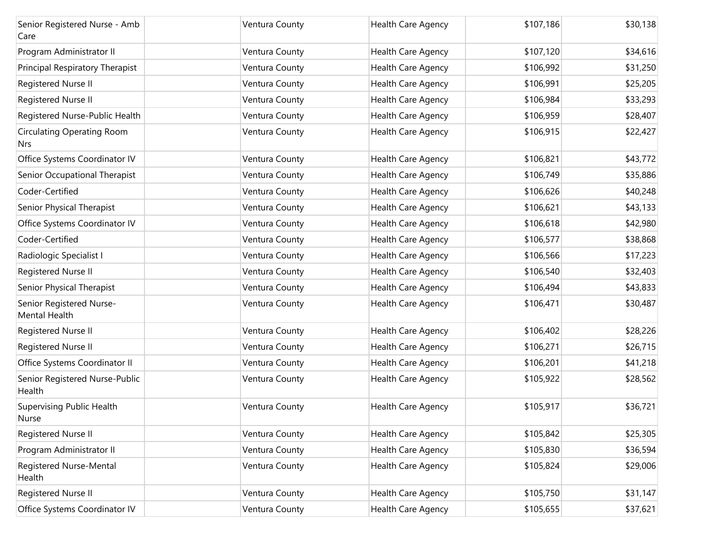| Senior Registered Nurse - Amb<br>Care           | Ventura County | Health Care Agency        | \$107,186 | \$30,138 |
|-------------------------------------------------|----------------|---------------------------|-----------|----------|
| Program Administrator II                        | Ventura County | Health Care Agency        | \$107,120 | \$34,616 |
| Principal Respiratory Therapist                 | Ventura County | Health Care Agency        | \$106,992 | \$31,250 |
| Registered Nurse II                             | Ventura County | Health Care Agency        | \$106,991 | \$25,205 |
| Registered Nurse II                             | Ventura County | Health Care Agency        | \$106,984 | \$33,293 |
| Registered Nurse-Public Health                  | Ventura County | Health Care Agency        | \$106,959 | \$28,407 |
| <b>Circulating Operating Room</b><br><b>Nrs</b> | Ventura County | Health Care Agency        | \$106,915 | \$22,427 |
| Office Systems Coordinator IV                   | Ventura County | <b>Health Care Agency</b> | \$106,821 | \$43,772 |
| Senior Occupational Therapist                   | Ventura County | Health Care Agency        | \$106,749 | \$35,886 |
| Coder-Certified                                 | Ventura County | Health Care Agency        | \$106,626 | \$40,248 |
| Senior Physical Therapist                       | Ventura County | Health Care Agency        | \$106,621 | \$43,133 |
| Office Systems Coordinator IV                   | Ventura County | Health Care Agency        | \$106,618 | \$42,980 |
| Coder-Certified                                 | Ventura County | Health Care Agency        | \$106,577 | \$38,868 |
| Radiologic Specialist I                         | Ventura County | Health Care Agency        | \$106,566 | \$17,223 |
| Registered Nurse II                             | Ventura County | Health Care Agency        | \$106,540 | \$32,403 |
| Senior Physical Therapist                       | Ventura County | Health Care Agency        | \$106,494 | \$43,833 |
| Senior Registered Nurse-<br>Mental Health       | Ventura County | Health Care Agency        | \$106,471 | \$30,487 |
| Registered Nurse II                             | Ventura County | Health Care Agency        | \$106,402 | \$28,226 |
| Registered Nurse II                             | Ventura County | Health Care Agency        | \$106,271 | \$26,715 |
| Office Systems Coordinator II                   | Ventura County | Health Care Agency        | \$106,201 | \$41,218 |
| Senior Registered Nurse-Public<br>Health        | Ventura County | Health Care Agency        | \$105,922 | \$28,562 |
| <b>Supervising Public Health</b><br>Nurse       | Ventura County | Health Care Agency        | \$105,917 | \$36,721 |
| Registered Nurse II                             | Ventura County | Health Care Agency        | \$105,842 | \$25,305 |
| Program Administrator II                        | Ventura County | Health Care Agency        | \$105,830 | \$36,594 |
| Registered Nurse-Mental<br>Health               | Ventura County | Health Care Agency        | \$105,824 | \$29,006 |
| Registered Nurse II                             | Ventura County | Health Care Agency        | \$105,750 | \$31,147 |
| Office Systems Coordinator IV                   | Ventura County | Health Care Agency        | \$105,655 | \$37,621 |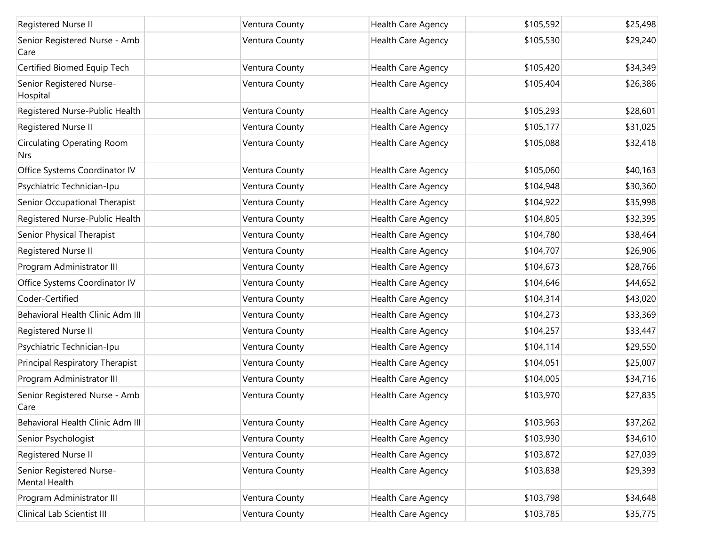| Registered Nurse II                             | Ventura County | Health Care Agency | \$105,592 | \$25,498 |
|-------------------------------------------------|----------------|--------------------|-----------|----------|
| Senior Registered Nurse - Amb<br>Care           | Ventura County | Health Care Agency | \$105,530 | \$29,240 |
| Certified Biomed Equip Tech                     | Ventura County | Health Care Agency | \$105,420 | \$34,349 |
| Senior Registered Nurse-<br>Hospital            | Ventura County | Health Care Agency | \$105,404 | \$26,386 |
| Registered Nurse-Public Health                  | Ventura County | Health Care Agency | \$105,293 | \$28,601 |
| Registered Nurse II                             | Ventura County | Health Care Agency | \$105,177 | \$31,025 |
| <b>Circulating Operating Room</b><br><b>Nrs</b> | Ventura County | Health Care Agency | \$105,088 | \$32,418 |
| Office Systems Coordinator IV                   | Ventura County | Health Care Agency | \$105,060 | \$40,163 |
| Psychiatric Technician-Ipu                      | Ventura County | Health Care Agency | \$104,948 | \$30,360 |
| Senior Occupational Therapist                   | Ventura County | Health Care Agency | \$104,922 | \$35,998 |
| Registered Nurse-Public Health                  | Ventura County | Health Care Agency | \$104,805 | \$32,395 |
| Senior Physical Therapist                       | Ventura County | Health Care Agency | \$104,780 | \$38,464 |
| Registered Nurse II                             | Ventura County | Health Care Agency | \$104,707 | \$26,906 |
| Program Administrator III                       | Ventura County | Health Care Agency | \$104,673 | \$28,766 |
| Office Systems Coordinator IV                   | Ventura County | Health Care Agency | \$104,646 | \$44,652 |
| Coder-Certified                                 | Ventura County | Health Care Agency | \$104,314 | \$43,020 |
| Behavioral Health Clinic Adm III                | Ventura County | Health Care Agency | \$104,273 | \$33,369 |
| Registered Nurse II                             | Ventura County | Health Care Agency | \$104,257 | \$33,447 |
| Psychiatric Technician-Ipu                      | Ventura County | Health Care Agency | \$104,114 | \$29,550 |
| Principal Respiratory Therapist                 | Ventura County | Health Care Agency | \$104,051 | \$25,007 |
| Program Administrator III                       | Ventura County | Health Care Agency | \$104,005 | \$34,716 |
| Senior Registered Nurse - Amb<br>Care           | Ventura County | Health Care Agency | \$103,970 | \$27,835 |
| Behavioral Health Clinic Adm III                | Ventura County | Health Care Agency | \$103,963 | \$37,262 |
| Senior Psychologist                             | Ventura County | Health Care Agency | \$103,930 | \$34,610 |
| Registered Nurse II                             | Ventura County | Health Care Agency | \$103,872 | \$27,039 |
| Senior Registered Nurse-<br>Mental Health       | Ventura County | Health Care Agency | \$103,838 | \$29,393 |
| Program Administrator III                       | Ventura County | Health Care Agency | \$103,798 | \$34,648 |
| Clinical Lab Scientist III                      | Ventura County | Health Care Agency | \$103,785 | \$35,775 |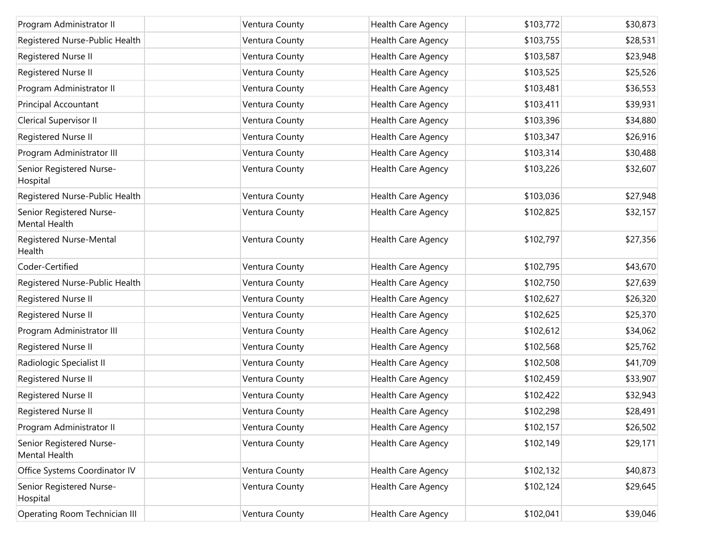| Program Administrator II                  | Ventura County | Health Care Agency | \$103,772 | \$30,873 |
|-------------------------------------------|----------------|--------------------|-----------|----------|
| Registered Nurse-Public Health            | Ventura County | Health Care Agency | \$103,755 | \$28,531 |
| Registered Nurse II                       | Ventura County | Health Care Agency | \$103,587 | \$23,948 |
| Registered Nurse II                       | Ventura County | Health Care Agency | \$103,525 | \$25,526 |
| Program Administrator II                  | Ventura County | Health Care Agency | \$103,481 | \$36,553 |
| Principal Accountant                      | Ventura County | Health Care Agency | \$103,411 | \$39,931 |
| Clerical Supervisor II                    | Ventura County | Health Care Agency | \$103,396 | \$34,880 |
| Registered Nurse II                       | Ventura County | Health Care Agency | \$103,347 | \$26,916 |
| Program Administrator III                 | Ventura County | Health Care Agency | \$103,314 | \$30,488 |
| Senior Registered Nurse-<br>Hospital      | Ventura County | Health Care Agency | \$103,226 | \$32,607 |
| Registered Nurse-Public Health            | Ventura County | Health Care Agency | \$103,036 | \$27,948 |
| Senior Registered Nurse-<br>Mental Health | Ventura County | Health Care Agency | \$102,825 | \$32,157 |
| Registered Nurse-Mental<br>Health         | Ventura County | Health Care Agency | \$102,797 | \$27,356 |
| Coder-Certified                           | Ventura County | Health Care Agency | \$102,795 | \$43,670 |
| Registered Nurse-Public Health            | Ventura County | Health Care Agency | \$102,750 | \$27,639 |
| Registered Nurse II                       | Ventura County | Health Care Agency | \$102,627 | \$26,320 |
| Registered Nurse II                       | Ventura County | Health Care Agency | \$102,625 | \$25,370 |
| Program Administrator III                 | Ventura County | Health Care Agency | \$102,612 | \$34,062 |
| Registered Nurse II                       | Ventura County | Health Care Agency | \$102,568 | \$25,762 |
| Radiologic Specialist II                  | Ventura County | Health Care Agency | \$102,508 | \$41,709 |
| Registered Nurse II                       | Ventura County | Health Care Agency | \$102,459 | \$33,907 |
| Registered Nurse II                       | Ventura County | Health Care Agency | \$102,422 | \$32,943 |
| Registered Nurse II                       | Ventura County | Health Care Agency | \$102,298 | \$28,491 |
| Program Administrator II                  | Ventura County | Health Care Agency | \$102,157 | \$26,502 |
| Senior Registered Nurse-<br>Mental Health | Ventura County | Health Care Agency | \$102,149 | \$29,171 |
| Office Systems Coordinator IV             | Ventura County | Health Care Agency | \$102,132 | \$40,873 |
| Senior Registered Nurse-<br>Hospital      | Ventura County | Health Care Agency | \$102,124 | \$29,645 |
| Operating Room Technician III             | Ventura County | Health Care Agency | \$102,041 | \$39,046 |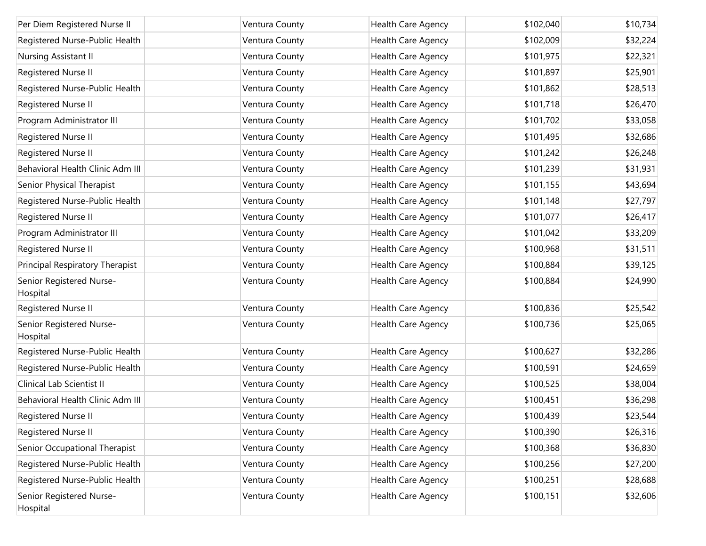| Per Diem Registered Nurse II         | Ventura County | Health Care Agency | \$102,040 | \$10,734 |
|--------------------------------------|----------------|--------------------|-----------|----------|
| Registered Nurse-Public Health       | Ventura County | Health Care Agency | \$102,009 | \$32,224 |
| Nursing Assistant II                 | Ventura County | Health Care Agency | \$101,975 | \$22,321 |
| Registered Nurse II                  | Ventura County | Health Care Agency | \$101,897 | \$25,901 |
| Registered Nurse-Public Health       | Ventura County | Health Care Agency | \$101,862 | \$28,513 |
| Registered Nurse II                  | Ventura County | Health Care Agency | \$101,718 | \$26,470 |
| Program Administrator III            | Ventura County | Health Care Agency | \$101,702 | \$33,058 |
| Registered Nurse II                  | Ventura County | Health Care Agency | \$101,495 | \$32,686 |
| Registered Nurse II                  | Ventura County | Health Care Agency | \$101,242 | \$26,248 |
| Behavioral Health Clinic Adm III     | Ventura County | Health Care Agency | \$101,239 | \$31,931 |
| Senior Physical Therapist            | Ventura County | Health Care Agency | \$101,155 | \$43,694 |
| Registered Nurse-Public Health       | Ventura County | Health Care Agency | \$101,148 | \$27,797 |
| Registered Nurse II                  | Ventura County | Health Care Agency | \$101,077 | \$26,417 |
| Program Administrator III            | Ventura County | Health Care Agency | \$101,042 | \$33,209 |
| Registered Nurse II                  | Ventura County | Health Care Agency | \$100,968 | \$31,511 |
| Principal Respiratory Therapist      | Ventura County | Health Care Agency | \$100,884 | \$39,125 |
| Senior Registered Nurse-<br>Hospital | Ventura County | Health Care Agency | \$100,884 | \$24,990 |
| Registered Nurse II                  | Ventura County | Health Care Agency | \$100,836 | \$25,542 |
| Senior Registered Nurse-<br>Hospital | Ventura County | Health Care Agency | \$100,736 | \$25,065 |
| Registered Nurse-Public Health       | Ventura County | Health Care Agency | \$100,627 | \$32,286 |
| Registered Nurse-Public Health       | Ventura County | Health Care Agency | \$100,591 | \$24,659 |
| Clinical Lab Scientist II            | Ventura County | Health Care Agency | \$100,525 | \$38,004 |
| Behavioral Health Clinic Adm III     | Ventura County | Health Care Agency | \$100,451 | \$36,298 |
| Registered Nurse II                  | Ventura County | Health Care Agency | \$100,439 | \$23,544 |
| Registered Nurse II                  | Ventura County | Health Care Agency | \$100,390 | \$26,316 |
| Senior Occupational Therapist        | Ventura County | Health Care Agency | \$100,368 | \$36,830 |
| Registered Nurse-Public Health       | Ventura County | Health Care Agency | \$100,256 | \$27,200 |
| Registered Nurse-Public Health       | Ventura County | Health Care Agency | \$100,251 | \$28,688 |
| Senior Registered Nurse-<br>Hospital | Ventura County | Health Care Agency | \$100,151 | \$32,606 |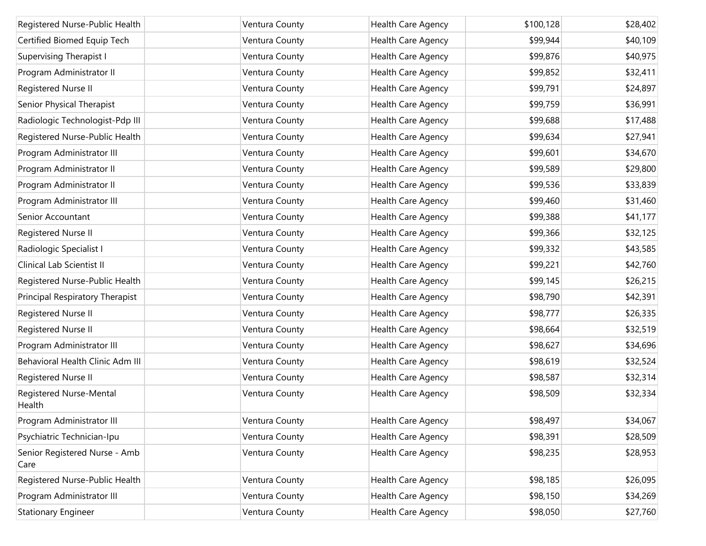| Registered Nurse-Public Health        | Ventura County | Health Care Agency        | \$100,128 | \$28,402 |
|---------------------------------------|----------------|---------------------------|-----------|----------|
| Certified Biomed Equip Tech           | Ventura County | Health Care Agency        | \$99,944  | \$40,109 |
| <b>Supervising Therapist I</b>        | Ventura County | Health Care Agency        | \$99,876  | \$40,975 |
| Program Administrator II              | Ventura County | Health Care Agency        | \$99,852  | \$32,411 |
| Registered Nurse II                   | Ventura County | Health Care Agency        | \$99,791  | \$24,897 |
| Senior Physical Therapist             | Ventura County | Health Care Agency        | \$99,759  | \$36,991 |
| Radiologic Technologist-Pdp III       | Ventura County | Health Care Agency        | \$99,688  | \$17,488 |
| Registered Nurse-Public Health        | Ventura County | Health Care Agency        | \$99,634  | \$27,941 |
| Program Administrator III             | Ventura County | Health Care Agency        | \$99,601  | \$34,670 |
| Program Administrator II              | Ventura County | Health Care Agency        | \$99,589  | \$29,800 |
| Program Administrator II              | Ventura County | Health Care Agency        | \$99,536  | \$33,839 |
| Program Administrator III             | Ventura County | Health Care Agency        | \$99,460  | \$31,460 |
| Senior Accountant                     | Ventura County | Health Care Agency        | \$99,388  | \$41,177 |
| Registered Nurse II                   | Ventura County | Health Care Agency        | \$99,366  | \$32,125 |
| Radiologic Specialist I               | Ventura County | <b>Health Care Agency</b> | \$99,332  | \$43,585 |
| Clinical Lab Scientist II             | Ventura County | Health Care Agency        | \$99,221  | \$42,760 |
| Registered Nurse-Public Health        | Ventura County | Health Care Agency        | \$99,145  | \$26,215 |
| Principal Respiratory Therapist       | Ventura County | Health Care Agency        | \$98,790  | \$42,391 |
| Registered Nurse II                   | Ventura County | Health Care Agency        | \$98,777  | \$26,335 |
| Registered Nurse II                   | Ventura County | Health Care Agency        | \$98,664  | \$32,519 |
| Program Administrator III             | Ventura County | Health Care Agency        | \$98,627  | \$34,696 |
| Behavioral Health Clinic Adm III      | Ventura County | Health Care Agency        | \$98,619  | \$32,524 |
| Registered Nurse II                   | Ventura County | Health Care Agency        | \$98,587  | \$32,314 |
| Registered Nurse-Mental<br>Health     | Ventura County | Health Care Agency        | \$98,509  | \$32,334 |
| Program Administrator III             | Ventura County | Health Care Agency        | \$98,497  | \$34,067 |
| Psychiatric Technician-Ipu            | Ventura County | Health Care Agency        | \$98,391  | \$28,509 |
| Senior Registered Nurse - Amb<br>Care | Ventura County | Health Care Agency        | \$98,235  | \$28,953 |
| Registered Nurse-Public Health        | Ventura County | Health Care Agency        | \$98,185  | \$26,095 |
| Program Administrator III             | Ventura County | Health Care Agency        | \$98,150  | \$34,269 |
| <b>Stationary Engineer</b>            | Ventura County | Health Care Agency        | \$98,050  | \$27,760 |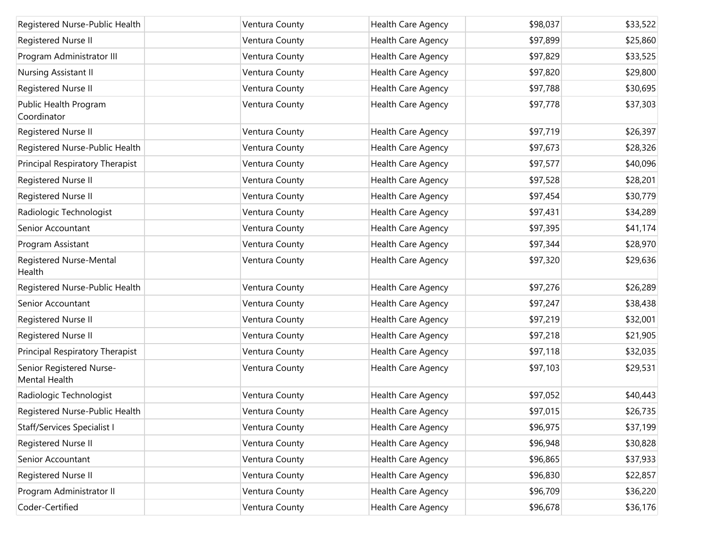| Registered Nurse-Public Health                   | Ventura County | Health Care Agency        | \$98,037 | \$33,522 |
|--------------------------------------------------|----------------|---------------------------|----------|----------|
| Registered Nurse II                              | Ventura County | Health Care Agency        | \$97,899 | \$25,860 |
| Program Administrator III                        | Ventura County | Health Care Agency        | \$97,829 | \$33,525 |
| Nursing Assistant II                             | Ventura County | Health Care Agency        | \$97,820 | \$29,800 |
| Registered Nurse II                              | Ventura County | Health Care Agency        | \$97,788 | \$30,695 |
| Public Health Program<br>Coordinator             | Ventura County | Health Care Agency        | \$97,778 | \$37,303 |
| Registered Nurse II                              | Ventura County | Health Care Agency        | \$97,719 | \$26,397 |
| Registered Nurse-Public Health                   | Ventura County | Health Care Agency        | \$97,673 | \$28,326 |
| Principal Respiratory Therapist                  | Ventura County | Health Care Agency        | \$97,577 | \$40,096 |
| Registered Nurse II                              | Ventura County | Health Care Agency        | \$97,528 | \$28,201 |
| Registered Nurse II                              | Ventura County | Health Care Agency        | \$97,454 | \$30,779 |
| Radiologic Technologist                          | Ventura County | Health Care Agency        | \$97,431 | \$34,289 |
| Senior Accountant                                | Ventura County | Health Care Agency        | \$97,395 | \$41,174 |
| Program Assistant                                | Ventura County | Health Care Agency        | \$97,344 | \$28,970 |
| Registered Nurse-Mental<br>Health                | Ventura County | Health Care Agency        | \$97,320 | \$29,636 |
| Registered Nurse-Public Health                   | Ventura County | Health Care Agency        | \$97,276 | \$26,289 |
| Senior Accountant                                | Ventura County | Health Care Agency        | \$97,247 | \$38,438 |
| Registered Nurse II                              | Ventura County | Health Care Agency        | \$97,219 | \$32,001 |
| Registered Nurse II                              | Ventura County | Health Care Agency        | \$97,218 | \$21,905 |
| Principal Respiratory Therapist                  | Ventura County | Health Care Agency        | \$97,118 | \$32,035 |
| Senior Registered Nurse-<br><b>Mental Health</b> | Ventura County | Health Care Agency        | \$97,103 | \$29,531 |
| Radiologic Technologist                          | Ventura County | Health Care Agency        | \$97,052 | \$40,443 |
| Registered Nurse-Public Health                   | Ventura County | Health Care Agency        | \$97,015 | \$26,735 |
| Staff/Services Specialist I                      | Ventura County | Health Care Agency        | \$96,975 | \$37,199 |
| Registered Nurse II                              | Ventura County | Health Care Agency        | \$96,948 | \$30,828 |
| Senior Accountant                                | Ventura County | <b>Health Care Agency</b> | \$96,865 | \$37,933 |
| Registered Nurse II                              | Ventura County | Health Care Agency        | \$96,830 | \$22,857 |
| Program Administrator II                         | Ventura County | Health Care Agency        | \$96,709 | \$36,220 |
| Coder-Certified                                  | Ventura County | Health Care Agency        | \$96,678 | \$36,176 |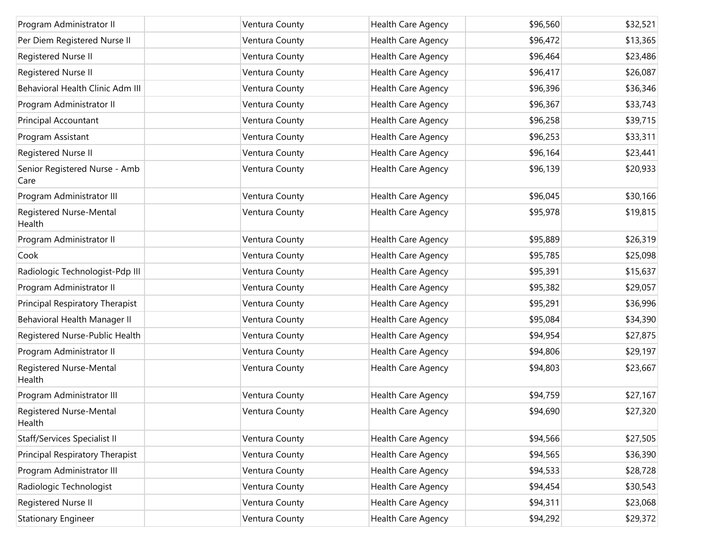| Program Administrator II              | Ventura County | <b>Health Care Agency</b> | \$96,560 | \$32,521 |
|---------------------------------------|----------------|---------------------------|----------|----------|
| Per Diem Registered Nurse II          | Ventura County | Health Care Agency        | \$96,472 | \$13,365 |
| Registered Nurse II                   | Ventura County | Health Care Agency        | \$96,464 | \$23,486 |
| Registered Nurse II                   | Ventura County | Health Care Agency        | \$96,417 | \$26,087 |
| Behavioral Health Clinic Adm III      | Ventura County | Health Care Agency        | \$96,396 | \$36,346 |
| Program Administrator II              | Ventura County | Health Care Agency        | \$96,367 | \$33,743 |
| <b>Principal Accountant</b>           | Ventura County | Health Care Agency        | \$96,258 | \$39,715 |
| Program Assistant                     | Ventura County | Health Care Agency        | \$96,253 | \$33,311 |
| Registered Nurse II                   | Ventura County | Health Care Agency        | \$96,164 | \$23,441 |
| Senior Registered Nurse - Amb<br>Care | Ventura County | Health Care Agency        | \$96,139 | \$20,933 |
| Program Administrator III             | Ventura County | Health Care Agency        | \$96,045 | \$30,166 |
| Registered Nurse-Mental<br>Health     | Ventura County | Health Care Agency        | \$95,978 | \$19,815 |
| Program Administrator II              | Ventura County | Health Care Agency        | \$95,889 | \$26,319 |
| Cook                                  | Ventura County | Health Care Agency        | \$95,785 | \$25,098 |
| Radiologic Technologist-Pdp III       | Ventura County | Health Care Agency        | \$95,391 | \$15,637 |
| Program Administrator II              | Ventura County | Health Care Agency        | \$95,382 | \$29,057 |
| Principal Respiratory Therapist       | Ventura County | Health Care Agency        | \$95,291 | \$36,996 |
| Behavioral Health Manager II          | Ventura County | Health Care Agency        | \$95,084 | \$34,390 |
| Registered Nurse-Public Health        | Ventura County | Health Care Agency        | \$94,954 | \$27,875 |
| Program Administrator II              | Ventura County | Health Care Agency        | \$94,806 | \$29,197 |
| Registered Nurse-Mental<br>Health     | Ventura County | Health Care Agency        | \$94,803 | \$23,667 |
| Program Administrator III             | Ventura County | Health Care Agency        | \$94,759 | \$27,167 |
| Registered Nurse-Mental<br>Health     | Ventura County | Health Care Agency        | \$94,690 | \$27,320 |
| <b>Staff/Services Specialist II</b>   | Ventura County | Health Care Agency        | \$94,566 | \$27,505 |
| Principal Respiratory Therapist       | Ventura County | Health Care Agency        | \$94,565 | \$36,390 |
| Program Administrator III             | Ventura County | <b>Health Care Agency</b> | \$94,533 | \$28,728 |
| Radiologic Technologist               | Ventura County | Health Care Agency        | \$94,454 | \$30,543 |
| Registered Nurse II                   | Ventura County | <b>Health Care Agency</b> | \$94,311 | \$23,068 |
| <b>Stationary Engineer</b>            | Ventura County | Health Care Agency        | \$94,292 | \$29,372 |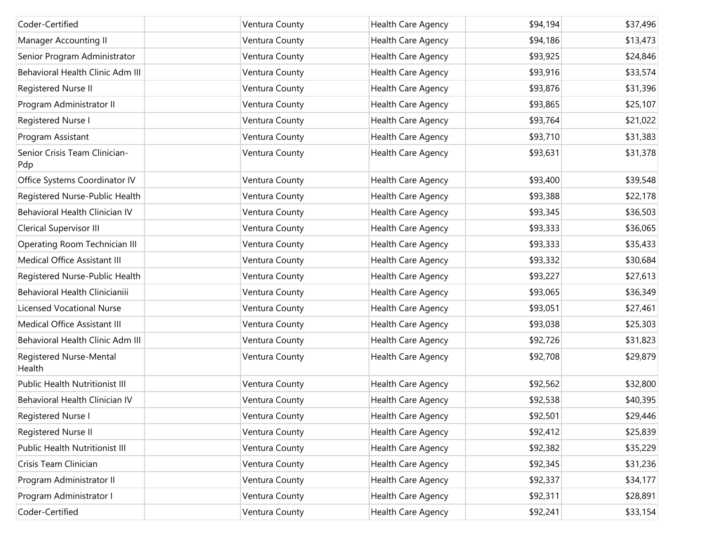| Coder-Certified                      | Ventura County | Health Care Agency        | \$94,194 | \$37,496 |
|--------------------------------------|----------------|---------------------------|----------|----------|
| Manager Accounting II                | Ventura County | Health Care Agency        | \$94,186 | \$13,473 |
| Senior Program Administrator         | Ventura County | Health Care Agency        | \$93,925 | \$24,846 |
| Behavioral Health Clinic Adm III     | Ventura County | Health Care Agency        | \$93,916 | \$33,574 |
| Registered Nurse II                  | Ventura County | Health Care Agency        | \$93,876 | \$31,396 |
| Program Administrator II             | Ventura County | Health Care Agency        | \$93,865 | \$25,107 |
| Registered Nurse I                   | Ventura County | Health Care Agency        | \$93,764 | \$21,022 |
| Program Assistant                    | Ventura County | Health Care Agency        | \$93,710 | \$31,383 |
| Senior Crisis Team Clinician-<br>Pdp | Ventura County | Health Care Agency        | \$93,631 | \$31,378 |
| Office Systems Coordinator IV        | Ventura County | Health Care Agency        | \$93,400 | \$39,548 |
| Registered Nurse-Public Health       | Ventura County | Health Care Agency        | \$93,388 | \$22,178 |
| Behavioral Health Clinician IV       | Ventura County | Health Care Agency        | \$93,345 | \$36,503 |
| Clerical Supervisor III              | Ventura County | Health Care Agency        | \$93,333 | \$36,065 |
| Operating Room Technician III        | Ventura County | Health Care Agency        | \$93,333 | \$35,433 |
| Medical Office Assistant III         | Ventura County | Health Care Agency        | \$93,332 | \$30,684 |
| Registered Nurse-Public Health       | Ventura County | Health Care Agency        | \$93,227 | \$27,613 |
| Behavioral Health Clinicianiii       | Ventura County | Health Care Agency        | \$93,065 | \$36,349 |
| <b>Licensed Vocational Nurse</b>     | Ventura County | Health Care Agency        | \$93,051 | \$27,461 |
| Medical Office Assistant III         | Ventura County | Health Care Agency        | \$93,038 | \$25,303 |
| Behavioral Health Clinic Adm III     | Ventura County | Health Care Agency        | \$92,726 | \$31,823 |
| Registered Nurse-Mental<br>Health    | Ventura County | Health Care Agency        | \$92,708 | \$29,879 |
| Public Health Nutritionist III       | Ventura County | Health Care Agency        | \$92,562 | \$32,800 |
| Behavioral Health Clinician IV       | Ventura County | Health Care Agency        | \$92,538 | \$40,395 |
| Registered Nurse I                   | Ventura County | Health Care Agency        | \$92,501 | \$29,446 |
| Registered Nurse II                  | Ventura County | <b>Health Care Agency</b> | \$92,412 | \$25,839 |
| Public Health Nutritionist III       | Ventura County | Health Care Agency        | \$92,382 | \$35,229 |
| Crisis Team Clinician                | Ventura County | Health Care Agency        | \$92,345 | \$31,236 |
| Program Administrator II             | Ventura County | Health Care Agency        | \$92,337 | \$34,177 |
| Program Administrator I              | Ventura County | Health Care Agency        | \$92,311 | \$28,891 |
| Coder-Certified                      | Ventura County | Health Care Agency        | \$92,241 | \$33,154 |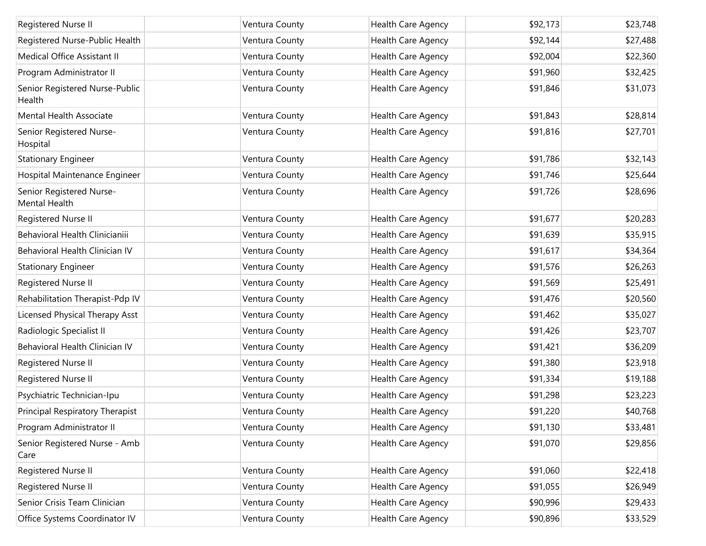| Registered Nurse II                       | Ventura County | Health Care Agency | \$92,173 | \$23,748 |
|-------------------------------------------|----------------|--------------------|----------|----------|
| Registered Nurse-Public Health            | Ventura County | Health Care Agency | \$92,144 | \$27,488 |
| Medical Office Assistant II               | Ventura County | Health Care Agency | \$92,004 | \$22,360 |
| Program Administrator II                  | Ventura County | Health Care Agency | \$91,960 | \$32,425 |
| Senior Registered Nurse-Public<br>Health  | Ventura County | Health Care Agency | \$91,846 | \$31,073 |
| Mental Health Associate                   | Ventura County | Health Care Agency | \$91,843 | \$28,814 |
| Senior Registered Nurse-<br>Hospital      | Ventura County | Health Care Agency | \$91,816 | \$27,701 |
| <b>Stationary Engineer</b>                | Ventura County | Health Care Agency | \$91,786 | \$32,143 |
| Hospital Maintenance Engineer             | Ventura County | Health Care Agency | \$91,746 | \$25,644 |
| Senior Registered Nurse-<br>Mental Health | Ventura County | Health Care Agency | \$91,726 | \$28,696 |
| Registered Nurse II                       | Ventura County | Health Care Agency | \$91,677 | \$20,283 |
| Behavioral Health Clinicianiii            | Ventura County | Health Care Agency | \$91,639 | \$35,915 |
| Behavioral Health Clinician IV            | Ventura County | Health Care Agency | \$91,617 | \$34,364 |
| <b>Stationary Engineer</b>                | Ventura County | Health Care Agency | \$91,576 | \$26,263 |
| Registered Nurse II                       | Ventura County | Health Care Agency | \$91,569 | \$25,491 |
| Rehabilitation Therapist-Pdp IV           | Ventura County | Health Care Agency | \$91,476 | \$20,560 |
| Licensed Physical Therapy Asst            | Ventura County | Health Care Agency | \$91,462 | \$35,027 |
| Radiologic Specialist II                  | Ventura County | Health Care Agency | \$91,426 | \$23,707 |
| Behavioral Health Clinician IV            | Ventura County | Health Care Agency | \$91,421 | \$36,209 |
| Registered Nurse II                       | Ventura County | Health Care Agency | \$91,380 | \$23,918 |
| Registered Nurse II                       | Ventura County | Health Care Agency | \$91,334 | \$19,188 |
| Psychiatric Technician-Ipu                | Ventura County | Health Care Agency | \$91,298 | \$23,223 |
| Principal Respiratory Therapist           | Ventura County | Health Care Agency | \$91,220 | \$40,768 |
| Program Administrator II                  | Ventura County | Health Care Agency | \$91,130 | \$33,481 |
| Senior Registered Nurse - Amb<br>Care     | Ventura County | Health Care Agency | \$91,070 | \$29,856 |
| Registered Nurse II                       | Ventura County | Health Care Agency | \$91,060 | \$22,418 |
| Registered Nurse II                       | Ventura County | Health Care Agency | \$91,055 | \$26,949 |
| Senior Crisis Team Clinician              | Ventura County | Health Care Agency | \$90,996 | \$29,433 |
| Office Systems Coordinator IV             | Ventura County | Health Care Agency | \$90,896 | \$33,529 |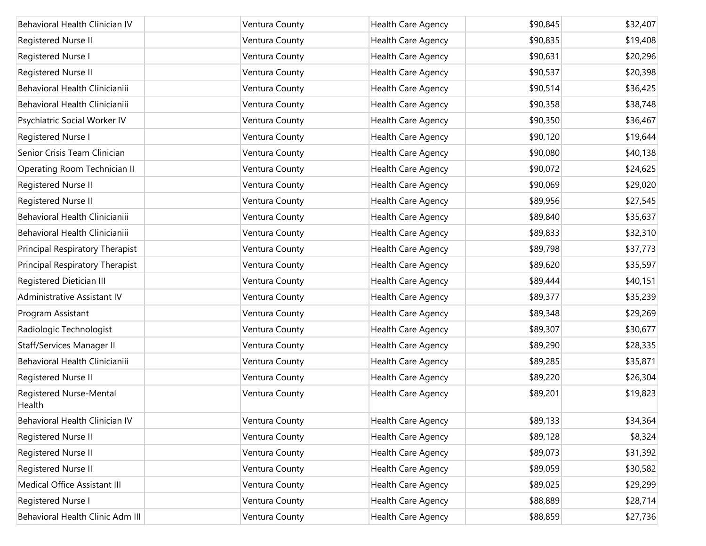| Behavioral Health Clinician IV    | Ventura County | Health Care Agency | \$90,845 | \$32,407 |
|-----------------------------------|----------------|--------------------|----------|----------|
| Registered Nurse II               | Ventura County | Health Care Agency | \$90,835 | \$19,408 |
| Registered Nurse I                | Ventura County | Health Care Agency | \$90,631 | \$20,296 |
| Registered Nurse II               | Ventura County | Health Care Agency | \$90,537 | \$20,398 |
| Behavioral Health Clinicianiii    | Ventura County | Health Care Agency | \$90,514 | \$36,425 |
| Behavioral Health Clinicianiii    | Ventura County | Health Care Agency | \$90,358 | \$38,748 |
| Psychiatric Social Worker IV      | Ventura County | Health Care Agency | \$90,350 | \$36,467 |
| Registered Nurse I                | Ventura County | Health Care Agency | \$90,120 | \$19,644 |
| Senior Crisis Team Clinician      | Ventura County | Health Care Agency | \$90,080 | \$40,138 |
| Operating Room Technician II      | Ventura County | Health Care Agency | \$90,072 | \$24,625 |
| Registered Nurse II               | Ventura County | Health Care Agency | \$90,069 | \$29,020 |
| Registered Nurse II               | Ventura County | Health Care Agency | \$89,956 | \$27,545 |
| Behavioral Health Clinicianiii    | Ventura County | Health Care Agency | \$89,840 | \$35,637 |
| Behavioral Health Clinicianiii    | Ventura County | Health Care Agency | \$89,833 | \$32,310 |
| Principal Respiratory Therapist   | Ventura County | Health Care Agency | \$89,798 | \$37,773 |
| Principal Respiratory Therapist   | Ventura County | Health Care Agency | \$89,620 | \$35,597 |
| Registered Dietician III          | Ventura County | Health Care Agency | \$89,444 | \$40,151 |
| Administrative Assistant IV       | Ventura County | Health Care Agency | \$89,377 | \$35,239 |
| Program Assistant                 | Ventura County | Health Care Agency | \$89,348 | \$29,269 |
| Radiologic Technologist           | Ventura County | Health Care Agency | \$89,307 | \$30,677 |
| Staff/Services Manager II         | Ventura County | Health Care Agency | \$89,290 | \$28,335 |
| Behavioral Health Clinicianiii    | Ventura County | Health Care Agency | \$89,285 | \$35,871 |
| Registered Nurse II               | Ventura County | Health Care Agency | \$89,220 | \$26,304 |
| Registered Nurse-Mental<br>Health | Ventura County | Health Care Agency | \$89,201 | \$19,823 |
| Behavioral Health Clinician IV    | Ventura County | Health Care Agency | \$89,133 | \$34,364 |
| Registered Nurse II               | Ventura County | Health Care Agency | \$89,128 | \$8,324  |
| Registered Nurse II               | Ventura County | Health Care Agency | \$89,073 | \$31,392 |
| Registered Nurse II               | Ventura County | Health Care Agency | \$89,059 | \$30,582 |
| Medical Office Assistant III      | Ventura County | Health Care Agency | \$89,025 | \$29,299 |
| Registered Nurse I                | Ventura County | Health Care Agency | \$88,889 | \$28,714 |
| Behavioral Health Clinic Adm III  | Ventura County | Health Care Agency | \$88,859 | \$27,736 |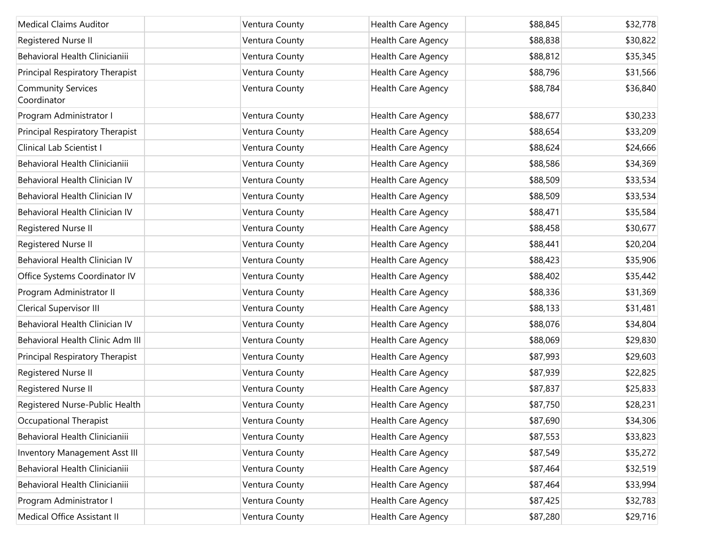| <b>Medical Claims Auditor</b>            | Ventura County | Health Care Agency | \$88,845 | \$32,778 |
|------------------------------------------|----------------|--------------------|----------|----------|
| Registered Nurse II                      | Ventura County | Health Care Agency | \$88,838 | \$30,822 |
| Behavioral Health Clinicianiii           | Ventura County | Health Care Agency | \$88,812 | \$35,345 |
| Principal Respiratory Therapist          | Ventura County | Health Care Agency | \$88,796 | \$31,566 |
| <b>Community Services</b><br>Coordinator | Ventura County | Health Care Agency | \$88,784 | \$36,840 |
| Program Administrator I                  | Ventura County | Health Care Agency | \$88,677 | \$30,233 |
| Principal Respiratory Therapist          | Ventura County | Health Care Agency | \$88,654 | \$33,209 |
| Clinical Lab Scientist I                 | Ventura County | Health Care Agency | \$88,624 | \$24,666 |
| Behavioral Health Clinicianiii           | Ventura County | Health Care Agency | \$88,586 | \$34,369 |
| Behavioral Health Clinician IV           | Ventura County | Health Care Agency | \$88,509 | \$33,534 |
| Behavioral Health Clinician IV           | Ventura County | Health Care Agency | \$88,509 | \$33,534 |
| Behavioral Health Clinician IV           | Ventura County | Health Care Agency | \$88,471 | \$35,584 |
| Registered Nurse II                      | Ventura County | Health Care Agency | \$88,458 | \$30,677 |
| Registered Nurse II                      | Ventura County | Health Care Agency | \$88,441 | \$20,204 |
| Behavioral Health Clinician IV           | Ventura County | Health Care Agency | \$88,423 | \$35,906 |
| Office Systems Coordinator IV            | Ventura County | Health Care Agency | \$88,402 | \$35,442 |
| Program Administrator II                 | Ventura County | Health Care Agency | \$88,336 | \$31,369 |
| <b>Clerical Supervisor III</b>           | Ventura County | Health Care Agency | \$88,133 | \$31,481 |
| Behavioral Health Clinician IV           | Ventura County | Health Care Agency | \$88,076 | \$34,804 |
| Behavioral Health Clinic Adm III         | Ventura County | Health Care Agency | \$88,069 | \$29,830 |
| Principal Respiratory Therapist          | Ventura County | Health Care Agency | \$87,993 | \$29,603 |
| Registered Nurse II                      | Ventura County | Health Care Agency | \$87,939 | \$22,825 |
| Registered Nurse II                      | Ventura County | Health Care Agency | \$87,837 | \$25,833 |
| Registered Nurse-Public Health           | Ventura County | Health Care Agency | \$87,750 | \$28,231 |
| Occupational Therapist                   | Ventura County | Health Care Agency | \$87,690 | \$34,306 |
| Behavioral Health Clinicianiii           | Ventura County | Health Care Agency | \$87,553 | \$33,823 |
| <b>Inventory Management Asst III</b>     | Ventura County | Health Care Agency | \$87,549 | \$35,272 |
| Behavioral Health Clinicianiii           | Ventura County | Health Care Agency | \$87,464 | \$32,519 |
| Behavioral Health Clinicianiii           | Ventura County | Health Care Agency | \$87,464 | \$33,994 |
| Program Administrator I                  | Ventura County | Health Care Agency | \$87,425 | \$32,783 |
| Medical Office Assistant II              | Ventura County | Health Care Agency | \$87,280 | \$29,716 |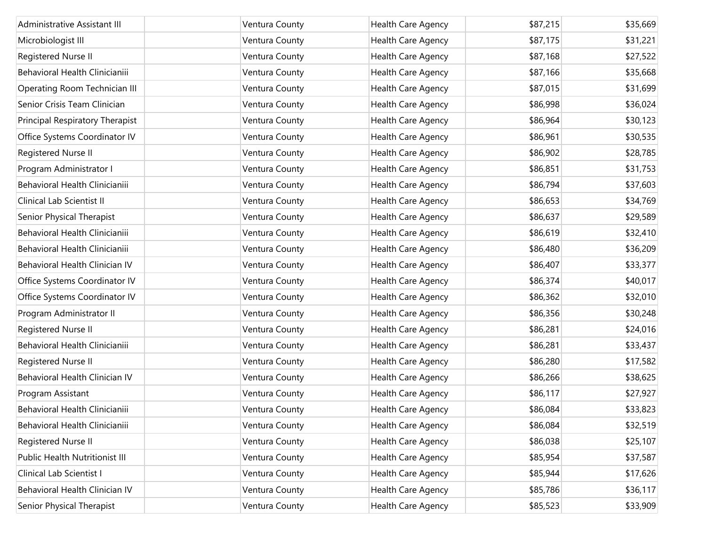| Administrative Assistant III    | Ventura County | Health Care Agency        | \$87,215 | \$35,669 |
|---------------------------------|----------------|---------------------------|----------|----------|
| Microbiologist III              | Ventura County | Health Care Agency        | \$87,175 | \$31,221 |
| Registered Nurse II             | Ventura County | Health Care Agency        | \$87,168 | \$27,522 |
| Behavioral Health Clinicianiii  | Ventura County | Health Care Agency        | \$87,166 | \$35,668 |
| Operating Room Technician III   | Ventura County | Health Care Agency        | \$87,015 | \$31,699 |
| Senior Crisis Team Clinician    | Ventura County | Health Care Agency        | \$86,998 | \$36,024 |
| Principal Respiratory Therapist | Ventura County | <b>Health Care Agency</b> | \$86,964 | \$30,123 |
| Office Systems Coordinator IV   | Ventura County | Health Care Agency        | \$86,961 | \$30,535 |
| Registered Nurse II             | Ventura County | Health Care Agency        | \$86,902 | \$28,785 |
| Program Administrator I         | Ventura County | Health Care Agency        | \$86,851 | \$31,753 |
| Behavioral Health Clinicianiii  | Ventura County | Health Care Agency        | \$86,794 | \$37,603 |
| Clinical Lab Scientist II       | Ventura County | Health Care Agency        | \$86,653 | \$34,769 |
| Senior Physical Therapist       | Ventura County | <b>Health Care Agency</b> | \$86,637 | \$29,589 |
| Behavioral Health Clinicianiii  | Ventura County | Health Care Agency        | \$86,619 | \$32,410 |
| Behavioral Health Clinicianiii  | Ventura County | Health Care Agency        | \$86,480 | \$36,209 |
| Behavioral Health Clinician IV  | Ventura County | Health Care Agency        | \$86,407 | \$33,377 |
| Office Systems Coordinator IV   | Ventura County | Health Care Agency        | \$86,374 | \$40,017 |
| Office Systems Coordinator IV   | Ventura County | Health Care Agency        | \$86,362 | \$32,010 |
| Program Administrator II        | Ventura County | Health Care Agency        | \$86,356 | \$30,248 |
| Registered Nurse II             | Ventura County | Health Care Agency        | \$86,281 | \$24,016 |
| Behavioral Health Clinicianiii  | Ventura County | Health Care Agency        | \$86,281 | \$33,437 |
| Registered Nurse II             | Ventura County | Health Care Agency        | \$86,280 | \$17,582 |
| Behavioral Health Clinician IV  | Ventura County | Health Care Agency        | \$86,266 | \$38,625 |
| Program Assistant               | Ventura County | Health Care Agency        | \$86,117 | \$27,927 |
| Behavioral Health Clinicianiii  | Ventura County | Health Care Agency        | \$86,084 | \$33,823 |
| Behavioral Health Clinicianiii  | Ventura County | Health Care Agency        | \$86,084 | \$32,519 |
| Registered Nurse II             | Ventura County | Health Care Agency        | \$86,038 | \$25,107 |
| Public Health Nutritionist III  | Ventura County | Health Care Agency        | \$85,954 | \$37,587 |
| Clinical Lab Scientist I        | Ventura County | Health Care Agency        | \$85,944 | \$17,626 |
| Behavioral Health Clinician IV  | Ventura County | Health Care Agency        | \$85,786 | \$36,117 |
| Senior Physical Therapist       | Ventura County | Health Care Agency        | \$85,523 | \$33,909 |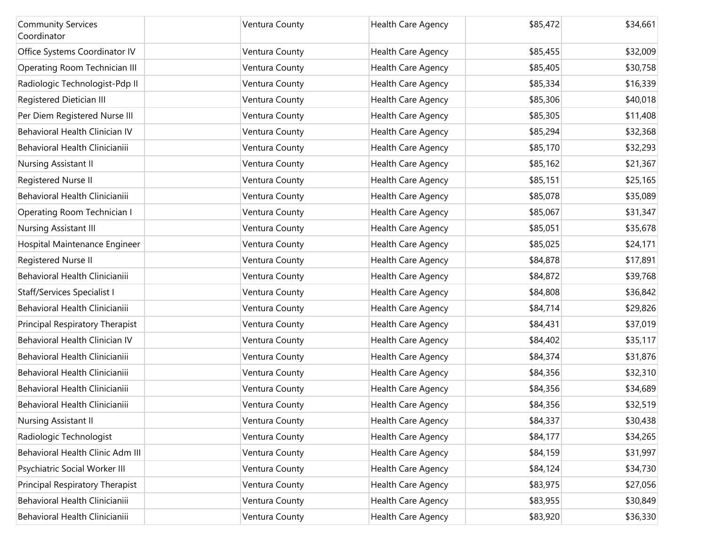| <b>Community Services</b><br>Coordinator | Ventura County | Health Care Agency        | \$85,472 | \$34,661 |
|------------------------------------------|----------------|---------------------------|----------|----------|
| Office Systems Coordinator IV            | Ventura County | <b>Health Care Agency</b> | \$85,455 | \$32,009 |
| Operating Room Technician III            | Ventura County | Health Care Agency        | \$85,405 | \$30,758 |
| Radiologic Technologist-Pdp II           | Ventura County | Health Care Agency        | \$85,334 | \$16,339 |
| Registered Dietician III                 | Ventura County | Health Care Agency        | \$85,306 | \$40,018 |
| Per Diem Registered Nurse III            | Ventura County | Health Care Agency        | \$85,305 | \$11,408 |
| Behavioral Health Clinician IV           | Ventura County | Health Care Agency        | \$85,294 | \$32,368 |
| Behavioral Health Clinicianiii           | Ventura County | Health Care Agency        | \$85,170 | \$32,293 |
| Nursing Assistant II                     | Ventura County | Health Care Agency        | \$85,162 | \$21,367 |
| Registered Nurse II                      | Ventura County | Health Care Agency        | \$85,151 | \$25,165 |
| Behavioral Health Clinicianiii           | Ventura County | Health Care Agency        | \$85,078 | \$35,089 |
| Operating Room Technician I              | Ventura County | Health Care Agency        | \$85,067 | \$31,347 |
| Nursing Assistant III                    | Ventura County | <b>Health Care Agency</b> | \$85,051 | \$35,678 |
| Hospital Maintenance Engineer            | Ventura County | Health Care Agency        | \$85,025 | \$24,171 |
| Registered Nurse II                      | Ventura County | Health Care Agency        | \$84,878 | \$17,891 |
| Behavioral Health Clinicianiii           | Ventura County | Health Care Agency        | \$84,872 | \$39,768 |
| <b>Staff/Services Specialist I</b>       | Ventura County | Health Care Agency        | \$84,808 | \$36,842 |
| Behavioral Health Clinicianiii           | Ventura County | Health Care Agency        | \$84,714 | \$29,826 |
| Principal Respiratory Therapist          | Ventura County | Health Care Agency        | \$84,431 | \$37,019 |
| Behavioral Health Clinician IV           | Ventura County | Health Care Agency        | \$84,402 | \$35,117 |
| Behavioral Health Clinicianiii           | Ventura County | Health Care Agency        | \$84,374 | \$31,876 |
| Behavioral Health Clinicianiii           | Ventura County | Health Care Agency        | \$84,356 | \$32,310 |
| Behavioral Health Clinicianiii           | Ventura County | Health Care Agency        | \$84,356 | \$34,689 |
| Behavioral Health Clinicianiii           | Ventura County | Health Care Agency        | \$84,356 | \$32,519 |
| Nursing Assistant II                     | Ventura County | <b>Health Care Agency</b> | \$84,337 | \$30,438 |
| Radiologic Technologist                  | Ventura County | Health Care Agency        | \$84,177 | \$34,265 |
| Behavioral Health Clinic Adm III         | Ventura County | Health Care Agency        | \$84,159 | \$31,997 |
| Psychiatric Social Worker III            | Ventura County | Health Care Agency        | \$84,124 | \$34,730 |
| Principal Respiratory Therapist          | Ventura County | Health Care Agency        | \$83,975 | \$27,056 |
| Behavioral Health Clinicianiii           | Ventura County | Health Care Agency        | \$83,955 | \$30,849 |
| Behavioral Health Clinicianiii           | Ventura County | Health Care Agency        | \$83,920 | \$36,330 |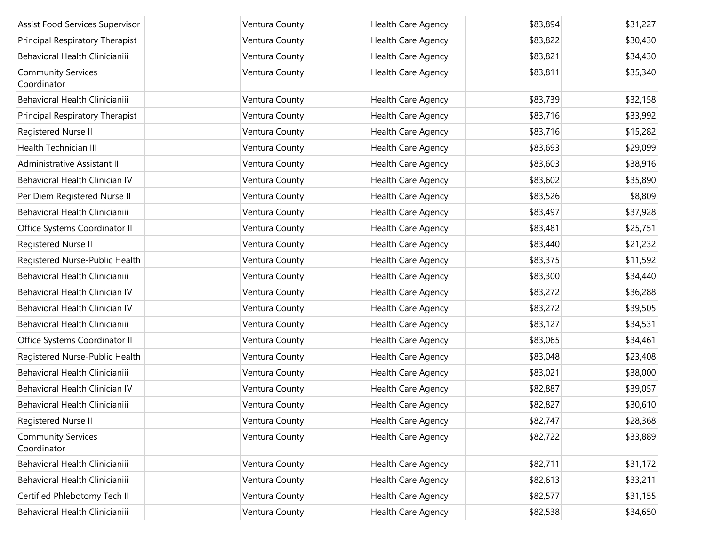| Assist Food Services Supervisor          | Ventura County | Health Care Agency | \$83,894 | \$31,227 |
|------------------------------------------|----------------|--------------------|----------|----------|
| Principal Respiratory Therapist          | Ventura County | Health Care Agency | \$83,822 | \$30,430 |
| Behavioral Health Clinicianiii           | Ventura County | Health Care Agency | \$83,821 | \$34,430 |
| <b>Community Services</b><br>Coordinator | Ventura County | Health Care Agency | \$83,811 | \$35,340 |
| Behavioral Health Clinicianiii           | Ventura County | Health Care Agency | \$83,739 | \$32,158 |
| Principal Respiratory Therapist          | Ventura County | Health Care Agency | \$83,716 | \$33,992 |
| Registered Nurse II                      | Ventura County | Health Care Agency | \$83,716 | \$15,282 |
| Health Technician III                    | Ventura County | Health Care Agency | \$83,693 | \$29,099 |
| Administrative Assistant III             | Ventura County | Health Care Agency | \$83,603 | \$38,916 |
| Behavioral Health Clinician IV           | Ventura County | Health Care Agency | \$83,602 | \$35,890 |
| Per Diem Registered Nurse II             | Ventura County | Health Care Agency | \$83,526 | \$8,809  |
| Behavioral Health Clinicianiii           | Ventura County | Health Care Agency | \$83,497 | \$37,928 |
| Office Systems Coordinator II            | Ventura County | Health Care Agency | \$83,481 | \$25,751 |
| Registered Nurse II                      | Ventura County | Health Care Agency | \$83,440 | \$21,232 |
| Registered Nurse-Public Health           | Ventura County | Health Care Agency | \$83,375 | \$11,592 |
| Behavioral Health Clinicianiii           | Ventura County | Health Care Agency | \$83,300 | \$34,440 |
| Behavioral Health Clinician IV           | Ventura County | Health Care Agency | \$83,272 | \$36,288 |
| Behavioral Health Clinician IV           | Ventura County | Health Care Agency | \$83,272 | \$39,505 |
| Behavioral Health Clinicianiii           | Ventura County | Health Care Agency | \$83,127 | \$34,531 |
| Office Systems Coordinator II            | Ventura County | Health Care Agency | \$83,065 | \$34,461 |
| Registered Nurse-Public Health           | Ventura County | Health Care Agency | \$83,048 | \$23,408 |
| Behavioral Health Clinicianiii           | Ventura County | Health Care Agency | \$83,021 | \$38,000 |
| Behavioral Health Clinician IV           | Ventura County | Health Care Agency | \$82,887 | \$39,057 |
| Behavioral Health Clinicianiii           | Ventura County | Health Care Agency | \$82,827 | \$30,610 |
| Registered Nurse II                      | Ventura County | Health Care Agency | \$82,747 | \$28,368 |
| <b>Community Services</b><br>Coordinator | Ventura County | Health Care Agency | \$82,722 | \$33,889 |
| Behavioral Health Clinicianiii           | Ventura County | Health Care Agency | \$82,711 | \$31,172 |
| Behavioral Health Clinicianiii           | Ventura County | Health Care Agency | \$82,613 | \$33,211 |
| Certified Phlebotomy Tech II             | Ventura County | Health Care Agency | \$82,577 | \$31,155 |
| Behavioral Health Clinicianiii           | Ventura County | Health Care Agency | \$82,538 | \$34,650 |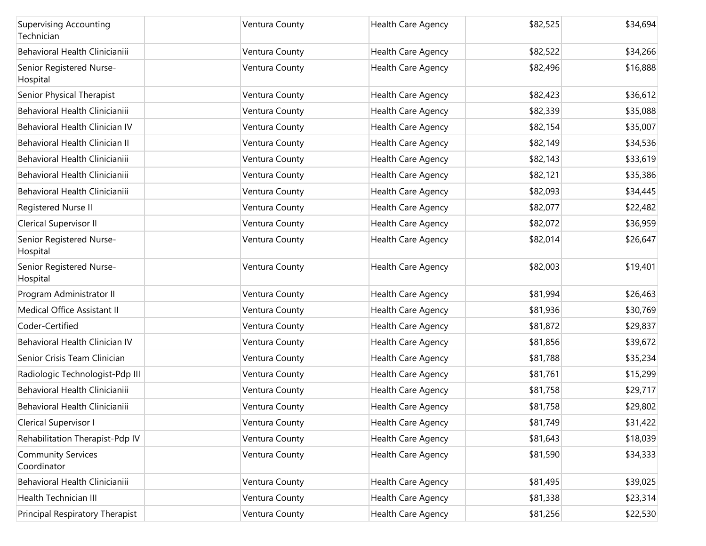| <b>Supervising Accounting</b><br>Technician | Ventura County | Health Care Agency        | \$82,525 | \$34,694 |
|---------------------------------------------|----------------|---------------------------|----------|----------|
| Behavioral Health Clinicianiii              | Ventura County | <b>Health Care Agency</b> | \$82,522 | \$34,266 |
| Senior Registered Nurse-<br>Hospital        | Ventura County | Health Care Agency        | \$82,496 | \$16,888 |
| Senior Physical Therapist                   | Ventura County | Health Care Agency        | \$82,423 | \$36,612 |
| Behavioral Health Clinicianiii              | Ventura County | Health Care Agency        | \$82,339 | \$35,088 |
| Behavioral Health Clinician IV              | Ventura County | Health Care Agency        | \$82,154 | \$35,007 |
| Behavioral Health Clinician II              | Ventura County | Health Care Agency        | \$82,149 | \$34,536 |
| Behavioral Health Clinicianiii              | Ventura County | Health Care Agency        | \$82,143 | \$33,619 |
| Behavioral Health Clinicianiii              | Ventura County | Health Care Agency        | \$82,121 | \$35,386 |
| Behavioral Health Clinicianiii              | Ventura County | Health Care Agency        | \$82,093 | \$34,445 |
| Registered Nurse II                         | Ventura County | Health Care Agency        | \$82,077 | \$22,482 |
| Clerical Supervisor II                      | Ventura County | Health Care Agency        | \$82,072 | \$36,959 |
| Senior Registered Nurse-<br>Hospital        | Ventura County | Health Care Agency        | \$82,014 | \$26,647 |
| Senior Registered Nurse-<br>Hospital        | Ventura County | Health Care Agency        | \$82,003 | \$19,401 |
| Program Administrator II                    | Ventura County | Health Care Agency        | \$81,994 | \$26,463 |
| Medical Office Assistant II                 | Ventura County | Health Care Agency        | \$81,936 | \$30,769 |
| Coder-Certified                             | Ventura County | Health Care Agency        | \$81,872 | \$29,837 |
| Behavioral Health Clinician IV              | Ventura County | <b>Health Care Agency</b> | \$81,856 | \$39,672 |
| Senior Crisis Team Clinician                | Ventura County | Health Care Agency        | \$81,788 | \$35,234 |
| Radiologic Technologist-Pdp III             | Ventura County | Health Care Agency        | \$81,761 | \$15,299 |
| Behavioral Health Clinicianiii              | Ventura County | Health Care Agency        | \$81,758 | \$29,717 |
| Behavioral Health Clinicianiii              | Ventura County | Health Care Agency        | \$81,758 | \$29,802 |
| Clerical Supervisor I                       | Ventura County | Health Care Agency        | \$81,749 | \$31,422 |
| Rehabilitation Therapist-Pdp IV             | Ventura County | Health Care Agency        | \$81,643 | \$18,039 |
| <b>Community Services</b><br>Coordinator    | Ventura County | Health Care Agency        | \$81,590 | \$34,333 |
| Behavioral Health Clinicianiii              | Ventura County | Health Care Agency        | \$81,495 | \$39,025 |
| Health Technician III                       | Ventura County | Health Care Agency        | \$81,338 | \$23,314 |
| Principal Respiratory Therapist             | Ventura County | Health Care Agency        | \$81,256 | \$22,530 |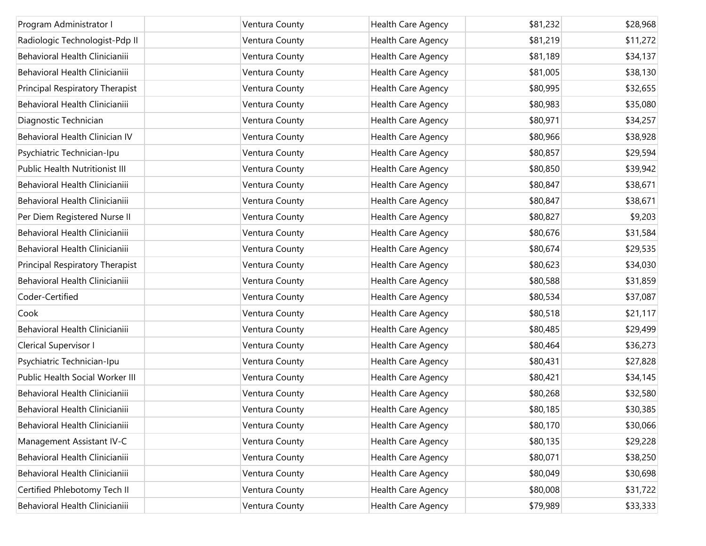| Program Administrator I               | Ventura County | Health Care Agency | \$81,232 | \$28,968 |
|---------------------------------------|----------------|--------------------|----------|----------|
| Radiologic Technologist-Pdp II        | Ventura County | Health Care Agency | \$81,219 | \$11,272 |
| Behavioral Health Clinicianiii        | Ventura County | Health Care Agency | \$81,189 | \$34,137 |
| Behavioral Health Clinicianiii        | Ventura County | Health Care Agency | \$81,005 | \$38,130 |
| Principal Respiratory Therapist       | Ventura County | Health Care Agency | \$80,995 | \$32,655 |
| Behavioral Health Clinicianiii        | Ventura County | Health Care Agency | \$80,983 | \$35,080 |
| Diagnostic Technician                 | Ventura County | Health Care Agency | \$80,971 | \$34,257 |
| Behavioral Health Clinician IV        | Ventura County | Health Care Agency | \$80,966 | \$38,928 |
| Psychiatric Technician-Ipu            | Ventura County | Health Care Agency | \$80,857 | \$29,594 |
| <b>Public Health Nutritionist III</b> | Ventura County | Health Care Agency | \$80,850 | \$39,942 |
| Behavioral Health Clinicianiii        | Ventura County | Health Care Agency | \$80,847 | \$38,671 |
| Behavioral Health Clinicianiii        | Ventura County | Health Care Agency | \$80,847 | \$38,671 |
| Per Diem Registered Nurse II          | Ventura County | Health Care Agency | \$80,827 | \$9,203  |
| Behavioral Health Clinicianiii        | Ventura County | Health Care Agency | \$80,676 | \$31,584 |
| Behavioral Health Clinicianiii        | Ventura County | Health Care Agency | \$80,674 | \$29,535 |
| Principal Respiratory Therapist       | Ventura County | Health Care Agency | \$80,623 | \$34,030 |
| Behavioral Health Clinicianiii        | Ventura County | Health Care Agency | \$80,588 | \$31,859 |
| Coder-Certified                       | Ventura County | Health Care Agency | \$80,534 | \$37,087 |
| Cook                                  | Ventura County | Health Care Agency | \$80,518 | \$21,117 |
| Behavioral Health Clinicianiii        | Ventura County | Health Care Agency | \$80,485 | \$29,499 |
| Clerical Supervisor I                 | Ventura County | Health Care Agency | \$80,464 | \$36,273 |
| Psychiatric Technician-Ipu            | Ventura County | Health Care Agency | \$80,431 | \$27,828 |
| Public Health Social Worker III       | Ventura County | Health Care Agency | \$80,421 | \$34,145 |
| Behavioral Health Clinicianiii        | Ventura County | Health Care Agency | \$80,268 | \$32,580 |
| Behavioral Health Clinicianiii        | Ventura County | Health Care Agency | \$80,185 | \$30,385 |
| Behavioral Health Clinicianiii        | Ventura County | Health Care Agency | \$80,170 | \$30,066 |
| Management Assistant IV-C             | Ventura County | Health Care Agency | \$80,135 | \$29,228 |
| Behavioral Health Clinicianiii        | Ventura County | Health Care Agency | \$80,071 | \$38,250 |
| Behavioral Health Clinicianiii        | Ventura County | Health Care Agency | \$80,049 | \$30,698 |
| Certified Phlebotomy Tech II          | Ventura County | Health Care Agency | \$80,008 | \$31,722 |
| Behavioral Health Clinicianiii        | Ventura County | Health Care Agency | \$79,989 | \$33,333 |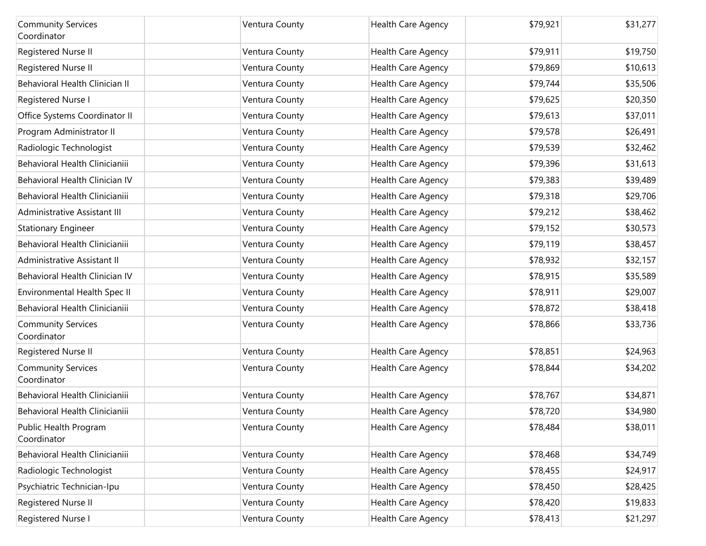| <b>Community Services</b><br>Coordinator | Ventura County | Health Care Agency        | \$79,921 | \$31,277 |
|------------------------------------------|----------------|---------------------------|----------|----------|
| Registered Nurse II                      | Ventura County | Health Care Agency        | \$79,911 | \$19,750 |
| Registered Nurse II                      | Ventura County | Health Care Agency        | \$79,869 | \$10,613 |
| Behavioral Health Clinician II           | Ventura County | Health Care Agency        | \$79,744 | \$35,506 |
| Registered Nurse I                       | Ventura County | Health Care Agency        | \$79,625 | \$20,350 |
| Office Systems Coordinator II            | Ventura County | Health Care Agency        | \$79,613 | \$37,011 |
| Program Administrator II                 | Ventura County | Health Care Agency        | \$79,578 | \$26,491 |
| Radiologic Technologist                  | Ventura County | Health Care Agency        | \$79,539 | \$32,462 |
| Behavioral Health Clinicianiii           | Ventura County | Health Care Agency        | \$79,396 | \$31,613 |
| Behavioral Health Clinician IV           | Ventura County | Health Care Agency        | \$79,383 | \$39,489 |
| Behavioral Health Clinicianiii           | Ventura County | Health Care Agency        | \$79,318 | \$29,706 |
| Administrative Assistant III             | Ventura County | Health Care Agency        | \$79,212 | \$38,462 |
| <b>Stationary Engineer</b>               | Ventura County | Health Care Agency        | \$79,152 | \$30,573 |
| Behavioral Health Clinicianiii           | Ventura County | Health Care Agency        | \$79,119 | \$38,457 |
| Administrative Assistant II              | Ventura County | <b>Health Care Agency</b> | \$78,932 | \$32,157 |
| Behavioral Health Clinician IV           | Ventura County | Health Care Agency        | \$78,915 | \$35,589 |
| Environmental Health Spec II             | Ventura County | Health Care Agency        | \$78,911 | \$29,007 |
| Behavioral Health Clinicianiii           | Ventura County | Health Care Agency        | \$78,872 | \$38,418 |
| <b>Community Services</b><br>Coordinator | Ventura County | Health Care Agency        | \$78,866 | \$33,736 |
| Registered Nurse II                      | Ventura County | Health Care Agency        | \$78,851 | \$24,963 |
| <b>Community Services</b><br>Coordinator | Ventura County | Health Care Agency        | \$78,844 | \$34,202 |
| Behavioral Health Clinicianiii           | Ventura County | Health Care Agency        | \$78,767 | \$34,871 |
| Behavioral Health Clinicianiii           | Ventura County | <b>Health Care Agency</b> | \$78,720 | \$34,980 |
| Public Health Program<br>Coordinator     | Ventura County | <b>Health Care Agency</b> | \$78,484 | \$38,011 |
| Behavioral Health Clinicianiii           | Ventura County | Health Care Agency        | \$78,468 | \$34,749 |
| Radiologic Technologist                  | Ventura County | Health Care Agency        | \$78,455 | \$24,917 |
| Psychiatric Technician-Ipu               | Ventura County | Health Care Agency        | \$78,450 | \$28,425 |
| Registered Nurse II                      | Ventura County | Health Care Agency        | \$78,420 | \$19,833 |
| Registered Nurse I                       | Ventura County | Health Care Agency        | \$78,413 | \$21,297 |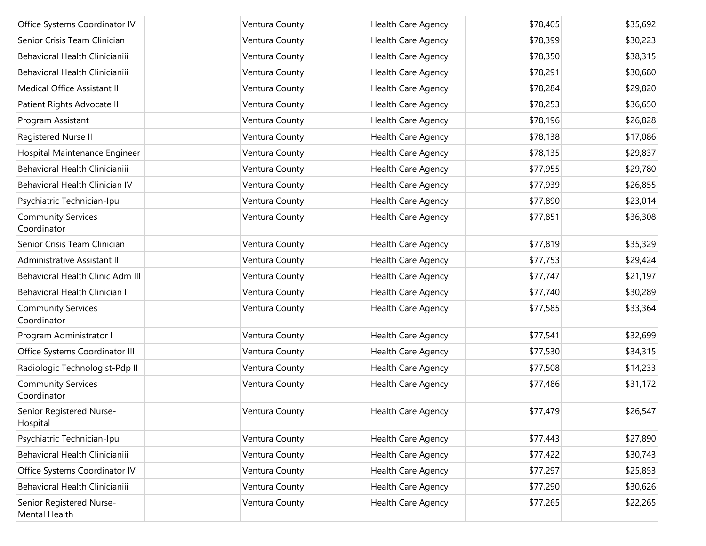| Office Systems Coordinator IV             | Ventura County | Health Care Agency        | \$78,405 | \$35,692 |
|-------------------------------------------|----------------|---------------------------|----------|----------|
| Senior Crisis Team Clinician              | Ventura County | Health Care Agency        | \$78,399 | \$30,223 |
| Behavioral Health Clinicianiii            | Ventura County | Health Care Agency        | \$78,350 | \$38,315 |
| Behavioral Health Clinicianiii            | Ventura County | Health Care Agency        | \$78,291 | \$30,680 |
| Medical Office Assistant III              | Ventura County | Health Care Agency        | \$78,284 | \$29,820 |
| Patient Rights Advocate II                | Ventura County | Health Care Agency        | \$78,253 | \$36,650 |
| Program Assistant                         | Ventura County | Health Care Agency        | \$78,196 | \$26,828 |
| Registered Nurse II                       | Ventura County | Health Care Agency        | \$78,138 | \$17,086 |
| Hospital Maintenance Engineer             | Ventura County | Health Care Agency        | \$78,135 | \$29,837 |
| Behavioral Health Clinicianiii            | Ventura County | Health Care Agency        | \$77,955 | \$29,780 |
| Behavioral Health Clinician IV            | Ventura County | Health Care Agency        | \$77,939 | \$26,855 |
| Psychiatric Technician-Ipu                | Ventura County | Health Care Agency        | \$77,890 | \$23,014 |
| <b>Community Services</b><br>Coordinator  | Ventura County | Health Care Agency        | \$77,851 | \$36,308 |
| Senior Crisis Team Clinician              | Ventura County | Health Care Agency        | \$77,819 | \$35,329 |
| Administrative Assistant III              | Ventura County | Health Care Agency        | \$77,753 | \$29,424 |
| Behavioral Health Clinic Adm III          | Ventura County | Health Care Agency        | \$77,747 | \$21,197 |
| Behavioral Health Clinician II            | Ventura County | Health Care Agency        | \$77,740 | \$30,289 |
| <b>Community Services</b><br>Coordinator  | Ventura County | Health Care Agency        | \$77,585 | \$33,364 |
| Program Administrator I                   | Ventura County | Health Care Agency        | \$77,541 | \$32,699 |
| Office Systems Coordinator III            | Ventura County | Health Care Agency        | \$77,530 | \$34,315 |
| Radiologic Technologist-Pdp II            | Ventura County | Health Care Agency        | \$77,508 | \$14,233 |
| <b>Community Services</b><br>Coordinator  | Ventura County | Health Care Agency        | \$77,486 | \$31,172 |
| Senior Registered Nurse-<br>Hospital      | Ventura County | Health Care Agency        | \$77,479 | \$26,547 |
| Psychiatric Technician-Ipu                | Ventura County | Health Care Agency        | \$77,443 | \$27,890 |
| Behavioral Health Clinicianiii            | Ventura County | <b>Health Care Agency</b> | \$77,422 | \$30,743 |
| Office Systems Coordinator IV             | Ventura County | Health Care Agency        | \$77,297 | \$25,853 |
| Behavioral Health Clinicianiii            | Ventura County | Health Care Agency        | \$77,290 | \$30,626 |
| Senior Registered Nurse-<br>Mental Health | Ventura County | Health Care Agency        | \$77,265 | \$22,265 |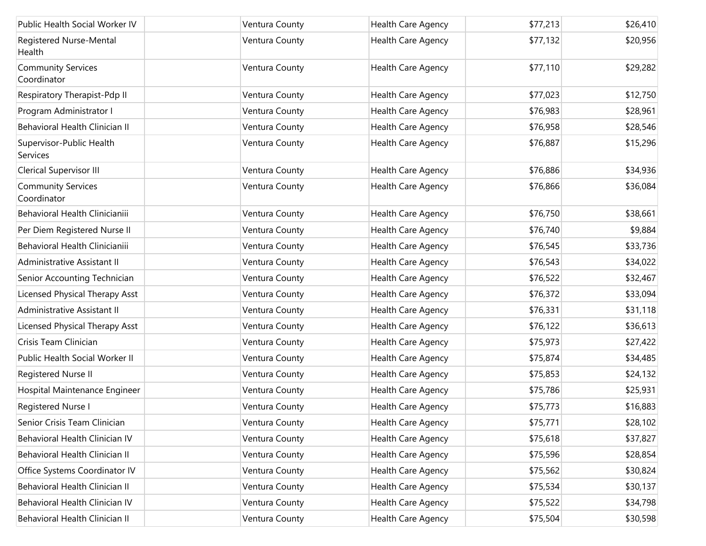| Public Health Social Worker IV              | Ventura County | Health Care Agency        | \$77,213 | \$26,410 |
|---------------------------------------------|----------------|---------------------------|----------|----------|
| Registered Nurse-Mental<br>Health           | Ventura County | Health Care Agency        | \$77,132 | \$20,956 |
| <b>Community Services</b><br>Coordinator    | Ventura County | Health Care Agency        | \$77,110 | \$29,282 |
| Respiratory Therapist-Pdp II                | Ventura County | <b>Health Care Agency</b> | \$77,023 | \$12,750 |
| Program Administrator I                     | Ventura County | Health Care Agency        | \$76,983 | \$28,961 |
| Behavioral Health Clinician II              | Ventura County | Health Care Agency        | \$76,958 | \$28,546 |
| Supervisor-Public Health<br><b>Services</b> | Ventura County | Health Care Agency        | \$76,887 | \$15,296 |
| <b>Clerical Supervisor III</b>              | Ventura County | Health Care Agency        | \$76,886 | \$34,936 |
| <b>Community Services</b><br>Coordinator    | Ventura County | Health Care Agency        | \$76,866 | \$36,084 |
| Behavioral Health Clinicianiii              | Ventura County | Health Care Agency        | \$76,750 | \$38,661 |
| Per Diem Registered Nurse II                | Ventura County | Health Care Agency        | \$76,740 | \$9,884  |
| Behavioral Health Clinicianiii              | Ventura County | Health Care Agency        | \$76,545 | \$33,736 |
| Administrative Assistant II                 | Ventura County | Health Care Agency        | \$76,543 | \$34,022 |
| Senior Accounting Technician                | Ventura County | Health Care Agency        | \$76,522 | \$32,467 |
| Licensed Physical Therapy Asst              | Ventura County | Health Care Agency        | \$76,372 | \$33,094 |
| Administrative Assistant II                 | Ventura County | Health Care Agency        | \$76,331 | \$31,118 |
| Licensed Physical Therapy Asst              | Ventura County | Health Care Agency        | \$76,122 | \$36,613 |
| Crisis Team Clinician                       | Ventura County | Health Care Agency        | \$75,973 | \$27,422 |
| Public Health Social Worker II              | Ventura County | Health Care Agency        | \$75,874 | \$34,485 |
| Registered Nurse II                         | Ventura County | Health Care Agency        | \$75,853 | \$24,132 |
| Hospital Maintenance Engineer               | Ventura County | Health Care Agency        | \$75,786 | \$25,931 |
| Registered Nurse I                          | Ventura County | Health Care Agency        | \$75,773 | \$16,883 |
| Senior Crisis Team Clinician                | Ventura County | Health Care Agency        | \$75,771 | \$28,102 |
| Behavioral Health Clinician IV              | Ventura County | Health Care Agency        | \$75,618 | \$37,827 |
| Behavioral Health Clinician II              | Ventura County | Health Care Agency        | \$75,596 | \$28,854 |
| Office Systems Coordinator IV               | Ventura County | Health Care Agency        | \$75,562 | \$30,824 |
| Behavioral Health Clinician II              | Ventura County | Health Care Agency        | \$75,534 | \$30,137 |
| Behavioral Health Clinician IV              | Ventura County | Health Care Agency        | \$75,522 | \$34,798 |
| Behavioral Health Clinician II              | Ventura County | Health Care Agency        | \$75,504 | \$30,598 |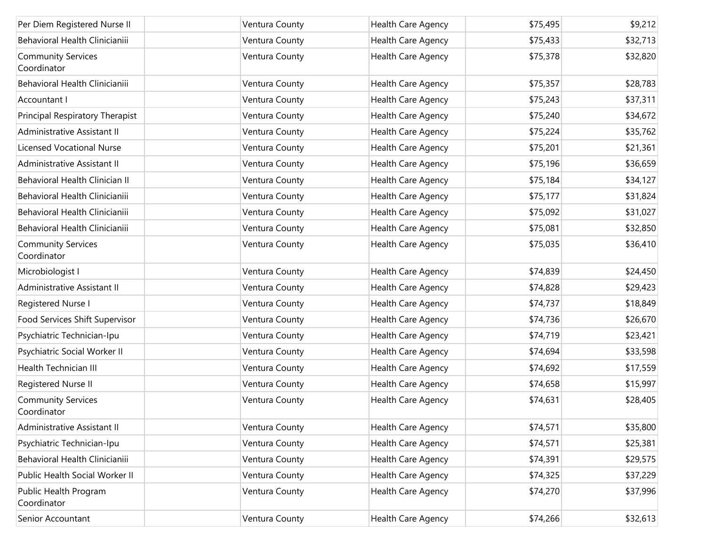| Per Diem Registered Nurse II             | Ventura County | Health Care Agency | \$75,495 | \$9,212  |
|------------------------------------------|----------------|--------------------|----------|----------|
| Behavioral Health Clinicianiii           | Ventura County | Health Care Agency | \$75,433 | \$32,713 |
| <b>Community Services</b><br>Coordinator | Ventura County | Health Care Agency | \$75,378 | \$32,820 |
| Behavioral Health Clinicianiii           | Ventura County | Health Care Agency | \$75,357 | \$28,783 |
| Accountant I                             | Ventura County | Health Care Agency | \$75,243 | \$37,311 |
| Principal Respiratory Therapist          | Ventura County | Health Care Agency | \$75,240 | \$34,672 |
| Administrative Assistant II              | Ventura County | Health Care Agency | \$75,224 | \$35,762 |
| <b>Licensed Vocational Nurse</b>         | Ventura County | Health Care Agency | \$75,201 | \$21,361 |
| Administrative Assistant II              | Ventura County | Health Care Agency | \$75,196 | \$36,659 |
| Behavioral Health Clinician II           | Ventura County | Health Care Agency | \$75,184 | \$34,127 |
| Behavioral Health Clinicianiii           | Ventura County | Health Care Agency | \$75,177 | \$31,824 |
| Behavioral Health Clinicianiii           | Ventura County | Health Care Agency | \$75,092 | \$31,027 |
| Behavioral Health Clinicianiii           | Ventura County | Health Care Agency | \$75,081 | \$32,850 |
| <b>Community Services</b><br>Coordinator | Ventura County | Health Care Agency | \$75,035 | \$36,410 |
| Microbiologist I                         | Ventura County | Health Care Agency | \$74,839 | \$24,450 |
| Administrative Assistant II              | Ventura County | Health Care Agency | \$74,828 | \$29,423 |
| Registered Nurse I                       | Ventura County | Health Care Agency | \$74,737 | \$18,849 |
| Food Services Shift Supervisor           | Ventura County | Health Care Agency | \$74,736 | \$26,670 |
| Psychiatric Technician-Ipu               | Ventura County | Health Care Agency | \$74,719 | \$23,421 |
| Psychiatric Social Worker II             | Ventura County | Health Care Agency | \$74,694 | \$33,598 |
| <b>Health Technician III</b>             | Ventura County | Health Care Agency | \$74,692 | \$17,559 |
| Registered Nurse II                      | Ventura County | Health Care Agency | \$74,658 | \$15,997 |
| <b>Community Services</b><br>Coordinator | Ventura County | Health Care Agency | \$74,631 | \$28,405 |
| Administrative Assistant II              | Ventura County | Health Care Agency | \$74,571 | \$35,800 |
| Psychiatric Technician-Ipu               | Ventura County | Health Care Agency | \$74,571 | \$25,381 |
| Behavioral Health Clinicianiii           | Ventura County | Health Care Agency | \$74,391 | \$29,575 |
| Public Health Social Worker II           | Ventura County | Health Care Agency | \$74,325 | \$37,229 |
| Public Health Program<br>Coordinator     | Ventura County | Health Care Agency | \$74,270 | \$37,996 |
| Senior Accountant                        | Ventura County | Health Care Agency | \$74,266 | \$32,613 |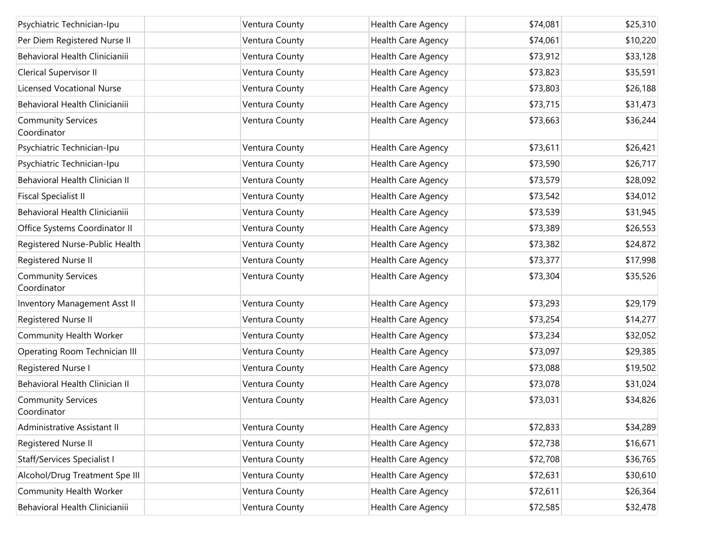| Psychiatric Technician-Ipu               | Ventura County | Health Care Agency | \$74,081 | \$25,310 |
|------------------------------------------|----------------|--------------------|----------|----------|
| Per Diem Registered Nurse II             | Ventura County | Health Care Agency | \$74,061 | \$10,220 |
| Behavioral Health Clinicianiii           | Ventura County | Health Care Agency | \$73,912 | \$33,128 |
| Clerical Supervisor II                   | Ventura County | Health Care Agency | \$73,823 | \$35,591 |
| <b>Licensed Vocational Nurse</b>         | Ventura County | Health Care Agency | \$73,803 | \$26,188 |
| Behavioral Health Clinicianiii           | Ventura County | Health Care Agency | \$73,715 | \$31,473 |
| <b>Community Services</b><br>Coordinator | Ventura County | Health Care Agency | \$73,663 | \$36,244 |
| Psychiatric Technician-Ipu               | Ventura County | Health Care Agency | \$73,611 | \$26,421 |
| Psychiatric Technician-Ipu               | Ventura County | Health Care Agency | \$73,590 | \$26,717 |
| Behavioral Health Clinician II           | Ventura County | Health Care Agency | \$73,579 | \$28,092 |
| <b>Fiscal Specialist II</b>              | Ventura County | Health Care Agency | \$73,542 | \$34,012 |
| Behavioral Health Clinicianiii           | Ventura County | Health Care Agency | \$73,539 | \$31,945 |
| Office Systems Coordinator II            | Ventura County | Health Care Agency | \$73,389 | \$26,553 |
| Registered Nurse-Public Health           | Ventura County | Health Care Agency | \$73,382 | \$24,872 |
| Registered Nurse II                      | Ventura County | Health Care Agency | \$73,377 | \$17,998 |
| <b>Community Services</b><br>Coordinator | Ventura County | Health Care Agency | \$73,304 | \$35,526 |
| Inventory Management Asst II             | Ventura County | Health Care Agency | \$73,293 | \$29,179 |
| Registered Nurse II                      | Ventura County | Health Care Agency | \$73,254 | \$14,277 |
| Community Health Worker                  | Ventura County | Health Care Agency | \$73,234 | \$32,052 |
| Operating Room Technician III            | Ventura County | Health Care Agency | \$73,097 | \$29,385 |
| Registered Nurse I                       | Ventura County | Health Care Agency | \$73,088 | \$19,502 |
| Behavioral Health Clinician II           | Ventura County | Health Care Agency | \$73,078 | \$31,024 |
| <b>Community Services</b><br>Coordinator | Ventura County | Health Care Agency | \$73,031 | \$34,826 |
| Administrative Assistant II              | Ventura County | Health Care Agency | \$72,833 | \$34,289 |
| Registered Nurse II                      | Ventura County | Health Care Agency | \$72,738 | \$16,671 |
| <b>Staff/Services Specialist I</b>       | Ventura County | Health Care Agency | \$72,708 | \$36,765 |
| Alcohol/Drug Treatment Spe III           | Ventura County | Health Care Agency | \$72,631 | \$30,610 |
| Community Health Worker                  | Ventura County | Health Care Agency | \$72,611 | \$26,364 |
| Behavioral Health Clinicianiii           | Ventura County | Health Care Agency | \$72,585 | \$32,478 |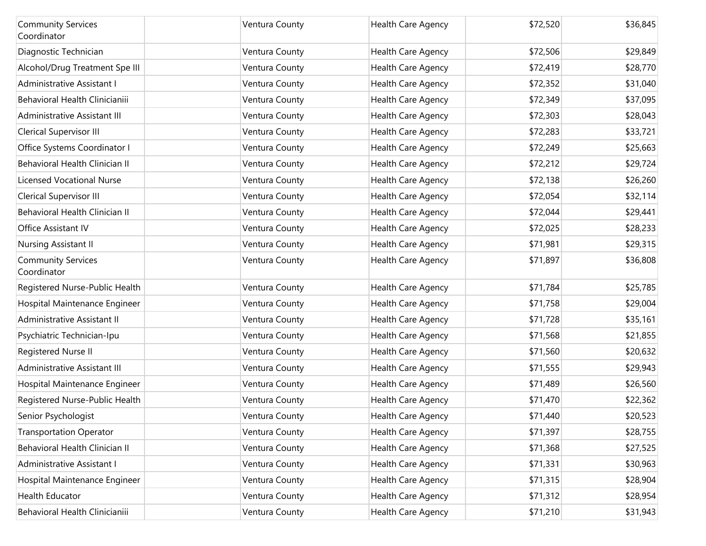| <b>Community Services</b><br>Coordinator | Ventura County | Health Care Agency        | \$72,520 | \$36,845 |
|------------------------------------------|----------------|---------------------------|----------|----------|
| Diagnostic Technician                    | Ventura County | Health Care Agency        | \$72,506 | \$29,849 |
| Alcohol/Drug Treatment Spe III           | Ventura County | Health Care Agency        | \$72,419 | \$28,770 |
| Administrative Assistant I               | Ventura County | Health Care Agency        | \$72,352 | \$31,040 |
| Behavioral Health Clinicianiii           | Ventura County | Health Care Agency        | \$72,349 | \$37,095 |
| Administrative Assistant III             | Ventura County | Health Care Agency        | \$72,303 | \$28,043 |
| Clerical Supervisor III                  | Ventura County | Health Care Agency        | \$72,283 | \$33,721 |
| Office Systems Coordinator I             | Ventura County | Health Care Agency        | \$72,249 | \$25,663 |
| Behavioral Health Clinician II           | Ventura County | Health Care Agency        | \$72,212 | \$29,724 |
| <b>Licensed Vocational Nurse</b>         | Ventura County | Health Care Agency        | \$72,138 | \$26,260 |
| Clerical Supervisor III                  | Ventura County | Health Care Agency        | \$72,054 | \$32,114 |
| Behavioral Health Clinician II           | Ventura County | Health Care Agency        | \$72,044 | \$29,441 |
| Office Assistant IV                      | Ventura County | Health Care Agency        | \$72,025 | \$28,233 |
| Nursing Assistant II                     | Ventura County | Health Care Agency        | \$71,981 | \$29,315 |
| <b>Community Services</b><br>Coordinator | Ventura County | Health Care Agency        | \$71,897 | \$36,808 |
| Registered Nurse-Public Health           | Ventura County | Health Care Agency        | \$71,784 | \$25,785 |
| Hospital Maintenance Engineer            | Ventura County | Health Care Agency        | \$71,758 | \$29,004 |
| Administrative Assistant II              | Ventura County | Health Care Agency        | \$71,728 | \$35,161 |
| Psychiatric Technician-Ipu               | Ventura County | Health Care Agency        | \$71,568 | \$21,855 |
| Registered Nurse II                      | Ventura County | Health Care Agency        | \$71,560 | \$20,632 |
| Administrative Assistant III             | Ventura County | Health Care Agency        | \$71,555 | \$29,943 |
| Hospital Maintenance Engineer            | Ventura County | Health Care Agency        | \$71,489 | \$26,560 |
| Registered Nurse-Public Health           | Ventura County | Health Care Agency        | \$71,470 | \$22,362 |
| Senior Psychologist                      | Ventura County | Health Care Agency        | \$71,440 | \$20,523 |
| <b>Transportation Operator</b>           | Ventura County | <b>Health Care Agency</b> | \$71,397 | \$28,755 |
| Behavioral Health Clinician II           | Ventura County | Health Care Agency        | \$71,368 | \$27,525 |
| Administrative Assistant I               | Ventura County | Health Care Agency        | \$71,331 | \$30,963 |
| Hospital Maintenance Engineer            | Ventura County | Health Care Agency        | \$71,315 | \$28,904 |
| Health Educator                          | Ventura County | Health Care Agency        | \$71,312 | \$28,954 |
| Behavioral Health Clinicianiii           | Ventura County | Health Care Agency        | \$71,210 | \$31,943 |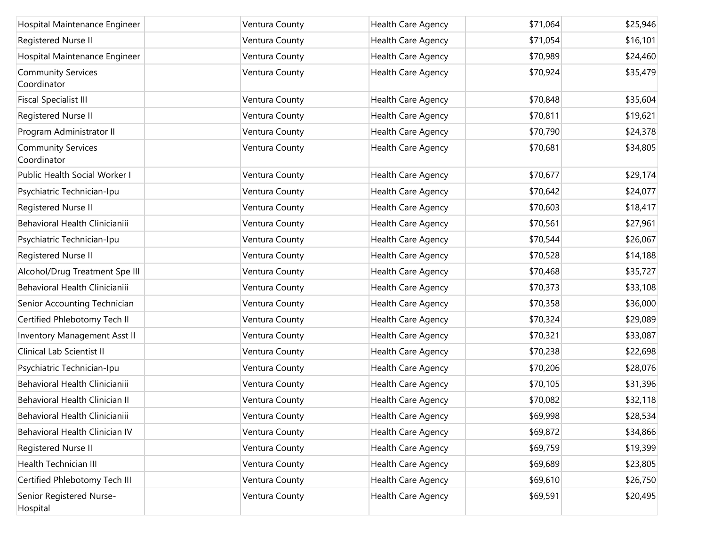| Hospital Maintenance Engineer            | Ventura County | Health Care Agency | \$71,064 | \$25,946 |
|------------------------------------------|----------------|--------------------|----------|----------|
| Registered Nurse II                      | Ventura County | Health Care Agency | \$71,054 | \$16,101 |
| Hospital Maintenance Engineer            | Ventura County | Health Care Agency | \$70,989 | \$24,460 |
| <b>Community Services</b><br>Coordinator | Ventura County | Health Care Agency | \$70,924 | \$35,479 |
| <b>Fiscal Specialist III</b>             | Ventura County | Health Care Agency | \$70,848 | \$35,604 |
| Registered Nurse II                      | Ventura County | Health Care Agency | \$70,811 | \$19,621 |
| Program Administrator II                 | Ventura County | Health Care Agency | \$70,790 | \$24,378 |
| <b>Community Services</b><br>Coordinator | Ventura County | Health Care Agency | \$70,681 | \$34,805 |
| Public Health Social Worker I            | Ventura County | Health Care Agency | \$70,677 | \$29,174 |
| Psychiatric Technician-Ipu               | Ventura County | Health Care Agency | \$70,642 | \$24,077 |
| Registered Nurse II                      | Ventura County | Health Care Agency | \$70,603 | \$18,417 |
| Behavioral Health Clinicianiii           | Ventura County | Health Care Agency | \$70,561 | \$27,961 |
| Psychiatric Technician-Ipu               | Ventura County | Health Care Agency | \$70,544 | \$26,067 |
| Registered Nurse II                      | Ventura County | Health Care Agency | \$70,528 | \$14,188 |
| Alcohol/Drug Treatment Spe III           | Ventura County | Health Care Agency | \$70,468 | \$35,727 |
| Behavioral Health Clinicianiii           | Ventura County | Health Care Agency | \$70,373 | \$33,108 |
| Senior Accounting Technician             | Ventura County | Health Care Agency | \$70,358 | \$36,000 |
| Certified Phlebotomy Tech II             | Ventura County | Health Care Agency | \$70,324 | \$29,089 |
| Inventory Management Asst II             | Ventura County | Health Care Agency | \$70,321 | \$33,087 |
| Clinical Lab Scientist II                | Ventura County | Health Care Agency | \$70,238 | \$22,698 |
| Psychiatric Technician-Ipu               | Ventura County | Health Care Agency | \$70,206 | \$28,076 |
| Behavioral Health Clinicianiii           | Ventura County | Health Care Agency | \$70,105 | \$31,396 |
| Behavioral Health Clinician II           | Ventura County | Health Care Agency | \$70,082 | \$32,118 |
| Behavioral Health Clinicianiii           | Ventura County | Health Care Agency | \$69,998 | \$28,534 |
| Behavioral Health Clinician IV           | Ventura County | Health Care Agency | \$69,872 | \$34,866 |
| Registered Nurse II                      | Ventura County | Health Care Agency | \$69,759 | \$19,399 |
| Health Technician III                    | Ventura County | Health Care Agency | \$69,689 | \$23,805 |
| Certified Phlebotomy Tech III            | Ventura County | Health Care Agency | \$69,610 | \$26,750 |
| Senior Registered Nurse-<br>Hospital     | Ventura County | Health Care Agency | \$69,591 | \$20,495 |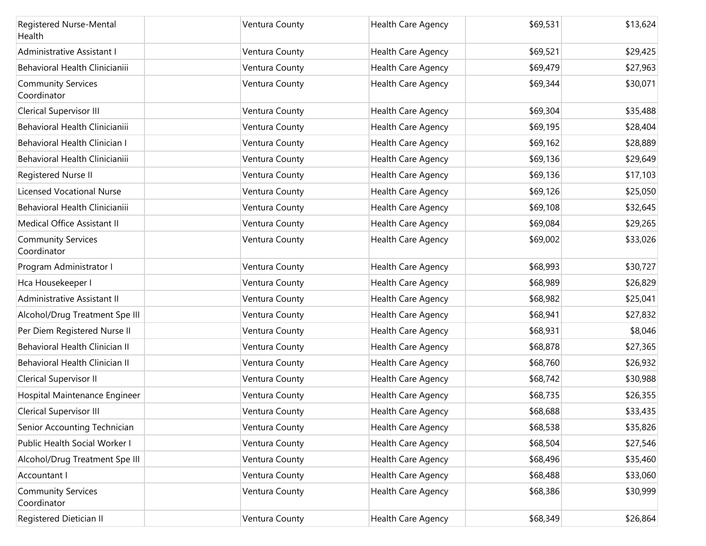| Registered Nurse-Mental<br>Health        | Ventura County | Health Care Agency        | \$69,531 | \$13,624 |
|------------------------------------------|----------------|---------------------------|----------|----------|
| Administrative Assistant I               | Ventura County | Health Care Agency        | \$69,521 | \$29,425 |
| Behavioral Health Clinicianiii           | Ventura County | Health Care Agency        | \$69,479 | \$27,963 |
| <b>Community Services</b><br>Coordinator | Ventura County | Health Care Agency        | \$69,344 | \$30,071 |
| Clerical Supervisor III                  | Ventura County | Health Care Agency        | \$69,304 | \$35,488 |
| Behavioral Health Clinicianiii           | Ventura County | Health Care Agency        | \$69,195 | \$28,404 |
| Behavioral Health Clinician I            | Ventura County | Health Care Agency        | \$69,162 | \$28,889 |
| Behavioral Health Clinicianiii           | Ventura County | Health Care Agency        | \$69,136 | \$29,649 |
| Registered Nurse II                      | Ventura County | Health Care Agency        | \$69,136 | \$17,103 |
| <b>Licensed Vocational Nurse</b>         | Ventura County | Health Care Agency        | \$69,126 | \$25,050 |
| Behavioral Health Clinicianiii           | Ventura County | Health Care Agency        | \$69,108 | \$32,645 |
| Medical Office Assistant II              | Ventura County | Health Care Agency        | \$69,084 | \$29,265 |
| <b>Community Services</b><br>Coordinator | Ventura County | Health Care Agency        | \$69,002 | \$33,026 |
| Program Administrator I                  | Ventura County | <b>Health Care Agency</b> | \$68,993 | \$30,727 |
| Hca Housekeeper I                        | Ventura County | Health Care Agency        | \$68,989 | \$26,829 |
| Administrative Assistant II              | Ventura County | Health Care Agency        | \$68,982 | \$25,041 |
| Alcohol/Drug Treatment Spe III           | Ventura County | Health Care Agency        | \$68,941 | \$27,832 |
| Per Diem Registered Nurse II             | Ventura County | <b>Health Care Agency</b> | \$68,931 | \$8,046  |
| Behavioral Health Clinician II           | Ventura County | Health Care Agency        | \$68,878 | \$27,365 |
| Behavioral Health Clinician II           | Ventura County | Health Care Agency        | \$68,760 | \$26,932 |
| Clerical Supervisor II                   | Ventura County | Health Care Agency        | \$68,742 | \$30,988 |
| Hospital Maintenance Engineer            | Ventura County | Health Care Agency        | \$68,735 | \$26,355 |
| <b>Clerical Supervisor III</b>           | Ventura County | <b>Health Care Agency</b> | \$68,688 | \$33,435 |
| Senior Accounting Technician             | Ventura County | <b>Health Care Agency</b> | \$68,538 | \$35,826 |
| Public Health Social Worker I            | Ventura County | Health Care Agency        | \$68,504 | \$27,546 |
| Alcohol/Drug Treatment Spe III           | Ventura County | Health Care Agency        | \$68,496 | \$35,460 |
| Accountant I                             | Ventura County | Health Care Agency        | \$68,488 | \$33,060 |
| <b>Community Services</b><br>Coordinator | Ventura County | Health Care Agency        | \$68,386 | \$30,999 |
| Registered Dietician II                  | Ventura County | Health Care Agency        | \$68,349 | \$26,864 |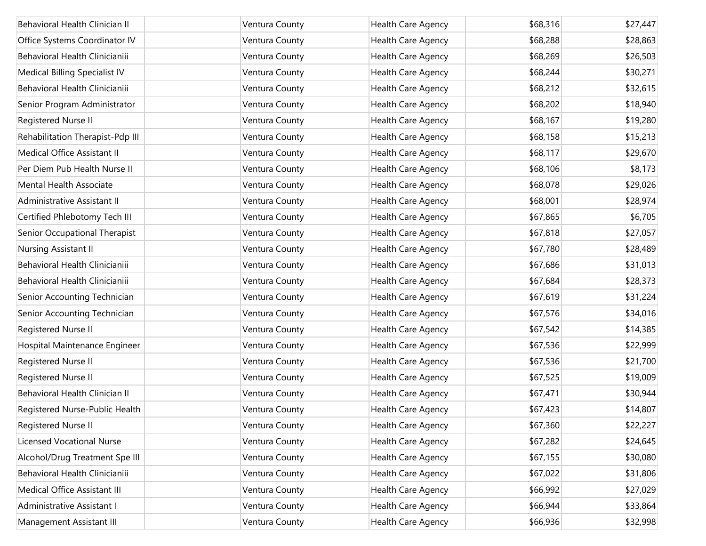| Behavioral Health Clinician II   | Ventura County | Health Care Agency | \$68,316 | \$27,447 |
|----------------------------------|----------------|--------------------|----------|----------|
| Office Systems Coordinator IV    | Ventura County | Health Care Agency | \$68,288 | \$28,863 |
| Behavioral Health Clinicianiii   | Ventura County | Health Care Agency | \$68,269 | \$26,503 |
| Medical Billing Specialist IV    | Ventura County | Health Care Agency | \$68,244 | \$30,271 |
| Behavioral Health Clinicianiii   | Ventura County | Health Care Agency | \$68,212 | \$32,615 |
| Senior Program Administrator     | Ventura County | Health Care Agency | \$68,202 | \$18,940 |
| Registered Nurse II              | Ventura County | Health Care Agency | \$68,167 | \$19,280 |
| Rehabilitation Therapist-Pdp III | Ventura County | Health Care Agency | \$68,158 | \$15,213 |
| Medical Office Assistant II      | Ventura County | Health Care Agency | \$68,117 | \$29,670 |
| Per Diem Pub Health Nurse II     | Ventura County | Health Care Agency | \$68,106 | \$8,173  |
| <b>Mental Health Associate</b>   | Ventura County | Health Care Agency | \$68,078 | \$29,026 |
| Administrative Assistant II      | Ventura County | Health Care Agency | \$68,001 | \$28,974 |
| Certified Phlebotomy Tech III    | Ventura County | Health Care Agency | \$67,865 | \$6,705  |
| Senior Occupational Therapist    | Ventura County | Health Care Agency | \$67,818 | \$27,057 |
| Nursing Assistant II             | Ventura County | Health Care Agency | \$67,780 | \$28,489 |
| Behavioral Health Clinicianiii   | Ventura County | Health Care Agency | \$67,686 | \$31,013 |
| Behavioral Health Clinicianiii   | Ventura County | Health Care Agency | \$67,684 | \$28,373 |
| Senior Accounting Technician     | Ventura County | Health Care Agency | \$67,619 | \$31,224 |
| Senior Accounting Technician     | Ventura County | Health Care Agency | \$67,576 | \$34,016 |
| Registered Nurse II              | Ventura County | Health Care Agency | \$67,542 | \$14,385 |
| Hospital Maintenance Engineer    | Ventura County | Health Care Agency | \$67,536 | \$22,999 |
| Registered Nurse II              | Ventura County | Health Care Agency | \$67,536 | \$21,700 |
| Registered Nurse II              | Ventura County | Health Care Agency | \$67,525 | \$19,009 |
| Behavioral Health Clinician II   | Ventura County | Health Care Agency | \$67,471 | \$30,944 |
| Registered Nurse-Public Health   | Ventura County | Health Care Agency | \$67,423 | \$14,807 |
| Registered Nurse II              | Ventura County | Health Care Agency | \$67,360 | \$22,227 |
| <b>Licensed Vocational Nurse</b> | Ventura County | Health Care Agency | \$67,282 | \$24,645 |
| Alcohol/Drug Treatment Spe III   | Ventura County | Health Care Agency | \$67,155 | \$30,080 |
| Behavioral Health Clinicianiii   | Ventura County | Health Care Agency | \$67,022 | \$31,806 |
| Medical Office Assistant III     | Ventura County | Health Care Agency | \$66,992 | \$27,029 |
| Administrative Assistant I       | Ventura County | Health Care Agency | \$66,944 | \$33,864 |
| Management Assistant III         | Ventura County | Health Care Agency | \$66,936 | \$32,998 |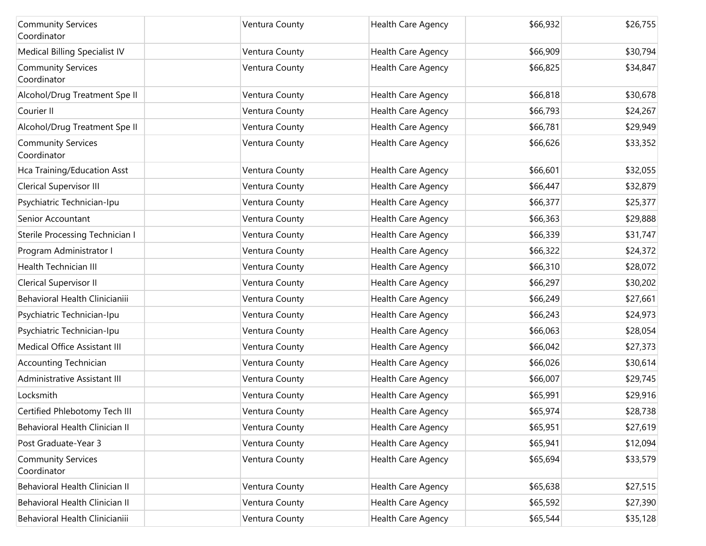| <b>Community Services</b><br>Coordinator | Ventura County | Health Care Agency        | \$66,932 | \$26,755 |
|------------------------------------------|----------------|---------------------------|----------|----------|
| Medical Billing Specialist IV            | Ventura County | <b>Health Care Agency</b> | \$66,909 | \$30,794 |
| <b>Community Services</b><br>Coordinator | Ventura County | Health Care Agency        | \$66,825 | \$34,847 |
| Alcohol/Drug Treatment Spe II            | Ventura County | <b>Health Care Agency</b> | \$66,818 | \$30,678 |
| Courier II                               | Ventura County | Health Care Agency        | \$66,793 | \$24,267 |
| Alcohol/Drug Treatment Spe II            | Ventura County | Health Care Agency        | \$66,781 | \$29,949 |
| <b>Community Services</b><br>Coordinator | Ventura County | Health Care Agency        | \$66,626 | \$33,352 |
| Hca Training/Education Asst              | Ventura County | Health Care Agency        | \$66,601 | \$32,055 |
| Clerical Supervisor III                  | Ventura County | Health Care Agency        | \$66,447 | \$32,879 |
| Psychiatric Technician-Ipu               | Ventura County | Health Care Agency        | \$66,377 | \$25,377 |
| Senior Accountant                        | Ventura County | Health Care Agency        | \$66,363 | \$29,888 |
| Sterile Processing Technician I          | Ventura County | Health Care Agency        | \$66,339 | \$31,747 |
| Program Administrator I                  | Ventura County | Health Care Agency        | \$66,322 | \$24,372 |
| <b>Health Technician III</b>             | Ventura County | Health Care Agency        | \$66,310 | \$28,072 |
| Clerical Supervisor II                   | Ventura County | Health Care Agency        | \$66,297 | \$30,202 |
| Behavioral Health Clinicianiii           | Ventura County | Health Care Agency        | \$66,249 | \$27,661 |
| Psychiatric Technician-Ipu               | Ventura County | Health Care Agency        | \$66,243 | \$24,973 |
| Psychiatric Technician-Ipu               | Ventura County | Health Care Agency        | \$66,063 | \$28,054 |
| Medical Office Assistant III             | Ventura County | Health Care Agency        | \$66,042 | \$27,373 |
| <b>Accounting Technician</b>             | Ventura County | Health Care Agency        | \$66,026 | \$30,614 |
| Administrative Assistant III             | Ventura County | Health Care Agency        | \$66,007 | \$29,745 |
| Locksmith                                | Ventura County | Health Care Agency        | \$65,991 | \$29,916 |
| Certified Phlebotomy Tech III            | Ventura County | <b>Health Care Agency</b> | \$65,974 | \$28,738 |
| Behavioral Health Clinician II           | Ventura County | <b>Health Care Agency</b> | \$65,951 | \$27,619 |
| Post Graduate-Year 3                     | Ventura County | Health Care Agency        | \$65,941 | \$12,094 |
| <b>Community Services</b><br>Coordinator | Ventura County | Health Care Agency        | \$65,694 | \$33,579 |
| Behavioral Health Clinician II           | Ventura County | Health Care Agency        | \$65,638 | \$27,515 |
| <b>Behavioral Health Clinician II</b>    | Ventura County | Health Care Agency        | \$65,592 | \$27,390 |
| Behavioral Health Clinicianiii           | Ventura County | Health Care Agency        | \$65,544 | \$35,128 |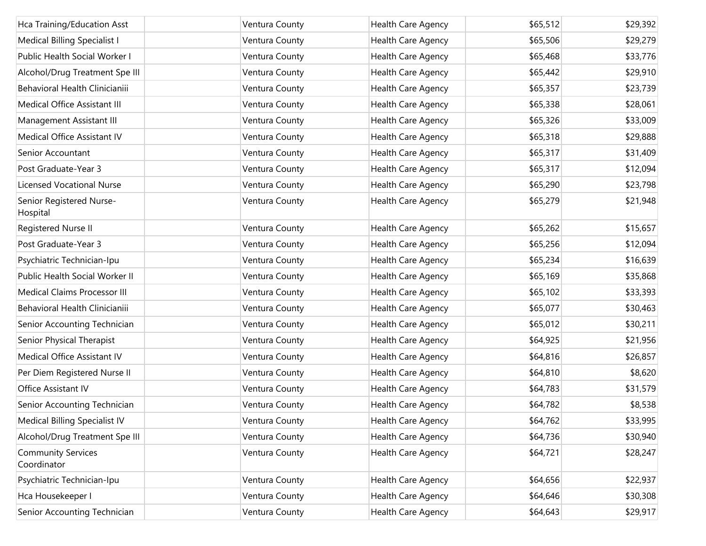| Hca Training/Education Asst              | Ventura County | Health Care Agency | \$65,512 | \$29,392 |
|------------------------------------------|----------------|--------------------|----------|----------|
| Medical Billing Specialist I             | Ventura County | Health Care Agency | \$65,506 | \$29,279 |
| Public Health Social Worker I            | Ventura County | Health Care Agency | \$65,468 | \$33,776 |
| Alcohol/Drug Treatment Spe III           | Ventura County | Health Care Agency | \$65,442 | \$29,910 |
| Behavioral Health Clinicianiii           | Ventura County | Health Care Agency | \$65,357 | \$23,739 |
| Medical Office Assistant III             | Ventura County | Health Care Agency | \$65,338 | \$28,061 |
| Management Assistant III                 | Ventura County | Health Care Agency | \$65,326 | \$33,009 |
| Medical Office Assistant IV              | Ventura County | Health Care Agency | \$65,318 | \$29,888 |
| Senior Accountant                        | Ventura County | Health Care Agency | \$65,317 | \$31,409 |
| Post Graduate-Year 3                     | Ventura County | Health Care Agency | \$65,317 | \$12,094 |
| <b>Licensed Vocational Nurse</b>         | Ventura County | Health Care Agency | \$65,290 | \$23,798 |
| Senior Registered Nurse-<br>Hospital     | Ventura County | Health Care Agency | \$65,279 | \$21,948 |
| Registered Nurse II                      | Ventura County | Health Care Agency | \$65,262 | \$15,657 |
| Post Graduate-Year 3                     | Ventura County | Health Care Agency | \$65,256 | \$12,094 |
| Psychiatric Technician-Ipu               | Ventura County | Health Care Agency | \$65,234 | \$16,639 |
| Public Health Social Worker II           | Ventura County | Health Care Agency | \$65,169 | \$35,868 |
| Medical Claims Processor III             | Ventura County | Health Care Agency | \$65,102 | \$33,393 |
| Behavioral Health Clinicianiii           | Ventura County | Health Care Agency | \$65,077 | \$30,463 |
| Senior Accounting Technician             | Ventura County | Health Care Agency | \$65,012 | \$30,211 |
| Senior Physical Therapist                | Ventura County | Health Care Agency | \$64,925 | \$21,956 |
| Medical Office Assistant IV              | Ventura County | Health Care Agency | \$64,816 | \$26,857 |
| Per Diem Registered Nurse II             | Ventura County | Health Care Agency | \$64,810 | \$8,620  |
| Office Assistant IV                      | Ventura County | Health Care Agency | \$64,783 | \$31,579 |
| Senior Accounting Technician             | Ventura County | Health Care Agency | \$64,782 | \$8,538  |
| Medical Billing Specialist IV            | Ventura County | Health Care Agency | \$64,762 | \$33,995 |
| Alcohol/Drug Treatment Spe III           | Ventura County | Health Care Agency | \$64,736 | \$30,940 |
| <b>Community Services</b><br>Coordinator | Ventura County | Health Care Agency | \$64,721 | \$28,247 |
| Psychiatric Technician-Ipu               | Ventura County | Health Care Agency | \$64,656 | \$22,937 |
| Hca Housekeeper I                        | Ventura County | Health Care Agency | \$64,646 | \$30,308 |
| Senior Accounting Technician             | Ventura County | Health Care Agency | \$64,643 | \$29,917 |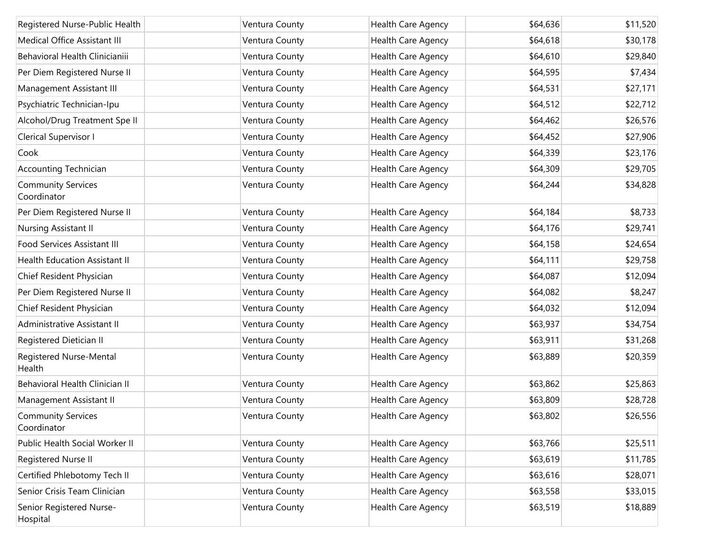| Registered Nurse-Public Health           | Ventura County | Health Care Agency        | \$64,636 | \$11,520 |
|------------------------------------------|----------------|---------------------------|----------|----------|
| Medical Office Assistant III             | Ventura County | Health Care Agency        | \$64,618 | \$30,178 |
| Behavioral Health Clinicianiii           | Ventura County | Health Care Agency        | \$64,610 | \$29,840 |
| Per Diem Registered Nurse II             | Ventura County | Health Care Agency        | \$64,595 | \$7,434  |
| Management Assistant III                 | Ventura County | Health Care Agency        | \$64,531 | \$27,171 |
| Psychiatric Technician-Ipu               | Ventura County | Health Care Agency        | \$64,512 | \$22,712 |
| Alcohol/Drug Treatment Spe II            | Ventura County | Health Care Agency        | \$64,462 | \$26,576 |
| Clerical Supervisor I                    | Ventura County | Health Care Agency        | \$64,452 | \$27,906 |
| Cook                                     | Ventura County | Health Care Agency        | \$64,339 | \$23,176 |
| <b>Accounting Technician</b>             | Ventura County | Health Care Agency        | \$64,309 | \$29,705 |
| <b>Community Services</b><br>Coordinator | Ventura County | Health Care Agency        | \$64,244 | \$34,828 |
| Per Diem Registered Nurse II             | Ventura County | Health Care Agency        | \$64,184 | \$8,733  |
| Nursing Assistant II                     | Ventura County | Health Care Agency        | \$64,176 | \$29,741 |
| <b>Food Services Assistant III</b>       | Ventura County | Health Care Agency        | \$64,158 | \$24,654 |
| <b>Health Education Assistant II</b>     | Ventura County | Health Care Agency        | \$64,111 | \$29,758 |
| Chief Resident Physician                 | Ventura County | Health Care Agency        | \$64,087 | \$12,094 |
| Per Diem Registered Nurse II             | Ventura County | Health Care Agency        | \$64,082 | \$8,247  |
| Chief Resident Physician                 | Ventura County | Health Care Agency        | \$64,032 | \$12,094 |
| Administrative Assistant II              | Ventura County | Health Care Agency        | \$63,937 | \$34,754 |
| Registered Dietician II                  | Ventura County | Health Care Agency        | \$63,911 | \$31,268 |
| Registered Nurse-Mental<br>Health        | Ventura County | Health Care Agency        | \$63,889 | \$20,359 |
| Behavioral Health Clinician II           | Ventura County | Health Care Agency        | \$63,862 | \$25,863 |
| Management Assistant II                  | Ventura County | Health Care Agency        | \$63,809 | \$28,728 |
| <b>Community Services</b><br>Coordinator | Ventura County | Health Care Agency        | \$63,802 | \$26,556 |
| Public Health Social Worker II           | Ventura County | Health Care Agency        | \$63,766 | \$25,511 |
| Registered Nurse II                      | Ventura County | Health Care Agency        | \$63,619 | \$11,785 |
| Certified Phlebotomy Tech II             | Ventura County | Health Care Agency        | \$63,616 | \$28,071 |
| Senior Crisis Team Clinician             | Ventura County | Health Care Agency        | \$63,558 | \$33,015 |
| Senior Registered Nurse-<br>Hospital     | Ventura County | <b>Health Care Agency</b> | \$63,519 | \$18,889 |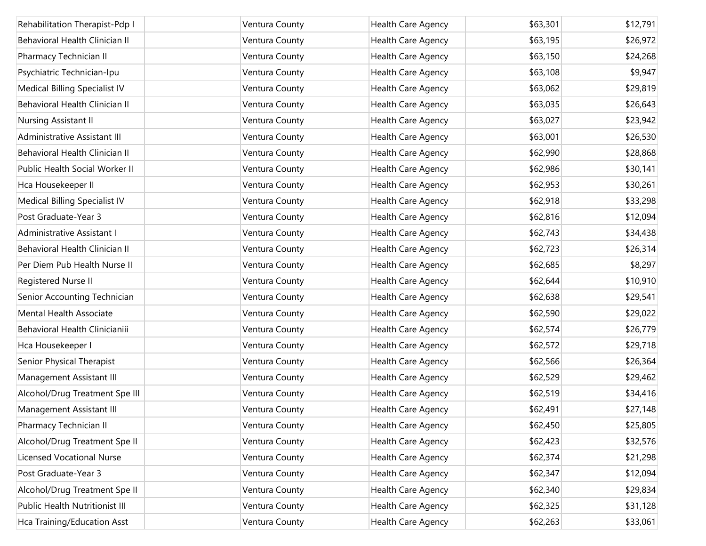| Rehabilitation Therapist-Pdp I   | Ventura County | Health Care Agency | \$63,301 | \$12,791 |
|----------------------------------|----------------|--------------------|----------|----------|
| Behavioral Health Clinician II   | Ventura County | Health Care Agency | \$63,195 | \$26,972 |
| Pharmacy Technician II           | Ventura County | Health Care Agency | \$63,150 | \$24,268 |
| Psychiatric Technician-Ipu       | Ventura County | Health Care Agency | \$63,108 | \$9,947  |
| Medical Billing Specialist IV    | Ventura County | Health Care Agency | \$63,062 | \$29,819 |
| Behavioral Health Clinician II   | Ventura County | Health Care Agency | \$63,035 | \$26,643 |
| Nursing Assistant II             | Ventura County | Health Care Agency | \$63,027 | \$23,942 |
| Administrative Assistant III     | Ventura County | Health Care Agency | \$63,001 | \$26,530 |
| Behavioral Health Clinician II   | Ventura County | Health Care Agency | \$62,990 | \$28,868 |
| Public Health Social Worker II   | Ventura County | Health Care Agency | \$62,986 | \$30,141 |
| Hca Housekeeper II               | Ventura County | Health Care Agency | \$62,953 | \$30,261 |
| Medical Billing Specialist IV    | Ventura County | Health Care Agency | \$62,918 | \$33,298 |
| Post Graduate-Year 3             | Ventura County | Health Care Agency | \$62,816 | \$12,094 |
| Administrative Assistant I       | Ventura County | Health Care Agency | \$62,743 | \$34,438 |
| Behavioral Health Clinician II   | Ventura County | Health Care Agency | \$62,723 | \$26,314 |
| Per Diem Pub Health Nurse II     | Ventura County | Health Care Agency | \$62,685 | \$8,297  |
| Registered Nurse II              | Ventura County | Health Care Agency | \$62,644 | \$10,910 |
| Senior Accounting Technician     | Ventura County | Health Care Agency | \$62,638 | \$29,541 |
| Mental Health Associate          | Ventura County | Health Care Agency | \$62,590 | \$29,022 |
| Behavioral Health Clinicianiii   | Ventura County | Health Care Agency | \$62,574 | \$26,779 |
| Hca Housekeeper I                | Ventura County | Health Care Agency | \$62,572 | \$29,718 |
| Senior Physical Therapist        | Ventura County | Health Care Agency | \$62,566 | \$26,364 |
| Management Assistant III         | Ventura County | Health Care Agency | \$62,529 | \$29,462 |
| Alcohol/Drug Treatment Spe III   | Ventura County | Health Care Agency | \$62,519 | \$34,416 |
| Management Assistant III         | Ventura County | Health Care Agency | \$62,491 | \$27,148 |
| Pharmacy Technician II           | Ventura County | Health Care Agency | \$62,450 | \$25,805 |
| Alcohol/Drug Treatment Spe II    | Ventura County | Health Care Agency | \$62,423 | \$32,576 |
| <b>Licensed Vocational Nurse</b> | Ventura County | Health Care Agency | \$62,374 | \$21,298 |
| Post Graduate-Year 3             | Ventura County | Health Care Agency | \$62,347 | \$12,094 |
| Alcohol/Drug Treatment Spe II    | Ventura County | Health Care Agency | \$62,340 | \$29,834 |
| Public Health Nutritionist III   | Ventura County | Health Care Agency | \$62,325 | \$31,128 |
| Hca Training/Education Asst      | Ventura County | Health Care Agency | \$62,263 | \$33,061 |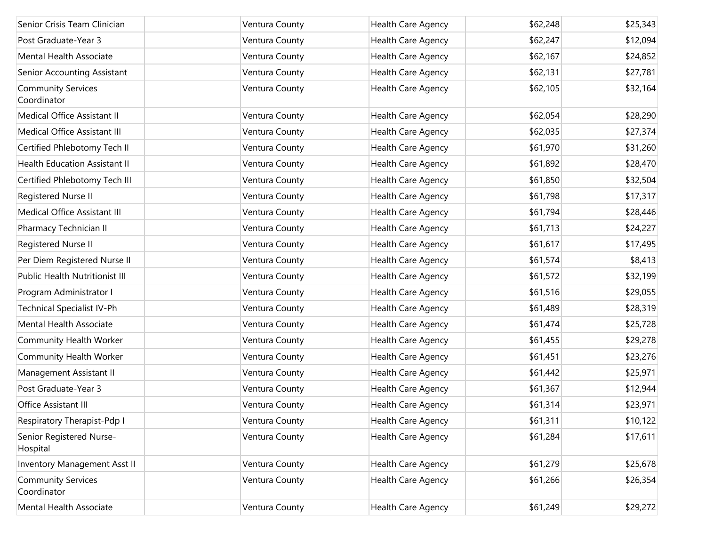| Senior Crisis Team Clinician             | Ventura County | Health Care Agency        | \$62,248 | \$25,343 |
|------------------------------------------|----------------|---------------------------|----------|----------|
| Post Graduate-Year 3                     | Ventura County | Health Care Agency        | \$62,247 | \$12,094 |
| Mental Health Associate                  | Ventura County | Health Care Agency        | \$62,167 | \$24,852 |
| Senior Accounting Assistant              | Ventura County | Health Care Agency        | \$62,131 | \$27,781 |
| <b>Community Services</b><br>Coordinator | Ventura County | Health Care Agency        | \$62,105 | \$32,164 |
| Medical Office Assistant II              | Ventura County | Health Care Agency        | \$62,054 | \$28,290 |
| Medical Office Assistant III             | Ventura County | <b>Health Care Agency</b> | \$62,035 | \$27,374 |
| Certified Phlebotomy Tech II             | Ventura County | Health Care Agency        | \$61,970 | \$31,260 |
| <b>Health Education Assistant II</b>     | Ventura County | Health Care Agency        | \$61,892 | \$28,470 |
| Certified Phlebotomy Tech III            | Ventura County | Health Care Agency        | \$61,850 | \$32,504 |
| Registered Nurse II                      | Ventura County | Health Care Agency        | \$61,798 | \$17,317 |
| Medical Office Assistant III             | Ventura County | Health Care Agency        | \$61,794 | \$28,446 |
| Pharmacy Technician II                   | Ventura County | Health Care Agency        | \$61,713 | \$24,227 |
| Registered Nurse II                      | Ventura County | Health Care Agency        | \$61,617 | \$17,495 |
| Per Diem Registered Nurse II             | Ventura County | <b>Health Care Agency</b> | \$61,574 | \$8,413  |
| Public Health Nutritionist III           | Ventura County | Health Care Agency        | \$61,572 | \$32,199 |
| Program Administrator I                  | Ventura County | Health Care Agency        | \$61,516 | \$29,055 |
| Technical Specialist IV-Ph               | Ventura County | Health Care Agency        | \$61,489 | \$28,319 |
| Mental Health Associate                  | Ventura County | Health Care Agency        | \$61,474 | \$25,728 |
| Community Health Worker                  | Ventura County | Health Care Agency        | \$61,455 | \$29,278 |
| Community Health Worker                  | Ventura County | Health Care Agency        | \$61,451 | \$23,276 |
| Management Assistant II                  | Ventura County | Health Care Agency        | \$61,442 | \$25,971 |
| Post Graduate-Year 3                     | Ventura County | Health Care Agency        | \$61,367 | \$12,944 |
| Office Assistant III                     | Ventura County | Health Care Agency        | \$61,314 | \$23,971 |
| Respiratory Therapist-Pdp I              | Ventura County | Health Care Agency        | \$61,311 | \$10,122 |
| Senior Registered Nurse-<br>Hospital     | Ventura County | Health Care Agency        | \$61,284 | \$17,611 |
| Inventory Management Asst II             | Ventura County | Health Care Agency        | \$61,279 | \$25,678 |
| <b>Community Services</b><br>Coordinator | Ventura County | Health Care Agency        | \$61,266 | \$26,354 |
| Mental Health Associate                  | Ventura County | Health Care Agency        | \$61,249 | \$29,272 |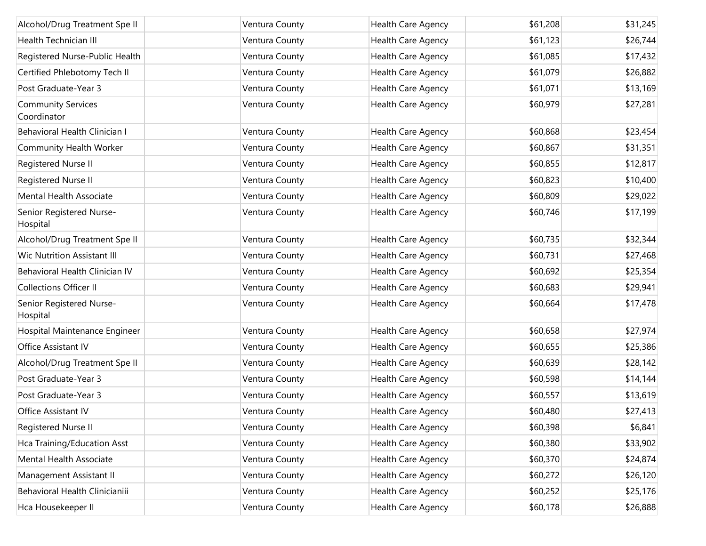| Alcohol/Drug Treatment Spe II            | Ventura County | Health Care Agency | \$61,208 | \$31,245 |
|------------------------------------------|----------------|--------------------|----------|----------|
| Health Technician III                    | Ventura County | Health Care Agency | \$61,123 | \$26,744 |
| Registered Nurse-Public Health           | Ventura County | Health Care Agency | \$61,085 | \$17,432 |
| Certified Phlebotomy Tech II             | Ventura County | Health Care Agency | \$61,079 | \$26,882 |
| Post Graduate-Year 3                     | Ventura County | Health Care Agency | \$61,071 | \$13,169 |
| <b>Community Services</b><br>Coordinator | Ventura County | Health Care Agency | \$60,979 | \$27,281 |
| Behavioral Health Clinician I            | Ventura County | Health Care Agency | \$60,868 | \$23,454 |
| Community Health Worker                  | Ventura County | Health Care Agency | \$60,867 | \$31,351 |
| Registered Nurse II                      | Ventura County | Health Care Agency | \$60,855 | \$12,817 |
| Registered Nurse II                      | Ventura County | Health Care Agency | \$60,823 | \$10,400 |
| Mental Health Associate                  | Ventura County | Health Care Agency | \$60,809 | \$29,022 |
| Senior Registered Nurse-<br>Hospital     | Ventura County | Health Care Agency | \$60,746 | \$17,199 |
| Alcohol/Drug Treatment Spe II            | Ventura County | Health Care Agency | \$60,735 | \$32,344 |
| <b>Wic Nutrition Assistant III</b>       | Ventura County | Health Care Agency | \$60,731 | \$27,468 |
| Behavioral Health Clinician IV           | Ventura County | Health Care Agency | \$60,692 | \$25,354 |
| <b>Collections Officer II</b>            | Ventura County | Health Care Agency | \$60,683 | \$29,941 |
| Senior Registered Nurse-<br>Hospital     | Ventura County | Health Care Agency | \$60,664 | \$17,478 |
| Hospital Maintenance Engineer            | Ventura County | Health Care Agency | \$60,658 | \$27,974 |
| Office Assistant IV                      | Ventura County | Health Care Agency | \$60,655 | \$25,386 |
| Alcohol/Drug Treatment Spe II            | Ventura County | Health Care Agency | \$60,639 | \$28,142 |
| Post Graduate-Year 3                     | Ventura County | Health Care Agency | \$60,598 | \$14,144 |
| Post Graduate-Year 3                     | Ventura County | Health Care Agency | \$60,557 | \$13,619 |
| Office Assistant IV                      | Ventura County | Health Care Agency | \$60,480 | \$27,413 |
| Registered Nurse II                      | Ventura County | Health Care Agency | \$60,398 | \$6,841  |
| Hca Training/Education Asst              | Ventura County | Health Care Agency | \$60,380 | \$33,902 |
| Mental Health Associate                  | Ventura County | Health Care Agency | \$60,370 | \$24,874 |
| Management Assistant II                  | Ventura County | Health Care Agency | \$60,272 | \$26,120 |
| Behavioral Health Clinicianiii           | Ventura County | Health Care Agency | \$60,252 | \$25,176 |
| Hca Housekeeper II                       | Ventura County | Health Care Agency | \$60,178 | \$26,888 |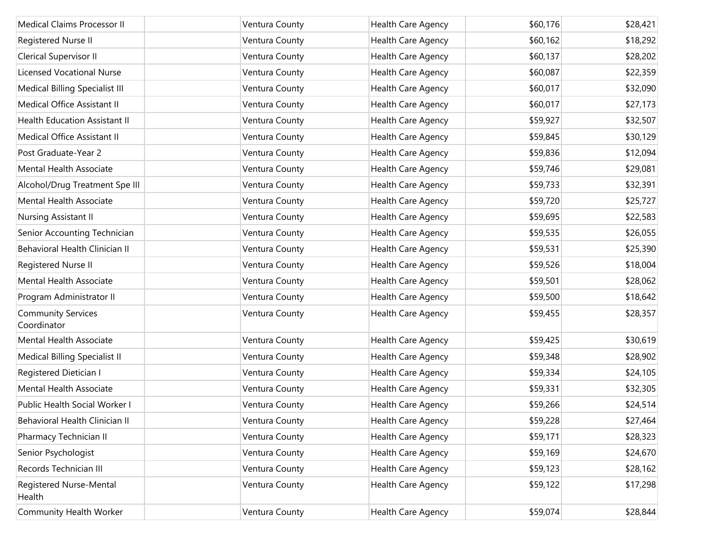| Medical Claims Processor II              | Ventura County | <b>Health Care Agency</b> | \$60,176 | \$28,421 |
|------------------------------------------|----------------|---------------------------|----------|----------|
| Registered Nurse II                      | Ventura County | Health Care Agency        | \$60,162 | \$18,292 |
| Clerical Supervisor II                   | Ventura County | Health Care Agency        | \$60,137 | \$28,202 |
| <b>Licensed Vocational Nurse</b>         | Ventura County | Health Care Agency        | \$60,087 | \$22,359 |
| Medical Billing Specialist III           | Ventura County | Health Care Agency        | \$60,017 | \$32,090 |
| Medical Office Assistant II              | Ventura County | Health Care Agency        | \$60,017 | \$27,173 |
| <b>Health Education Assistant II</b>     | Ventura County | <b>Health Care Agency</b> | \$59,927 | \$32,507 |
| Medical Office Assistant II              | Ventura County | Health Care Agency        | \$59,845 | \$30,129 |
| Post Graduate-Year 2                     | Ventura County | Health Care Agency        | \$59,836 | \$12,094 |
| Mental Health Associate                  | Ventura County | Health Care Agency        | \$59,746 | \$29,081 |
| Alcohol/Drug Treatment Spe III           | Ventura County | Health Care Agency        | \$59,733 | \$32,391 |
| Mental Health Associate                  | Ventura County | Health Care Agency        | \$59,720 | \$25,727 |
| Nursing Assistant II                     | Ventura County | <b>Health Care Agency</b> | \$59,695 | \$22,583 |
| Senior Accounting Technician             | Ventura County | Health Care Agency        | \$59,535 | \$26,055 |
| Behavioral Health Clinician II           | Ventura County | Health Care Agency        | \$59,531 | \$25,390 |
| Registered Nurse II                      | Ventura County | Health Care Agency        | \$59,526 | \$18,004 |
| Mental Health Associate                  | Ventura County | Health Care Agency        | \$59,501 | \$28,062 |
| Program Administrator II                 | Ventura County | Health Care Agency        | \$59,500 | \$18,642 |
| <b>Community Services</b><br>Coordinator | Ventura County | Health Care Agency        | \$59,455 | \$28,357 |
| <b>Mental Health Associate</b>           | Ventura County | Health Care Agency        | \$59,425 | \$30,619 |
| Medical Billing Specialist II            | Ventura County | Health Care Agency        | \$59,348 | \$28,902 |
| Registered Dietician I                   | Ventura County | Health Care Agency        | \$59,334 | \$24,105 |
| Mental Health Associate                  | Ventura County | Health Care Agency        | \$59,331 | \$32,305 |
| Public Health Social Worker I            | Ventura County | Health Care Agency        | \$59,266 | \$24,514 |
| <b>Behavioral Health Clinician II</b>    | Ventura County | Health Care Agency        | \$59,228 | \$27,464 |
| Pharmacy Technician II                   | Ventura County | Health Care Agency        | \$59,171 | \$28,323 |
| Senior Psychologist                      | Ventura County | Health Care Agency        | \$59,169 | \$24,670 |
| Records Technician III                   | Ventura County | Health Care Agency        | \$59,123 | \$28,162 |
| Registered Nurse-Mental<br>Health        | Ventura County | Health Care Agency        | \$59,122 | \$17,298 |
| Community Health Worker                  | Ventura County | Health Care Agency        | \$59,074 | \$28,844 |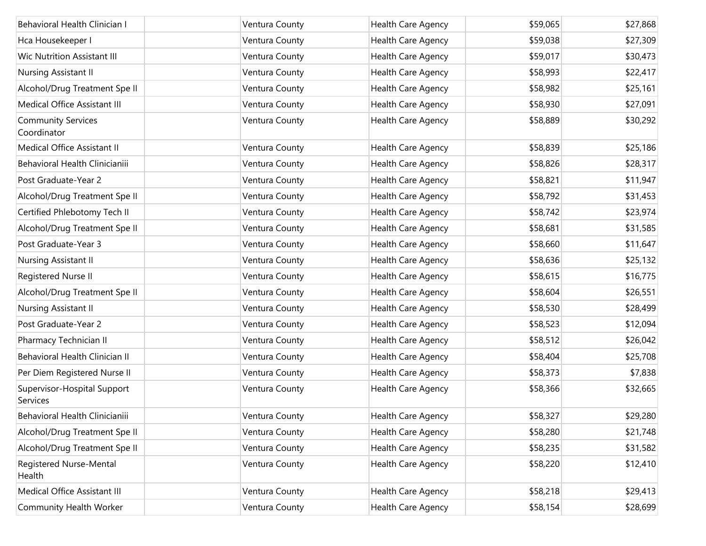| Behavioral Health Clinician I            | Ventura County | Health Care Agency | \$59,065 | \$27,868 |
|------------------------------------------|----------------|--------------------|----------|----------|
| Hca Housekeeper I                        | Ventura County | Health Care Agency | \$59,038 | \$27,309 |
| <b>Wic Nutrition Assistant III</b>       | Ventura County | Health Care Agency | \$59,017 | \$30,473 |
| Nursing Assistant II                     | Ventura County | Health Care Agency | \$58,993 | \$22,417 |
| Alcohol/Drug Treatment Spe II            | Ventura County | Health Care Agency | \$58,982 | \$25,161 |
| Medical Office Assistant III             | Ventura County | Health Care Agency | \$58,930 | \$27,091 |
| <b>Community Services</b><br>Coordinator | Ventura County | Health Care Agency | \$58,889 | \$30,292 |
| Medical Office Assistant II              | Ventura County | Health Care Agency | \$58,839 | \$25,186 |
| Behavioral Health Clinicianiii           | Ventura County | Health Care Agency | \$58,826 | \$28,317 |
| Post Graduate-Year 2                     | Ventura County | Health Care Agency | \$58,821 | \$11,947 |
| Alcohol/Drug Treatment Spe II            | Ventura County | Health Care Agency | \$58,792 | \$31,453 |
| Certified Phlebotomy Tech II             | Ventura County | Health Care Agency | \$58,742 | \$23,974 |
| Alcohol/Drug Treatment Spe II            | Ventura County | Health Care Agency | \$58,681 | \$31,585 |
| Post Graduate-Year 3                     | Ventura County | Health Care Agency | \$58,660 | \$11,647 |
| Nursing Assistant II                     | Ventura County | Health Care Agency | \$58,636 | \$25,132 |
| Registered Nurse II                      | Ventura County | Health Care Agency | \$58,615 | \$16,775 |
| Alcohol/Drug Treatment Spe II            | Ventura County | Health Care Agency | \$58,604 | \$26,551 |
| Nursing Assistant II                     | Ventura County | Health Care Agency | \$58,530 | \$28,499 |
| Post Graduate-Year 2                     | Ventura County | Health Care Agency | \$58,523 | \$12,094 |
| Pharmacy Technician II                   | Ventura County | Health Care Agency | \$58,512 | \$26,042 |
| Behavioral Health Clinician II           | Ventura County | Health Care Agency | \$58,404 | \$25,708 |
| Per Diem Registered Nurse II             | Ventura County | Health Care Agency | \$58,373 | \$7,838  |
| Supervisor-Hospital Support<br>Services  | Ventura County | Health Care Agency | \$58,366 | \$32,665 |
| Behavioral Health Clinicianiii           | Ventura County | Health Care Agency | \$58,327 | \$29,280 |
| Alcohol/Drug Treatment Spe II            | Ventura County | Health Care Agency | \$58,280 | \$21,748 |
| Alcohol/Drug Treatment Spe II            | Ventura County | Health Care Agency | \$58,235 | \$31,582 |
| Registered Nurse-Mental<br>Health        | Ventura County | Health Care Agency | \$58,220 | \$12,410 |
| Medical Office Assistant III             | Ventura County | Health Care Agency | \$58,218 | \$29,413 |
| Community Health Worker                  | Ventura County | Health Care Agency | \$58,154 | \$28,699 |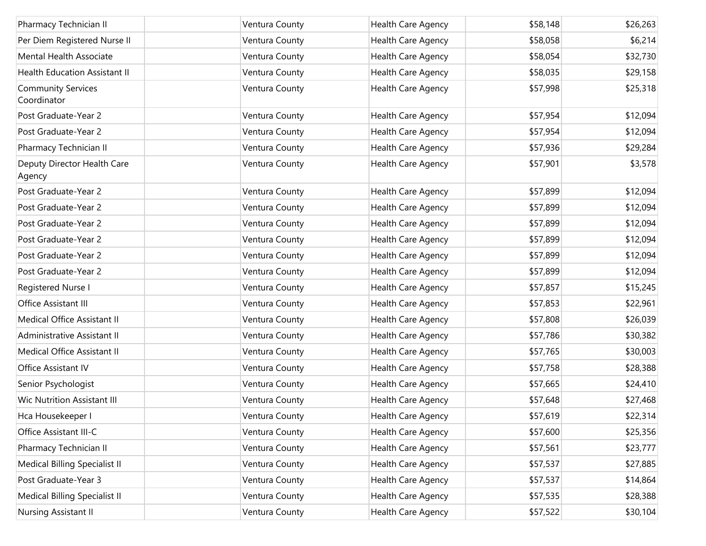| Pharmacy Technician II                   | Ventura County | Health Care Agency | \$58,148 | \$26,263 |
|------------------------------------------|----------------|--------------------|----------|----------|
| Per Diem Registered Nurse II             | Ventura County | Health Care Agency | \$58,058 | \$6,214  |
| Mental Health Associate                  | Ventura County | Health Care Agency | \$58,054 | \$32,730 |
| <b>Health Education Assistant II</b>     | Ventura County | Health Care Agency | \$58,035 | \$29,158 |
| <b>Community Services</b><br>Coordinator | Ventura County | Health Care Agency | \$57,998 | \$25,318 |
| Post Graduate-Year 2                     | Ventura County | Health Care Agency | \$57,954 | \$12,094 |
| Post Graduate-Year 2                     | Ventura County | Health Care Agency | \$57,954 | \$12,094 |
| Pharmacy Technician II                   | Ventura County | Health Care Agency | \$57,936 | \$29,284 |
| Deputy Director Health Care<br>Agency    | Ventura County | Health Care Agency | \$57,901 | \$3,578  |
| Post Graduate-Year 2                     | Ventura County | Health Care Agency | \$57,899 | \$12,094 |
| Post Graduate-Year 2                     | Ventura County | Health Care Agency | \$57,899 | \$12,094 |
| Post Graduate-Year 2                     | Ventura County | Health Care Agency | \$57,899 | \$12,094 |
| Post Graduate-Year 2                     | Ventura County | Health Care Agency | \$57,899 | \$12,094 |
| Post Graduate-Year 2                     | Ventura County | Health Care Agency | \$57,899 | \$12,094 |
| Post Graduate-Year 2                     | Ventura County | Health Care Agency | \$57,899 | \$12,094 |
| Registered Nurse I                       | Ventura County | Health Care Agency | \$57,857 | \$15,245 |
| Office Assistant III                     | Ventura County | Health Care Agency | \$57,853 | \$22,961 |
| Medical Office Assistant II              | Ventura County | Health Care Agency | \$57,808 | \$26,039 |
| Administrative Assistant II              | Ventura County | Health Care Agency | \$57,786 | \$30,382 |
| Medical Office Assistant II              | Ventura County | Health Care Agency | \$57,765 | \$30,003 |
| Office Assistant IV                      | Ventura County | Health Care Agency | \$57,758 | \$28,388 |
| Senior Psychologist                      | Ventura County | Health Care Agency | \$57,665 | \$24,410 |
| <b>Wic Nutrition Assistant III</b>       | Ventura County | Health Care Agency | \$57,648 | \$27,468 |
| Hca Housekeeper I                        | Ventura County | Health Care Agency | \$57,619 | \$22,314 |
| Office Assistant III-C                   | Ventura County | Health Care Agency | \$57,600 | \$25,356 |
| Pharmacy Technician II                   | Ventura County | Health Care Agency | \$57,561 | \$23,777 |
| Medical Billing Specialist II            | Ventura County | Health Care Agency | \$57,537 | \$27,885 |
| Post Graduate-Year 3                     | Ventura County | Health Care Agency | \$57,537 | \$14,864 |
| Medical Billing Specialist II            | Ventura County | Health Care Agency | \$57,535 | \$28,388 |
| Nursing Assistant II                     | Ventura County | Health Care Agency | \$57,522 | \$30,104 |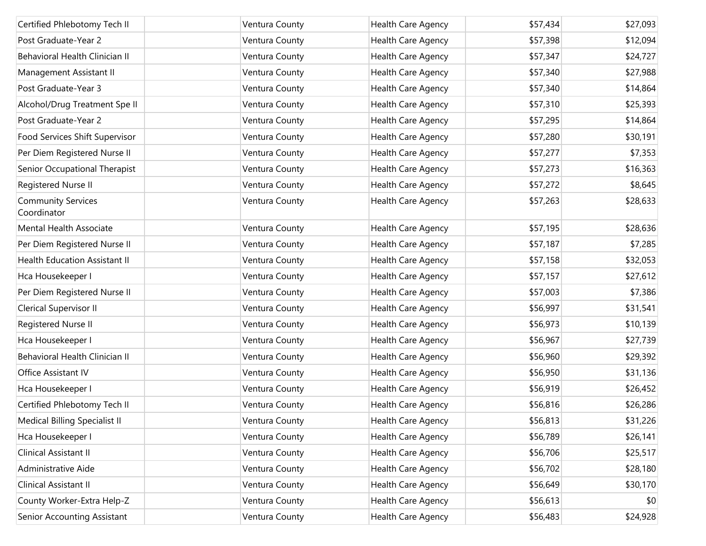| Certified Phlebotomy Tech II             | Ventura County | <b>Health Care Agency</b> | \$57,434 | \$27,093 |
|------------------------------------------|----------------|---------------------------|----------|----------|
| Post Graduate-Year 2                     | Ventura County | Health Care Agency        | \$57,398 | \$12,094 |
| Behavioral Health Clinician II           | Ventura County | Health Care Agency        | \$57,347 | \$24,727 |
| Management Assistant II                  | Ventura County | Health Care Agency        | \$57,340 | \$27,988 |
| Post Graduate-Year 3                     | Ventura County | Health Care Agency        | \$57,340 | \$14,864 |
| Alcohol/Drug Treatment Spe II            | Ventura County | Health Care Agency        | \$57,310 | \$25,393 |
| Post Graduate-Year 2                     | Ventura County | Health Care Agency        | \$57,295 | \$14,864 |
| Food Services Shift Supervisor           | Ventura County | Health Care Agency        | \$57,280 | \$30,191 |
| Per Diem Registered Nurse II             | Ventura County | Health Care Agency        | \$57,277 | \$7,353  |
| Senior Occupational Therapist            | Ventura County | Health Care Agency        | \$57,273 | \$16,363 |
| Registered Nurse II                      | Ventura County | Health Care Agency        | \$57,272 | \$8,645  |
| <b>Community Services</b><br>Coordinator | Ventura County | Health Care Agency        | \$57,263 | \$28,633 |
| Mental Health Associate                  | Ventura County | Health Care Agency        | \$57,195 | \$28,636 |
| Per Diem Registered Nurse II             | Ventura County | Health Care Agency        | \$57,187 | \$7,285  |
| <b>Health Education Assistant II</b>     | Ventura County | Health Care Agency        | \$57,158 | \$32,053 |
| Hca Housekeeper I                        | Ventura County | Health Care Agency        | \$57,157 | \$27,612 |
| Per Diem Registered Nurse II             | Ventura County | Health Care Agency        | \$57,003 | \$7,386  |
| Clerical Supervisor II                   | Ventura County | Health Care Agency        | \$56,997 | \$31,541 |
| Registered Nurse II                      | Ventura County | Health Care Agency        | \$56,973 | \$10,139 |
| Hca Housekeeper I                        | Ventura County | Health Care Agency        | \$56,967 | \$27,739 |
| Behavioral Health Clinician II           | Ventura County | Health Care Agency        | \$56,960 | \$29,392 |
| Office Assistant IV                      | Ventura County | Health Care Agency        | \$56,950 | \$31,136 |
| Hca Housekeeper I                        | Ventura County | Health Care Agency        | \$56,919 | \$26,452 |
| Certified Phlebotomy Tech II             | Ventura County | Health Care Agency        | \$56,816 | \$26,286 |
| Medical Billing Specialist II            | Ventura County | Health Care Agency        | \$56,813 | \$31,226 |
| Hca Housekeeper I                        | Ventura County | Health Care Agency        | \$56,789 | \$26,141 |
| Clinical Assistant II                    | Ventura County | Health Care Agency        | \$56,706 | \$25,517 |
| Administrative Aide                      | Ventura County | Health Care Agency        | \$56,702 | \$28,180 |
| Clinical Assistant II                    | Ventura County | Health Care Agency        | \$56,649 | \$30,170 |
| County Worker-Extra Help-Z               | Ventura County | Health Care Agency        | \$56,613 | \$0      |
| Senior Accounting Assistant              | Ventura County | Health Care Agency        | \$56,483 | \$24,928 |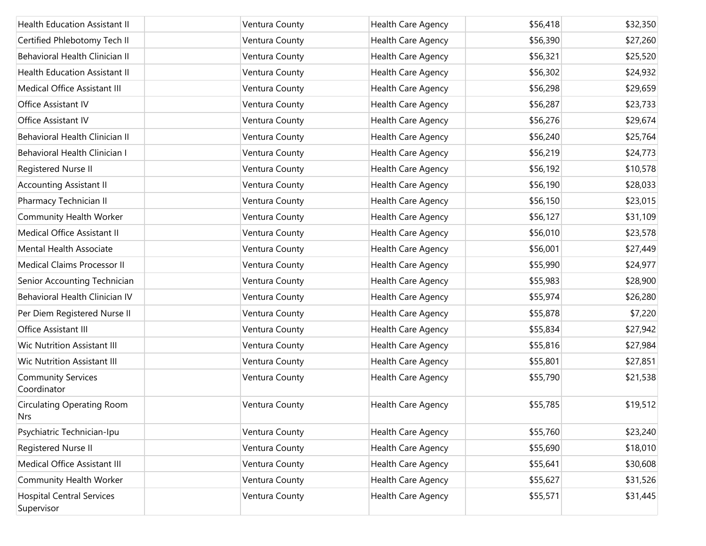| <b>Health Education Assistant II</b>           | Ventura County | Health Care Agency | \$56,418 | \$32,350 |
|------------------------------------------------|----------------|--------------------|----------|----------|
| Certified Phlebotomy Tech II                   | Ventura County | Health Care Agency | \$56,390 | \$27,260 |
| Behavioral Health Clinician II                 | Ventura County | Health Care Agency | \$56,321 | \$25,520 |
| <b>Health Education Assistant II</b>           | Ventura County | Health Care Agency | \$56,302 | \$24,932 |
| Medical Office Assistant III                   | Ventura County | Health Care Agency | \$56,298 | \$29,659 |
| Office Assistant IV                            | Ventura County | Health Care Agency | \$56,287 | \$23,733 |
| Office Assistant IV                            | Ventura County | Health Care Agency | \$56,276 | \$29,674 |
| Behavioral Health Clinician II                 | Ventura County | Health Care Agency | \$56,240 | \$25,764 |
| Behavioral Health Clinician I                  | Ventura County | Health Care Agency | \$56,219 | \$24,773 |
| Registered Nurse II                            | Ventura County | Health Care Agency | \$56,192 | \$10,578 |
| <b>Accounting Assistant II</b>                 | Ventura County | Health Care Agency | \$56,190 | \$28,033 |
| Pharmacy Technician II                         | Ventura County | Health Care Agency | \$56,150 | \$23,015 |
| Community Health Worker                        | Ventura County | Health Care Agency | \$56,127 | \$31,109 |
| Medical Office Assistant II                    | Ventura County | Health Care Agency | \$56,010 | \$23,578 |
| Mental Health Associate                        | Ventura County | Health Care Agency | \$56,001 | \$27,449 |
| Medical Claims Processor II                    | Ventura County | Health Care Agency | \$55,990 | \$24,977 |
| Senior Accounting Technician                   | Ventura County | Health Care Agency | \$55,983 | \$28,900 |
| Behavioral Health Clinician IV                 | Ventura County | Health Care Agency | \$55,974 | \$26,280 |
| Per Diem Registered Nurse II                   | Ventura County | Health Care Agency | \$55,878 | \$7,220  |
| Office Assistant III                           | Ventura County | Health Care Agency | \$55,834 | \$27,942 |
| <b>Wic Nutrition Assistant III</b>             | Ventura County | Health Care Agency | \$55,816 | \$27,984 |
| <b>Wic Nutrition Assistant III</b>             | Ventura County | Health Care Agency | \$55,801 | \$27,851 |
| <b>Community Services</b><br>Coordinator       | Ventura County | Health Care Agency | \$55,790 | \$21,538 |
| <b>Circulating Operating Room</b><br>Nrs       | Ventura County | Health Care Agency | \$55,785 | \$19,512 |
| Psychiatric Technician-Ipu                     | Ventura County | Health Care Agency | \$55,760 | \$23,240 |
| Registered Nurse II                            | Ventura County | Health Care Agency | \$55,690 | \$18,010 |
| Medical Office Assistant III                   | Ventura County | Health Care Agency | \$55,641 | \$30,608 |
| Community Health Worker                        | Ventura County | Health Care Agency | \$55,627 | \$31,526 |
| <b>Hospital Central Services</b><br>Supervisor | Ventura County | Health Care Agency | \$55,571 | \$31,445 |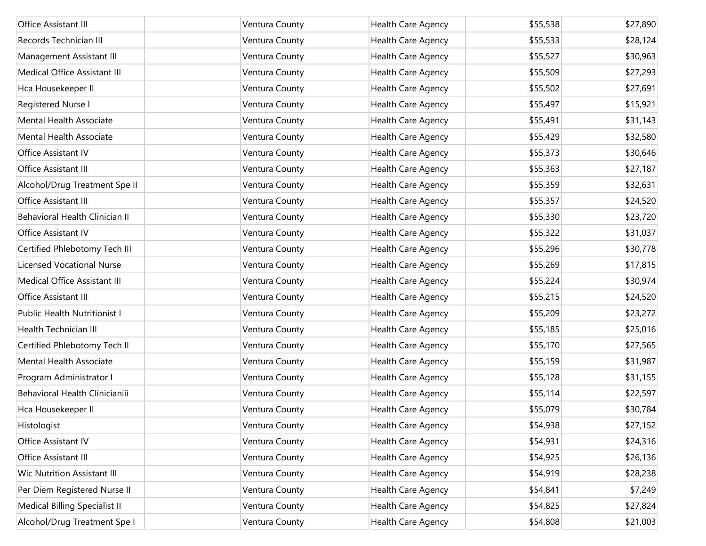| Office Assistant III               | Ventura County | Health Care Agency | \$55,538 | \$27,890 |
|------------------------------------|----------------|--------------------|----------|----------|
| Records Technician III             | Ventura County | Health Care Agency | \$55,533 | \$28,124 |
| Management Assistant III           | Ventura County | Health Care Agency | \$55,527 | \$30,963 |
| Medical Office Assistant III       | Ventura County | Health Care Agency | \$55,509 | \$27,293 |
| Hca Housekeeper II                 | Ventura County | Health Care Agency | \$55,502 | \$27,691 |
| Registered Nurse I                 | Ventura County | Health Care Agency | \$55,497 | \$15,921 |
| Mental Health Associate            | Ventura County | Health Care Agency | \$55,491 | \$31,143 |
| Mental Health Associate            | Ventura County | Health Care Agency | \$55,429 | \$32,580 |
| Office Assistant IV                | Ventura County | Health Care Agency | \$55,373 | \$30,646 |
| Office Assistant III               | Ventura County | Health Care Agency | \$55,363 | \$27,187 |
| Alcohol/Drug Treatment Spe II      | Ventura County | Health Care Agency | \$55,359 | \$32,631 |
| Office Assistant III               | Ventura County | Health Care Agency | \$55,357 | \$24,520 |
| Behavioral Health Clinician II     | Ventura County | Health Care Agency | \$55,330 | \$23,720 |
| Office Assistant IV                | Ventura County | Health Care Agency | \$55,322 | \$31,037 |
| Certified Phlebotomy Tech III      | Ventura County | Health Care Agency | \$55,296 | \$30,778 |
| <b>Licensed Vocational Nurse</b>   | Ventura County | Health Care Agency | \$55,269 | \$17,815 |
| Medical Office Assistant III       | Ventura County | Health Care Agency | \$55,224 | \$30,974 |
| Office Assistant III               | Ventura County | Health Care Agency | \$55,215 | \$24,520 |
| Public Health Nutritionist I       | Ventura County | Health Care Agency | \$55,209 | \$23,272 |
| Health Technician III              | Ventura County | Health Care Agency | \$55,185 | \$25,016 |
| Certified Phlebotomy Tech II       | Ventura County | Health Care Agency | \$55,170 | \$27,565 |
| Mental Health Associate            | Ventura County | Health Care Agency | \$55,159 | \$31,987 |
| Program Administrator I            | Ventura County | Health Care Agency | \$55,128 | \$31,155 |
| Behavioral Health Clinicianiii     | Ventura County | Health Care Agency | \$55,114 | \$22,597 |
| Hca Housekeeper II                 | Ventura County | Health Care Agency | \$55,079 | \$30,784 |
| Histologist                        | Ventura County | Health Care Agency | \$54,938 | \$27,152 |
| Office Assistant IV                | Ventura County | Health Care Agency | \$54,931 | \$24,316 |
| Office Assistant III               | Ventura County | Health Care Agency | \$54,925 | \$26,136 |
| <b>Wic Nutrition Assistant III</b> | Ventura County | Health Care Agency | \$54,919 | \$28,238 |
| Per Diem Registered Nurse II       | Ventura County | Health Care Agency | \$54,841 | \$7,249  |
| Medical Billing Specialist II      | Ventura County | Health Care Agency | \$54,825 | \$27,824 |
| Alcohol/Drug Treatment Spe I       | Ventura County | Health Care Agency | \$54,808 | \$21,003 |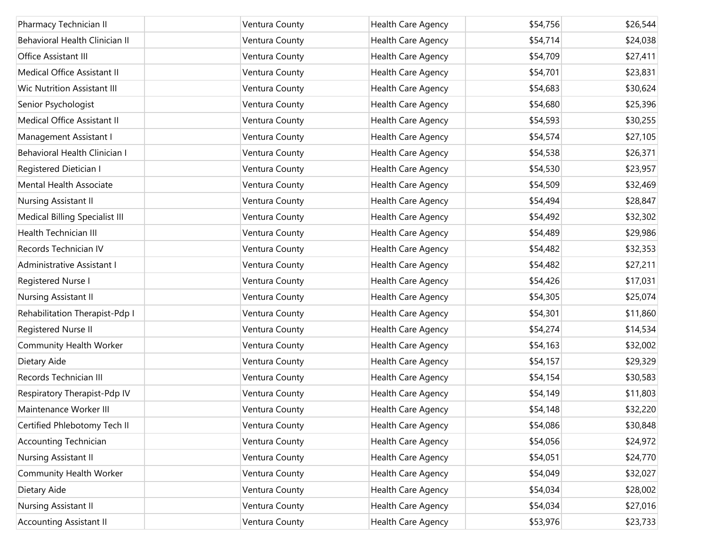| Pharmacy Technician II             | Ventura County | Health Care Agency | \$54,756 | \$26,544 |
|------------------------------------|----------------|--------------------|----------|----------|
| Behavioral Health Clinician II     | Ventura County | Health Care Agency | \$54,714 | \$24,038 |
| Office Assistant III               | Ventura County | Health Care Agency | \$54,709 | \$27,411 |
| Medical Office Assistant II        | Ventura County | Health Care Agency | \$54,701 | \$23,831 |
| <b>Wic Nutrition Assistant III</b> | Ventura County | Health Care Agency | \$54,683 | \$30,624 |
| Senior Psychologist                | Ventura County | Health Care Agency | \$54,680 | \$25,396 |
| Medical Office Assistant II        | Ventura County | Health Care Agency | \$54,593 | \$30,255 |
| Management Assistant I             | Ventura County | Health Care Agency | \$54,574 | \$27,105 |
| Behavioral Health Clinician I      | Ventura County | Health Care Agency | \$54,538 | \$26,371 |
| Registered Dietician I             | Ventura County | Health Care Agency | \$54,530 | \$23,957 |
| Mental Health Associate            | Ventura County | Health Care Agency | \$54,509 | \$32,469 |
| Nursing Assistant II               | Ventura County | Health Care Agency | \$54,494 | \$28,847 |
| Medical Billing Specialist III     | Ventura County | Health Care Agency | \$54,492 | \$32,302 |
| Health Technician III              | Ventura County | Health Care Agency | \$54,489 | \$29,986 |
| Records Technician IV              | Ventura County | Health Care Agency | \$54,482 | \$32,353 |
| Administrative Assistant I         | Ventura County | Health Care Agency | \$54,482 | \$27,211 |
| Registered Nurse I                 | Ventura County | Health Care Agency | \$54,426 | \$17,031 |
| Nursing Assistant II               | Ventura County | Health Care Agency | \$54,305 | \$25,074 |
| Rehabilitation Therapist-Pdp I     | Ventura County | Health Care Agency | \$54,301 | \$11,860 |
| Registered Nurse II                | Ventura County | Health Care Agency | \$54,274 | \$14,534 |
| Community Health Worker            | Ventura County | Health Care Agency | \$54,163 | \$32,002 |
| Dietary Aide                       | Ventura County | Health Care Agency | \$54,157 | \$29,329 |
| Records Technician III             | Ventura County | Health Care Agency | \$54,154 | \$30,583 |
| Respiratory Therapist-Pdp IV       | Ventura County | Health Care Agency | \$54,149 | \$11,803 |
| Maintenance Worker III             | Ventura County | Health Care Agency | \$54,148 | \$32,220 |
| Certified Phlebotomy Tech II       | Ventura County | Health Care Agency | \$54,086 | \$30,848 |
| <b>Accounting Technician</b>       | Ventura County | Health Care Agency | \$54,056 | \$24,972 |
| Nursing Assistant II               | Ventura County | Health Care Agency | \$54,051 | \$24,770 |
| Community Health Worker            | Ventura County | Health Care Agency | \$54,049 | \$32,027 |
| Dietary Aide                       | Ventura County | Health Care Agency | \$54,034 | \$28,002 |
| Nursing Assistant II               | Ventura County | Health Care Agency | \$54,034 | \$27,016 |
| <b>Accounting Assistant II</b>     | Ventura County | Health Care Agency | \$53,976 | \$23,733 |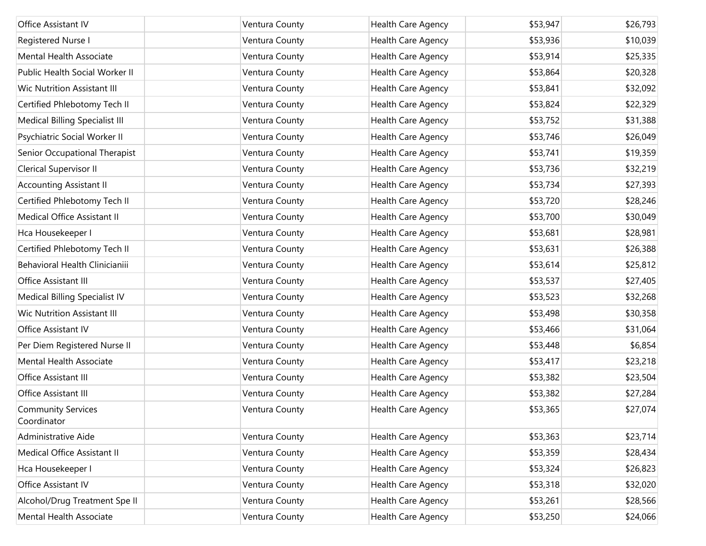| Office Assistant IV                      | Ventura County | Health Care Agency        | \$53,947 | \$26,793 |
|------------------------------------------|----------------|---------------------------|----------|----------|
| Registered Nurse I                       | Ventura County | Health Care Agency        | \$53,936 | \$10,039 |
| Mental Health Associate                  | Ventura County | Health Care Agency        | \$53,914 | \$25,335 |
| Public Health Social Worker II           | Ventura County | Health Care Agency        | \$53,864 | \$20,328 |
| <b>Wic Nutrition Assistant III</b>       | Ventura County | Health Care Agency        | \$53,841 | \$32,092 |
| Certified Phlebotomy Tech II             | Ventura County | Health Care Agency        | \$53,824 | \$22,329 |
| Medical Billing Specialist III           | Ventura County | Health Care Agency        | \$53,752 | \$31,388 |
| Psychiatric Social Worker II             | Ventura County | Health Care Agency        | \$53,746 | \$26,049 |
| Senior Occupational Therapist            | Ventura County | Health Care Agency        | \$53,741 | \$19,359 |
| Clerical Supervisor II                   | Ventura County | Health Care Agency        | \$53,736 | \$32,219 |
| <b>Accounting Assistant II</b>           | Ventura County | Health Care Agency        | \$53,734 | \$27,393 |
| Certified Phlebotomy Tech II             | Ventura County | Health Care Agency        | \$53,720 | \$28,246 |
| Medical Office Assistant II              | Ventura County | Health Care Agency        | \$53,700 | \$30,049 |
| Hca Housekeeper I                        | Ventura County | Health Care Agency        | \$53,681 | \$28,981 |
| Certified Phlebotomy Tech II             | Ventura County | Health Care Agency        | \$53,631 | \$26,388 |
| Behavioral Health Clinicianiii           | Ventura County | Health Care Agency        | \$53,614 | \$25,812 |
| Office Assistant III                     | Ventura County | Health Care Agency        | \$53,537 | \$27,405 |
| Medical Billing Specialist IV            | Ventura County | Health Care Agency        | \$53,523 | \$32,268 |
| <b>Wic Nutrition Assistant III</b>       | Ventura County | Health Care Agency        | \$53,498 | \$30,358 |
| Office Assistant IV                      | Ventura County | Health Care Agency        | \$53,466 | \$31,064 |
| Per Diem Registered Nurse II             | Ventura County | Health Care Agency        | \$53,448 | \$6,854  |
| Mental Health Associate                  | Ventura County | Health Care Agency        | \$53,417 | \$23,218 |
| Office Assistant III                     | Ventura County | Health Care Agency        | \$53,382 | \$23,504 |
| Office Assistant III                     | Ventura County | Health Care Agency        | \$53,382 | \$27,284 |
| <b>Community Services</b><br>Coordinator | Ventura County | Health Care Agency        | \$53,365 | \$27,074 |
| Administrative Aide                      | Ventura County | Health Care Agency        | \$53,363 | \$23,714 |
| Medical Office Assistant II              | Ventura County | Health Care Agency        | \$53,359 | \$28,434 |
| Hca Housekeeper I                        | Ventura County | <b>Health Care Agency</b> | \$53,324 | \$26,823 |
| Office Assistant IV                      | Ventura County | Health Care Agency        | \$53,318 | \$32,020 |
| Alcohol/Drug Treatment Spe II            | Ventura County | Health Care Agency        | \$53,261 | \$28,566 |
| Mental Health Associate                  | Ventura County | Health Care Agency        | \$53,250 | \$24,066 |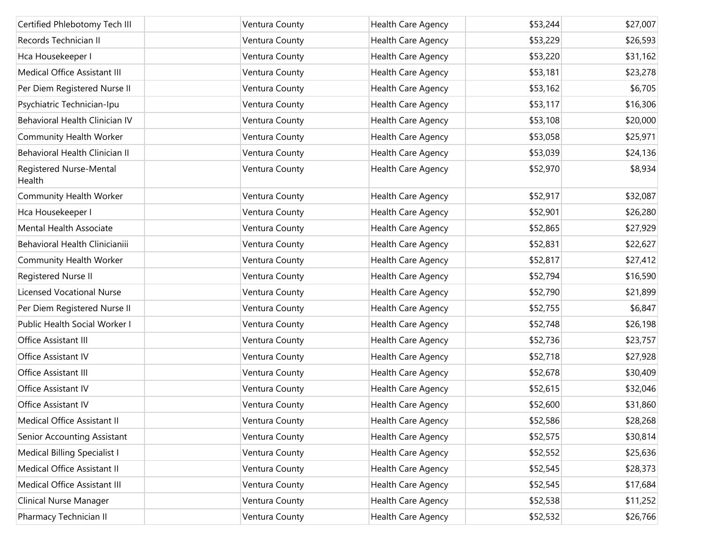| Certified Phlebotomy Tech III         | Ventura County | Health Care Agency        | \$53,244 | \$27,007 |
|---------------------------------------|----------------|---------------------------|----------|----------|
| Records Technician II                 | Ventura County | Health Care Agency        | \$53,229 | \$26,593 |
| Hca Housekeeper I                     | Ventura County | Health Care Agency        | \$53,220 | \$31,162 |
| Medical Office Assistant III          | Ventura County | Health Care Agency        | \$53,181 | \$23,278 |
| Per Diem Registered Nurse II          | Ventura County | Health Care Agency        | \$53,162 | \$6,705  |
| Psychiatric Technician-Ipu            | Ventura County | Health Care Agency        | \$53,117 | \$16,306 |
| Behavioral Health Clinician IV        | Ventura County | <b>Health Care Agency</b> | \$53,108 | \$20,000 |
| Community Health Worker               | Ventura County | Health Care Agency        | \$53,058 | \$25,971 |
| <b>Behavioral Health Clinician II</b> | Ventura County | Health Care Agency        | \$53,039 | \$24,136 |
| Registered Nurse-Mental<br>Health     | Ventura County | Health Care Agency        | \$52,970 | \$8,934  |
| Community Health Worker               | Ventura County | Health Care Agency        | \$52,917 | \$32,087 |
| Hca Housekeeper I                     | Ventura County | Health Care Agency        | \$52,901 | \$26,280 |
| Mental Health Associate               | Ventura County | Health Care Agency        | \$52,865 | \$27,929 |
| Behavioral Health Clinicianiii        | Ventura County | Health Care Agency        | \$52,831 | \$22,627 |
| Community Health Worker               | Ventura County | Health Care Agency        | \$52,817 | \$27,412 |
| Registered Nurse II                   | Ventura County | Health Care Agency        | \$52,794 | \$16,590 |
| <b>Licensed Vocational Nurse</b>      | Ventura County | Health Care Agency        | \$52,790 | \$21,899 |
| Per Diem Registered Nurse II          | Ventura County | Health Care Agency        | \$52,755 | \$6,847  |
| Public Health Social Worker I         | Ventura County | Health Care Agency        | \$52,748 | \$26,198 |
| Office Assistant III                  | Ventura County | Health Care Agency        | \$52,736 | \$23,757 |
| Office Assistant IV                   | Ventura County | Health Care Agency        | \$52,718 | \$27,928 |
| Office Assistant III                  | Ventura County | Health Care Agency        | \$52,678 | \$30,409 |
| Office Assistant IV                   | Ventura County | Health Care Agency        | \$52,615 | \$32,046 |
| Office Assistant IV                   | Ventura County | Health Care Agency        | \$52,600 | \$31,860 |
| Medical Office Assistant II           | Ventura County | Health Care Agency        | \$52,586 | \$28,268 |
| Senior Accounting Assistant           | Ventura County | Health Care Agency        | \$52,575 | \$30,814 |
| Medical Billing Specialist I          | Ventura County | Health Care Agency        | \$52,552 | \$25,636 |
| Medical Office Assistant II           | Ventura County | Health Care Agency        | \$52,545 | \$28,373 |
| Medical Office Assistant III          | Ventura County | Health Care Agency        | \$52,545 | \$17,684 |
| Clinical Nurse Manager                | Ventura County | Health Care Agency        | \$52,538 | \$11,252 |
| Pharmacy Technician II                | Ventura County | Health Care Agency        | \$52,532 | \$26,766 |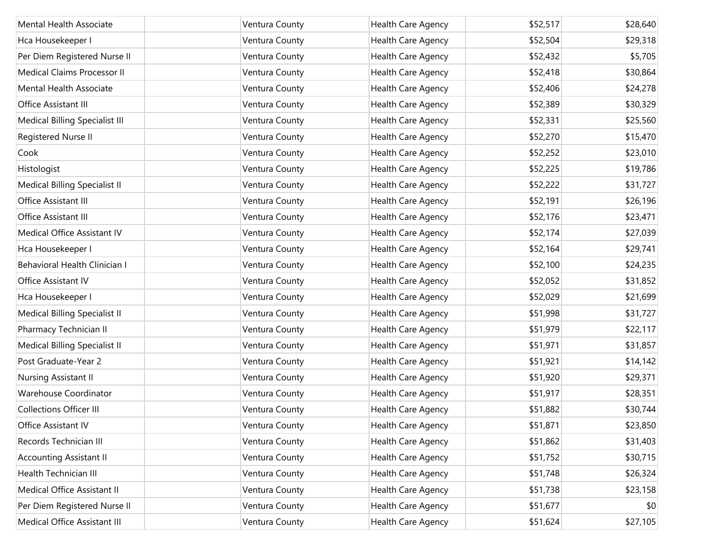| <b>Mental Health Associate</b> | Ventura County | Health Care Agency | \$52,517 | \$28,640 |
|--------------------------------|----------------|--------------------|----------|----------|
| Hca Housekeeper I              | Ventura County | Health Care Agency | \$52,504 | \$29,318 |
| Per Diem Registered Nurse II   | Ventura County | Health Care Agency | \$52,432 | \$5,705  |
| Medical Claims Processor II    | Ventura County | Health Care Agency | \$52,418 | \$30,864 |
| <b>Mental Health Associate</b> | Ventura County | Health Care Agency | \$52,406 | \$24,278 |
| Office Assistant III           | Ventura County | Health Care Agency | \$52,389 | \$30,329 |
| Medical Billing Specialist III | Ventura County | Health Care Agency | \$52,331 | \$25,560 |
| Registered Nurse II            | Ventura County | Health Care Agency | \$52,270 | \$15,470 |
| Cook                           | Ventura County | Health Care Agency | \$52,252 | \$23,010 |
| Histologist                    | Ventura County | Health Care Agency | \$52,225 | \$19,786 |
| Medical Billing Specialist II  | Ventura County | Health Care Agency | \$52,222 | \$31,727 |
| Office Assistant III           | Ventura County | Health Care Agency | \$52,191 | \$26,196 |
| Office Assistant III           | Ventura County | Health Care Agency | \$52,176 | \$23,471 |
| Medical Office Assistant IV    | Ventura County | Health Care Agency | \$52,174 | \$27,039 |
| Hca Housekeeper I              | Ventura County | Health Care Agency | \$52,164 | \$29,741 |
| Behavioral Health Clinician I  | Ventura County | Health Care Agency | \$52,100 | \$24,235 |
| Office Assistant IV            | Ventura County | Health Care Agency | \$52,052 | \$31,852 |
| Hca Housekeeper I              | Ventura County | Health Care Agency | \$52,029 | \$21,699 |
| Medical Billing Specialist II  | Ventura County | Health Care Agency | \$51,998 | \$31,727 |
| Pharmacy Technician II         | Ventura County | Health Care Agency | \$51,979 | \$22,117 |
| Medical Billing Specialist II  | Ventura County | Health Care Agency | \$51,971 | \$31,857 |
| Post Graduate-Year 2           | Ventura County | Health Care Agency | \$51,921 | \$14,142 |
| Nursing Assistant II           | Ventura County | Health Care Agency | \$51,920 | \$29,371 |
| Warehouse Coordinator          | Ventura County | Health Care Agency | \$51,917 | \$28,351 |
| <b>Collections Officer III</b> | Ventura County | Health Care Agency | \$51,882 | \$30,744 |
| Office Assistant IV            | Ventura County | Health Care Agency | \$51,871 | \$23,850 |
| Records Technician III         | Ventura County | Health Care Agency | \$51,862 | \$31,403 |
| <b>Accounting Assistant II</b> | Ventura County | Health Care Agency | \$51,752 | \$30,715 |
| Health Technician III          | Ventura County | Health Care Agency | \$51,748 | \$26,324 |
| Medical Office Assistant II    | Ventura County | Health Care Agency | \$51,738 | \$23,158 |
| Per Diem Registered Nurse II   | Ventura County | Health Care Agency | \$51,677 | \$0      |
| Medical Office Assistant III   | Ventura County | Health Care Agency | \$51,624 | \$27,105 |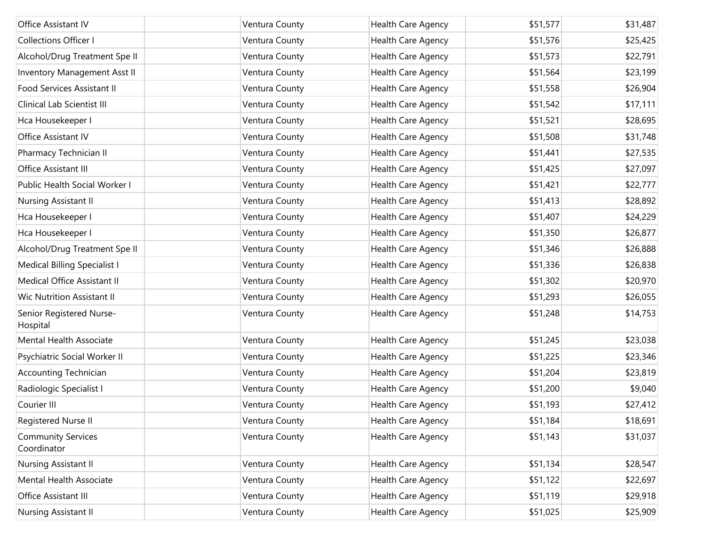| Office Assistant IV                      | Ventura County | Health Care Agency | \$51,577 | \$31,487 |
|------------------------------------------|----------------|--------------------|----------|----------|
| <b>Collections Officer I</b>             | Ventura County | Health Care Agency | \$51,576 | \$25,425 |
| Alcohol/Drug Treatment Spe II            | Ventura County | Health Care Agency | \$51,573 | \$22,791 |
| Inventory Management Asst II             | Ventura County | Health Care Agency | \$51,564 | \$23,199 |
| Food Services Assistant II               | Ventura County | Health Care Agency | \$51,558 | \$26,904 |
| Clinical Lab Scientist III               | Ventura County | Health Care Agency | \$51,542 | \$17,111 |
| Hca Housekeeper I                        | Ventura County | Health Care Agency | \$51,521 | \$28,695 |
| Office Assistant IV                      | Ventura County | Health Care Agency | \$51,508 | \$31,748 |
| Pharmacy Technician II                   | Ventura County | Health Care Agency | \$51,441 | \$27,535 |
| Office Assistant III                     | Ventura County | Health Care Agency | \$51,425 | \$27,097 |
| Public Health Social Worker I            | Ventura County | Health Care Agency | \$51,421 | \$22,777 |
| Nursing Assistant II                     | Ventura County | Health Care Agency | \$51,413 | \$28,892 |
| Hca Housekeeper I                        | Ventura County | Health Care Agency | \$51,407 | \$24,229 |
| Hca Housekeeper I                        | Ventura County | Health Care Agency | \$51,350 | \$26,877 |
| Alcohol/Drug Treatment Spe II            | Ventura County | Health Care Agency | \$51,346 | \$26,888 |
| <b>Medical Billing Specialist I</b>      | Ventura County | Health Care Agency | \$51,336 | \$26,838 |
| Medical Office Assistant II              | Ventura County | Health Care Agency | \$51,302 | \$20,970 |
| Wic Nutrition Assistant II               | Ventura County | Health Care Agency | \$51,293 | \$26,055 |
| Senior Registered Nurse-<br>Hospital     | Ventura County | Health Care Agency | \$51,248 | \$14,753 |
| Mental Health Associate                  | Ventura County | Health Care Agency | \$51,245 | \$23,038 |
| Psychiatric Social Worker II             | Ventura County | Health Care Agency | \$51,225 | \$23,346 |
| <b>Accounting Technician</b>             | Ventura County | Health Care Agency | \$51,204 | \$23,819 |
| Radiologic Specialist I                  | Ventura County | Health Care Agency | \$51,200 | \$9,040  |
| Courier III                              | Ventura County | Health Care Agency | \$51,193 | \$27,412 |
| Registered Nurse II                      | Ventura County | Health Care Agency | \$51,184 | \$18,691 |
| <b>Community Services</b><br>Coordinator | Ventura County | Health Care Agency | \$51,143 | \$31,037 |
| Nursing Assistant II                     | Ventura County | Health Care Agency | \$51,134 | \$28,547 |
| Mental Health Associate                  | Ventura County | Health Care Agency | \$51,122 | \$22,697 |
| Office Assistant III                     | Ventura County | Health Care Agency | \$51,119 | \$29,918 |
| Nursing Assistant II                     | Ventura County | Health Care Agency | \$51,025 | \$25,909 |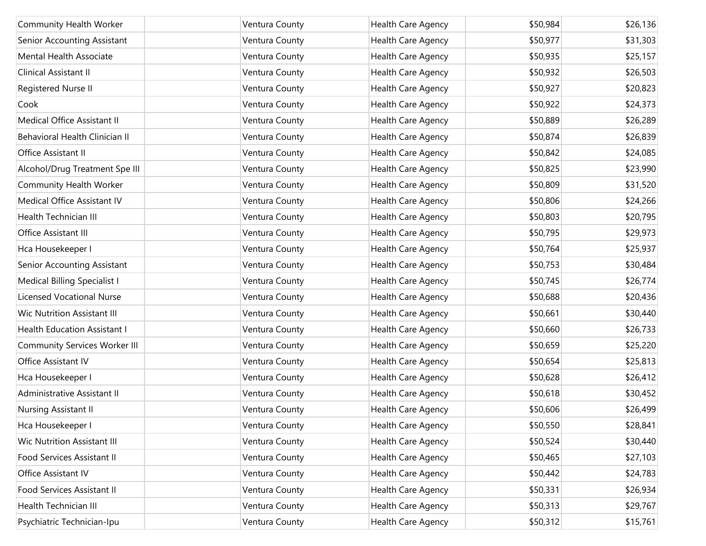| Community Health Worker              | Ventura County | Health Care Agency | \$50,984 | \$26,136 |
|--------------------------------------|----------------|--------------------|----------|----------|
| Senior Accounting Assistant          | Ventura County | Health Care Agency | \$50,977 | \$31,303 |
| Mental Health Associate              |                |                    | \$50,935 |          |
|                                      | Ventura County | Health Care Agency |          | \$25,157 |
| Clinical Assistant II                | Ventura County | Health Care Agency | \$50,932 | \$26,503 |
| Registered Nurse II                  | Ventura County | Health Care Agency | \$50,927 | \$20,823 |
| Cook                                 | Ventura County | Health Care Agency | \$50,922 | \$24,373 |
| Medical Office Assistant II          | Ventura County | Health Care Agency | \$50,889 | \$26,289 |
| Behavioral Health Clinician II       | Ventura County | Health Care Agency | \$50,874 | \$26,839 |
| Office Assistant II                  | Ventura County | Health Care Agency | \$50,842 | \$24,085 |
| Alcohol/Drug Treatment Spe III       | Ventura County | Health Care Agency | \$50,825 | \$23,990 |
| Community Health Worker              | Ventura County | Health Care Agency | \$50,809 | \$31,520 |
| Medical Office Assistant IV          | Ventura County | Health Care Agency | \$50,806 | \$24,266 |
| Health Technician III                | Ventura County | Health Care Agency | \$50,803 | \$20,795 |
| Office Assistant III                 | Ventura County | Health Care Agency | \$50,795 | \$29,973 |
| Hca Housekeeper I                    | Ventura County | Health Care Agency | \$50,764 | \$25,937 |
| Senior Accounting Assistant          | Ventura County | Health Care Agency | \$50,753 | \$30,484 |
| Medical Billing Specialist I         | Ventura County | Health Care Agency | \$50,745 | \$26,774 |
| <b>Licensed Vocational Nurse</b>     | Ventura County | Health Care Agency | \$50,688 | \$20,436 |
| <b>Wic Nutrition Assistant III</b>   | Ventura County | Health Care Agency | \$50,661 | \$30,440 |
| Health Education Assistant I         | Ventura County | Health Care Agency | \$50,660 | \$26,733 |
| <b>Community Services Worker III</b> | Ventura County | Health Care Agency | \$50,659 | \$25,220 |
| Office Assistant IV                  | Ventura County | Health Care Agency | \$50,654 | \$25,813 |
| Hca Housekeeper I                    | Ventura County | Health Care Agency | \$50,628 | \$26,412 |
| Administrative Assistant II          | Ventura County | Health Care Agency | \$50,618 | \$30,452 |
| Nursing Assistant II                 | Ventura County | Health Care Agency | \$50,606 | \$26,499 |
| Hca Housekeeper I                    | Ventura County | Health Care Agency | \$50,550 | \$28,841 |
| <b>Wic Nutrition Assistant III</b>   | Ventura County | Health Care Agency | \$50,524 | \$30,440 |
| Food Services Assistant II           | Ventura County | Health Care Agency | \$50,465 | \$27,103 |
| Office Assistant IV                  | Ventura County | Health Care Agency | \$50,442 | \$24,783 |
| Food Services Assistant II           | Ventura County | Health Care Agency | \$50,331 | \$26,934 |
| Health Technician III                | Ventura County | Health Care Agency | \$50,313 | \$29,767 |
| Psychiatric Technician-Ipu           | Ventura County | Health Care Agency | \$50,312 | \$15,761 |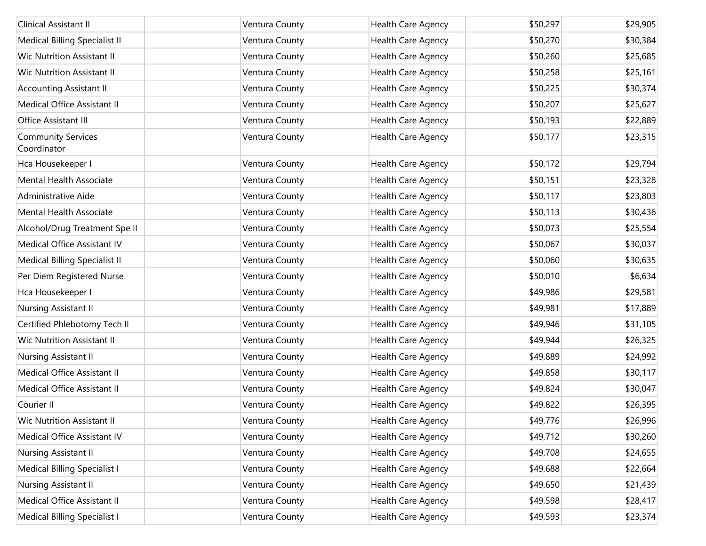| Clinical Assistant II                    | Ventura County | Health Care Agency | \$50,297 | \$29,905 |
|------------------------------------------|----------------|--------------------|----------|----------|
| Medical Billing Specialist II            | Ventura County | Health Care Agency | \$50,270 | \$30,384 |
| Wic Nutrition Assistant II               | Ventura County | Health Care Agency | \$50,260 | \$25,685 |
| Wic Nutrition Assistant II               | Ventura County | Health Care Agency | \$50,258 | \$25,161 |
| <b>Accounting Assistant II</b>           | Ventura County | Health Care Agency | \$50,225 | \$30,374 |
| Medical Office Assistant II              | Ventura County | Health Care Agency | \$50,207 | \$25,627 |
| Office Assistant III                     | Ventura County | Health Care Agency | \$50,193 | \$22,889 |
| <b>Community Services</b><br>Coordinator | Ventura County | Health Care Agency | \$50,177 | \$23,315 |
| Hca Housekeeper I                        | Ventura County | Health Care Agency | \$50,172 | \$29,794 |
| Mental Health Associate                  | Ventura County | Health Care Agency | \$50,151 | \$23,328 |
| Administrative Aide                      | Ventura County | Health Care Agency | \$50,117 | \$23,803 |
| Mental Health Associate                  | Ventura County | Health Care Agency | \$50,113 | \$30,436 |
| Alcohol/Drug Treatment Spe II            | Ventura County | Health Care Agency | \$50,073 | \$25,554 |
| Medical Office Assistant IV              | Ventura County | Health Care Agency | \$50,067 | \$30,037 |
| Medical Billing Specialist II            | Ventura County | Health Care Agency | \$50,060 | \$30,635 |
| Per Diem Registered Nurse                | Ventura County | Health Care Agency | \$50,010 | \$6,634  |
| Hca Housekeeper I                        | Ventura County | Health Care Agency | \$49,986 | \$29,581 |
| Nursing Assistant II                     | Ventura County | Health Care Agency | \$49,981 | \$17,889 |
| Certified Phlebotomy Tech II             | Ventura County | Health Care Agency | \$49,946 | \$31,105 |
| Wic Nutrition Assistant II               | Ventura County | Health Care Agency | \$49,944 | \$26,325 |
| Nursing Assistant II                     | Ventura County | Health Care Agency | \$49,889 | \$24,992 |
| Medical Office Assistant II              | Ventura County | Health Care Agency | \$49,858 | \$30,117 |
| Medical Office Assistant II              | Ventura County | Health Care Agency | \$49,824 | \$30,047 |
| Courier II                               | Ventura County | Health Care Agency | \$49,822 | \$26,395 |
| Wic Nutrition Assistant II               | Ventura County | Health Care Agency | \$49,776 | \$26,996 |
| Medical Office Assistant IV              | Ventura County | Health Care Agency | \$49,712 | \$30,260 |
| Nursing Assistant II                     | Ventura County | Health Care Agency | \$49,708 | \$24,655 |
| <b>Medical Billing Specialist I</b>      | Ventura County | Health Care Agency | \$49,688 | \$22,664 |
| Nursing Assistant II                     | Ventura County | Health Care Agency | \$49,650 | \$21,439 |
| Medical Office Assistant II              | Ventura County | Health Care Agency | \$49,598 | \$28,417 |
| Medical Billing Specialist I             | Ventura County | Health Care Agency | \$49,593 | \$23,374 |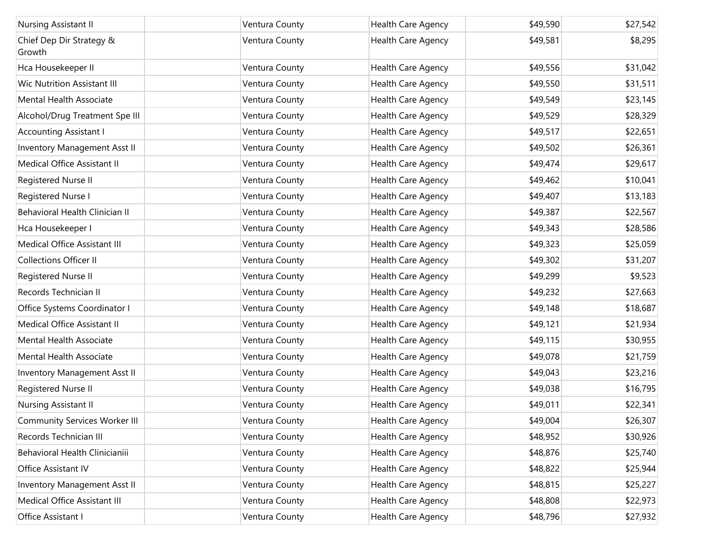| Nursing Assistant II                 | Ventura County | <b>Health Care Agency</b> | \$49,590 | \$27,542 |
|--------------------------------------|----------------|---------------------------|----------|----------|
| Chief Dep Dir Strategy &<br>Growth   | Ventura County | Health Care Agency        | \$49,581 | \$8,295  |
| Hca Housekeeper II                   | Ventura County | Health Care Agency        | \$49,556 | \$31,042 |
| <b>Wic Nutrition Assistant III</b>   | Ventura County | Health Care Agency        | \$49,550 | \$31,511 |
| Mental Health Associate              | Ventura County | Health Care Agency        | \$49,549 | \$23,145 |
| Alcohol/Drug Treatment Spe III       | Ventura County | Health Care Agency        | \$49,529 | \$28,329 |
| <b>Accounting Assistant I</b>        | Ventura County | Health Care Agency        | \$49,517 | \$22,651 |
| Inventory Management Asst II         | Ventura County | Health Care Agency        | \$49,502 | \$26,361 |
| Medical Office Assistant II          | Ventura County | Health Care Agency        | \$49,474 | \$29,617 |
| Registered Nurse II                  | Ventura County | Health Care Agency        | \$49,462 | \$10,041 |
| Registered Nurse I                   | Ventura County | Health Care Agency        | \$49,407 | \$13,183 |
| Behavioral Health Clinician II       | Ventura County | Health Care Agency        | \$49,387 | \$22,567 |
| Hca Housekeeper I                    | Ventura County | Health Care Agency        | \$49,343 | \$28,586 |
| Medical Office Assistant III         | Ventura County | Health Care Agency        | \$49,323 | \$25,059 |
| <b>Collections Officer II</b>        | Ventura County | Health Care Agency        | \$49,302 | \$31,207 |
| Registered Nurse II                  | Ventura County | Health Care Agency        | \$49,299 | \$9,523  |
| Records Technician II                | Ventura County | Health Care Agency        | \$49,232 | \$27,663 |
| Office Systems Coordinator I         | Ventura County | Health Care Agency        | \$49,148 | \$18,687 |
| Medical Office Assistant II          | Ventura County | Health Care Agency        | \$49,121 | \$21,934 |
| Mental Health Associate              | Ventura County | Health Care Agency        | \$49,115 | \$30,955 |
| Mental Health Associate              | Ventura County | Health Care Agency        | \$49,078 | \$21,759 |
| Inventory Management Asst II         | Ventura County | Health Care Agency        | \$49,043 | \$23,216 |
| Registered Nurse II                  | Ventura County | Health Care Agency        | \$49,038 | \$16,795 |
| Nursing Assistant II                 | Ventura County | <b>Health Care Agency</b> | \$49,011 | \$22,341 |
| <b>Community Services Worker III</b> | Ventura County | Health Care Agency        | \$49,004 | \$26,307 |
| Records Technician III               | Ventura County | Health Care Agency        | \$48,952 | \$30,926 |
| Behavioral Health Clinicianiii       | Ventura County | Health Care Agency        | \$48,876 | \$25,740 |
| Office Assistant IV                  | Ventura County | Health Care Agency        | \$48,822 | \$25,944 |
| Inventory Management Asst II         | Ventura County | Health Care Agency        | \$48,815 | \$25,227 |
| Medical Office Assistant III         | Ventura County | Health Care Agency        | \$48,808 | \$22,973 |
| Office Assistant I                   | Ventura County | Health Care Agency        | \$48,796 | \$27,932 |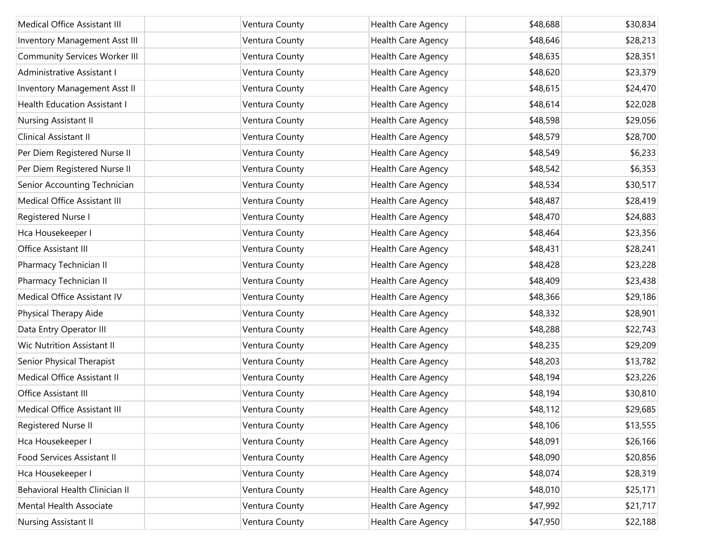| Medical Office Assistant III         | Ventura County | Health Care Agency | \$48,688 | \$30,834 |
|--------------------------------------|----------------|--------------------|----------|----------|
| <b>Inventory Management Asst III</b> | Ventura County | Health Care Agency | \$48,646 | \$28,213 |
| <b>Community Services Worker III</b> | Ventura County | Health Care Agency | \$48,635 | \$28,351 |
| Administrative Assistant I           | Ventura County | Health Care Agency | \$48,620 | \$23,379 |
| <b>Inventory Management Asst II</b>  | Ventura County | Health Care Agency | \$48,615 | \$24,470 |
| <b>Health Education Assistant I</b>  | Ventura County | Health Care Agency | \$48,614 | \$22,028 |
| Nursing Assistant II                 | Ventura County | Health Care Agency | \$48,598 | \$29,056 |
| Clinical Assistant II                | Ventura County | Health Care Agency | \$48,579 | \$28,700 |
| Per Diem Registered Nurse II         | Ventura County | Health Care Agency | \$48,549 | \$6,233  |
| Per Diem Registered Nurse II         | Ventura County | Health Care Agency | \$48,542 | \$6,353  |
| Senior Accounting Technician         | Ventura County | Health Care Agency | \$48,534 | \$30,517 |
| Medical Office Assistant III         | Ventura County | Health Care Agency | \$48,487 | \$28,419 |
| Registered Nurse I                   | Ventura County | Health Care Agency | \$48,470 | \$24,883 |
| Hca Housekeeper I                    | Ventura County | Health Care Agency | \$48,464 | \$23,356 |
| Office Assistant III                 | Ventura County | Health Care Agency | \$48,431 | \$28,241 |
| Pharmacy Technician II               | Ventura County | Health Care Agency | \$48,428 | \$23,228 |
| Pharmacy Technician II               | Ventura County | Health Care Agency | \$48,409 | \$23,438 |
| Medical Office Assistant IV          | Ventura County | Health Care Agency | \$48,366 | \$29,186 |
| Physical Therapy Aide                | Ventura County | Health Care Agency | \$48,332 | \$28,901 |
| Data Entry Operator III              | Ventura County | Health Care Agency | \$48,288 | \$22,743 |
| Wic Nutrition Assistant II           | Ventura County | Health Care Agency | \$48,235 | \$29,209 |
| Senior Physical Therapist            | Ventura County | Health Care Agency | \$48,203 | \$13,782 |
| Medical Office Assistant II          | Ventura County | Health Care Agency | \$48,194 | \$23,226 |
| Office Assistant III                 | Ventura County | Health Care Agency | \$48,194 | \$30,810 |
| <b>Medical Office Assistant III</b>  | Ventura County | Health Care Agency | \$48,112 | \$29,685 |
| Registered Nurse II                  | Ventura County | Health Care Agency | \$48,106 | \$13,555 |
| Hca Housekeeper I                    | Ventura County | Health Care Agency | \$48,091 | \$26,166 |
| Food Services Assistant II           | Ventura County | Health Care Agency | \$48,090 | \$20,856 |
| Hca Housekeeper I                    | Ventura County | Health Care Agency | \$48,074 | \$28,319 |
| Behavioral Health Clinician II       | Ventura County | Health Care Agency | \$48,010 | \$25,171 |
| Mental Health Associate              | Ventura County | Health Care Agency | \$47,992 | \$21,717 |
| Nursing Assistant II                 | Ventura County | Health Care Agency | \$47,950 | \$22,188 |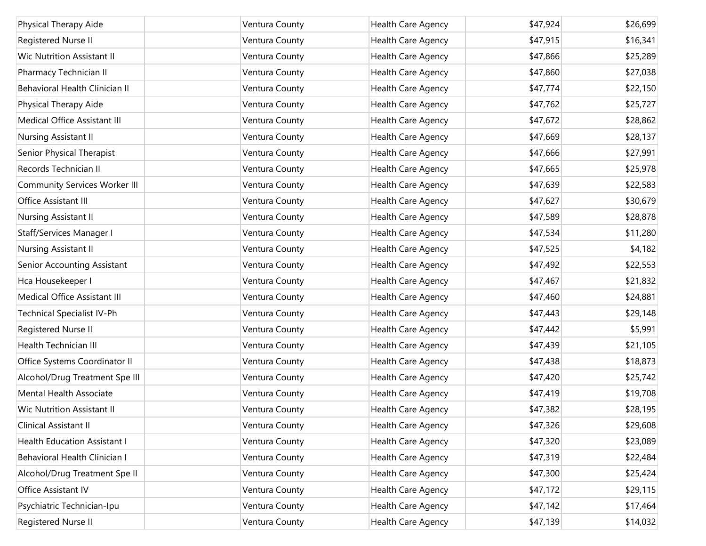| Physical Therapy Aide                | Ventura County | Health Care Agency | \$47,924 | \$26,699 |
|--------------------------------------|----------------|--------------------|----------|----------|
| Registered Nurse II                  | Ventura County | Health Care Agency | \$47,915 | \$16,341 |
| Wic Nutrition Assistant II           | Ventura County | Health Care Agency | \$47,866 | \$25,289 |
| Pharmacy Technician II               | Ventura County | Health Care Agency | \$47,860 | \$27,038 |
| Behavioral Health Clinician II       | Ventura County | Health Care Agency | \$47,774 | \$22,150 |
| Physical Therapy Aide                | Ventura County | Health Care Agency | \$47,762 | \$25,727 |
| Medical Office Assistant III         | Ventura County | Health Care Agency | \$47,672 | \$28,862 |
| Nursing Assistant II                 | Ventura County | Health Care Agency | \$47,669 | \$28,137 |
| Senior Physical Therapist            | Ventura County | Health Care Agency | \$47,666 | \$27,991 |
| Records Technician II                | Ventura County | Health Care Agency | \$47,665 | \$25,978 |
| <b>Community Services Worker III</b> | Ventura County | Health Care Agency | \$47,639 | \$22,583 |
| Office Assistant III                 | Ventura County | Health Care Agency | \$47,627 | \$30,679 |
| Nursing Assistant II                 | Ventura County | Health Care Agency | \$47,589 | \$28,878 |
| Staff/Services Manager I             | Ventura County | Health Care Agency | \$47,534 | \$11,280 |
| Nursing Assistant II                 | Ventura County | Health Care Agency | \$47,525 | \$4,182  |
| Senior Accounting Assistant          | Ventura County | Health Care Agency | \$47,492 | \$22,553 |
| Hca Housekeeper I                    | Ventura County | Health Care Agency | \$47,467 | \$21,832 |
| Medical Office Assistant III         | Ventura County | Health Care Agency | \$47,460 | \$24,881 |
| Technical Specialist IV-Ph           | Ventura County | Health Care Agency | \$47,443 | \$29,148 |
| Registered Nurse II                  | Ventura County | Health Care Agency | \$47,442 | \$5,991  |
| <b>Health Technician III</b>         | Ventura County | Health Care Agency | \$47,439 | \$21,105 |
| Office Systems Coordinator II        | Ventura County | Health Care Agency | \$47,438 | \$18,873 |
| Alcohol/Drug Treatment Spe III       | Ventura County | Health Care Agency | \$47,420 | \$25,742 |
| Mental Health Associate              | Ventura County | Health Care Agency | \$47,419 | \$19,708 |
| Wic Nutrition Assistant II           | Ventura County | Health Care Agency | \$47,382 | \$28,195 |
| Clinical Assistant II                | Ventura County | Health Care Agency | \$47,326 | \$29,608 |
| <b>Health Education Assistant I</b>  | Ventura County | Health Care Agency | \$47,320 | \$23,089 |
| Behavioral Health Clinician I        | Ventura County | Health Care Agency | \$47,319 | \$22,484 |
| Alcohol/Drug Treatment Spe II        | Ventura County | Health Care Agency | \$47,300 | \$25,424 |
| Office Assistant IV                  | Ventura County | Health Care Agency | \$47,172 | \$29,115 |
| Psychiatric Technician-Ipu           | Ventura County | Health Care Agency | \$47,142 | \$17,464 |
| Registered Nurse II                  | Ventura County | Health Care Agency | \$47,139 | \$14,032 |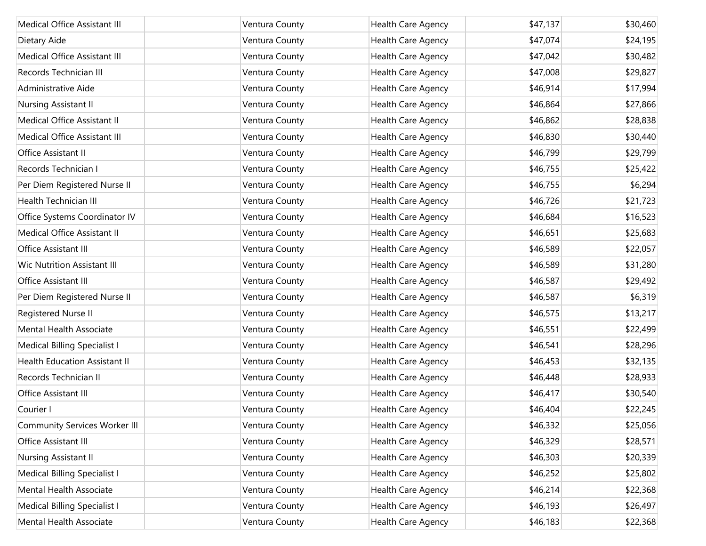| Medical Office Assistant III         | Ventura County | <b>Health Care Agency</b> | \$47,137 | \$30,460 |
|--------------------------------------|----------------|---------------------------|----------|----------|
| Dietary Aide                         | Ventura County | Health Care Agency        | \$47,074 | \$24,195 |
| Medical Office Assistant III         | Ventura County | Health Care Agency        | \$47,042 | \$30,482 |
| Records Technician III               | Ventura County | Health Care Agency        | \$47,008 | \$29,827 |
| Administrative Aide                  | Ventura County | Health Care Agency        | \$46,914 | \$17,994 |
| Nursing Assistant II                 | Ventura County | Health Care Agency        | \$46,864 | \$27,866 |
| Medical Office Assistant II          | Ventura County | Health Care Agency        | \$46,862 | \$28,838 |
| Medical Office Assistant III         | Ventura County | Health Care Agency        | \$46,830 | \$30,440 |
| Office Assistant II                  | Ventura County | Health Care Agency        | \$46,799 | \$29,799 |
| Records Technician I                 | Ventura County | Health Care Agency        | \$46,755 | \$25,422 |
| Per Diem Registered Nurse II         | Ventura County | Health Care Agency        | \$46,755 | \$6,294  |
| Health Technician III                | Ventura County | Health Care Agency        | \$46,726 | \$21,723 |
| Office Systems Coordinator IV        | Ventura County | Health Care Agency        | \$46,684 | \$16,523 |
| Medical Office Assistant II          | Ventura County | Health Care Agency        | \$46,651 | \$25,683 |
| Office Assistant III                 | Ventura County | Health Care Agency        | \$46,589 | \$22,057 |
| <b>Wic Nutrition Assistant III</b>   | Ventura County | Health Care Agency        | \$46,589 | \$31,280 |
| Office Assistant III                 | Ventura County | Health Care Agency        | \$46,587 | \$29,492 |
| Per Diem Registered Nurse II         | Ventura County | Health Care Agency        | \$46,587 | \$6,319  |
| Registered Nurse II                  | Ventura County | Health Care Agency        | \$46,575 | \$13,217 |
| Mental Health Associate              | Ventura County | Health Care Agency        | \$46,551 | \$22,499 |
| Medical Billing Specialist I         | Ventura County | Health Care Agency        | \$46,541 | \$28,296 |
| <b>Health Education Assistant II</b> | Ventura County | Health Care Agency        | \$46,453 | \$32,135 |
| Records Technician II                | Ventura County | <b>Health Care Agency</b> | \$46,448 | \$28,933 |
| Office Assistant III                 | Ventura County | Health Care Agency        | \$46,417 | \$30,540 |
| Courier I                            | Ventura County | Health Care Agency        | \$46,404 | \$22,245 |
| <b>Community Services Worker III</b> | Ventura County | Health Care Agency        | \$46,332 | \$25,056 |
| Office Assistant III                 | Ventura County | Health Care Agency        | \$46,329 | \$28,571 |
| Nursing Assistant II                 | Ventura County | Health Care Agency        | \$46,303 | \$20,339 |
| Medical Billing Specialist I         | Ventura County | Health Care Agency        | \$46,252 | \$25,802 |
| Mental Health Associate              | Ventura County | Health Care Agency        | \$46,214 | \$22,368 |
| Medical Billing Specialist I         | Ventura County | Health Care Agency        | \$46,193 | \$26,497 |
| Mental Health Associate              | Ventura County | Health Care Agency        | \$46,183 | \$22,368 |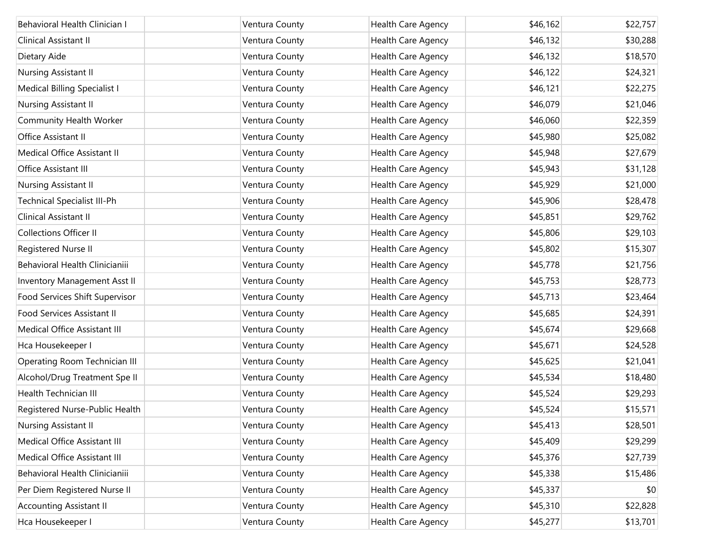| Behavioral Health Clinician I      | Ventura County | Health Care Agency | \$46,162 | \$22,757 |
|------------------------------------|----------------|--------------------|----------|----------|
| Clinical Assistant II              | Ventura County | Health Care Agency | \$46,132 | \$30,288 |
| Dietary Aide                       | Ventura County | Health Care Agency | \$46,132 | \$18,570 |
| Nursing Assistant II               | Ventura County | Health Care Agency | \$46,122 | \$24,321 |
| Medical Billing Specialist I       | Ventura County | Health Care Agency | \$46,121 | \$22,275 |
| Nursing Assistant II               | Ventura County | Health Care Agency | \$46,079 | \$21,046 |
| Community Health Worker            | Ventura County | Health Care Agency | \$46,060 | \$22,359 |
| Office Assistant II                | Ventura County | Health Care Agency | \$45,980 | \$25,082 |
| Medical Office Assistant II        | Ventura County | Health Care Agency | \$45,948 | \$27,679 |
| Office Assistant III               | Ventura County | Health Care Agency | \$45,943 | \$31,128 |
| Nursing Assistant II               | Ventura County | Health Care Agency | \$45,929 | \$21,000 |
| <b>Technical Specialist III-Ph</b> | Ventura County | Health Care Agency | \$45,906 | \$28,478 |
| Clinical Assistant II              | Ventura County | Health Care Agency | \$45,851 | \$29,762 |
| <b>Collections Officer II</b>      | Ventura County | Health Care Agency | \$45,806 | \$29,103 |
| Registered Nurse II                | Ventura County | Health Care Agency | \$45,802 | \$15,307 |
| Behavioral Health Clinicianiii     | Ventura County | Health Care Agency | \$45,778 | \$21,756 |
| Inventory Management Asst II       | Ventura County | Health Care Agency | \$45,753 | \$28,773 |
| Food Services Shift Supervisor     | Ventura County | Health Care Agency | \$45,713 | \$23,464 |
| Food Services Assistant II         | Ventura County | Health Care Agency | \$45,685 | \$24,391 |
| Medical Office Assistant III       | Ventura County | Health Care Agency | \$45,674 | \$29,668 |
| Hca Housekeeper I                  | Ventura County | Health Care Agency | \$45,671 | \$24,528 |
| Operating Room Technician III      | Ventura County | Health Care Agency | \$45,625 | \$21,041 |
| Alcohol/Drug Treatment Spe II      | Ventura County | Health Care Agency | \$45,534 | \$18,480 |
| Health Technician III              | Ventura County | Health Care Agency | \$45,524 | \$29,293 |
| Registered Nurse-Public Health     | Ventura County | Health Care Agency | \$45,524 | \$15,571 |
| Nursing Assistant II               | Ventura County | Health Care Agency | \$45,413 | \$28,501 |
| Medical Office Assistant III       | Ventura County | Health Care Agency | \$45,409 | \$29,299 |
| Medical Office Assistant III       | Ventura County | Health Care Agency | \$45,376 | \$27,739 |
| Behavioral Health Clinicianiii     | Ventura County | Health Care Agency | \$45,338 | \$15,486 |
| Per Diem Registered Nurse II       | Ventura County | Health Care Agency | \$45,337 | \$0      |
| <b>Accounting Assistant II</b>     | Ventura County | Health Care Agency | \$45,310 | \$22,828 |
| Hca Housekeeper I                  | Ventura County | Health Care Agency | \$45,277 | \$13,701 |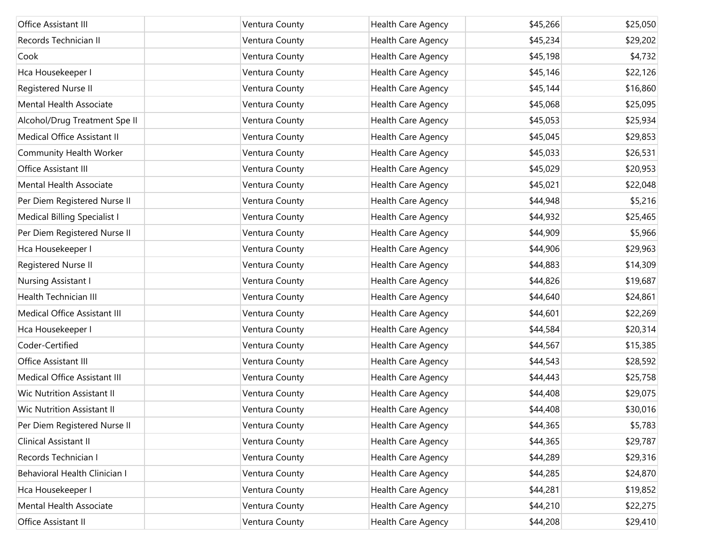| Office Assistant III                | Ventura County | Health Care Agency | \$45,266 | \$25,050 |
|-------------------------------------|----------------|--------------------|----------|----------|
| Records Technician II               | Ventura County | Health Care Agency | \$45,234 | \$29,202 |
| Cook                                | Ventura County | Health Care Agency | \$45,198 | \$4,732  |
| Hca Housekeeper I                   | Ventura County | Health Care Agency | \$45,146 | \$22,126 |
| Registered Nurse II                 | Ventura County | Health Care Agency | \$45,144 | \$16,860 |
| Mental Health Associate             | Ventura County | Health Care Agency | \$45,068 | \$25,095 |
| Alcohol/Drug Treatment Spe II       | Ventura County | Health Care Agency | \$45,053 | \$25,934 |
| Medical Office Assistant II         | Ventura County | Health Care Agency | \$45,045 | \$29,853 |
| Community Health Worker             | Ventura County | Health Care Agency | \$45,033 | \$26,531 |
| Office Assistant III                | Ventura County | Health Care Agency | \$45,029 | \$20,953 |
| Mental Health Associate             | Ventura County | Health Care Agency | \$45,021 | \$22,048 |
| Per Diem Registered Nurse II        | Ventura County | Health Care Agency | \$44,948 | \$5,216  |
| <b>Medical Billing Specialist I</b> | Ventura County | Health Care Agency | \$44,932 | \$25,465 |
| Per Diem Registered Nurse II        | Ventura County | Health Care Agency | \$44,909 | \$5,966  |
| Hca Housekeeper I                   | Ventura County | Health Care Agency | \$44,906 | \$29,963 |
| Registered Nurse II                 | Ventura County | Health Care Agency | \$44,883 | \$14,309 |
| Nursing Assistant I                 | Ventura County | Health Care Agency | \$44,826 | \$19,687 |
| Health Technician III               | Ventura County | Health Care Agency | \$44,640 | \$24,861 |
| Medical Office Assistant III        | Ventura County | Health Care Agency | \$44,601 | \$22,269 |
| Hca Housekeeper I                   | Ventura County | Health Care Agency | \$44,584 | \$20,314 |
| Coder-Certified                     | Ventura County | Health Care Agency | \$44,567 | \$15,385 |
| Office Assistant III                | Ventura County | Health Care Agency | \$44,543 | \$28,592 |
| Medical Office Assistant III        | Ventura County | Health Care Agency | \$44,443 | \$25,758 |
| Wic Nutrition Assistant II          | Ventura County | Health Care Agency | \$44,408 | \$29,075 |
| <b>Wic Nutrition Assistant II</b>   | Ventura County | Health Care Agency | \$44,408 | \$30,016 |
| Per Diem Registered Nurse II        | Ventura County | Health Care Agency | \$44,365 | \$5,783  |
| Clinical Assistant II               | Ventura County | Health Care Agency | \$44,365 | \$29,787 |
| Records Technician I                | Ventura County | Health Care Agency | \$44,289 | \$29,316 |
| Behavioral Health Clinician I       | Ventura County | Health Care Agency | \$44,285 | \$24,870 |
| Hca Housekeeper I                   | Ventura County | Health Care Agency | \$44,281 | \$19,852 |
| Mental Health Associate             | Ventura County | Health Care Agency | \$44,210 | \$22,275 |
| Office Assistant II                 | Ventura County | Health Care Agency | \$44,208 | \$29,410 |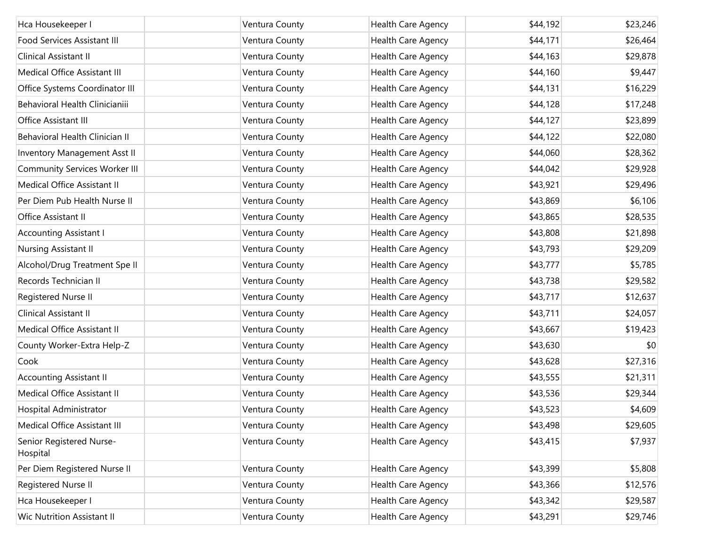| Hca Housekeeper I                    | Ventura County | Health Care Agency | \$44,192 | \$23,246 |
|--------------------------------------|----------------|--------------------|----------|----------|
| Food Services Assistant III          | Ventura County | Health Care Agency | \$44,171 | \$26,464 |
| Clinical Assistant II                | Ventura County | Health Care Agency | \$44,163 | \$29,878 |
| Medical Office Assistant III         | Ventura County | Health Care Agency | \$44,160 | \$9,447  |
| Office Systems Coordinator III       | Ventura County | Health Care Agency | \$44,131 | \$16,229 |
| Behavioral Health Clinicianiii       | Ventura County | Health Care Agency | \$44,128 | \$17,248 |
| Office Assistant III                 | Ventura County | Health Care Agency | \$44,127 | \$23,899 |
| Behavioral Health Clinician II       | Ventura County | Health Care Agency | \$44,122 | \$22,080 |
| <b>Inventory Management Asst II</b>  | Ventura County | Health Care Agency | \$44,060 | \$28,362 |
| <b>Community Services Worker III</b> | Ventura County | Health Care Agency | \$44,042 | \$29,928 |
| Medical Office Assistant II          | Ventura County | Health Care Agency | \$43,921 | \$29,496 |
| Per Diem Pub Health Nurse II         | Ventura County | Health Care Agency | \$43,869 | \$6,106  |
| Office Assistant II                  | Ventura County | Health Care Agency | \$43,865 | \$28,535 |
| <b>Accounting Assistant I</b>        | Ventura County | Health Care Agency | \$43,808 | \$21,898 |
| Nursing Assistant II                 | Ventura County | Health Care Agency | \$43,793 | \$29,209 |
| Alcohol/Drug Treatment Spe II        | Ventura County | Health Care Agency | \$43,777 | \$5,785  |
| Records Technician II                | Ventura County | Health Care Agency | \$43,738 | \$29,582 |
| Registered Nurse II                  | Ventura County | Health Care Agency | \$43,717 | \$12,637 |
| Clinical Assistant II                | Ventura County | Health Care Agency | \$43,711 | \$24,057 |
| Medical Office Assistant II          | Ventura County | Health Care Agency | \$43,667 | \$19,423 |
| County Worker-Extra Help-Z           | Ventura County | Health Care Agency | \$43,630 | \$0      |
| Cook                                 | Ventura County | Health Care Agency | \$43,628 | \$27,316 |
| <b>Accounting Assistant II</b>       | Ventura County | Health Care Agency | \$43,555 | \$21,311 |
| Medical Office Assistant II          | Ventura County | Health Care Agency | \$43,536 | \$29,344 |
| Hospital Administrator               | Ventura County | Health Care Agency | \$43,523 | \$4,609  |
| Medical Office Assistant III         | Ventura County | Health Care Agency | \$43,498 | \$29,605 |
| Senior Registered Nurse-<br>Hospital | Ventura County | Health Care Agency | \$43,415 | \$7,937  |
| Per Diem Registered Nurse II         | Ventura County | Health Care Agency | \$43,399 | \$5,808  |
| Registered Nurse II                  | Ventura County | Health Care Agency | \$43,366 | \$12,576 |
| Hca Housekeeper I                    | Ventura County | Health Care Agency | \$43,342 | \$29,587 |
| Wic Nutrition Assistant II           | Ventura County | Health Care Agency | \$43,291 | \$29,746 |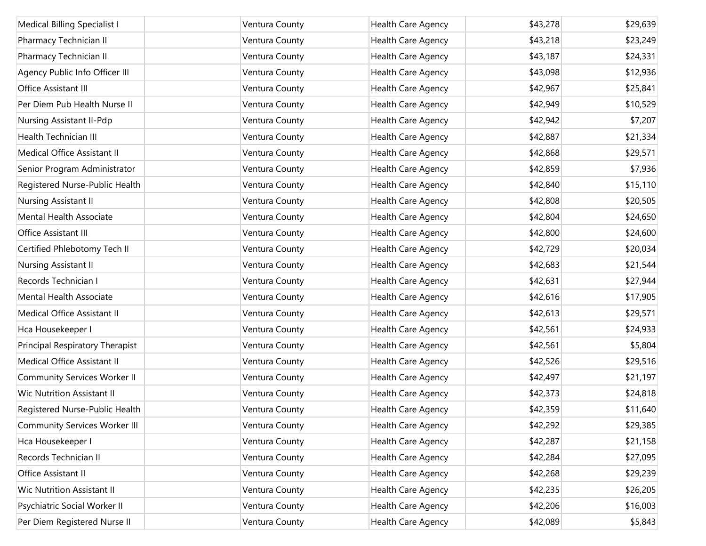| Medical Billing Specialist I         | Ventura County | Health Care Agency | \$43,278 | \$29,639 |
|--------------------------------------|----------------|--------------------|----------|----------|
| Pharmacy Technician II               | Ventura County | Health Care Agency | \$43,218 | \$23,249 |
| Pharmacy Technician II               | Ventura County | Health Care Agency | \$43,187 | \$24,331 |
| Agency Public Info Officer III       | Ventura County | Health Care Agency | \$43,098 | \$12,936 |
| Office Assistant III                 | Ventura County | Health Care Agency | \$42,967 | \$25,841 |
| Per Diem Pub Health Nurse II         | Ventura County | Health Care Agency | \$42,949 | \$10,529 |
| Nursing Assistant II-Pdp             | Ventura County | Health Care Agency | \$42,942 | \$7,207  |
| <b>Health Technician III</b>         | Ventura County | Health Care Agency | \$42,887 | \$21,334 |
| Medical Office Assistant II          | Ventura County | Health Care Agency | \$42,868 | \$29,571 |
| Senior Program Administrator         | Ventura County | Health Care Agency | \$42,859 | \$7,936  |
| Registered Nurse-Public Health       | Ventura County | Health Care Agency | \$42,840 | \$15,110 |
| Nursing Assistant II                 | Ventura County | Health Care Agency | \$42,808 | \$20,505 |
| Mental Health Associate              | Ventura County | Health Care Agency | \$42,804 | \$24,650 |
| Office Assistant III                 | Ventura County | Health Care Agency | \$42,800 | \$24,600 |
| Certified Phlebotomy Tech II         | Ventura County | Health Care Agency | \$42,729 | \$20,034 |
| Nursing Assistant II                 | Ventura County | Health Care Agency | \$42,683 | \$21,544 |
| Records Technician I                 | Ventura County | Health Care Agency | \$42,631 | \$27,944 |
| Mental Health Associate              | Ventura County | Health Care Agency | \$42,616 | \$17,905 |
| Medical Office Assistant II          | Ventura County | Health Care Agency | \$42,613 | \$29,571 |
| Hca Housekeeper I                    | Ventura County | Health Care Agency | \$42,561 | \$24,933 |
| Principal Respiratory Therapist      | Ventura County | Health Care Agency | \$42,561 | \$5,804  |
| Medical Office Assistant II          | Ventura County | Health Care Agency | \$42,526 | \$29,516 |
| <b>Community Services Worker II</b>  | Ventura County | Health Care Agency | \$42,497 | \$21,197 |
| Wic Nutrition Assistant II           | Ventura County | Health Care Agency | \$42,373 | \$24,818 |
| Registered Nurse-Public Health       | Ventura County | Health Care Agency | \$42,359 | \$11,640 |
| <b>Community Services Worker III</b> | Ventura County | Health Care Agency | \$42,292 | \$29,385 |
| Hca Housekeeper I                    | Ventura County | Health Care Agency | \$42,287 | \$21,158 |
| Records Technician II                | Ventura County | Health Care Agency | \$42,284 | \$27,095 |
| Office Assistant II                  | Ventura County | Health Care Agency | \$42,268 | \$29,239 |
| <b>Wic Nutrition Assistant II</b>    | Ventura County | Health Care Agency | \$42,235 | \$26,205 |
| Psychiatric Social Worker II         | Ventura County | Health Care Agency | \$42,206 | \$16,003 |
| Per Diem Registered Nurse II         | Ventura County | Health Care Agency | \$42,089 | \$5,843  |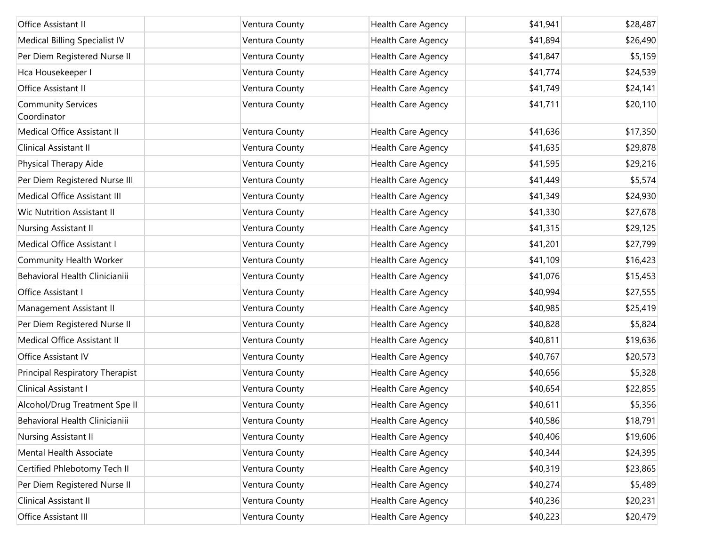| Office Assistant II                      | Ventura County | Health Care Agency | \$41,941 | \$28,487 |
|------------------------------------------|----------------|--------------------|----------|----------|
| Medical Billing Specialist IV            | Ventura County | Health Care Agency | \$41,894 | \$26,490 |
| Per Diem Registered Nurse II             | Ventura County | Health Care Agency | \$41,847 | \$5,159  |
| Hca Housekeeper I                        | Ventura County | Health Care Agency | \$41,774 | \$24,539 |
| Office Assistant II                      | Ventura County | Health Care Agency | \$41,749 | \$24,141 |
| <b>Community Services</b><br>Coordinator | Ventura County | Health Care Agency | \$41,711 | \$20,110 |
| Medical Office Assistant II              | Ventura County | Health Care Agency | \$41,636 | \$17,350 |
| Clinical Assistant II                    | Ventura County | Health Care Agency | \$41,635 | \$29,878 |
| Physical Therapy Aide                    | Ventura County | Health Care Agency | \$41,595 | \$29,216 |
| Per Diem Registered Nurse III            | Ventura County | Health Care Agency | \$41,449 | \$5,574  |
| Medical Office Assistant III             | Ventura County | Health Care Agency | \$41,349 | \$24,930 |
| <b>Wic Nutrition Assistant II</b>        | Ventura County | Health Care Agency | \$41,330 | \$27,678 |
| Nursing Assistant II                     | Ventura County | Health Care Agency | \$41,315 | \$29,125 |
| Medical Office Assistant I               | Ventura County | Health Care Agency | \$41,201 | \$27,799 |
| Community Health Worker                  | Ventura County | Health Care Agency | \$41,109 | \$16,423 |
| Behavioral Health Clinicianiii           | Ventura County | Health Care Agency | \$41,076 | \$15,453 |
| Office Assistant I                       | Ventura County | Health Care Agency | \$40,994 | \$27,555 |
| Management Assistant II                  | Ventura County | Health Care Agency | \$40,985 | \$25,419 |
| Per Diem Registered Nurse II             | Ventura County | Health Care Agency | \$40,828 | \$5,824  |
| Medical Office Assistant II              | Ventura County | Health Care Agency | \$40,811 | \$19,636 |
| Office Assistant IV                      | Ventura County | Health Care Agency | \$40,767 | \$20,573 |
| Principal Respiratory Therapist          | Ventura County | Health Care Agency | \$40,656 | \$5,328  |
| Clinical Assistant I                     | Ventura County | Health Care Agency | \$40,654 | \$22,855 |
| Alcohol/Drug Treatment Spe II            | Ventura County | Health Care Agency | \$40,611 | \$5,356  |
| Behavioral Health Clinicianiii           | Ventura County | Health Care Agency | \$40,586 | \$18,791 |
| Nursing Assistant II                     | Ventura County | Health Care Agency | \$40,406 | \$19,606 |
| Mental Health Associate                  | Ventura County | Health Care Agency | \$40,344 | \$24,395 |
| Certified Phlebotomy Tech II             | Ventura County | Health Care Agency | \$40,319 | \$23,865 |
| Per Diem Registered Nurse II             | Ventura County | Health Care Agency | \$40,274 | \$5,489  |
| Clinical Assistant II                    | Ventura County | Health Care Agency | \$40,236 | \$20,231 |
| Office Assistant III                     | Ventura County | Health Care Agency | \$40,223 | \$20,479 |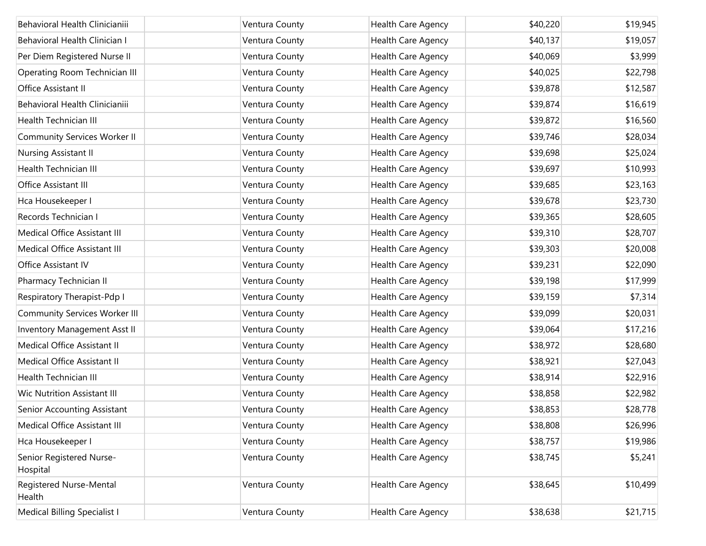| Behavioral Health Clinicianiii       | Ventura County | Health Care Agency        | \$40,220 | \$19,945 |
|--------------------------------------|----------------|---------------------------|----------|----------|
| Behavioral Health Clinician I        | Ventura County | Health Care Agency        | \$40,137 | \$19,057 |
| Per Diem Registered Nurse II         | Ventura County | Health Care Agency        | \$40,069 | \$3,999  |
| Operating Room Technician III        | Ventura County | Health Care Agency        | \$40,025 | \$22,798 |
| Office Assistant II                  | Ventura County | Health Care Agency        | \$39,878 | \$12,587 |
| Behavioral Health Clinicianiii       | Ventura County | Health Care Agency        | \$39,874 | \$16,619 |
| Health Technician III                | Ventura County | Health Care Agency        | \$39,872 | \$16,560 |
| <b>Community Services Worker II</b>  | Ventura County | Health Care Agency        | \$39,746 | \$28,034 |
| Nursing Assistant II                 | Ventura County | Health Care Agency        | \$39,698 | \$25,024 |
| Health Technician III                | Ventura County | Health Care Agency        | \$39,697 | \$10,993 |
| Office Assistant III                 | Ventura County | Health Care Agency        | \$39,685 | \$23,163 |
| Hca Housekeeper I                    | Ventura County | Health Care Agency        | \$39,678 | \$23,730 |
| Records Technician I                 | Ventura County | Health Care Agency        | \$39,365 | \$28,605 |
| Medical Office Assistant III         | Ventura County | Health Care Agency        | \$39,310 | \$28,707 |
| Medical Office Assistant III         | Ventura County | Health Care Agency        | \$39,303 | \$20,008 |
| Office Assistant IV                  | Ventura County | Health Care Agency        | \$39,231 | \$22,090 |
| Pharmacy Technician II               | Ventura County | Health Care Agency        | \$39,198 | \$17,999 |
| Respiratory Therapist-Pdp I          | Ventura County | Health Care Agency        | \$39,159 | \$7,314  |
| <b>Community Services Worker III</b> | Ventura County | Health Care Agency        | \$39,099 | \$20,031 |
| Inventory Management Asst II         | Ventura County | Health Care Agency        | \$39,064 | \$17,216 |
| Medical Office Assistant II          | Ventura County | Health Care Agency        | \$38,972 | \$28,680 |
| Medical Office Assistant II          | Ventura County | Health Care Agency        | \$38,921 | \$27,043 |
| Health Technician III                | Ventura County | Health Care Agency        | \$38,914 | \$22,916 |
| <b>Wic Nutrition Assistant III</b>   | Ventura County | Health Care Agency        | \$38,858 | \$22,982 |
| Senior Accounting Assistant          | Ventura County | Health Care Agency        | \$38,853 | \$28,778 |
| Medical Office Assistant III         | Ventura County | Health Care Agency        | \$38,808 | \$26,996 |
| Hca Housekeeper I                    | Ventura County | <b>Health Care Agency</b> | \$38,757 | \$19,986 |
| Senior Registered Nurse-<br>Hospital | Ventura County | Health Care Agency        | \$38,745 | \$5,241  |
| Registered Nurse-Mental<br>Health    | Ventura County | Health Care Agency        | \$38,645 | \$10,499 |
| Medical Billing Specialist I         | Ventura County | Health Care Agency        | \$38,638 | \$21,715 |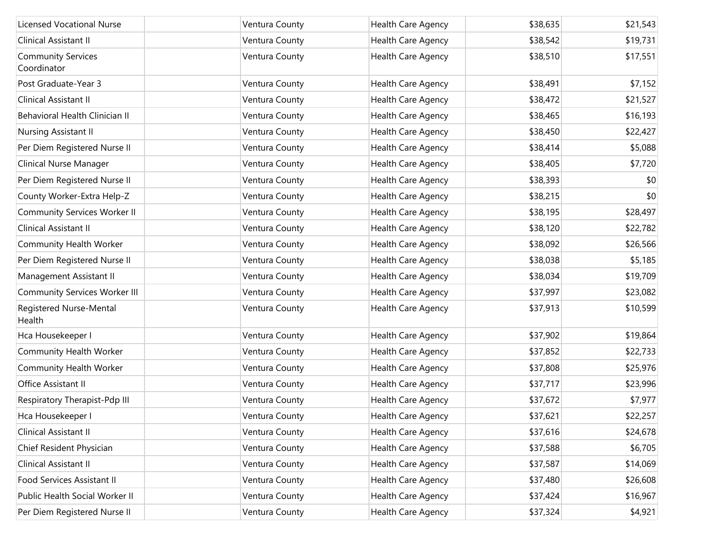| <b>Licensed Vocational Nurse</b>         | Ventura County | Health Care Agency | \$38,635 | \$21,543 |
|------------------------------------------|----------------|--------------------|----------|----------|
| Clinical Assistant II                    | Ventura County | Health Care Agency | \$38,542 | \$19,731 |
| <b>Community Services</b><br>Coordinator | Ventura County | Health Care Agency | \$38,510 | \$17,551 |
| Post Graduate-Year 3                     | Ventura County | Health Care Agency | \$38,491 | \$7,152  |
| Clinical Assistant II                    | Ventura County | Health Care Agency | \$38,472 | \$21,527 |
| Behavioral Health Clinician II           | Ventura County | Health Care Agency | \$38,465 | \$16,193 |
| Nursing Assistant II                     | Ventura County | Health Care Agency | \$38,450 | \$22,427 |
| Per Diem Registered Nurse II             | Ventura County | Health Care Agency | \$38,414 | \$5,088  |
| Clinical Nurse Manager                   | Ventura County | Health Care Agency | \$38,405 | \$7,720  |
| Per Diem Registered Nurse II             | Ventura County | Health Care Agency | \$38,393 | \$0      |
| County Worker-Extra Help-Z               | Ventura County | Health Care Agency | \$38,215 | \$0      |
| <b>Community Services Worker II</b>      | Ventura County | Health Care Agency | \$38,195 | \$28,497 |
| Clinical Assistant II                    | Ventura County | Health Care Agency | \$38,120 | \$22,782 |
| Community Health Worker                  | Ventura County | Health Care Agency | \$38,092 | \$26,566 |
| Per Diem Registered Nurse II             | Ventura County | Health Care Agency | \$38,038 | \$5,185  |
| Management Assistant II                  | Ventura County | Health Care Agency | \$38,034 | \$19,709 |
| <b>Community Services Worker III</b>     | Ventura County | Health Care Agency | \$37,997 | \$23,082 |
| Registered Nurse-Mental<br>Health        | Ventura County | Health Care Agency | \$37,913 | \$10,599 |
| Hca Housekeeper I                        | Ventura County | Health Care Agency | \$37,902 | \$19,864 |
| Community Health Worker                  | Ventura County | Health Care Agency | \$37,852 | \$22,733 |
| Community Health Worker                  | Ventura County | Health Care Agency | \$37,808 | \$25,976 |
| Office Assistant II                      | Ventura County | Health Care Agency | \$37,717 | \$23,996 |
| Respiratory Therapist-Pdp III            | Ventura County | Health Care Agency | \$37,672 | \$7,977  |
| Hca Housekeeper I                        | Ventura County | Health Care Agency | \$37,621 | \$22,257 |
| Clinical Assistant II                    | Ventura County | Health Care Agency | \$37,616 | \$24,678 |
| Chief Resident Physician                 | Ventura County | Health Care Agency | \$37,588 | \$6,705  |
| Clinical Assistant II                    | Ventura County | Health Care Agency | \$37,587 | \$14,069 |
| Food Services Assistant II               | Ventura County | Health Care Agency | \$37,480 | \$26,608 |
| Public Health Social Worker II           | Ventura County | Health Care Agency | \$37,424 | \$16,967 |
| Per Diem Registered Nurse II             | Ventura County | Health Care Agency | \$37,324 | \$4,921  |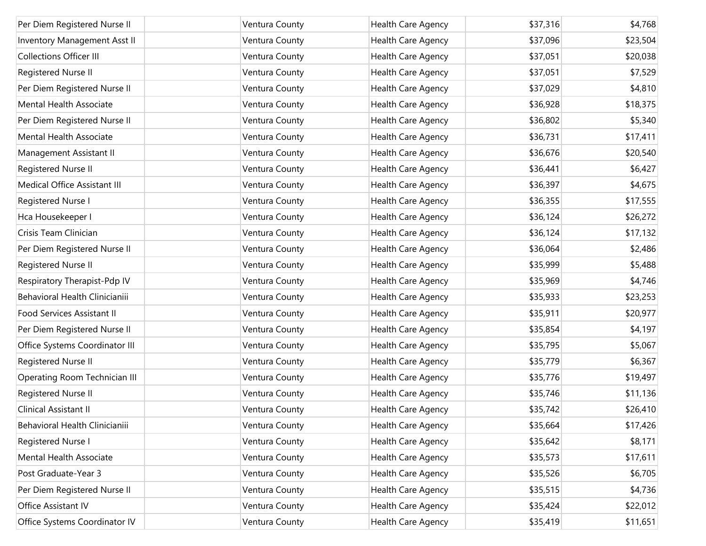| Per Diem Registered Nurse II        | Ventura County | Health Care Agency | \$37,316 | \$4,768  |
|-------------------------------------|----------------|--------------------|----------|----------|
| <b>Inventory Management Asst II</b> | Ventura County | Health Care Agency | \$37,096 | \$23,504 |
| <b>Collections Officer III</b>      | Ventura County | Health Care Agency | \$37,051 | \$20,038 |
| Registered Nurse II                 | Ventura County | Health Care Agency | \$37,051 | \$7,529  |
| Per Diem Registered Nurse II        | Ventura County | Health Care Agency | \$37,029 | \$4,810  |
| Mental Health Associate             | Ventura County | Health Care Agency | \$36,928 | \$18,375 |
| Per Diem Registered Nurse II        | Ventura County | Health Care Agency | \$36,802 | \$5,340  |
| Mental Health Associate             | Ventura County | Health Care Agency | \$36,731 | \$17,411 |
| Management Assistant II             | Ventura County | Health Care Agency | \$36,676 | \$20,540 |
| Registered Nurse II                 | Ventura County | Health Care Agency | \$36,441 | \$6,427  |
| Medical Office Assistant III        | Ventura County | Health Care Agency | \$36,397 | \$4,675  |
| Registered Nurse I                  | Ventura County | Health Care Agency | \$36,355 | \$17,555 |
| Hca Housekeeper I                   | Ventura County | Health Care Agency | \$36,124 | \$26,272 |
| Crisis Team Clinician               | Ventura County | Health Care Agency | \$36,124 | \$17,132 |
| Per Diem Registered Nurse II        | Ventura County | Health Care Agency | \$36,064 | \$2,486  |
| Registered Nurse II                 | Ventura County | Health Care Agency | \$35,999 | \$5,488  |
| Respiratory Therapist-Pdp IV        | Ventura County | Health Care Agency | \$35,969 | \$4,746  |
| Behavioral Health Clinicianiii      | Ventura County | Health Care Agency | \$35,933 | \$23,253 |
| Food Services Assistant II          | Ventura County | Health Care Agency | \$35,911 | \$20,977 |
| Per Diem Registered Nurse II        | Ventura County | Health Care Agency | \$35,854 | \$4,197  |
| Office Systems Coordinator III      | Ventura County | Health Care Agency | \$35,795 | \$5,067  |
| Registered Nurse II                 | Ventura County | Health Care Agency | \$35,779 | \$6,367  |
| Operating Room Technician III       | Ventura County | Health Care Agency | \$35,776 | \$19,497 |
| Registered Nurse II                 | Ventura County | Health Care Agency | \$35,746 | \$11,136 |
| Clinical Assistant II               | Ventura County | Health Care Agency | \$35,742 | \$26,410 |
| Behavioral Health Clinicianiii      | Ventura County | Health Care Agency | \$35,664 | \$17,426 |
| Registered Nurse I                  | Ventura County | Health Care Agency | \$35,642 | \$8,171  |
| Mental Health Associate             | Ventura County | Health Care Agency | \$35,573 | \$17,611 |
| Post Graduate-Year 3                | Ventura County | Health Care Agency | \$35,526 | \$6,705  |
| Per Diem Registered Nurse II        | Ventura County | Health Care Agency | \$35,515 | \$4,736  |
| Office Assistant IV                 | Ventura County | Health Care Agency | \$35,424 | \$22,012 |
| Office Systems Coordinator IV       | Ventura County | Health Care Agency | \$35,419 | \$11,651 |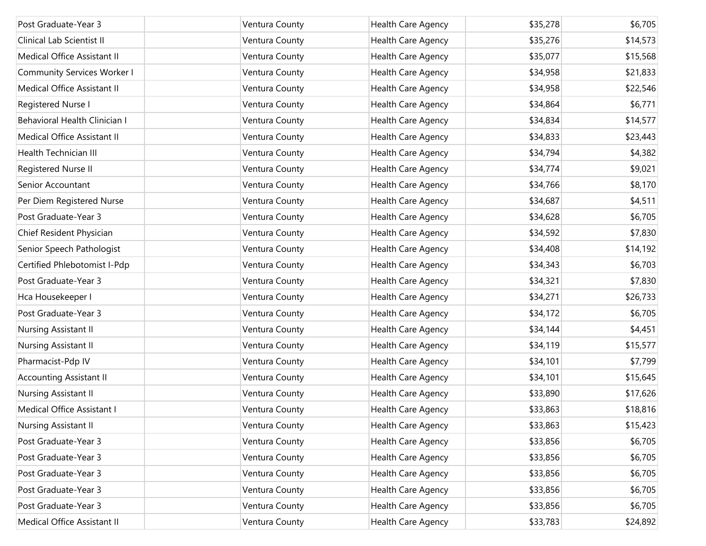| Post Graduate-Year 3               | Ventura County | Health Care Agency | \$35,278 | \$6,705  |
|------------------------------------|----------------|--------------------|----------|----------|
| Clinical Lab Scientist II          | Ventura County | Health Care Agency | \$35,276 | \$14,573 |
| Medical Office Assistant II        | Ventura County | Health Care Agency | \$35,077 | \$15,568 |
| <b>Community Services Worker I</b> | Ventura County | Health Care Agency | \$34,958 | \$21,833 |
| Medical Office Assistant II        | Ventura County | Health Care Agency | \$34,958 | \$22,546 |
| Registered Nurse I                 | Ventura County | Health Care Agency | \$34,864 | \$6,771  |
| Behavioral Health Clinician I      | Ventura County | Health Care Agency | \$34,834 | \$14,577 |
| Medical Office Assistant II        | Ventura County | Health Care Agency | \$34,833 | \$23,443 |
| <b>Health Technician III</b>       | Ventura County | Health Care Agency | \$34,794 | \$4,382  |
| Registered Nurse II                | Ventura County | Health Care Agency | \$34,774 | \$9,021  |
| Senior Accountant                  | Ventura County | Health Care Agency | \$34,766 | \$8,170  |
| Per Diem Registered Nurse          | Ventura County | Health Care Agency | \$34,687 | \$4,511  |
| Post Graduate-Year 3               | Ventura County | Health Care Agency | \$34,628 | \$6,705  |
| Chief Resident Physician           | Ventura County | Health Care Agency | \$34,592 | \$7,830  |
| Senior Speech Pathologist          | Ventura County | Health Care Agency | \$34,408 | \$14,192 |
| Certified Phlebotomist I-Pdp       | Ventura County | Health Care Agency | \$34,343 | \$6,703  |
| Post Graduate-Year 3               | Ventura County | Health Care Agency | \$34,321 | \$7,830  |
| Hca Housekeeper I                  | Ventura County | Health Care Agency | \$34,271 | \$26,733 |
| Post Graduate-Year 3               | Ventura County | Health Care Agency | \$34,172 | \$6,705  |
| Nursing Assistant II               | Ventura County | Health Care Agency | \$34,144 | \$4,451  |
| Nursing Assistant II               | Ventura County | Health Care Agency | \$34,119 | \$15,577 |
| Pharmacist-Pdp IV                  | Ventura County | Health Care Agency | \$34,101 | \$7,799  |
| <b>Accounting Assistant II</b>     | Ventura County | Health Care Agency | \$34,101 | \$15,645 |
| Nursing Assistant II               | Ventura County | Health Care Agency | \$33,890 | \$17,626 |
| Medical Office Assistant I         | Ventura County | Health Care Agency | \$33,863 | \$18,816 |
| Nursing Assistant II               | Ventura County | Health Care Agency | \$33,863 | \$15,423 |
| Post Graduate-Year 3               | Ventura County | Health Care Agency | \$33,856 | \$6,705  |
| Post Graduate-Year 3               | Ventura County | Health Care Agency | \$33,856 | \$6,705  |
| Post Graduate-Year 3               | Ventura County | Health Care Agency | \$33,856 | \$6,705  |
| Post Graduate-Year 3               | Ventura County | Health Care Agency | \$33,856 | \$6,705  |
| Post Graduate-Year 3               | Ventura County | Health Care Agency | \$33,856 | \$6,705  |
| Medical Office Assistant II        | Ventura County | Health Care Agency | \$33,783 | \$24,892 |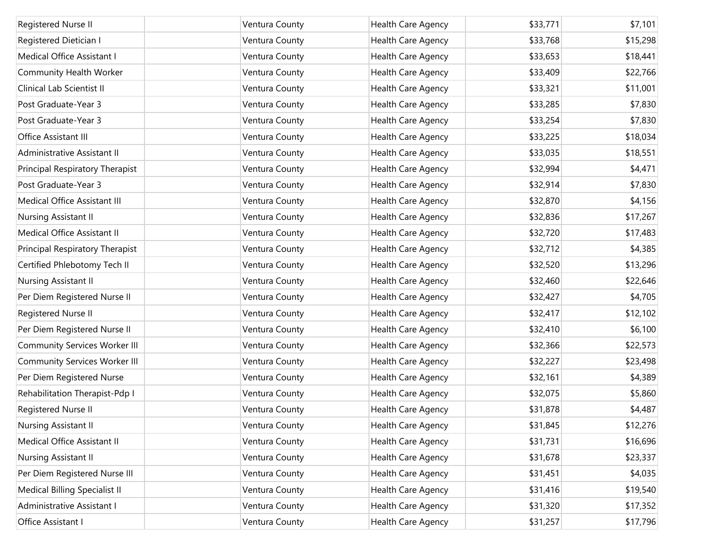| Registered Nurse II                  | Ventura County | Health Care Agency | \$33,771 | \$7,101  |
|--------------------------------------|----------------|--------------------|----------|----------|
| Registered Dietician I               | Ventura County | Health Care Agency | \$33,768 | \$15,298 |
| Medical Office Assistant I           | Ventura County | Health Care Agency | \$33,653 | \$18,441 |
| Community Health Worker              | Ventura County | Health Care Agency | \$33,409 | \$22,766 |
| Clinical Lab Scientist II            | Ventura County | Health Care Agency | \$33,321 | \$11,001 |
| Post Graduate-Year 3                 | Ventura County | Health Care Agency | \$33,285 | \$7,830  |
| Post Graduate-Year 3                 | Ventura County | Health Care Agency | \$33,254 | \$7,830  |
| Office Assistant III                 | Ventura County | Health Care Agency | \$33,225 | \$18,034 |
| Administrative Assistant II          | Ventura County | Health Care Agency | \$33,035 | \$18,551 |
| Principal Respiratory Therapist      | Ventura County | Health Care Agency | \$32,994 | \$4,471  |
| Post Graduate-Year 3                 | Ventura County | Health Care Agency | \$32,914 | \$7,830  |
| Medical Office Assistant III         | Ventura County | Health Care Agency | \$32,870 | \$4,156  |
| Nursing Assistant II                 | Ventura County | Health Care Agency | \$32,836 | \$17,267 |
| Medical Office Assistant II          | Ventura County | Health Care Agency | \$32,720 | \$17,483 |
| Principal Respiratory Therapist      | Ventura County | Health Care Agency | \$32,712 | \$4,385  |
| Certified Phlebotomy Tech II         | Ventura County | Health Care Agency | \$32,520 | \$13,296 |
| Nursing Assistant II                 | Ventura County | Health Care Agency | \$32,460 | \$22,646 |
| Per Diem Registered Nurse II         | Ventura County | Health Care Agency | \$32,427 | \$4,705  |
| Registered Nurse II                  | Ventura County | Health Care Agency | \$32,417 | \$12,102 |
| Per Diem Registered Nurse II         | Ventura County | Health Care Agency | \$32,410 | \$6,100  |
| <b>Community Services Worker III</b> | Ventura County | Health Care Agency | \$32,366 | \$22,573 |
| <b>Community Services Worker III</b> | Ventura County | Health Care Agency | \$32,227 | \$23,498 |
| Per Diem Registered Nurse            | Ventura County | Health Care Agency | \$32,161 | \$4,389  |
| Rehabilitation Therapist-Pdp I       | Ventura County | Health Care Agency | \$32,075 | \$5,860  |
| Registered Nurse II                  | Ventura County | Health Care Agency | \$31,878 | \$4,487  |
| Nursing Assistant II                 | Ventura County | Health Care Agency | \$31,845 | \$12,276 |
| Medical Office Assistant II          | Ventura County | Health Care Agency | \$31,731 | \$16,696 |
| Nursing Assistant II                 | Ventura County | Health Care Agency | \$31,678 | \$23,337 |
| Per Diem Registered Nurse III        | Ventura County | Health Care Agency | \$31,451 | \$4,035  |
| Medical Billing Specialist II        | Ventura County | Health Care Agency | \$31,416 | \$19,540 |
| Administrative Assistant I           | Ventura County | Health Care Agency | \$31,320 | \$17,352 |
| Office Assistant I                   | Ventura County | Health Care Agency | \$31,257 | \$17,796 |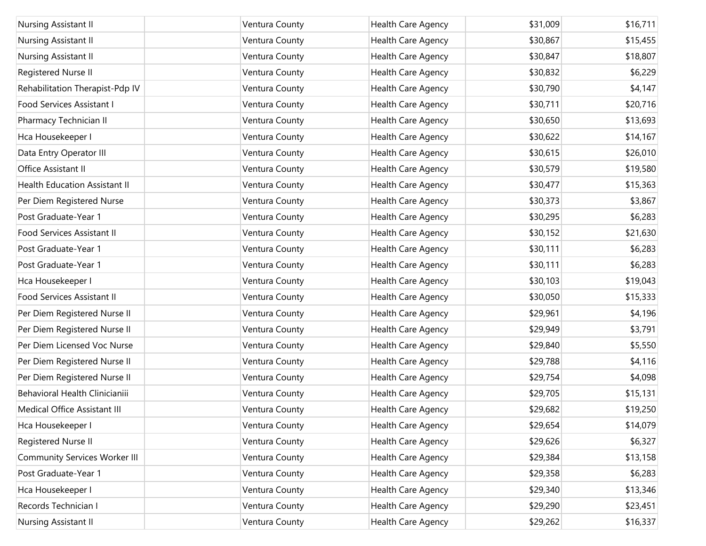| Nursing Assistant II                 | Ventura County | Health Care Agency | \$31,009 | \$16,711 |
|--------------------------------------|----------------|--------------------|----------|----------|
| Nursing Assistant II                 | Ventura County | Health Care Agency | \$30,867 | \$15,455 |
| Nursing Assistant II                 | Ventura County | Health Care Agency | \$30,847 | \$18,807 |
| Registered Nurse II                  | Ventura County | Health Care Agency | \$30,832 | \$6,229  |
| Rehabilitation Therapist-Pdp IV      | Ventura County | Health Care Agency | \$30,790 | \$4,147  |
| Food Services Assistant I            | Ventura County | Health Care Agency | \$30,711 | \$20,716 |
| Pharmacy Technician II               | Ventura County | Health Care Agency | \$30,650 | \$13,693 |
| Hca Housekeeper I                    | Ventura County | Health Care Agency | \$30,622 | \$14,167 |
| Data Entry Operator III              | Ventura County | Health Care Agency | \$30,615 | \$26,010 |
| Office Assistant II                  | Ventura County | Health Care Agency | \$30,579 | \$19,580 |
| <b>Health Education Assistant II</b> | Ventura County | Health Care Agency | \$30,477 | \$15,363 |
| Per Diem Registered Nurse            | Ventura County | Health Care Agency | \$30,373 | \$3,867  |
| Post Graduate-Year 1                 | Ventura County | Health Care Agency | \$30,295 | \$6,283  |
| Food Services Assistant II           | Ventura County | Health Care Agency | \$30,152 | \$21,630 |
| Post Graduate-Year 1                 | Ventura County | Health Care Agency | \$30,111 | \$6,283  |
| Post Graduate-Year 1                 | Ventura County | Health Care Agency | \$30,111 | \$6,283  |
| Hca Housekeeper I                    | Ventura County | Health Care Agency | \$30,103 | \$19,043 |
| Food Services Assistant II           | Ventura County | Health Care Agency | \$30,050 | \$15,333 |
| Per Diem Registered Nurse II         | Ventura County | Health Care Agency | \$29,961 | \$4,196  |
| Per Diem Registered Nurse II         | Ventura County | Health Care Agency | \$29,949 | \$3,791  |
| Per Diem Licensed Voc Nurse          | Ventura County | Health Care Agency | \$29,840 | \$5,550  |
| Per Diem Registered Nurse II         | Ventura County | Health Care Agency | \$29,788 | \$4,116  |
| Per Diem Registered Nurse II         | Ventura County | Health Care Agency | \$29,754 | \$4,098  |
| Behavioral Health Clinicianiii       | Ventura County | Health Care Agency | \$29,705 | \$15,131 |
| Medical Office Assistant III         | Ventura County | Health Care Agency | \$29,682 | \$19,250 |
| Hca Housekeeper I                    | Ventura County | Health Care Agency | \$29,654 | \$14,079 |
| Registered Nurse II                  | Ventura County | Health Care Agency | \$29,626 | \$6,327  |
| <b>Community Services Worker III</b> | Ventura County | Health Care Agency | \$29,384 | \$13,158 |
| Post Graduate-Year 1                 | Ventura County | Health Care Agency | \$29,358 | \$6,283  |
| Hca Housekeeper I                    | Ventura County | Health Care Agency | \$29,340 | \$13,346 |
| Records Technician I                 | Ventura County | Health Care Agency | \$29,290 | \$23,451 |
| Nursing Assistant II                 | Ventura County | Health Care Agency | \$29,262 | \$16,337 |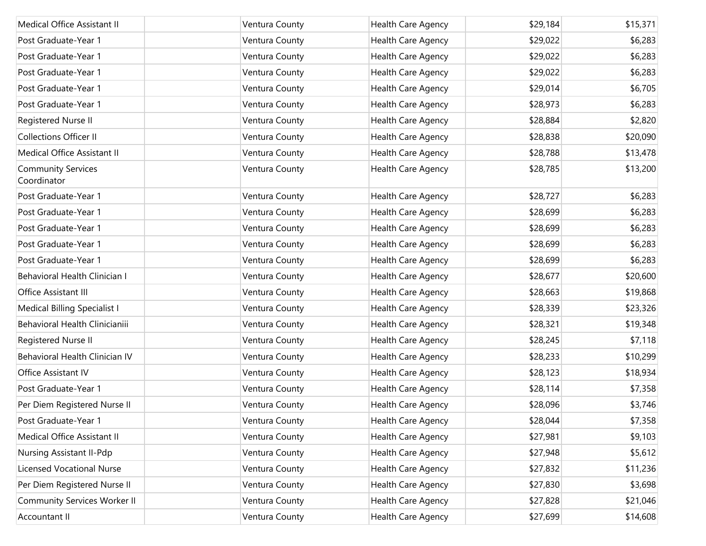| Medical Office Assistant II              | Ventura County | Health Care Agency | \$29,184 | \$15,371 |
|------------------------------------------|----------------|--------------------|----------|----------|
| Post Graduate-Year 1                     | Ventura County | Health Care Agency | \$29,022 | \$6,283  |
| Post Graduate-Year 1                     | Ventura County | Health Care Agency | \$29,022 | \$6,283  |
| Post Graduate-Year 1                     | Ventura County | Health Care Agency | \$29,022 | \$6,283  |
| Post Graduate-Year 1                     | Ventura County | Health Care Agency | \$29,014 | \$6,705  |
| Post Graduate-Year 1                     | Ventura County | Health Care Agency | \$28,973 | \$6,283  |
| Registered Nurse II                      | Ventura County | Health Care Agency | \$28,884 | \$2,820  |
| <b>Collections Officer II</b>            | Ventura County | Health Care Agency | \$28,838 | \$20,090 |
| Medical Office Assistant II              | Ventura County | Health Care Agency | \$28,788 | \$13,478 |
| <b>Community Services</b><br>Coordinator | Ventura County | Health Care Agency | \$28,785 | \$13,200 |
| Post Graduate-Year 1                     | Ventura County | Health Care Agency | \$28,727 | \$6,283  |
| Post Graduate-Year 1                     | Ventura County | Health Care Agency | \$28,699 | \$6,283  |
| Post Graduate-Year 1                     | Ventura County | Health Care Agency | \$28,699 | \$6,283  |
| Post Graduate-Year 1                     | Ventura County | Health Care Agency | \$28,699 | \$6,283  |
| Post Graduate-Year 1                     | Ventura County | Health Care Agency | \$28,699 | \$6,283  |
| Behavioral Health Clinician I            | Ventura County | Health Care Agency | \$28,677 | \$20,600 |
| Office Assistant III                     | Ventura County | Health Care Agency | \$28,663 | \$19,868 |
| Medical Billing Specialist I             | Ventura County | Health Care Agency | \$28,339 | \$23,326 |
| Behavioral Health Clinicianiii           | Ventura County | Health Care Agency | \$28,321 | \$19,348 |
| Registered Nurse II                      | Ventura County | Health Care Agency | \$28,245 | \$7,118  |
| Behavioral Health Clinician IV           | Ventura County | Health Care Agency | \$28,233 | \$10,299 |
| Office Assistant IV                      | Ventura County | Health Care Agency | \$28,123 | \$18,934 |
| Post Graduate-Year 1                     | Ventura County | Health Care Agency | \$28,114 | \$7,358  |
| Per Diem Registered Nurse II             | Ventura County | Health Care Agency | \$28,096 | \$3,746  |
| Post Graduate-Year 1                     | Ventura County | Health Care Agency | \$28,044 | \$7,358  |
| Medical Office Assistant II              | Ventura County | Health Care Agency | \$27,981 | \$9,103  |
| Nursing Assistant II-Pdp                 | Ventura County | Health Care Agency | \$27,948 | \$5,612  |
| <b>Licensed Vocational Nurse</b>         | Ventura County | Health Care Agency | \$27,832 | \$11,236 |
| Per Diem Registered Nurse II             | Ventura County | Health Care Agency | \$27,830 | \$3,698  |
| <b>Community Services Worker II</b>      | Ventura County | Health Care Agency | \$27,828 | \$21,046 |
| Accountant II                            | Ventura County | Health Care Agency | \$27,699 | \$14,608 |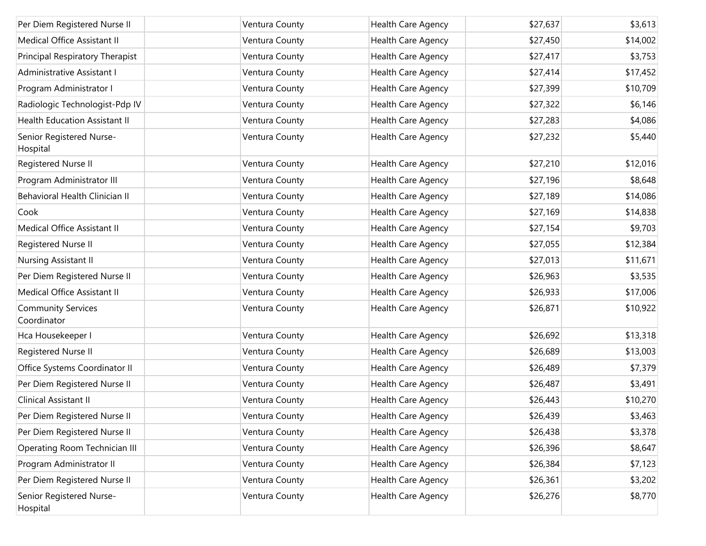| Per Diem Registered Nurse II             | Ventura County | Health Care Agency | \$27,637 | \$3,613  |
|------------------------------------------|----------------|--------------------|----------|----------|
| Medical Office Assistant II              | Ventura County | Health Care Agency | \$27,450 | \$14,002 |
| Principal Respiratory Therapist          | Ventura County | Health Care Agency | \$27,417 | \$3,753  |
| Administrative Assistant I               | Ventura County | Health Care Agency | \$27,414 | \$17,452 |
| Program Administrator I                  | Ventura County | Health Care Agency | \$27,399 | \$10,709 |
| Radiologic Technologist-Pdp IV           | Ventura County | Health Care Agency | \$27,322 | \$6,146  |
| <b>Health Education Assistant II</b>     | Ventura County | Health Care Agency | \$27,283 | \$4,086  |
| Senior Registered Nurse-<br>Hospital     | Ventura County | Health Care Agency | \$27,232 | \$5,440  |
| Registered Nurse II                      | Ventura County | Health Care Agency | \$27,210 | \$12,016 |
| Program Administrator III                | Ventura County | Health Care Agency | \$27,196 | \$8,648  |
| Behavioral Health Clinician II           | Ventura County | Health Care Agency | \$27,189 | \$14,086 |
| Cook                                     | Ventura County | Health Care Agency | \$27,169 | \$14,838 |
| Medical Office Assistant II              | Ventura County | Health Care Agency | \$27,154 | \$9,703  |
| Registered Nurse II                      | Ventura County | Health Care Agency | \$27,055 | \$12,384 |
| Nursing Assistant II                     | Ventura County | Health Care Agency | \$27,013 | \$11,671 |
| Per Diem Registered Nurse II             | Ventura County | Health Care Agency | \$26,963 | \$3,535  |
| Medical Office Assistant II              | Ventura County | Health Care Agency | \$26,933 | \$17,006 |
| <b>Community Services</b><br>Coordinator | Ventura County | Health Care Agency | \$26,871 | \$10,922 |
| Hca Housekeeper I                        | Ventura County | Health Care Agency | \$26,692 | \$13,318 |
| Registered Nurse II                      | Ventura County | Health Care Agency | \$26,689 | \$13,003 |
| Office Systems Coordinator II            | Ventura County | Health Care Agency | \$26,489 | \$7,379  |
| Per Diem Registered Nurse II             | Ventura County | Health Care Agency | \$26,487 | \$3,491  |
| Clinical Assistant II                    | Ventura County | Health Care Agency | \$26,443 | \$10,270 |
| Per Diem Registered Nurse II             | Ventura County | Health Care Agency | \$26,439 | \$3,463  |
| Per Diem Registered Nurse II             | Ventura County | Health Care Agency | \$26,438 | \$3,378  |
| Operating Room Technician III            | Ventura County | Health Care Agency | \$26,396 | \$8,647  |
| Program Administrator II                 | Ventura County | Health Care Agency | \$26,384 | \$7,123  |
| Per Diem Registered Nurse II             | Ventura County | Health Care Agency | \$26,361 | \$3,202  |
| Senior Registered Nurse-<br>Hospital     | Ventura County | Health Care Agency | \$26,276 | \$8,770  |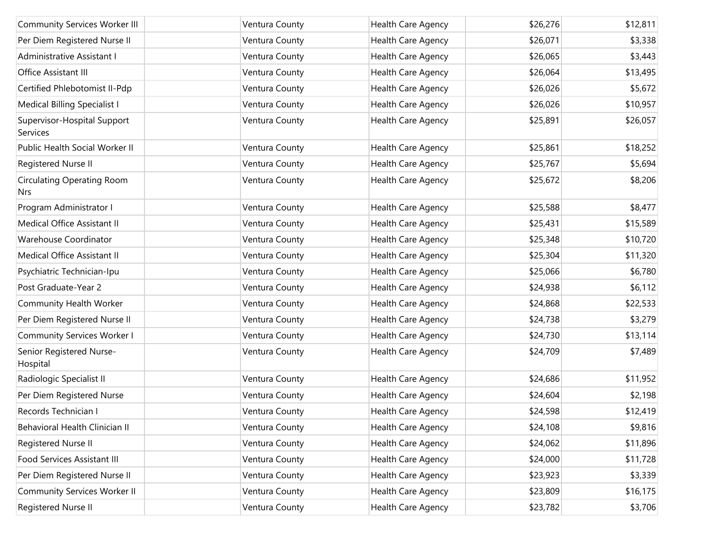| <b>Community Services Worker III</b>            | Ventura County | Health Care Agency        | \$26,276 | \$12,811 |
|-------------------------------------------------|----------------|---------------------------|----------|----------|
| Per Diem Registered Nurse II                    | Ventura County | Health Care Agency        | \$26,071 | \$3,338  |
| Administrative Assistant I                      | Ventura County | Health Care Agency        | \$26,065 | \$3,443  |
| Office Assistant III                            | Ventura County | Health Care Agency        | \$26,064 | \$13,495 |
| Certified Phlebotomist II-Pdp                   | Ventura County | Health Care Agency        | \$26,026 | \$5,672  |
| Medical Billing Specialist I                    | Ventura County | Health Care Agency        | \$26,026 | \$10,957 |
| Supervisor-Hospital Support<br>Services         | Ventura County | Health Care Agency        | \$25,891 | \$26,057 |
| Public Health Social Worker II                  | Ventura County | Health Care Agency        | \$25,861 | \$18,252 |
| Registered Nurse II                             | Ventura County | Health Care Agency        | \$25,767 | \$5,694  |
| <b>Circulating Operating Room</b><br><b>Nrs</b> | Ventura County | Health Care Agency        | \$25,672 | \$8,206  |
| Program Administrator I                         | Ventura County | Health Care Agency        | \$25,588 | \$8,477  |
| Medical Office Assistant II                     | Ventura County | Health Care Agency        | \$25,431 | \$15,589 |
| Warehouse Coordinator                           | Ventura County | Health Care Agency        | \$25,348 | \$10,720 |
| Medical Office Assistant II                     | Ventura County | Health Care Agency        | \$25,304 | \$11,320 |
| Psychiatric Technician-Ipu                      | Ventura County | Health Care Agency        | \$25,066 | \$6,780  |
| Post Graduate-Year 2                            | Ventura County | Health Care Agency        | \$24,938 | \$6,112  |
| Community Health Worker                         | Ventura County | Health Care Agency        | \$24,868 | \$22,533 |
| Per Diem Registered Nurse II                    | Ventura County | Health Care Agency        | \$24,738 | \$3,279  |
| <b>Community Services Worker I</b>              | Ventura County | Health Care Agency        | \$24,730 | \$13,114 |
| Senior Registered Nurse-<br>Hospital            | Ventura County | Health Care Agency        | \$24,709 | \$7,489  |
| Radiologic Specialist II                        | Ventura County | Health Care Agency        | \$24,686 | \$11,952 |
| Per Diem Registered Nurse                       | Ventura County | <b>Health Care Agency</b> | \$24,604 | \$2,198  |
| Records Technician I                            | Ventura County | Health Care Agency        | \$24,598 | \$12,419 |
| Behavioral Health Clinician II                  | Ventura County | Health Care Agency        | \$24,108 | \$9,816  |
| Registered Nurse II                             | Ventura County | Health Care Agency        | \$24,062 | \$11,896 |
| Food Services Assistant III                     | Ventura County | Health Care Agency        | \$24,000 | \$11,728 |
| Per Diem Registered Nurse II                    | Ventura County | Health Care Agency        | \$23,923 | \$3,339  |
| <b>Community Services Worker II</b>             | Ventura County | Health Care Agency        | \$23,809 | \$16,175 |
| Registered Nurse II                             | Ventura County | Health Care Agency        | \$23,782 | \$3,706  |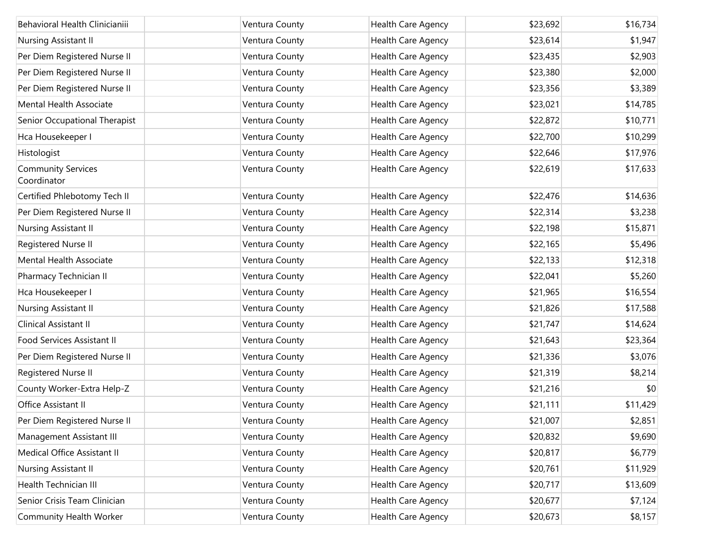| Behavioral Health Clinicianiii           | Ventura County | Health Care Agency | \$23,692 | \$16,734 |
|------------------------------------------|----------------|--------------------|----------|----------|
| Nursing Assistant II                     | Ventura County | Health Care Agency | \$23,614 | \$1,947  |
| Per Diem Registered Nurse II             | Ventura County | Health Care Agency | \$23,435 | \$2,903  |
| Per Diem Registered Nurse II             | Ventura County | Health Care Agency | \$23,380 | \$2,000  |
| Per Diem Registered Nurse II             | Ventura County | Health Care Agency | \$23,356 | \$3,389  |
| Mental Health Associate                  | Ventura County | Health Care Agency | \$23,021 | \$14,785 |
| Senior Occupational Therapist            | Ventura County | Health Care Agency | \$22,872 | \$10,771 |
| Hca Housekeeper I                        | Ventura County | Health Care Agency | \$22,700 | \$10,299 |
| Histologist                              | Ventura County | Health Care Agency | \$22,646 | \$17,976 |
| <b>Community Services</b><br>Coordinator | Ventura County | Health Care Agency | \$22,619 | \$17,633 |
| Certified Phlebotomy Tech II             | Ventura County | Health Care Agency | \$22,476 | \$14,636 |
| Per Diem Registered Nurse II             | Ventura County | Health Care Agency | \$22,314 | \$3,238  |
| Nursing Assistant II                     | Ventura County | Health Care Agency | \$22,198 | \$15,871 |
| Registered Nurse II                      | Ventura County | Health Care Agency | \$22,165 | \$5,496  |
| Mental Health Associate                  | Ventura County | Health Care Agency | \$22,133 | \$12,318 |
| Pharmacy Technician II                   | Ventura County | Health Care Agency | \$22,041 | \$5,260  |
| Hca Housekeeper I                        | Ventura County | Health Care Agency | \$21,965 | \$16,554 |
| Nursing Assistant II                     | Ventura County | Health Care Agency | \$21,826 | \$17,588 |
| Clinical Assistant II                    | Ventura County | Health Care Agency | \$21,747 | \$14,624 |
| Food Services Assistant II               | Ventura County | Health Care Agency | \$21,643 | \$23,364 |
| Per Diem Registered Nurse II             | Ventura County | Health Care Agency | \$21,336 | \$3,076  |
| Registered Nurse II                      | Ventura County | Health Care Agency | \$21,319 | \$8,214  |
| County Worker-Extra Help-Z               | Ventura County | Health Care Agency | \$21,216 | \$0      |
| Office Assistant II                      | Ventura County | Health Care Agency | \$21,111 | \$11,429 |
| Per Diem Registered Nurse II             | Ventura County | Health Care Agency | \$21,007 | \$2,851  |
| Management Assistant III                 | Ventura County | Health Care Agency | \$20,832 | \$9,690  |
| Medical Office Assistant II              | Ventura County | Health Care Agency | \$20,817 | \$6,779  |
| Nursing Assistant II                     | Ventura County | Health Care Agency | \$20,761 | \$11,929 |
| Health Technician III                    | Ventura County | Health Care Agency | \$20,717 | \$13,609 |
| Senior Crisis Team Clinician             | Ventura County | Health Care Agency | \$20,677 | \$7,124  |
| Community Health Worker                  | Ventura County | Health Care Agency | \$20,673 | \$8,157  |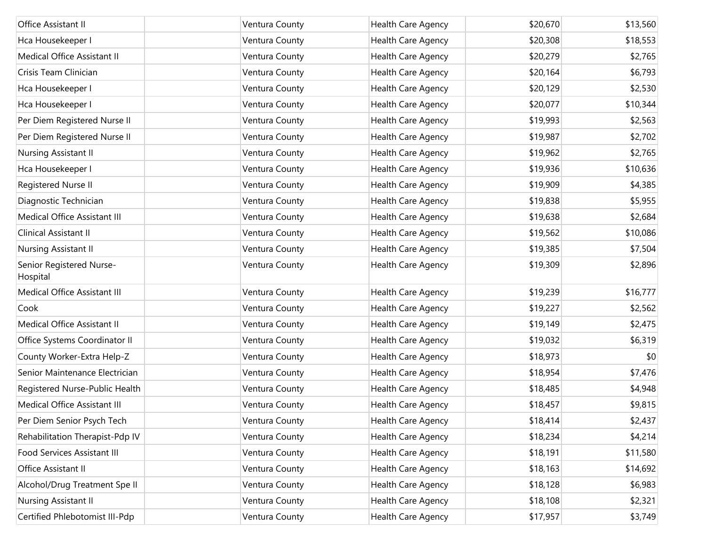| Office Assistant II                  | Ventura County | <b>Health Care Agency</b> | \$20,670 | \$13,560 |
|--------------------------------------|----------------|---------------------------|----------|----------|
| Hca Housekeeper I                    | Ventura County | Health Care Agency        | \$20,308 | \$18,553 |
| Medical Office Assistant II          | Ventura County | Health Care Agency        | \$20,279 | \$2,765  |
| Crisis Team Clinician                | Ventura County | Health Care Agency        | \$20,164 | \$6,793  |
| Hca Housekeeper I                    | Ventura County | Health Care Agency        | \$20,129 | \$2,530  |
| Hca Housekeeper I                    | Ventura County | Health Care Agency        | \$20,077 | \$10,344 |
| Per Diem Registered Nurse II         | Ventura County | Health Care Agency        | \$19,993 | \$2,563  |
| Per Diem Registered Nurse II         | Ventura County | Health Care Agency        | \$19,987 | \$2,702  |
| Nursing Assistant II                 | Ventura County | Health Care Agency        | \$19,962 | \$2,765  |
| Hca Housekeeper I                    | Ventura County | Health Care Agency        | \$19,936 | \$10,636 |
| Registered Nurse II                  | Ventura County | Health Care Agency        | \$19,909 | \$4,385  |
| Diagnostic Technician                | Ventura County | Health Care Agency        | \$19,838 | \$5,955  |
| Medical Office Assistant III         | Ventura County | Health Care Agency        | \$19,638 | \$2,684  |
| Clinical Assistant II                | Ventura County | Health Care Agency        | \$19,562 | \$10,086 |
| Nursing Assistant II                 | Ventura County | Health Care Agency        | \$19,385 | \$7,504  |
| Senior Registered Nurse-<br>Hospital | Ventura County | Health Care Agency        | \$19,309 | \$2,896  |
| Medical Office Assistant III         | Ventura County | Health Care Agency        | \$19,239 | \$16,777 |
| Cook                                 | Ventura County | Health Care Agency        | \$19,227 | \$2,562  |
| Medical Office Assistant II          | Ventura County | Health Care Agency        | \$19,149 | \$2,475  |
| Office Systems Coordinator II        | Ventura County | Health Care Agency        | \$19,032 | \$6,319  |
| County Worker-Extra Help-Z           | Ventura County | Health Care Agency        | \$18,973 | \$0      |
| Senior Maintenance Electrician       | Ventura County | Health Care Agency        | \$18,954 | \$7,476  |
| Registered Nurse-Public Health       | Ventura County | Health Care Agency        | \$18,485 | \$4,948  |
| Medical Office Assistant III         | Ventura County | Health Care Agency        | \$18,457 | \$9,815  |
| Per Diem Senior Psych Tech           | Ventura County | Health Care Agency        | \$18,414 | \$2,437  |
| Rehabilitation Therapist-Pdp IV      | Ventura County | Health Care Agency        | \$18,234 | \$4,214  |
| Food Services Assistant III          | Ventura County | Health Care Agency        | \$18,191 | \$11,580 |
| Office Assistant II                  | Ventura County | Health Care Agency        | \$18,163 | \$14,692 |
| Alcohol/Drug Treatment Spe II        | Ventura County | Health Care Agency        | \$18,128 | \$6,983  |
| Nursing Assistant II                 | Ventura County | Health Care Agency        | \$18,108 | \$2,321  |
| Certified Phlebotomist III-Pdp       | Ventura County | Health Care Agency        | \$17,957 | \$3,749  |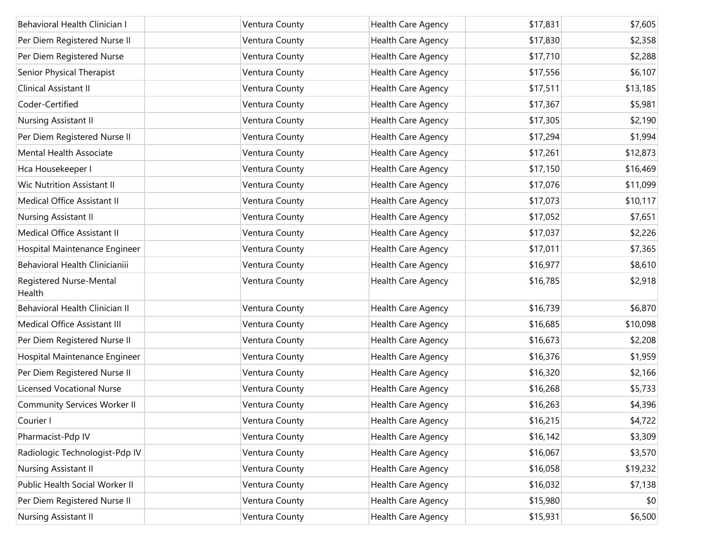| Behavioral Health Clinician I       | Ventura County | Health Care Agency | \$17,831 | \$7,605  |
|-------------------------------------|----------------|--------------------|----------|----------|
| Per Diem Registered Nurse II        | Ventura County | Health Care Agency | \$17,830 | \$2,358  |
| Per Diem Registered Nurse           | Ventura County | Health Care Agency | \$17,710 | \$2,288  |
| Senior Physical Therapist           | Ventura County | Health Care Agency | \$17,556 | \$6,107  |
| Clinical Assistant II               | Ventura County | Health Care Agency | \$17,511 | \$13,185 |
| Coder-Certified                     | Ventura County | Health Care Agency | \$17,367 | \$5,981  |
| Nursing Assistant II                | Ventura County | Health Care Agency | \$17,305 | \$2,190  |
| Per Diem Registered Nurse II        | Ventura County | Health Care Agency | \$17,294 | \$1,994  |
| Mental Health Associate             | Ventura County | Health Care Agency | \$17,261 | \$12,873 |
| Hca Housekeeper I                   | Ventura County | Health Care Agency | \$17,150 | \$16,469 |
| Wic Nutrition Assistant II          | Ventura County | Health Care Agency | \$17,076 | \$11,099 |
| Medical Office Assistant II         | Ventura County | Health Care Agency | \$17,073 | \$10,117 |
| Nursing Assistant II                | Ventura County | Health Care Agency | \$17,052 | \$7,651  |
| Medical Office Assistant II         | Ventura County | Health Care Agency | \$17,037 | \$2,226  |
| Hospital Maintenance Engineer       | Ventura County | Health Care Agency | \$17,011 | \$7,365  |
| Behavioral Health Clinicianiii      | Ventura County | Health Care Agency | \$16,977 | \$8,610  |
| Registered Nurse-Mental<br>Health   | Ventura County | Health Care Agency | \$16,785 | \$2,918  |
| Behavioral Health Clinician II      | Ventura County | Health Care Agency | \$16,739 | \$6,870  |
| Medical Office Assistant III        | Ventura County | Health Care Agency | \$16,685 | \$10,098 |
| Per Diem Registered Nurse II        | Ventura County | Health Care Agency | \$16,673 | \$2,208  |
| Hospital Maintenance Engineer       | Ventura County | Health Care Agency | \$16,376 | \$1,959  |
| Per Diem Registered Nurse II        | Ventura County | Health Care Agency | \$16,320 | \$2,166  |
| <b>Licensed Vocational Nurse</b>    | Ventura County | Health Care Agency | \$16,268 | \$5,733  |
| <b>Community Services Worker II</b> | Ventura County | Health Care Agency | \$16,263 | \$4,396  |
| Courier I                           | Ventura County | Health Care Agency | \$16,215 | \$4,722  |
| Pharmacist-Pdp IV                   | Ventura County | Health Care Agency | \$16,142 | \$3,309  |
| Radiologic Technologist-Pdp IV      | Ventura County | Health Care Agency | \$16,067 | \$3,570  |
| Nursing Assistant II                | Ventura County | Health Care Agency | \$16,058 | \$19,232 |
| Public Health Social Worker II      | Ventura County | Health Care Agency | \$16,032 | \$7,138  |
| Per Diem Registered Nurse II        | Ventura County | Health Care Agency | \$15,980 | \$0      |
| Nursing Assistant II                | Ventura County | Health Care Agency | \$15,931 | \$6,500  |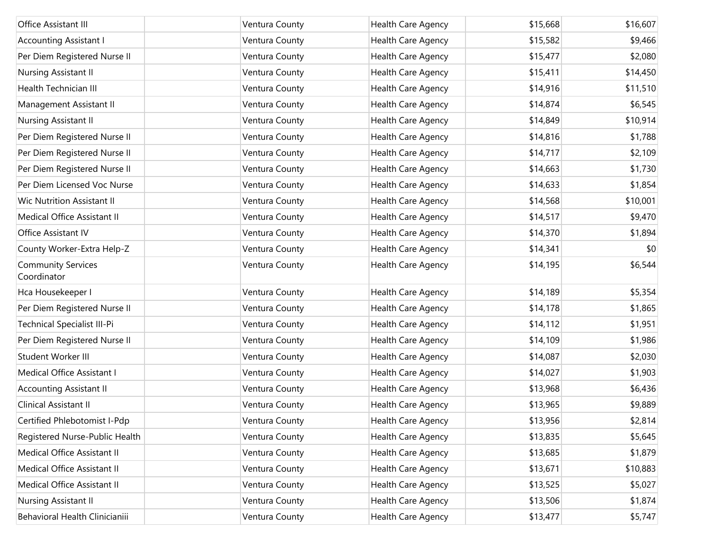| Office Assistant III                     | Ventura County | Health Care Agency | \$15,668 | \$16,607 |
|------------------------------------------|----------------|--------------------|----------|----------|
| <b>Accounting Assistant I</b>            | Ventura County | Health Care Agency | \$15,582 | \$9,466  |
| Per Diem Registered Nurse II             | Ventura County | Health Care Agency | \$15,477 | \$2,080  |
| Nursing Assistant II                     | Ventura County | Health Care Agency | \$15,411 | \$14,450 |
| Health Technician III                    | Ventura County | Health Care Agency | \$14,916 | \$11,510 |
| Management Assistant II                  | Ventura County | Health Care Agency | \$14,874 | \$6,545  |
| Nursing Assistant II                     | Ventura County | Health Care Agency | \$14,849 | \$10,914 |
| Per Diem Registered Nurse II             | Ventura County | Health Care Agency | \$14,816 | \$1,788  |
| Per Diem Registered Nurse II             | Ventura County | Health Care Agency | \$14,717 | \$2,109  |
| Per Diem Registered Nurse II             | Ventura County | Health Care Agency | \$14,663 | \$1,730  |
| Per Diem Licensed Voc Nurse              | Ventura County | Health Care Agency | \$14,633 | \$1,854  |
| Wic Nutrition Assistant II               | Ventura County | Health Care Agency | \$14,568 | \$10,001 |
| Medical Office Assistant II              | Ventura County | Health Care Agency | \$14,517 | \$9,470  |
| Office Assistant IV                      | Ventura County | Health Care Agency | \$14,370 | \$1,894  |
| County Worker-Extra Help-Z               | Ventura County | Health Care Agency | \$14,341 | \$0      |
| <b>Community Services</b><br>Coordinator | Ventura County | Health Care Agency | \$14,195 | \$6,544  |
| Hca Housekeeper I                        | Ventura County | Health Care Agency | \$14,189 | \$5,354  |
| Per Diem Registered Nurse II             | Ventura County | Health Care Agency | \$14,178 | \$1,865  |
| Technical Specialist III-Pi              | Ventura County | Health Care Agency | \$14,112 | \$1,951  |
| Per Diem Registered Nurse II             | Ventura County | Health Care Agency | \$14,109 | \$1,986  |
| Student Worker III                       | Ventura County | Health Care Agency | \$14,087 | \$2,030  |
| Medical Office Assistant I               | Ventura County | Health Care Agency | \$14,027 | \$1,903  |
| <b>Accounting Assistant II</b>           | Ventura County | Health Care Agency | \$13,968 | \$6,436  |
| Clinical Assistant II                    | Ventura County | Health Care Agency | \$13,965 | \$9,889  |
| Certified Phlebotomist I-Pdp             | Ventura County | Health Care Agency | \$13,956 | \$2,814  |
| Registered Nurse-Public Health           | Ventura County | Health Care Agency | \$13,835 | \$5,645  |
| Medical Office Assistant II              | Ventura County | Health Care Agency | \$13,685 | \$1,879  |
| Medical Office Assistant II              | Ventura County | Health Care Agency | \$13,671 | \$10,883 |
| Medical Office Assistant II              | Ventura County | Health Care Agency | \$13,525 | \$5,027  |
| Nursing Assistant II                     | Ventura County | Health Care Agency | \$13,506 | \$1,874  |
| Behavioral Health Clinicianiii           | Ventura County | Health Care Agency | \$13,477 | \$5,747  |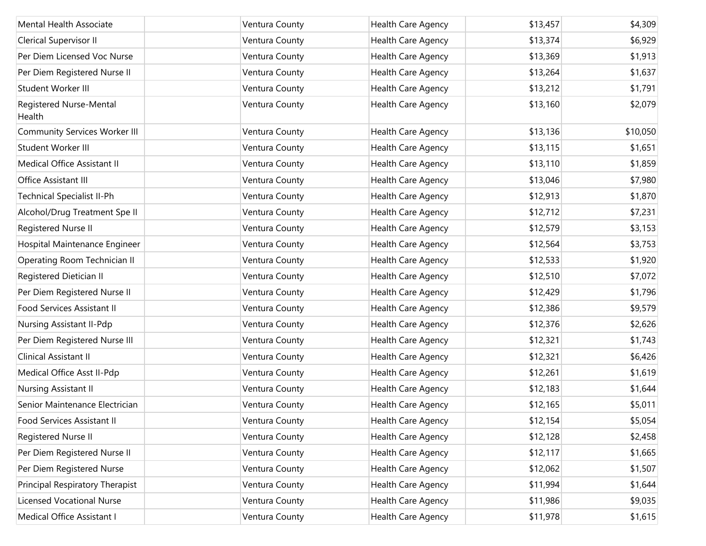| Mental Health Associate              | Ventura County | Health Care Agency | \$13,457 | \$4,309  |
|--------------------------------------|----------------|--------------------|----------|----------|
| Clerical Supervisor II               | Ventura County | Health Care Agency | \$13,374 | \$6,929  |
| Per Diem Licensed Voc Nurse          | Ventura County | Health Care Agency | \$13,369 | \$1,913  |
| Per Diem Registered Nurse II         | Ventura County | Health Care Agency | \$13,264 | \$1,637  |
| Student Worker III                   | Ventura County | Health Care Agency | \$13,212 | \$1,791  |
| Registered Nurse-Mental<br>Health    | Ventura County | Health Care Agency | \$13,160 | \$2,079  |
| <b>Community Services Worker III</b> | Ventura County | Health Care Agency | \$13,136 | \$10,050 |
| Student Worker III                   | Ventura County | Health Care Agency | \$13,115 | \$1,651  |
| Medical Office Assistant II          | Ventura County | Health Care Agency | \$13,110 | \$1,859  |
| Office Assistant III                 | Ventura County | Health Care Agency | \$13,046 | \$7,980  |
| <b>Technical Specialist II-Ph</b>    | Ventura County | Health Care Agency | \$12,913 | \$1,870  |
| Alcohol/Drug Treatment Spe II        | Ventura County | Health Care Agency | \$12,712 | \$7,231  |
| Registered Nurse II                  | Ventura County | Health Care Agency | \$12,579 | \$3,153  |
| Hospital Maintenance Engineer        | Ventura County | Health Care Agency | \$12,564 | \$3,753  |
| Operating Room Technician II         | Ventura County | Health Care Agency | \$12,533 | \$1,920  |
| Registered Dietician II              | Ventura County | Health Care Agency | \$12,510 | \$7,072  |
| Per Diem Registered Nurse II         | Ventura County | Health Care Agency | \$12,429 | \$1,796  |
| Food Services Assistant II           | Ventura County | Health Care Agency | \$12,386 | \$9,579  |
| Nursing Assistant II-Pdp             | Ventura County | Health Care Agency | \$12,376 | \$2,626  |
| Per Diem Registered Nurse III        | Ventura County | Health Care Agency | \$12,321 | \$1,743  |
| Clinical Assistant II                | Ventura County | Health Care Agency | \$12,321 | \$6,426  |
| Medical Office Asst II-Pdp           | Ventura County | Health Care Agency | \$12,261 | \$1,619  |
| Nursing Assistant II                 | Ventura County | Health Care Agency | \$12,183 | \$1,644  |
| Senior Maintenance Electrician       | Ventura County | Health Care Agency | \$12,165 | \$5,011  |
| Food Services Assistant II           | Ventura County | Health Care Agency | \$12,154 | \$5,054  |
| Registered Nurse II                  | Ventura County | Health Care Agency | \$12,128 | \$2,458  |
| Per Diem Registered Nurse II         | Ventura County | Health Care Agency | \$12,117 | \$1,665  |
| Per Diem Registered Nurse            | Ventura County | Health Care Agency | \$12,062 | \$1,507  |
| Principal Respiratory Therapist      | Ventura County | Health Care Agency | \$11,994 | \$1,644  |
| <b>Licensed Vocational Nurse</b>     | Ventura County | Health Care Agency | \$11,986 | \$9,035  |
| Medical Office Assistant I           | Ventura County | Health Care Agency | \$11,978 | \$1,615  |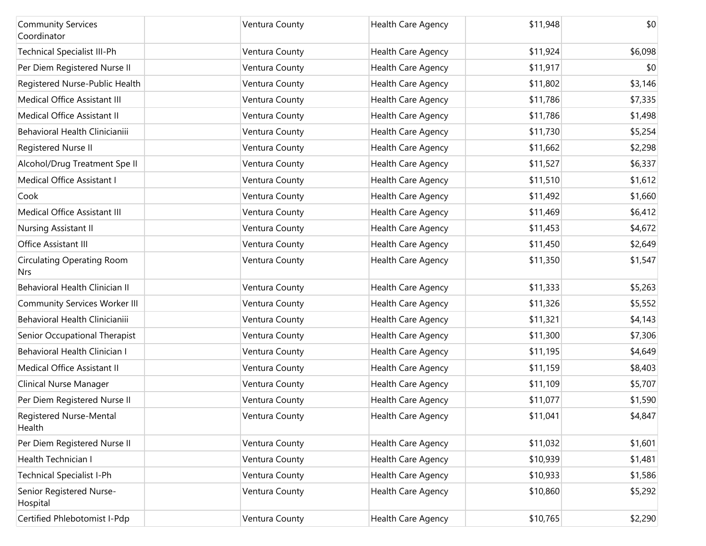| <b>Community Services</b><br>Coordinator | Ventura County | <b>Health Care Agency</b> | \$11,948 | \$0     |
|------------------------------------------|----------------|---------------------------|----------|---------|
| <b>Technical Specialist III-Ph</b>       | Ventura County | Health Care Agency        | \$11,924 | \$6,098 |
| Per Diem Registered Nurse II             | Ventura County | Health Care Agency        | \$11,917 | \$0     |
| Registered Nurse-Public Health           | Ventura County | Health Care Agency        | \$11,802 | \$3,146 |
| Medical Office Assistant III             | Ventura County | Health Care Agency        | \$11,786 | \$7,335 |
| Medical Office Assistant II              | Ventura County | Health Care Agency        | \$11,786 | \$1,498 |
| Behavioral Health Clinicianiii           | Ventura County | Health Care Agency        | \$11,730 | \$5,254 |
| Registered Nurse II                      | Ventura County | Health Care Agency        | \$11,662 | \$2,298 |
| Alcohol/Drug Treatment Spe II            | Ventura County | Health Care Agency        | \$11,527 | \$6,337 |
| Medical Office Assistant I               | Ventura County | Health Care Agency        | \$11,510 | \$1,612 |
| Cook                                     | Ventura County | Health Care Agency        | \$11,492 | \$1,660 |
| Medical Office Assistant III             | Ventura County | Health Care Agency        | \$11,469 | \$6,412 |
| Nursing Assistant II                     | Ventura County | Health Care Agency        | \$11,453 | \$4,672 |
| Office Assistant III                     | Ventura County | Health Care Agency        | \$11,450 | \$2,649 |
| <b>Circulating Operating Room</b><br>Nrs | Ventura County | Health Care Agency        | \$11,350 | \$1,547 |
| Behavioral Health Clinician II           | Ventura County | Health Care Agency        | \$11,333 | \$5,263 |
| <b>Community Services Worker III</b>     | Ventura County | Health Care Agency        | \$11,326 | \$5,552 |
| Behavioral Health Clinicianiii           | Ventura County | Health Care Agency        | \$11,321 | \$4,143 |
| Senior Occupational Therapist            | Ventura County | Health Care Agency        | \$11,300 | \$7,306 |
| Behavioral Health Clinician I            | Ventura County | Health Care Agency        | \$11,195 | \$4,649 |
| Medical Office Assistant II              | Ventura County | Health Care Agency        | \$11,159 | \$8,403 |
| Clinical Nurse Manager                   | Ventura County | Health Care Agency        | \$11,109 | \$5,707 |
| Per Diem Registered Nurse II             | Ventura County | Health Care Agency        | \$11,077 | \$1,590 |
| Registered Nurse-Mental<br>Health        | Ventura County | Health Care Agency        | \$11,041 | \$4,847 |
| Per Diem Registered Nurse II             | Ventura County | Health Care Agency        | \$11,032 | \$1,601 |
| Health Technician I                      | Ventura County | Health Care Agency        | \$10,939 | \$1,481 |
| <b>Technical Specialist I-Ph</b>         | Ventura County | Health Care Agency        | \$10,933 | \$1,586 |
| Senior Registered Nurse-<br>Hospital     | Ventura County | Health Care Agency        | \$10,860 | \$5,292 |
| Certified Phlebotomist I-Pdp             | Ventura County | Health Care Agency        | \$10,765 | \$2,290 |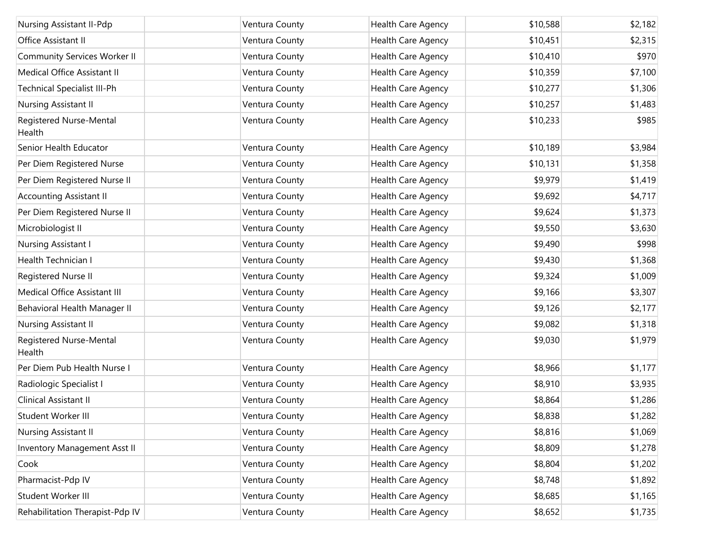| Nursing Assistant II-Pdp            | Ventura County | Health Care Agency        | \$10,588 | \$2,182 |
|-------------------------------------|----------------|---------------------------|----------|---------|
| Office Assistant II                 | Ventura County | Health Care Agency        | \$10,451 | \$2,315 |
| <b>Community Services Worker II</b> | Ventura County | Health Care Agency        | \$10,410 | \$970   |
| Medical Office Assistant II         | Ventura County | Health Care Agency        | \$10,359 | \$7,100 |
| <b>Technical Specialist III-Ph</b>  | Ventura County | Health Care Agency        | \$10,277 | \$1,306 |
| Nursing Assistant II                | Ventura County | Health Care Agency        | \$10,257 | \$1,483 |
| Registered Nurse-Mental<br>Health   | Ventura County | Health Care Agency        | \$10,233 | \$985   |
| Senior Health Educator              | Ventura County | Health Care Agency        | \$10,189 | \$3,984 |
| Per Diem Registered Nurse           | Ventura County | Health Care Agency        | \$10,131 | \$1,358 |
| Per Diem Registered Nurse II        | Ventura County | Health Care Agency        | \$9,979  | \$1,419 |
| <b>Accounting Assistant II</b>      | Ventura County | Health Care Agency        | \$9,692  | \$4,717 |
| Per Diem Registered Nurse II        | Ventura County | Health Care Agency        | \$9,624  | \$1,373 |
| Microbiologist II                   | Ventura County | Health Care Agency        | \$9,550  | \$3,630 |
| Nursing Assistant I                 | Ventura County | Health Care Agency        | \$9,490  | \$998   |
| Health Technician I                 | Ventura County | Health Care Agency        | \$9,430  | \$1,368 |
| Registered Nurse II                 | Ventura County | Health Care Agency        | \$9,324  | \$1,009 |
| Medical Office Assistant III        | Ventura County | Health Care Agency        | \$9,166  | \$3,307 |
| Behavioral Health Manager II        | Ventura County | Health Care Agency        | \$9,126  | \$2,177 |
| Nursing Assistant II                | Ventura County | Health Care Agency        | \$9,082  | \$1,318 |
| Registered Nurse-Mental<br>Health   | Ventura County | Health Care Agency        | \$9,030  | \$1,979 |
| Per Diem Pub Health Nurse I         | Ventura County | Health Care Agency        | \$8,966  | \$1,177 |
| Radiologic Specialist I             | Ventura County | Health Care Agency        | \$8,910  | \$3,935 |
| Clinical Assistant II               | Ventura County | Health Care Agency        | \$8,864  | \$1,286 |
| Student Worker III                  | Ventura County | Health Care Agency        | \$8,838  | \$1,282 |
| Nursing Assistant II                | Ventura County | <b>Health Care Agency</b> | \$8,816  | \$1,069 |
| <b>Inventory Management Asst II</b> | Ventura County | Health Care Agency        | \$8,809  | \$1,278 |
| Cook                                | Ventura County | Health Care Agency        | \$8,804  | \$1,202 |
| Pharmacist-Pdp IV                   | Ventura County | Health Care Agency        | \$8,748  | \$1,892 |
| Student Worker III                  | Ventura County | Health Care Agency        | \$8,685  | \$1,165 |
| Rehabilitation Therapist-Pdp IV     | Ventura County | Health Care Agency        | \$8,652  | \$1,735 |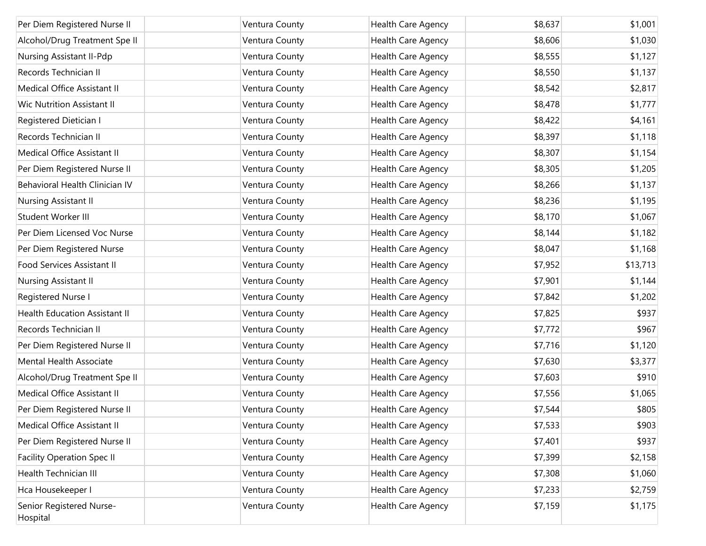| Per Diem Registered Nurse II         | Ventura County | <b>Health Care Agency</b> | \$8,637 | \$1,001  |
|--------------------------------------|----------------|---------------------------|---------|----------|
| Alcohol/Drug Treatment Spe II        | Ventura County | Health Care Agency        | \$8,606 | \$1,030  |
| Nursing Assistant II-Pdp             | Ventura County | Health Care Agency        | \$8,555 | \$1,127  |
| Records Technician II                | Ventura County | Health Care Agency        | \$8,550 | \$1,137  |
| Medical Office Assistant II          | Ventura County | Health Care Agency        | \$8,542 | \$2,817  |
| <b>Wic Nutrition Assistant II</b>    | Ventura County | Health Care Agency        | \$8,478 | \$1,777  |
| Registered Dietician I               | Ventura County | Health Care Agency        | \$8,422 | \$4,161  |
| Records Technician II                | Ventura County | Health Care Agency        | \$8,397 | \$1,118  |
| Medical Office Assistant II          | Ventura County | Health Care Agency        | \$8,307 | \$1,154  |
| Per Diem Registered Nurse II         | Ventura County | Health Care Agency        | \$8,305 | \$1,205  |
| Behavioral Health Clinician IV       | Ventura County | Health Care Agency        | \$8,266 | \$1,137  |
| Nursing Assistant II                 | Ventura County | Health Care Agency        | \$8,236 | \$1,195  |
| Student Worker III                   | Ventura County | Health Care Agency        | \$8,170 | \$1,067  |
| Per Diem Licensed Voc Nurse          | Ventura County | Health Care Agency        | \$8,144 | \$1,182  |
| Per Diem Registered Nurse            | Ventura County | Health Care Agency        | \$8,047 | \$1,168  |
| Food Services Assistant II           | Ventura County | Health Care Agency        | \$7,952 | \$13,713 |
| Nursing Assistant II                 | Ventura County | Health Care Agency        | \$7,901 | \$1,144  |
| Registered Nurse I                   | Ventura County | Health Care Agency        | \$7,842 | \$1,202  |
| <b>Health Education Assistant II</b> | Ventura County | Health Care Agency        | \$7,825 | \$937    |
| Records Technician II                | Ventura County | Health Care Agency        | \$7,772 | \$967    |
| Per Diem Registered Nurse II         | Ventura County | Health Care Agency        | \$7,716 | \$1,120  |
| Mental Health Associate              | Ventura County | Health Care Agency        | \$7,630 | \$3,377  |
| Alcohol/Drug Treatment Spe II        | Ventura County | Health Care Agency        | \$7,603 | \$910    |
| Medical Office Assistant II          | Ventura County | Health Care Agency        | \$7,556 | \$1,065  |
| Per Diem Registered Nurse II         | Ventura County | Health Care Agency        | \$7,544 | \$805    |
| Medical Office Assistant II          | Ventura County | Health Care Agency        | \$7,533 | \$903    |
| Per Diem Registered Nurse II         | Ventura County | Health Care Agency        | \$7,401 | \$937    |
| <b>Facility Operation Spec II</b>    | Ventura County | Health Care Agency        | \$7,399 | \$2,158  |
| Health Technician III                | Ventura County | Health Care Agency        | \$7,308 | \$1,060  |
| Hca Housekeeper I                    | Ventura County | Health Care Agency        | \$7,233 | \$2,759  |
| Senior Registered Nurse-<br>Hospital | Ventura County | Health Care Agency        | \$7,159 | \$1,175  |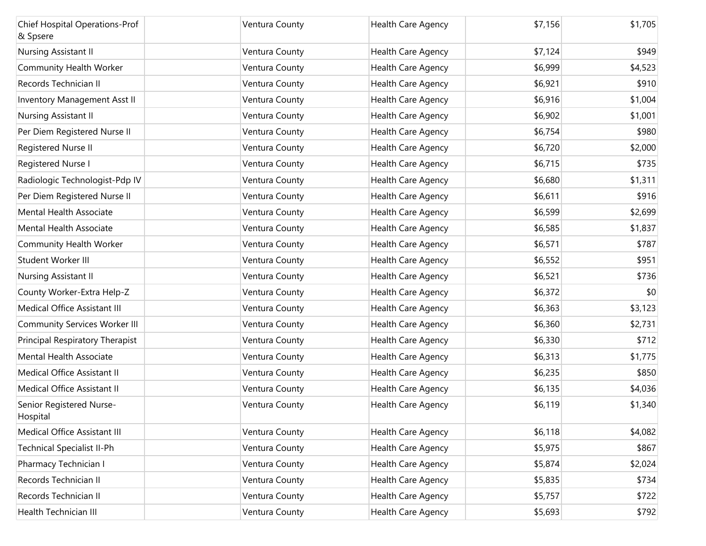| <b>Chief Hospital Operations-Prof</b><br>& Spsere | Ventura County | Health Care Agency | \$7,156 | \$1,705 |
|---------------------------------------------------|----------------|--------------------|---------|---------|
| Nursing Assistant II                              | Ventura County | Health Care Agency | \$7,124 | \$949   |
| Community Health Worker                           | Ventura County | Health Care Agency | \$6,999 | \$4,523 |
| Records Technician II                             | Ventura County | Health Care Agency | \$6,921 | \$910   |
| Inventory Management Asst II                      | Ventura County | Health Care Agency | \$6,916 | \$1,004 |
| Nursing Assistant II                              | Ventura County | Health Care Agency | \$6,902 | \$1,001 |
| Per Diem Registered Nurse II                      | Ventura County | Health Care Agency | \$6,754 | \$980   |
| Registered Nurse II                               | Ventura County | Health Care Agency | \$6,720 | \$2,000 |
| Registered Nurse I                                | Ventura County | Health Care Agency | \$6,715 | \$735   |
| Radiologic Technologist-Pdp IV                    | Ventura County | Health Care Agency | \$6,680 | \$1,311 |
| Per Diem Registered Nurse II                      | Ventura County | Health Care Agency | \$6,611 | \$916   |
| Mental Health Associate                           | Ventura County | Health Care Agency | \$6,599 | \$2,699 |
| Mental Health Associate                           | Ventura County | Health Care Agency | \$6,585 | \$1,837 |
| Community Health Worker                           | Ventura County | Health Care Agency | \$6,571 | \$787   |
| Student Worker III                                | Ventura County | Health Care Agency | \$6,552 | \$951   |
| Nursing Assistant II                              | Ventura County | Health Care Agency | \$6,521 | \$736   |
| County Worker-Extra Help-Z                        | Ventura County | Health Care Agency | \$6,372 | \$0     |
| Medical Office Assistant III                      | Ventura County | Health Care Agency | \$6,363 | \$3,123 |
| <b>Community Services Worker III</b>              | Ventura County | Health Care Agency | \$6,360 | \$2,731 |
| Principal Respiratory Therapist                   | Ventura County | Health Care Agency | \$6,330 | \$712   |
| Mental Health Associate                           | Ventura County | Health Care Agency | \$6,313 | \$1,775 |
| Medical Office Assistant II                       | Ventura County | Health Care Agency | \$6,235 | \$850   |
| Medical Office Assistant II                       | Ventura County | Health Care Agency | \$6,135 | \$4,036 |
| Senior Registered Nurse-<br>Hospital              | Ventura County | Health Care Agency | \$6,119 | \$1,340 |
| Medical Office Assistant III                      | Ventura County | Health Care Agency | \$6,118 | \$4,082 |
| <b>Technical Specialist II-Ph</b>                 | Ventura County | Health Care Agency | \$5,975 | \$867   |
| Pharmacy Technician I                             | Ventura County | Health Care Agency | \$5,874 | \$2,024 |
| Records Technician II                             | Ventura County | Health Care Agency | \$5,835 | \$734   |
| Records Technician II                             | Ventura County | Health Care Agency | \$5,757 | \$722   |
| Health Technician III                             | Ventura County | Health Care Agency | \$5,693 | \$792   |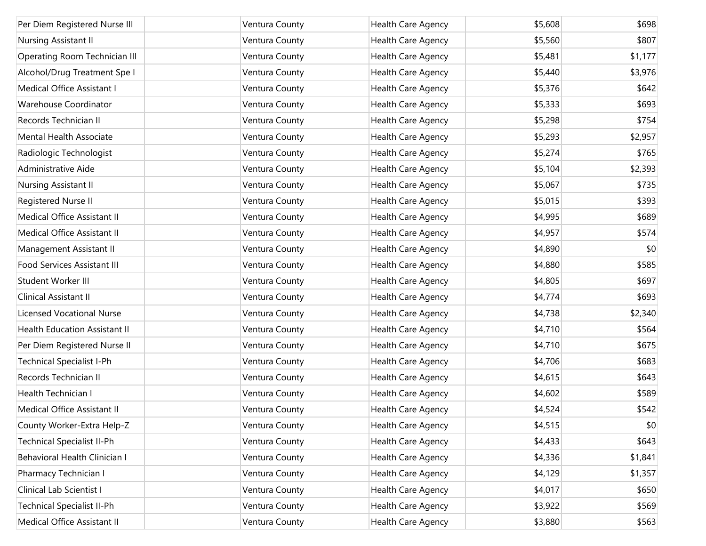| Per Diem Registered Nurse III        | Ventura County | Health Care Agency | \$5,608 | \$698   |
|--------------------------------------|----------------|--------------------|---------|---------|
| Nursing Assistant II                 | Ventura County | Health Care Agency | \$5,560 | \$807   |
| Operating Room Technician III        | Ventura County | Health Care Agency | \$5,481 | \$1,177 |
| Alcohol/Drug Treatment Spe I         | Ventura County | Health Care Agency | \$5,440 | \$3,976 |
| Medical Office Assistant I           | Ventura County | Health Care Agency | \$5,376 | \$642   |
| Warehouse Coordinator                | Ventura County | Health Care Agency | \$5,333 | \$693   |
| Records Technician II                | Ventura County | Health Care Agency | \$5,298 | \$754   |
| Mental Health Associate              | Ventura County | Health Care Agency | \$5,293 | \$2,957 |
| Radiologic Technologist              | Ventura County | Health Care Agency | \$5,274 | \$765   |
| Administrative Aide                  | Ventura County | Health Care Agency | \$5,104 | \$2,393 |
| Nursing Assistant II                 | Ventura County | Health Care Agency | \$5,067 | \$735   |
| Registered Nurse II                  | Ventura County | Health Care Agency | \$5,015 | \$393   |
| Medical Office Assistant II          | Ventura County | Health Care Agency | \$4,995 | \$689   |
| Medical Office Assistant II          | Ventura County | Health Care Agency | \$4,957 | \$574   |
| Management Assistant II              | Ventura County | Health Care Agency | \$4,890 | \$0     |
| Food Services Assistant III          | Ventura County | Health Care Agency | \$4,880 | \$585   |
| Student Worker III                   | Ventura County | Health Care Agency | \$4,805 | \$697   |
| Clinical Assistant II                | Ventura County | Health Care Agency | \$4,774 | \$693   |
| <b>Licensed Vocational Nurse</b>     | Ventura County | Health Care Agency | \$4,738 | \$2,340 |
| <b>Health Education Assistant II</b> | Ventura County | Health Care Agency | \$4,710 | \$564   |
| Per Diem Registered Nurse II         | Ventura County | Health Care Agency | \$4,710 | \$675   |
| <b>Technical Specialist I-Ph</b>     | Ventura County | Health Care Agency | \$4,706 | \$683   |
| Records Technician II                | Ventura County | Health Care Agency | \$4,615 | \$643   |
| <b>Health Technician I</b>           | Ventura County | Health Care Agency | \$4,602 | \$589   |
| Medical Office Assistant II          | Ventura County | Health Care Agency | \$4,524 | \$542   |
| County Worker-Extra Help-Z           | Ventura County | Health Care Agency | \$4,515 | \$0     |
| <b>Technical Specialist II-Ph</b>    | Ventura County | Health Care Agency | \$4,433 | \$643   |
| Behavioral Health Clinician I        | Ventura County | Health Care Agency | \$4,336 | \$1,841 |
| Pharmacy Technician I                | Ventura County | Health Care Agency | \$4,129 | \$1,357 |
| Clinical Lab Scientist I             | Ventura County | Health Care Agency | \$4,017 | \$650   |
| <b>Technical Specialist II-Ph</b>    | Ventura County | Health Care Agency | \$3,922 | \$569   |
| Medical Office Assistant II          | Ventura County | Health Care Agency | \$3,880 | \$563   |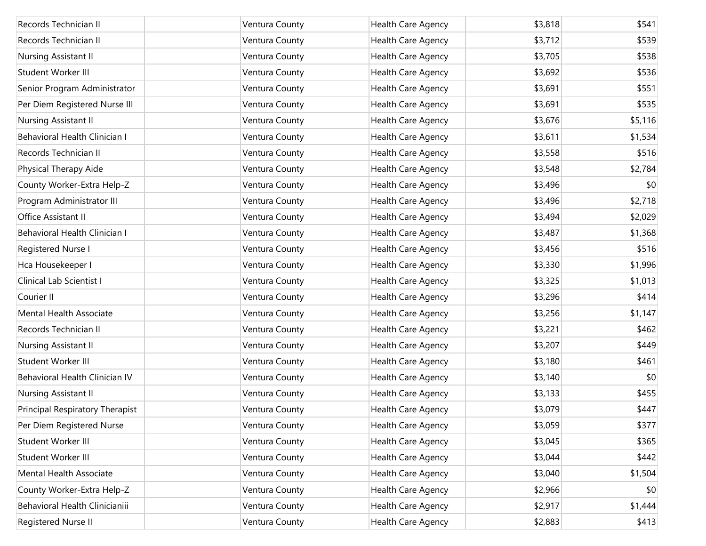| Records Technician II           | Ventura County | <b>Health Care Agency</b> | \$3,818 | \$541   |
|---------------------------------|----------------|---------------------------|---------|---------|
| Records Technician II           | Ventura County | Health Care Agency        | \$3,712 | \$539   |
| Nursing Assistant II            | Ventura County | Health Care Agency        | \$3,705 | \$538   |
| Student Worker III              | Ventura County | Health Care Agency        | \$3,692 | \$536   |
| Senior Program Administrator    | Ventura County | Health Care Agency        | \$3,691 | \$551   |
| Per Diem Registered Nurse III   | Ventura County | Health Care Agency        | \$3,691 | \$535   |
| Nursing Assistant II            | Ventura County | Health Care Agency        | \$3,676 | \$5,116 |
| Behavioral Health Clinician I   | Ventura County | Health Care Agency        | \$3,611 | \$1,534 |
| Records Technician II           | Ventura County | Health Care Agency        | \$3,558 | \$516   |
| Physical Therapy Aide           | Ventura County | Health Care Agency        | \$3,548 | \$2,784 |
| County Worker-Extra Help-Z      | Ventura County | Health Care Agency        | \$3,496 | \$0     |
| Program Administrator III       | Ventura County | Health Care Agency        | \$3,496 | \$2,718 |
| Office Assistant II             | Ventura County | Health Care Agency        | \$3,494 | \$2,029 |
| Behavioral Health Clinician I   | Ventura County | Health Care Agency        | \$3,487 | \$1,368 |
| Registered Nurse I              | Ventura County | Health Care Agency        | \$3,456 | \$516   |
| Hca Housekeeper I               | Ventura County | Health Care Agency        | \$3,330 | \$1,996 |
| Clinical Lab Scientist I        | Ventura County | Health Care Agency        | \$3,325 | \$1,013 |
| Courier II                      | Ventura County | Health Care Agency        | \$3,296 | \$414   |
| <b>Mental Health Associate</b>  | Ventura County | Health Care Agency        | \$3,256 | \$1,147 |
| Records Technician II           | Ventura County | Health Care Agency        | \$3,221 | \$462   |
| Nursing Assistant II            | Ventura County | Health Care Agency        | \$3,207 | \$449   |
| Student Worker III              | Ventura County | Health Care Agency        | \$3,180 | \$461   |
| Behavioral Health Clinician IV  | Ventura County | Health Care Agency        | \$3,140 | \$0     |
| Nursing Assistant II            | Ventura County | Health Care Agency        | \$3,133 | \$455   |
| Principal Respiratory Therapist | Ventura County | Health Care Agency        | \$3,079 | \$447   |
| Per Diem Registered Nurse       | Ventura County | Health Care Agency        | \$3,059 | \$377   |
| Student Worker III              | Ventura County | Health Care Agency        | \$3,045 | \$365   |
| Student Worker III              | Ventura County | Health Care Agency        | \$3,044 | \$442   |
| Mental Health Associate         | Ventura County | Health Care Agency        | \$3,040 | \$1,504 |
| County Worker-Extra Help-Z      | Ventura County | Health Care Agency        | \$2,966 | \$0     |
| Behavioral Health Clinicianiii  | Ventura County | Health Care Agency        | \$2,917 | \$1,444 |
| Registered Nurse II             | Ventura County | Health Care Agency        | \$2,883 | \$413   |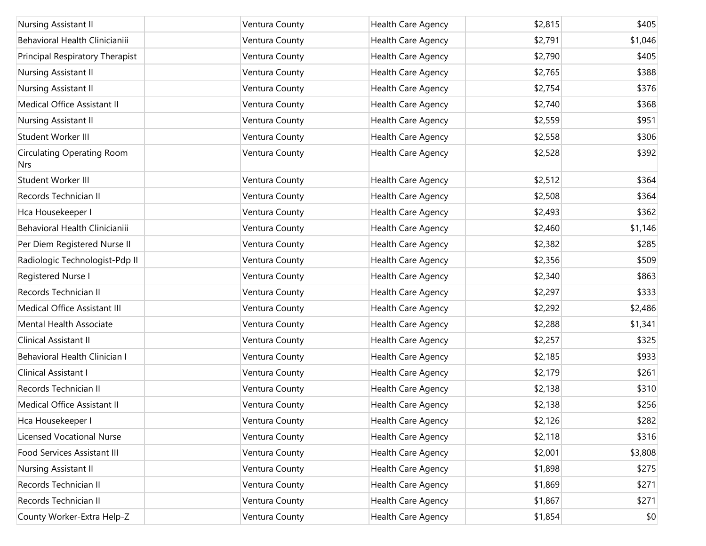| Nursing Assistant II                            | Ventura County | Health Care Agency        | \$2,815 | \$405   |
|-------------------------------------------------|----------------|---------------------------|---------|---------|
| Behavioral Health Clinicianiii                  | Ventura County | Health Care Agency        | \$2,791 | \$1,046 |
| Principal Respiratory Therapist                 | Ventura County | Health Care Agency        | \$2,790 | \$405   |
| Nursing Assistant II                            | Ventura County | Health Care Agency        | \$2,765 | \$388   |
| Nursing Assistant II                            | Ventura County | Health Care Agency        | \$2,754 | \$376   |
| Medical Office Assistant II                     | Ventura County | Health Care Agency        | \$2,740 | \$368   |
| Nursing Assistant II                            | Ventura County | Health Care Agency        | \$2,559 | \$951   |
| Student Worker III                              | Ventura County | Health Care Agency        | \$2,558 | \$306   |
| <b>Circulating Operating Room</b><br><b>Nrs</b> | Ventura County | Health Care Agency        | \$2,528 | \$392   |
| Student Worker III                              | Ventura County | Health Care Agency        | \$2,512 | \$364   |
| Records Technician II                           | Ventura County | Health Care Agency        | \$2,508 | \$364   |
| Hca Housekeeper I                               | Ventura County | Health Care Agency        | \$2,493 | \$362   |
| Behavioral Health Clinicianiii                  | Ventura County | Health Care Agency        | \$2,460 | \$1,146 |
| Per Diem Registered Nurse II                    | Ventura County | Health Care Agency        | \$2,382 | \$285   |
| Radiologic Technologist-Pdp II                  | Ventura County | Health Care Agency        | \$2,356 | \$509   |
| Registered Nurse I                              | Ventura County | Health Care Agency        | \$2,340 | \$863   |
| Records Technician II                           | Ventura County | Health Care Agency        | \$2,297 | \$333   |
| Medical Office Assistant III                    | Ventura County | Health Care Agency        | \$2,292 | \$2,486 |
| Mental Health Associate                         | Ventura County | Health Care Agency        | \$2,288 | \$1,341 |
| Clinical Assistant II                           | Ventura County | Health Care Agency        | \$2,257 | \$325   |
| Behavioral Health Clinician I                   | Ventura County | Health Care Agency        | \$2,185 | \$933   |
| Clinical Assistant I                            | Ventura County | Health Care Agency        | \$2,179 | \$261   |
| Records Technician II                           | Ventura County | Health Care Agency        | \$2,138 | \$310   |
| Medical Office Assistant II                     | Ventura County | <b>Health Care Agency</b> | \$2,138 | \$256   |
| Hca Housekeeper I                               | Ventura County | Health Care Agency        | \$2,126 | \$282   |
| <b>Licensed Vocational Nurse</b>                | Ventura County | Health Care Agency        | \$2,118 | \$316   |
| Food Services Assistant III                     | Ventura County | Health Care Agency        | \$2,001 | \$3,808 |
| Nursing Assistant II                            | Ventura County | Health Care Agency        | \$1,898 | \$275   |
| Records Technician II                           | Ventura County | Health Care Agency        | \$1,869 | \$271   |
| Records Technician II                           | Ventura County | Health Care Agency        | \$1,867 | \$271   |
| County Worker-Extra Help-Z                      | Ventura County | Health Care Agency        | \$1,854 | \$0     |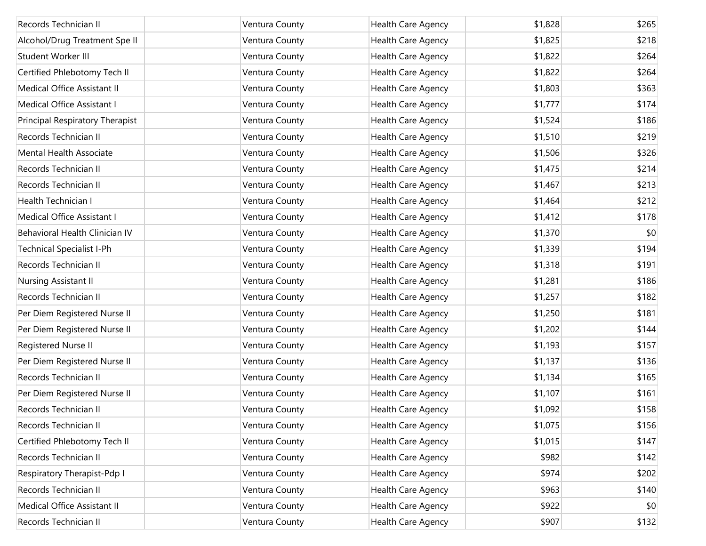| Records Technician II            | Ventura County | <b>Health Care Agency</b> | \$1,828 | \$265 |
|----------------------------------|----------------|---------------------------|---------|-------|
| Alcohol/Drug Treatment Spe II    | Ventura County | Health Care Agency        | \$1,825 | \$218 |
| Student Worker III               | Ventura County | Health Care Agency        | \$1,822 | \$264 |
| Certified Phlebotomy Tech II     | Ventura County | Health Care Agency        | \$1,822 | \$264 |
| Medical Office Assistant II      | Ventura County | Health Care Agency        | \$1,803 | \$363 |
| Medical Office Assistant I       | Ventura County | Health Care Agency        | \$1,777 | \$174 |
| Principal Respiratory Therapist  | Ventura County | Health Care Agency        | \$1,524 | \$186 |
| Records Technician II            | Ventura County | Health Care Agency        | \$1,510 | \$219 |
| Mental Health Associate          | Ventura County | Health Care Agency        | \$1,506 | \$326 |
| Records Technician II            | Ventura County | Health Care Agency        | \$1,475 | \$214 |
| Records Technician II            | Ventura County | Health Care Agency        | \$1,467 | \$213 |
| Health Technician I              | Ventura County | Health Care Agency        | \$1,464 | \$212 |
| Medical Office Assistant I       | Ventura County | Health Care Agency        | \$1,412 | \$178 |
| Behavioral Health Clinician IV   | Ventura County | Health Care Agency        | \$1,370 | \$0   |
| <b>Technical Specialist I-Ph</b> | Ventura County | Health Care Agency        | \$1,339 | \$194 |
| Records Technician II            | Ventura County | Health Care Agency        | \$1,318 | \$191 |
| Nursing Assistant II             | Ventura County | Health Care Agency        | \$1,281 | \$186 |
| Records Technician II            | Ventura County | Health Care Agency        | \$1,257 | \$182 |
| Per Diem Registered Nurse II     | Ventura County | Health Care Agency        | \$1,250 | \$181 |
| Per Diem Registered Nurse II     | Ventura County | Health Care Agency        | \$1,202 | \$144 |
| Registered Nurse II              | Ventura County | Health Care Agency        | \$1,193 | \$157 |
| Per Diem Registered Nurse II     | Ventura County | Health Care Agency        | \$1,137 | \$136 |
| Records Technician II            | Ventura County | Health Care Agency        | \$1,134 | \$165 |
| Per Diem Registered Nurse II     | Ventura County | Health Care Agency        | \$1,107 | \$161 |
| Records Technician II            | Ventura County | Health Care Agency        | \$1,092 | \$158 |
| Records Technician II            | Ventura County | Health Care Agency        | \$1,075 | \$156 |
| Certified Phlebotomy Tech II     | Ventura County | Health Care Agency        | \$1,015 | \$147 |
| Records Technician II            | Ventura County | Health Care Agency        | \$982   | \$142 |
| Respiratory Therapist-Pdp I      | Ventura County | Health Care Agency        | \$974   | \$202 |
| Records Technician II            | Ventura County | Health Care Agency        | \$963   | \$140 |
| Medical Office Assistant II      | Ventura County | Health Care Agency        | \$922   | \$0   |
| Records Technician II            | Ventura County | Health Care Agency        | \$907   | \$132 |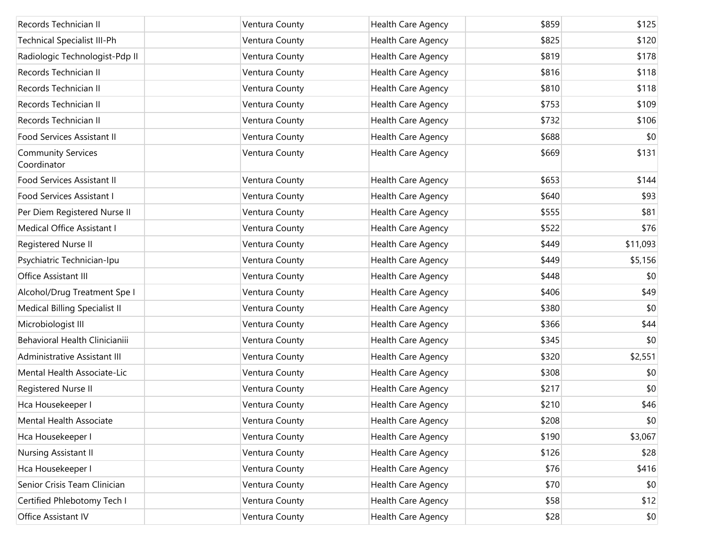| Records Technician II                    | Ventura County | Health Care Agency | \$859 | \$125        |
|------------------------------------------|----------------|--------------------|-------|--------------|
| Technical Specialist III-Ph              | Ventura County | Health Care Agency | \$825 | \$120        |
| Radiologic Technologist-Pdp II           | Ventura County | Health Care Agency | \$819 | \$178        |
| Records Technician II                    | Ventura County | Health Care Agency | \$816 | \$118        |
| Records Technician II                    | Ventura County | Health Care Agency | \$810 | \$118        |
| Records Technician II                    | Ventura County | Health Care Agency | \$753 | \$109        |
| Records Technician II                    | Ventura County | Health Care Agency | \$732 | \$106        |
| Food Services Assistant II               | Ventura County | Health Care Agency | \$688 | \$0          |
| <b>Community Services</b><br>Coordinator | Ventura County | Health Care Agency | \$669 | \$131        |
| Food Services Assistant II               | Ventura County | Health Care Agency | \$653 | \$144        |
| Food Services Assistant I                | Ventura County | Health Care Agency | \$640 | \$93         |
| Per Diem Registered Nurse II             | Ventura County | Health Care Agency | \$555 | \$81         |
| Medical Office Assistant I               | Ventura County | Health Care Agency | \$522 | \$76         |
| Registered Nurse II                      | Ventura County | Health Care Agency | \$449 | \$11,093     |
| Psychiatric Technician-Ipu               | Ventura County | Health Care Agency | \$449 | \$5,156      |
| Office Assistant III                     | Ventura County | Health Care Agency | \$448 | \$0          |
| Alcohol/Drug Treatment Spe I             | Ventura County | Health Care Agency | \$406 | \$49         |
| Medical Billing Specialist II            | Ventura County | Health Care Agency | \$380 | \$0          |
| Microbiologist III                       | Ventura County | Health Care Agency | \$366 | \$44         |
| Behavioral Health Clinicianiii           | Ventura County | Health Care Agency | \$345 | \$0          |
| Administrative Assistant III             | Ventura County | Health Care Agency | \$320 | \$2,551      |
| Mental Health Associate-Lic              | Ventura County | Health Care Agency | \$308 | \$0          |
| Registered Nurse II                      | Ventura County | Health Care Agency | \$217 | \$0          |
| Hca Housekeeper I                        | Ventura County | Health Care Agency | \$210 | \$46         |
| Mental Health Associate                  | Ventura County | Health Care Agency | \$208 | $ 10\rangle$ |
| Hca Housekeeper I                        | Ventura County | Health Care Agency | \$190 | \$3,067      |
| Nursing Assistant II                     | Ventura County | Health Care Agency | \$126 | \$28         |
| Hca Housekeeper I                        | Ventura County | Health Care Agency | \$76  | \$416        |
| Senior Crisis Team Clinician             | Ventura County | Health Care Agency | \$70  | \$0          |
| Certified Phlebotomy Tech I              | Ventura County | Health Care Agency | \$58  | \$12         |
| Office Assistant IV                      | Ventura County | Health Care Agency | \$28  | \$0          |